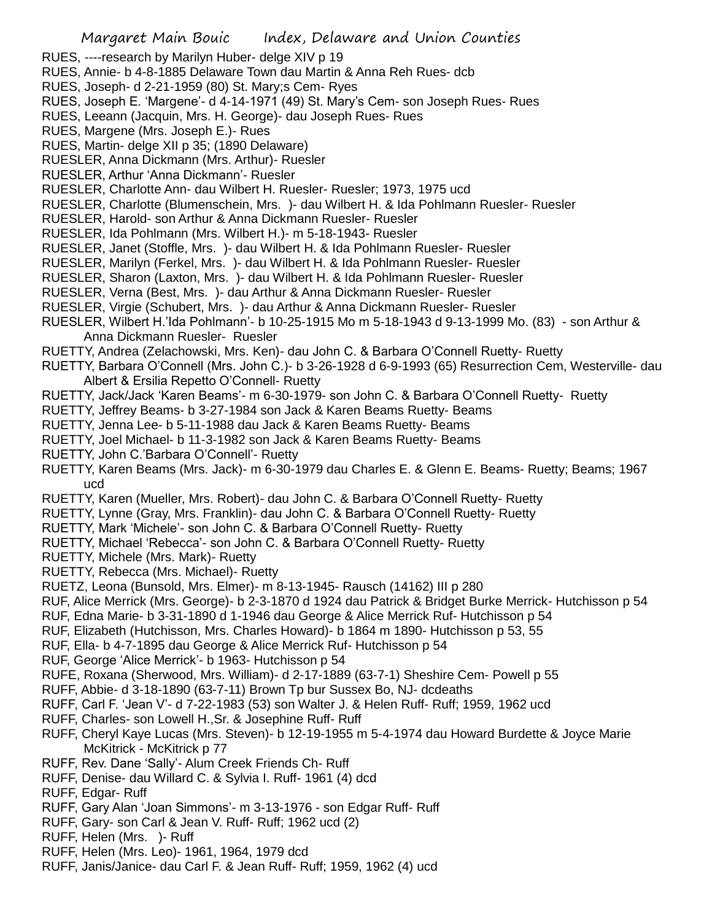- RUES, ----research by Marilyn Huber- delge XIV p 19
- RUES, Annie- b 4-8-1885 Delaware Town dau Martin & Anna Reh Rues- dcb
- RUES, Joseph- d 2-21-1959 (80) St. Mary;s Cem- Ryes
- RUES, Joseph E. 'Margene'- d 4-14-1971 (49) St. Mary's Cem- son Joseph Rues- Rues
- RUES, Leeann (Jacquin, Mrs. H. George)- dau Joseph Rues- Rues
- RUES, Margene (Mrs. Joseph E.)- Rues
- RUES, Martin- delge XII p 35; (1890 Delaware)
- RUESLER, Anna Dickmann (Mrs. Arthur)- Ruesler
- RUESLER, Arthur 'Anna Dickmann'- Ruesler
- RUESLER, Charlotte Ann- dau Wilbert H. Ruesler- Ruesler; 1973, 1975 ucd
- RUESLER, Charlotte (Blumenschein, Mrs. )- dau Wilbert H. & Ida Pohlmann Ruesler- Ruesler
- RUESLER, Harold- son Arthur & Anna Dickmann Ruesler- Ruesler
- RUESLER, Ida Pohlmann (Mrs. Wilbert H.)- m 5-18-1943- Ruesler
- RUESLER, Janet (Stoffle, Mrs. )- dau Wilbert H. & Ida Pohlmann Ruesler- Ruesler
- RUESLER, Marilyn (Ferkel, Mrs. )- dau Wilbert H. & Ida Pohlmann Ruesler- Ruesler
- RUESLER, Sharon (Laxton, Mrs. )- dau Wilbert H. & Ida Pohlmann Ruesler- Ruesler
- RUESLER, Verna (Best, Mrs. )- dau Arthur & Anna Dickmann Ruesler- Ruesler
- RUESLER, Virgie (Schubert, Mrs. )- dau Arthur & Anna Dickmann Ruesler- Ruesler
- RUESLER, Wilbert H.'Ida Pohlmann'- b 10-25-1915 Mo m 5-18-1943 d 9-13-1999 Mo. (83) son Arthur & Anna Dickmann Ruesler- Ruesler
- RUETTY, Andrea (Zelachowski, Mrs. Ken)- dau John C. & Barbara O'Connell Ruetty- Ruetty
- RUETTY, Barbara O'Connell (Mrs. John C.)- b 3-26-1928 d 6-9-1993 (65) Resurrection Cem, Westerville- dau Albert & Ersilia Repetto O'Connell- Ruetty
- RUETTY, Jack/Jack 'Karen Beams'- m 6-30-1979- son John C. & Barbara O'Connell Ruetty- Ruetty
- RUETTY, Jeffrey Beams- b 3-27-1984 son Jack & Karen Beams Ruetty- Beams
- RUETTY, Jenna Lee- b 5-11-1988 dau Jack & Karen Beams Ruetty- Beams
- RUETTY, Joel Michael- b 11-3-1982 son Jack & Karen Beams Ruetty- Beams
- RUETTY, John C.'Barbara O'Connell'- Ruetty
- RUETTY, Karen Beams (Mrs. Jack)- m 6-30-1979 dau Charles E. & Glenn E. Beams- Ruetty; Beams; 1967 ucd
- RUETTY, Karen (Mueller, Mrs. Robert)- dau John C. & Barbara O'Connell Ruetty- Ruetty
- RUETTY, Lynne (Gray, Mrs. Franklin)- dau John C. & Barbara O'Connell Ruetty- Ruetty
- RUETTY, Mark 'Michele'- son John C. & Barbara O'Connell Ruetty- Ruetty
- RUETTY, Michael 'Rebecca'- son John C. & Barbara O'Connell Ruetty- Ruetty
- RUETTY, Michele (Mrs. Mark)- Ruetty
- RUETTY, Rebecca (Mrs. Michael)- Ruetty
- RUETZ, Leona (Bunsold, Mrs. Elmer)- m 8-13-1945- Rausch (14162) III p 280
- RUF, Alice Merrick (Mrs. George)- b 2-3-1870 d 1924 dau Patrick & Bridget Burke Merrick- Hutchisson p 54
- RUF, Edna Marie- b 3-31-1890 d 1-1946 dau George & Alice Merrick Ruf- Hutchisson p 54
- RUF, Elizabeth (Hutchisson, Mrs. Charles Howard)- b 1864 m 1890- Hutchisson p 53, 55
- RUF, Ella- b 4-7-1895 dau George & Alice Merrick Ruf- Hutchisson p 54
- RUF, George 'Alice Merrick'- b 1963- Hutchisson p 54
- RUFE, Roxana (Sherwood, Mrs. William)- d 2-17-1889 (63-7-1) Sheshire Cem- Powell p 55
- RUFF, Abbie- d 3-18-1890 (63-7-11) Brown Tp bur Sussex Bo, NJ- dcdeaths
- RUFF, Carl F. 'Jean V'- d 7-22-1983 (53) son Walter J. & Helen Ruff- Ruff; 1959, 1962 ucd
- RUFF, Charles- son Lowell H.,Sr. & Josephine Ruff- Ruff
- RUFF, Cheryl Kaye Lucas (Mrs. Steven)- b 12-19-1955 m 5-4-1974 dau Howard Burdette & Joyce Marie McKitrick - McKitrick p 77
- RUFF, Rev. Dane 'Sally'- Alum Creek Friends Ch- Ruff
- RUFF, Denise- dau Willard C. & Sylvia I. Ruff- 1961 (4) dcd
- RUFF, Edgar- Ruff
- RUFF, Gary Alan 'Joan Simmons'- m 3-13-1976 son Edgar Ruff- Ruff
- RUFF, Gary- son Carl & Jean V. Ruff- Ruff; 1962 ucd (2)
- RUFF, Helen (Mrs. )- Ruff
- RUFF, Helen (Mrs. Leo)- 1961, 1964, 1979 dcd
- RUFF, Janis/Janice- dau Carl F. & Jean Ruff- Ruff; 1959, 1962 (4) ucd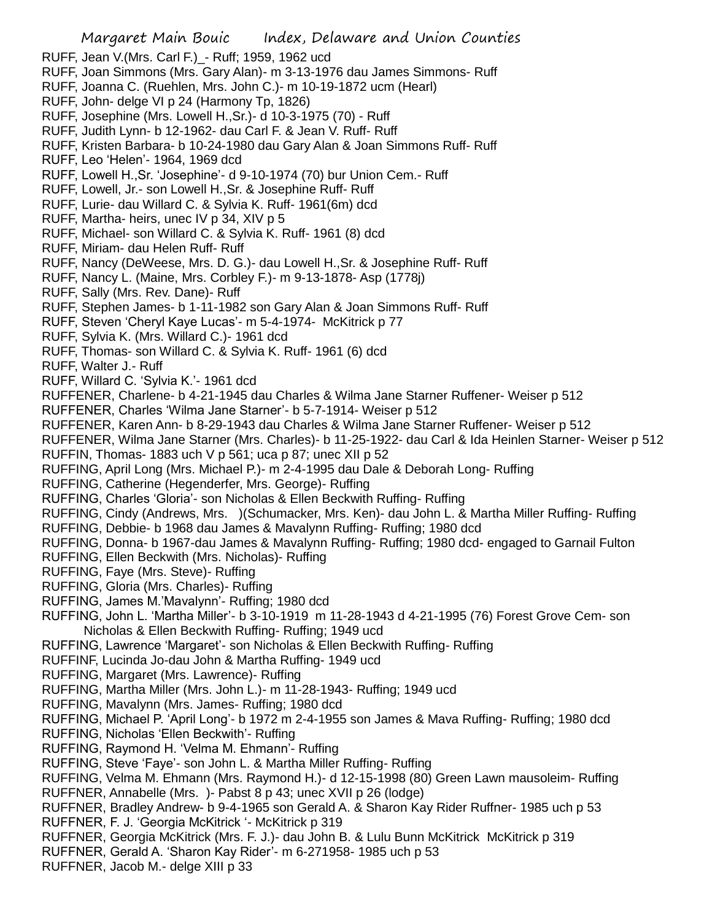RUFF, Jean V.(Mrs. Carl F.)\_- Ruff; 1959, 1962 ucd

- RUFF, Joan Simmons (Mrs. Gary Alan)- m 3-13-1976 dau James Simmons- Ruff
- RUFF, Joanna C. (Ruehlen, Mrs. John C.)- m 10-19-1872 ucm (Hearl)
- RUFF, John- delge VI p 24 (Harmony Tp, 1826)
- RUFF, Josephine (Mrs. Lowell H.,Sr.)- d 10-3-1975 (70) Ruff
- RUFF, Judith Lynn- b 12-1962- dau Carl F. & Jean V. Ruff- Ruff
- RUFF, Kristen Barbara- b 10-24-1980 dau Gary Alan & Joan Simmons Ruff- Ruff
- RUFF, Leo 'Helen'- 1964, 1969 dcd
- RUFF, Lowell H.,Sr. 'Josephine'- d 9-10-1974 (70) bur Union Cem.- Ruff
- RUFF, Lowell, Jr.- son Lowell H.,Sr. & Josephine Ruff- Ruff
- RUFF, Lurie- dau Willard C. & Sylvia K. Ruff- 1961(6m) dcd
- RUFF, Martha- heirs, unec IV p 34, XIV p 5
- RUFF, Michael- son Willard C. & Sylvia K. Ruff- 1961 (8) dcd
- RUFF, Miriam- dau Helen Ruff- Ruff
- RUFF, Nancy (DeWeese, Mrs. D. G.)- dau Lowell H.,Sr. & Josephine Ruff- Ruff
- RUFF, Nancy L. (Maine, Mrs. Corbley F.)- m 9-13-1878- Asp (1778j)
- RUFF, Sally (Mrs. Rev. Dane)- Ruff
- RUFF, Stephen James- b 1-11-1982 son Gary Alan & Joan Simmons Ruff- Ruff
- RUFF, Steven 'Cheryl Kaye Lucas'- m 5-4-1974- McKitrick p 77
- RUFF, Sylvia K. (Mrs. Willard C.)- 1961 dcd
- RUFF, Thomas- son Willard C. & Sylvia K. Ruff- 1961 (6) dcd
- RUFF, Walter J.- Ruff
- RUFF, Willard C. 'Sylvia K.'- 1961 dcd
- RUFFENER, Charlene- b 4-21-1945 dau Charles & Wilma Jane Starner Ruffener- Weiser p 512
- RUFFENER, Charles 'Wilma Jane Starner'- b 5-7-1914- Weiser p 512
- RUFFENER, Karen Ann- b 8-29-1943 dau Charles & Wilma Jane Starner Ruffener- Weiser p 512
- RUFFENER, Wilma Jane Starner (Mrs. Charles)- b 11-25-1922- dau Carl & Ida Heinlen Starner- Weiser p 512 RUFFIN, Thomas- 1883 uch V p 561; uca p 87; unec XII p 52
- RUFFING, April Long (Mrs. Michael P.)- m 2-4-1995 dau Dale & Deborah Long- Ruffing
- RUFFING, Catherine (Hegenderfer, Mrs. George)- Ruffing
- RUFFING, Charles 'Gloria'- son Nicholas & Ellen Beckwith Ruffing- Ruffing
- RUFFING, Cindy (Andrews, Mrs. )(Schumacker, Mrs. Ken)- dau John L. & Martha Miller Ruffing- Ruffing
- RUFFING, Debbie- b 1968 dau James & Mavalynn Ruffing- Ruffing; 1980 dcd
- RUFFING, Donna- b 1967-dau James & Mavalynn Ruffing- Ruffing; 1980 dcd- engaged to Garnail Fulton
- RUFFING, Ellen Beckwith (Mrs. Nicholas)- Ruffing
- RUFFING, Faye (Mrs. Steve)- Ruffing
- RUFFING, Gloria (Mrs. Charles)- Ruffing
- RUFFING, James M.'Mavalynn'- Ruffing; 1980 dcd
- RUFFING, John L. 'Martha Miller'- b 3-10-1919 m 11-28-1943 d 4-21-1995 (76) Forest Grove Cem- son Nicholas & Ellen Beckwith Ruffing- Ruffing; 1949 ucd
- RUFFING, Lawrence 'Margaret'- son Nicholas & Ellen Beckwith Ruffing- Ruffing
- RUFFINF, Lucinda Jo-dau John & Martha Ruffing- 1949 ucd
- RUFFING, Margaret (Mrs. Lawrence)- Ruffing
- RUFFING, Martha Miller (Mrs. John L.)- m 11-28-1943- Ruffing; 1949 ucd
- RUFFING, Mavalynn (Mrs. James- Ruffing; 1980 dcd
- RUFFING, Michael P. 'April Long'- b 1972 m 2-4-1955 son James & Mava Ruffing- Ruffing; 1980 dcd
- RUFFING, Nicholas 'Ellen Beckwith'- Ruffing
- RUFFING, Raymond H. 'Velma M. Ehmann'- Ruffing
- RUFFING, Steve 'Faye'- son John L. & Martha Miller Ruffing- Ruffing
- RUFFING, Velma M. Ehmann (Mrs. Raymond H.)- d 12-15-1998 (80) Green Lawn mausoleim- Ruffing RUFFNER, Annabelle (Mrs. )- Pabst 8 p 43; unec XVII p 26 (lodge)
- RUFFNER, Bradley Andrew- b 9-4-1965 son Gerald A. & Sharon Kay Rider Ruffner- 1985 uch p 53 RUFFNER, F. J. 'Georgia McKitrick '- McKitrick p 319
- RUFFNER, Georgia McKitrick (Mrs. F. J.)- dau John B. & Lulu Bunn McKitrick McKitrick p 319
- RUFFNER, Gerald A. 'Sharon Kay Rider'- m 6-271958- 1985 uch p 53
- RUFFNER, Jacob M.- delge XIII p 33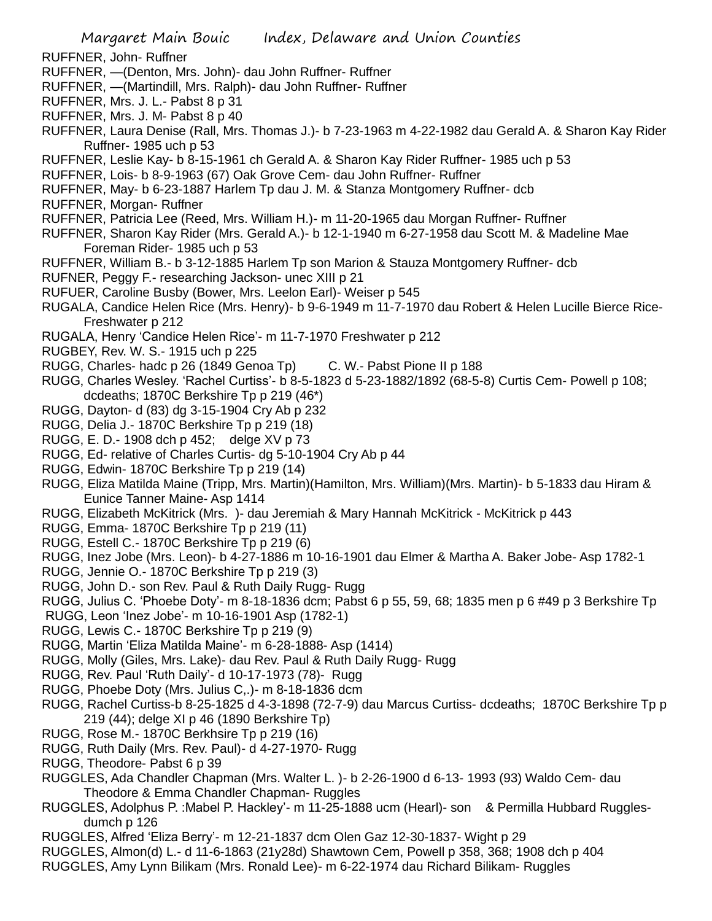- RUFFNER, John- Ruffner
- RUFFNER, —(Denton, Mrs. John)- dau John Ruffner- Ruffner
- RUFFNER, —(Martindill, Mrs. Ralph)- dau John Ruffner- Ruffner
- RUFFNER, Mrs. J. L.- Pabst 8 p 31
- RUFFNER, Mrs. J. M- Pabst 8 p 40
- RUFFNER, Laura Denise (Rall, Mrs. Thomas J.)- b 7-23-1963 m 4-22-1982 dau Gerald A. & Sharon Kay Rider Ruffner- 1985 uch p 53
- RUFFNER, Leslie Kay- b 8-15-1961 ch Gerald A. & Sharon Kay Rider Ruffner- 1985 uch p 53
- RUFFNER, Lois- b 8-9-1963 (67) Oak Grove Cem- dau John Ruffner- Ruffner
- RUFFNER, May- b 6-23-1887 Harlem Tp dau J. M. & Stanza Montgomery Ruffner- dcb
- RUFFNER, Morgan- Ruffner
- RUFFNER, Patricia Lee (Reed, Mrs. William H.)- m 11-20-1965 dau Morgan Ruffner- Ruffner
- RUFFNER, Sharon Kay Rider (Mrs. Gerald A.)- b 12-1-1940 m 6-27-1958 dau Scott M. & Madeline Mae Foreman Rider- 1985 uch p 53
- RUFFNER, William B.- b 3-12-1885 Harlem Tp son Marion & Stauza Montgomery Ruffner- dcb
- RUFNER, Peggy F.- researching Jackson- unec XIII p 21
- RUFUER, Caroline Busby (Bower, Mrs. Leelon Earl)- Weiser p 545
- RUGALA, Candice Helen Rice (Mrs. Henry)- b 9-6-1949 m 11-7-1970 dau Robert & Helen Lucille Bierce Rice-Freshwater p 212
- RUGALA, Henry 'Candice Helen Rice'- m 11-7-1970 Freshwater p 212
- RUGBEY, Rev. W. S.- 1915 uch p 225
- RUGG, Charles- hadc p 26 (1849 Genoa Tp) C. W.- Pabst Pione II p 188
- RUGG, Charles Wesley. 'Rachel Curtiss'- b 8-5-1823 d 5-23-1882/1892 (68-5-8) Curtis Cem- Powell p 108; dcdeaths; 1870C Berkshire Tp p 219 (46\*)
- RUGG, Dayton- d (83) dg 3-15-1904 Cry Ab p 232
- RUGG, Delia J.- 1870C Berkshire Tp p 219 (18)
- RUGG, E. D.- 1908 dch p 452; delge XV p 73
- RUGG, Ed- relative of Charles Curtis- dg 5-10-1904 Cry Ab p 44
- RUGG, Edwin- 1870C Berkshire Tp p 219 (14)
- RUGG, Eliza Matilda Maine (Tripp, Mrs. Martin)(Hamilton, Mrs. William)(Mrs. Martin)- b 5-1833 dau Hiram & Eunice Tanner Maine- Asp 1414
- RUGG, Elizabeth McKitrick (Mrs. )- dau Jeremiah & Mary Hannah McKitrick McKitrick p 443
- RUGG, Emma- 1870C Berkshire Tp p 219 (11)
- RUGG, Estell C.- 1870C Berkshire Tp p 219 (6)
- RUGG, Inez Jobe (Mrs. Leon)- b 4-27-1886 m 10-16-1901 dau Elmer & Martha A. Baker Jobe- Asp 1782-1
- RUGG, Jennie O.- 1870C Berkshire Tp p 219 (3)
- RUGG, John D.- son Rev. Paul & Ruth Daily Rugg- Rugg
- RUGG, Julius C. 'Phoebe Doty'- m 8-18-1836 dcm; Pabst 6 p 55, 59, 68; 1835 men p 6 #49 p 3 Berkshire Tp
- RUGG, Leon 'Inez Jobe'- m 10-16-1901 Asp (1782-1)
- RUGG, Lewis C.- 1870C Berkshire Tp p 219 (9)
- RUGG, Martin 'Eliza Matilda Maine'- m 6-28-1888- Asp (1414)
- RUGG, Molly (Giles, Mrs. Lake)- dau Rev. Paul & Ruth Daily Rugg- Rugg
- RUGG, Rev. Paul 'Ruth Daily'- d 10-17-1973 (78)- Rugg
- RUGG, Phoebe Doty (Mrs. Julius C,.)- m 8-18-1836 dcm
- RUGG, Rachel Curtiss-b 8-25-1825 d 4-3-1898 (72-7-9) dau Marcus Curtiss- dcdeaths; 1870C Berkshire Tp p 219 (44); delge XI p 46 (1890 Berkshire Tp)
- RUGG, Rose M.- 1870C Berkhsire Tp p 219 (16)
- RUGG, Ruth Daily (Mrs. Rev. Paul)- d 4-27-1970- Rugg
- RUGG, Theodore- Pabst 6 p 39
- RUGGLES, Ada Chandler Chapman (Mrs. Walter L. )- b 2-26-1900 d 6-13- 1993 (93) Waldo Cem- dau Theodore & Emma Chandler Chapman- Ruggles
- RUGGLES, Adolphus P. :Mabel P. Hackley'- m 11-25-1888 ucm (Hearl)- son & Permilla Hubbard Rugglesdumch p 126
- RUGGLES, Alfred 'Eliza Berry'- m 12-21-1837 dcm Olen Gaz 12-30-1837- Wight p 29
- RUGGLES, Almon(d) L.- d 11-6-1863 (21y28d) Shawtown Cem, Powell p 358, 368; 1908 dch p 404
- RUGGLES, Amy Lynn Bilikam (Mrs. Ronald Lee)- m 6-22-1974 dau Richard Bilikam- Ruggles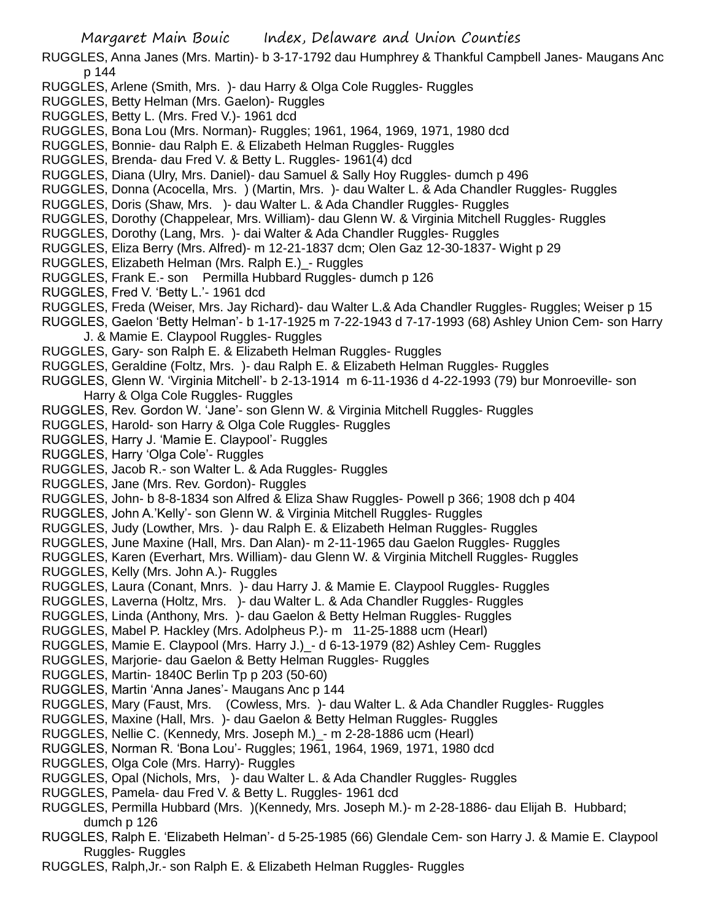- RUGGLES, Anna Janes (Mrs. Martin)- b 3-17-1792 dau Humphrey & Thankful Campbell Janes- Maugans Anc p 144
- RUGGLES, Arlene (Smith, Mrs. )- dau Harry & Olga Cole Ruggles- Ruggles
- RUGGLES, Betty Helman (Mrs. Gaelon)- Ruggles
- RUGGLES, Betty L. (Mrs. Fred V.)- 1961 dcd
- RUGGLES, Bona Lou (Mrs. Norman)- Ruggles; 1961, 1964, 1969, 1971, 1980 dcd
- RUGGLES, Bonnie- dau Ralph E. & Elizabeth Helman Ruggles- Ruggles
- RUGGLES, Brenda- dau Fred V. & Betty L. Ruggles- 1961(4) dcd
- RUGGLES, Diana (Ulry, Mrs. Daniel)- dau Samuel & Sally Hoy Ruggles- dumch p 496
- RUGGLES, Donna (Acocella, Mrs. ) (Martin, Mrs. )- dau Walter L. & Ada Chandler Ruggles- Ruggles
- RUGGLES, Doris (Shaw, Mrs. )- dau Walter L. & Ada Chandler Ruggles- Ruggles
- RUGGLES, Dorothy (Chappelear, Mrs. William)- dau Glenn W. & Virginia Mitchell Ruggles- Ruggles
- RUGGLES, Dorothy (Lang, Mrs. )- dai Walter & Ada Chandler Ruggles- Ruggles
- RUGGLES, Eliza Berry (Mrs. Alfred)- m 12-21-1837 dcm; Olen Gaz 12-30-1837- Wight p 29
- RUGGLES, Elizabeth Helman (Mrs. Ralph E.)\_- Ruggles
- RUGGLES, Frank E.- son Permilla Hubbard Ruggles- dumch p 126
- RUGGLES, Fred V. 'Betty L.'- 1961 dcd
- RUGGLES, Freda (Weiser, Mrs. Jay Richard)- dau Walter L.& Ada Chandler Ruggles- Ruggles; Weiser p 15
- RUGGLES, Gaelon 'Betty Helman'- b 1-17-1925 m 7-22-1943 d 7-17-1993 (68) Ashley Union Cem- son Harry J. & Mamie E. Claypool Ruggles- Ruggles
- RUGGLES, Gary- son Ralph E. & Elizabeth Helman Ruggles- Ruggles
- RUGGLES, Geraldine (Foltz, Mrs. )- dau Ralph E. & Elizabeth Helman Ruggles- Ruggles
- RUGGLES, Glenn W. 'Virginia Mitchell'- b 2-13-1914 m 6-11-1936 d 4-22-1993 (79) bur Monroeville- son Harry & Olga Cole Ruggles- Ruggles
- RUGGLES, Rev. Gordon W. 'Jane'- son Glenn W. & Virginia Mitchell Ruggles- Ruggles
- RUGGLES, Harold- son Harry & Olga Cole Ruggles- Ruggles
- RUGGLES, Harry J. 'Mamie E. Claypool'- Ruggles
- RUGGLES, Harry 'Olga Cole'- Ruggles
- RUGGLES, Jacob R.- son Walter L. & Ada Ruggles- Ruggles
- RUGGLES, Jane (Mrs. Rev. Gordon)- Ruggles
- RUGGLES, John- b 8-8-1834 son Alfred & Eliza Shaw Ruggles- Powell p 366; 1908 dch p 404
- RUGGLES, John A.'Kelly'- son Glenn W. & Virginia Mitchell Ruggles- Ruggles
- RUGGLES, Judy (Lowther, Mrs. )- dau Ralph E. & Elizabeth Helman Ruggles- Ruggles
- RUGGLES, June Maxine (Hall, Mrs. Dan Alan)- m 2-11-1965 dau Gaelon Ruggles- Ruggles
- RUGGLES, Karen (Everhart, Mrs. William)- dau Glenn W. & Virginia Mitchell Ruggles- Ruggles
- RUGGLES, Kelly (Mrs. John A.)- Ruggles
- RUGGLES, Laura (Conant, Mnrs. )- dau Harry J. & Mamie E. Claypool Ruggles- Ruggles
- RUGGLES, Laverna (Holtz, Mrs. )- dau Walter L. & Ada Chandler Ruggles- Ruggles
- RUGGLES, Linda (Anthony, Mrs. )- dau Gaelon & Betty Helman Ruggles- Ruggles
- RUGGLES, Mabel P. Hackley (Mrs. Adolpheus P.)- m 11-25-1888 ucm (Hearl)
- RUGGLES, Mamie E. Claypool (Mrs. Harry J.)\_- d 6-13-1979 (82) Ashley Cem- Ruggles
- RUGGLES, Marjorie- dau Gaelon & Betty Helman Ruggles- Ruggles
- RUGGLES, Martin- 1840C Berlin Tp p 203 (50-60)
- RUGGLES, Martin 'Anna Janes'- Maugans Anc p 144
- RUGGLES, Mary (Faust, Mrs. (Cowless, Mrs. )- dau Walter L. & Ada Chandler Ruggles- Ruggles
- RUGGLES, Maxine (Hall, Mrs. )- dau Gaelon & Betty Helman Ruggles- Ruggles
- RUGGLES, Nellie C. (Kennedy, Mrs. Joseph M.)\_- m 2-28-1886 ucm (Hearl)
- RUGGLES, Norman R. 'Bona Lou'- Ruggles; 1961, 1964, 1969, 1971, 1980 dcd
- RUGGLES, Olga Cole (Mrs. Harry)- Ruggles
- RUGGLES, Opal (Nichols, Mrs, )- dau Walter L. & Ada Chandler Ruggles- Ruggles
- RUGGLES, Pamela- dau Fred V. & Betty L. Ruggles- 1961 dcd
- RUGGLES, Permilla Hubbard (Mrs. )(Kennedy, Mrs. Joseph M.)- m 2-28-1886- dau Elijah B. Hubbard; dumch p 126
- RUGGLES, Ralph E. 'Elizabeth Helman'- d 5-25-1985 (66) Glendale Cem- son Harry J. & Mamie E. Claypool Ruggles- Ruggles
- RUGGLES, Ralph,Jr.- son Ralph E. & Elizabeth Helman Ruggles- Ruggles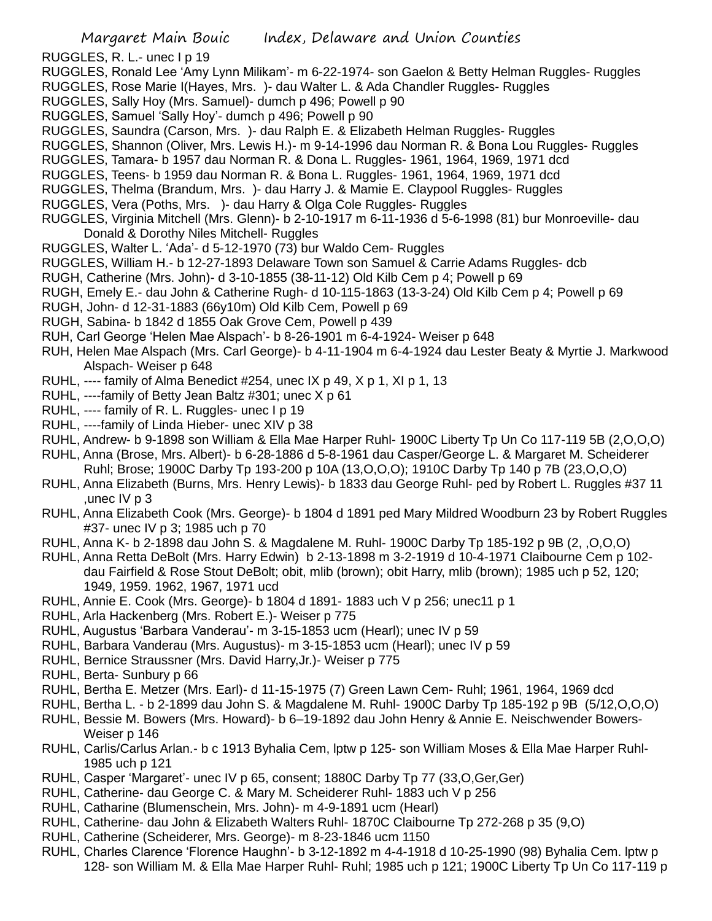RUGGLES, R. L.- unec I p 19

- RUGGLES, Ronald Lee 'Amy Lynn Milikam'- m 6-22-1974- son Gaelon & Betty Helman Ruggles- Ruggles
- RUGGLES, Rose Marie I(Hayes, Mrs. )- dau Walter L. & Ada Chandler Ruggles- Ruggles
- RUGGLES, Sally Hoy (Mrs. Samuel)- dumch p 496; Powell p 90
- RUGGLES, Samuel 'Sally Hoy'- dumch p 496; Powell p 90
- RUGGLES, Saundra (Carson, Mrs. )- dau Ralph E. & Elizabeth Helman Ruggles- Ruggles
- RUGGLES, Shannon (Oliver, Mrs. Lewis H.)- m 9-14-1996 dau Norman R. & Bona Lou Ruggles- Ruggles
- RUGGLES, Tamara- b 1957 dau Norman R. & Dona L. Ruggles- 1961, 1964, 1969, 1971 dcd
- RUGGLES, Teens- b 1959 dau Norman R. & Bona L. Ruggles- 1961, 1964, 1969, 1971 dcd
- RUGGLES, Thelma (Brandum, Mrs. )- dau Harry J. & Mamie E. Claypool Ruggles- Ruggles
- RUGGLES, Vera (Poths, Mrs. )- dau Harry & Olga Cole Ruggles- Ruggles
- RUGGLES, Virginia Mitchell (Mrs. Glenn)- b 2-10-1917 m 6-11-1936 d 5-6-1998 (81) bur Monroeville- dau Donald & Dorothy Niles Mitchell- Ruggles
- RUGGLES, Walter L. 'Ada'- d 5-12-1970 (73) bur Waldo Cem- Ruggles
- RUGGLES, William H.- b 12-27-1893 Delaware Town son Samuel & Carrie Adams Ruggles- dcb
- RUGH, Catherine (Mrs. John)- d 3-10-1855 (38-11-12) Old Kilb Cem p 4; Powell p 69
- RUGH, Emely E.- dau John & Catherine Rugh- d 10-115-1863 (13-3-24) Old Kilb Cem p 4; Powell p 69
- RUGH, John- d 12-31-1883 (66y10m) Old Kilb Cem, Powell p 69
- RUGH, Sabina- b 1842 d 1855 Oak Grove Cem, Powell p 439
- RUH, Carl George 'Helen Mae Alspach'- b 8-26-1901 m 6-4-1924- Weiser p 648
- RUH, Helen Mae Alspach (Mrs. Carl George)- b 4-11-1904 m 6-4-1924 dau Lester Beaty & Myrtie J. Markwood Alspach- Weiser p 648
- RUHL, ---- family of Alma Benedict #254, unec IX p 49, X p 1, XI p 1, 13
- RUHL, ----family of Betty Jean Baltz #301; unec X p 61
- RUHL, ---- family of R. L. Ruggles- unec I p 19
- RUHL, ----family of Linda Hieber- unec XIV p 38
- RUHL, Andrew- b 9-1898 son William & Ella Mae Harper Ruhl- 1900C Liberty Tp Un Co 117-119 5B (2,O,O,O)
- RUHL, Anna (Brose, Mrs. Albert)- b 6-28-1886 d 5-8-1961 dau Casper/George L. & Margaret M. Scheiderer
	- Ruhl; Brose; 1900C Darby Tp 193-200 p 10A (13,O,O,O); 1910C Darby Tp 140 p 7B (23,O,O,O)
- RUHL, Anna Elizabeth (Burns, Mrs. Henry Lewis)- b 1833 dau George Ruhl- ped by Robert L. Ruggles #37 11 ,unec IV p 3
- RUHL, Anna Elizabeth Cook (Mrs. George)- b 1804 d 1891 ped Mary Mildred Woodburn 23 by Robert Ruggles #37- unec IV p 3; 1985 uch p 70
- RUHL, Anna K- b 2-1898 dau John S. & Magdalene M. Ruhl- 1900C Darby Tp 185-192 p 9B (2, ,O,O,O)
- RUHL, Anna Retta DeBolt (Mrs. Harry Edwin) b 2-13-1898 m 3-2-1919 d 10-4-1971 Claibourne Cem p 102 dau Fairfield & Rose Stout DeBolt; obit, mlib (brown); obit Harry, mlib (brown); 1985 uch p 52, 120; 1949, 1959. 1962, 1967, 1971 ucd
- RUHL, Annie E. Cook (Mrs. George)- b 1804 d 1891- 1883 uch V p 256; unec11 p 1
- RUHL, Arla Hackenberg (Mrs. Robert E.)- Weiser p 775
- RUHL, Augustus 'Barbara Vanderau'- m 3-15-1853 ucm (Hearl); unec IV p 59
- RUHL, Barbara Vanderau (Mrs. Augustus)- m 3-15-1853 ucm (Hearl); unec IV p 59
- RUHL, Bernice Straussner (Mrs. David Harry,Jr.)- Weiser p 775
- RUHL, Berta- Sunbury p 66
- RUHL, Bertha E. Metzer (Mrs. Earl)- d 11-15-1975 (7) Green Lawn Cem- Ruhl; 1961, 1964, 1969 dcd
- RUHL, Bertha L. b 2-1899 dau John S. & Magdalene M. Ruhl- 1900C Darby Tp 185-192 p 9B (5/12,O,O,O)
- RUHL, Bessie M. Bowers (Mrs. Howard)- b 6–19-1892 dau John Henry & Annie E. Neischwender Bowers-Weiser p 146
- RUHL, Carlis/Carlus Arlan.- b c 1913 Byhalia Cem, lptw p 125- son William Moses & Ella Mae Harper Ruhl-1985 uch p 121
- RUHL, Casper 'Margaret'- unec IV p 65, consent; 1880C Darby Tp 77 (33,O,Ger,Ger)
- RUHL, Catherine- dau George C. & Mary M. Scheiderer Ruhl- 1883 uch V p 256
- RUHL, Catharine (Blumenschein, Mrs. John)- m 4-9-1891 ucm (Hearl)
- RUHL, Catherine- dau John & Elizabeth Walters Ruhl- 1870C Claibourne Tp 272-268 p 35 (9,O)
- RUHL, Catherine (Scheiderer, Mrs. George)- m 8-23-1846 ucm 1150
- RUHL, Charles Clarence 'Florence Haughn'- b 3-12-1892 m 4-4-1918 d 10-25-1990 (98) Byhalia Cem. lptw p 128- son William M. & Ella Mae Harper Ruhl- Ruhl; 1985 uch p 121; 1900C Liberty Tp Un Co 117-119 p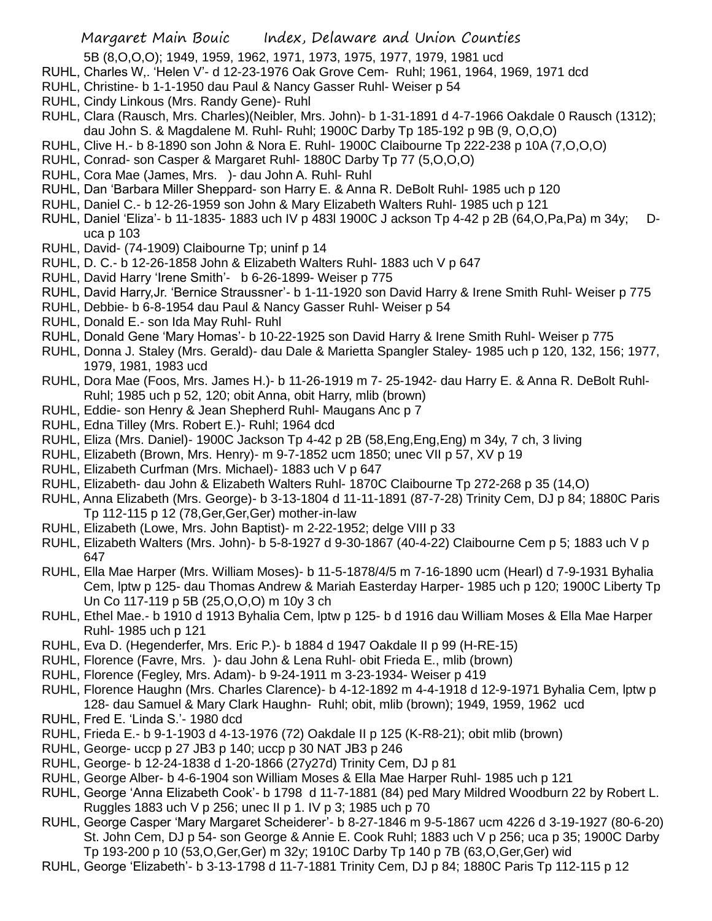- 5B (8,O,O,O); 1949, 1959, 1962, 1971, 1973, 1975, 1977, 1979, 1981 ucd
- RUHL, Charles W,. 'Helen V'- d 12-23-1976 Oak Grove Cem- Ruhl; 1961, 1964, 1969, 1971 dcd
- RUHL, Christine- b 1-1-1950 dau Paul & Nancy Gasser Ruhl- Weiser p 54
- RUHL, Cindy Linkous (Mrs. Randy Gene)- Ruhl
- RUHL, Clara (Rausch, Mrs. Charles)(Neibler, Mrs. John)- b 1-31-1891 d 4-7-1966 Oakdale 0 Rausch (1312); dau John S. & Magdalene M. Ruhl- Ruhl; 1900C Darby Tp 185-192 p 9B (9, O,O,O)
- RUHL, Clive H.- b 8-1890 son John & Nora E. Ruhl- 1900C Claibourne Tp 222-238 p 10A (7,O,O,O)
- RUHL, Conrad- son Casper & Margaret Ruhl- 1880C Darby Tp 77 (5,O,O,O)
- RUHL, Cora Mae (James, Mrs. )- dau John A. Ruhl- Ruhl
- RUHL, Dan 'Barbara Miller Sheppard- son Harry E. & Anna R. DeBolt Ruhl- 1985 uch p 120
- RUHL, Daniel C.- b 12-26-1959 son John & Mary Elizabeth Walters Ruhl- 1985 uch p 121
- RUHL, Daniel 'Eliza'- b 11-1835- 1883 uch IV p 483l 1900C J ackson Tp 4-42 p 2B (64,O,Pa,Pa) m 34y; Duca p 103
- RUHL, David- (74-1909) Claibourne Tp; uninf p 14
- RUHL, D. C.- b 12-26-1858 John & Elizabeth Walters Ruhl- 1883 uch V p 647
- RUHL, David Harry 'Irene Smith'- b 6-26-1899- Weiser p 775
- RUHL, David Harry,Jr. 'Bernice Straussner'- b 1-11-1920 son David Harry & Irene Smith Ruhl- Weiser p 775
- RUHL, Debbie- b 6-8-1954 dau Paul & Nancy Gasser Ruhl- Weiser p 54
- RUHL, Donald E.- son Ida May Ruhl- Ruhl
- RUHL, Donald Gene 'Mary Homas'- b 10-22-1925 son David Harry & Irene Smith Ruhl- Weiser p 775
- RUHL, Donna J. Staley (Mrs. Gerald)- dau Dale & Marietta Spangler Staley- 1985 uch p 120, 132, 156; 1977, 1979, 1981, 1983 ucd
- RUHL, Dora Mae (Foos, Mrs. James H.)- b 11-26-1919 m 7- 25-1942- dau Harry E. & Anna R. DeBolt Ruhl-Ruhl; 1985 uch p 52, 120; obit Anna, obit Harry, mlib (brown)
- RUHL, Eddie- son Henry & Jean Shepherd Ruhl- Maugans Anc p 7
- RUHL, Edna Tilley (Mrs. Robert E.)- Ruhl; 1964 dcd
- RUHL, Eliza (Mrs. Daniel)- 1900C Jackson Tp 4-42 p 2B (58,Eng,Eng,Eng) m 34y, 7 ch, 3 living
- RUHL, Elizabeth (Brown, Mrs. Henry)- m 9-7-1852 ucm 1850; unec VII p 57, XV p 19
- RUHL, Elizabeth Curfman (Mrs. Michael)- 1883 uch V p 647
- RUHL, Elizabeth- dau John & Elizabeth Walters Ruhl- 1870C Claibourne Tp 272-268 p 35 (14,O)
- RUHL, Anna Elizabeth (Mrs. George)- b 3-13-1804 d 11-11-1891 (87-7-28) Trinity Cem, DJ p 84; 1880C Paris Tp 112-115 p 12 (78,Ger,Ger,Ger) mother-in-law
- RUHL, Elizabeth (Lowe, Mrs. John Baptist)- m 2-22-1952; delge VIII p 33
- RUHL, Elizabeth Walters (Mrs. John)- b 5-8-1927 d 9-30-1867 (40-4-22) Claibourne Cem p 5; 1883 uch V p 647
- RUHL, Ella Mae Harper (Mrs. William Moses)- b 11-5-1878/4/5 m 7-16-1890 ucm (Hearl) d 7-9-1931 Byhalia Cem, lptw p 125- dau Thomas Andrew & Mariah Easterday Harper- 1985 uch p 120; 1900C Liberty Tp Un Co 117-119 p 5B (25,O,O,O) m 10y 3 ch
- RUHL, Ethel Mae.- b 1910 d 1913 Byhalia Cem, lptw p 125- b d 1916 dau William Moses & Ella Mae Harper Ruhl- 1985 uch p 121
- RUHL, Eva D. (Hegenderfer, Mrs. Eric P.)- b 1884 d 1947 Oakdale II p 99 (H-RE-15)
- RUHL, Florence (Favre, Mrs. )- dau John & Lena Ruhl- obit Frieda E., mlib (brown)
- RUHL, Florence (Fegley, Mrs. Adam)- b 9-24-1911 m 3-23-1934- Weiser p 419
- RUHL, Florence Haughn (Mrs. Charles Clarence)- b 4-12-1892 m 4-4-1918 d 12-9-1971 Byhalia Cem, lptw p 128- dau Samuel & Mary Clark Haughn- Ruhl; obit, mlib (brown); 1949, 1959, 1962 ucd
- RUHL, Fred E. 'Linda S.'- 1980 dcd
- RUHL, Frieda E.- b 9-1-1903 d 4-13-1976 (72) Oakdale II p 125 (K-R8-21); obit mlib (brown)
- RUHL, George- uccp p 27 JB3 p 140; uccp p 30 NAT JB3 p 246
- RUHL, George- b 12-24-1838 d 1-20-1866 (27y27d) Trinity Cem, DJ p 81
- RUHL, George Alber- b 4-6-1904 son William Moses & Ella Mae Harper Ruhl- 1985 uch p 121
- RUHL, George 'Anna Elizabeth Cook'- b 1798 d 11-7-1881 (84) ped Mary Mildred Woodburn 22 by Robert L. Ruggles 1883 uch V p 256; unec II p 1. IV p 3; 1985 uch p 70
- RUHL, George Casper 'Mary Margaret Scheiderer'- b 8-27-1846 m 9-5-1867 ucm 4226 d 3-19-1927 (80-6-20) St. John Cem, DJ p 54- son George & Annie E. Cook Ruhl; 1883 uch V p 256; uca p 35; 1900C Darby Tp 193-200 p 10 (53,O,Ger,Ger) m 32y; 1910C Darby Tp 140 p 7B (63,O,Ger,Ger) wid
- RUHL, George 'Elizabeth'- b 3-13-1798 d 11-7-1881 Trinity Cem, DJ p 84; 1880C Paris Tp 112-115 p 12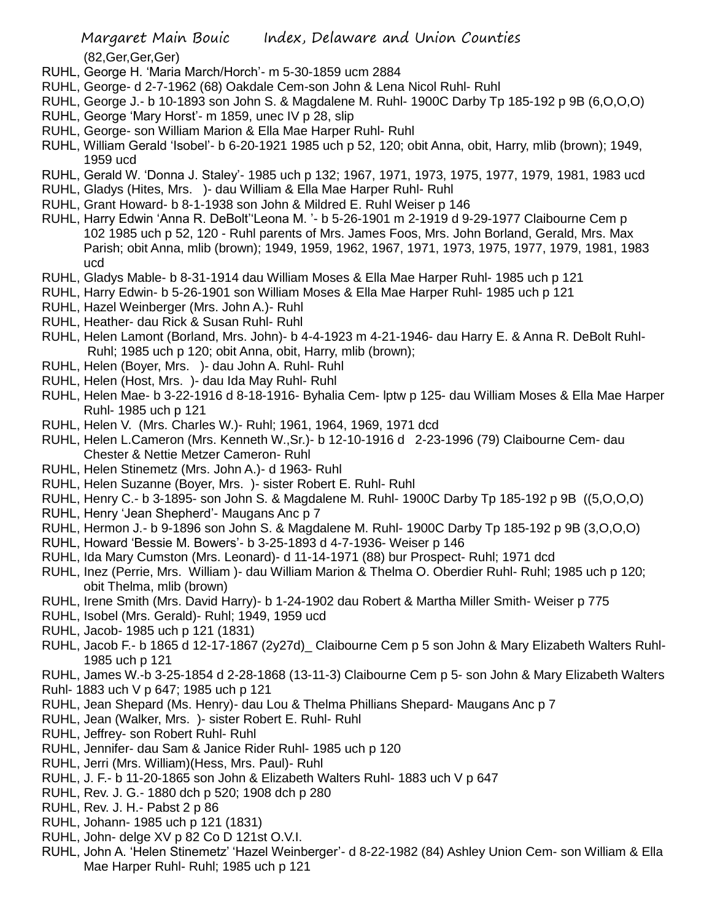(82,Ger,Ger,Ger)

- RUHL, George H. 'Maria March/Horch'- m 5-30-1859 ucm 2884
- RUHL, George- d 2-7-1962 (68) Oakdale Cem-son John & Lena Nicol Ruhl- Ruhl
- RUHL, George J.- b 10-1893 son John S. & Magdalene M. Ruhl- 1900C Darby Tp 185-192 p 9B (6,O,O,O)
- RUHL, George 'Mary Horst'- m 1859, unec IV p 28, slip
- RUHL, George- son William Marion & Ella Mae Harper Ruhl- Ruhl
- RUHL, William Gerald 'Isobel'- b 6-20-1921 1985 uch p 52, 120; obit Anna, obit, Harry, mlib (brown); 1949, 1959 ucd
- RUHL, Gerald W. 'Donna J. Staley'- 1985 uch p 132; 1967, 1971, 1973, 1975, 1977, 1979, 1981, 1983 ucd
- RUHL, Gladys (Hites, Mrs. )- dau William & Ella Mae Harper Ruhl- Ruhl
- RUHL, Grant Howard- b 8-1-1938 son John & Mildred E. Ruhl Weiser p 146
- RUHL, Harry Edwin 'Anna R. DeBolt''Leona M. '- b 5-26-1901 m 2-1919 d 9-29-1977 Claibourne Cem p 102 1985 uch p 52, 120 - Ruhl parents of Mrs. James Foos, Mrs. John Borland, Gerald, Mrs. Max Parish; obit Anna, mlib (brown); 1949, 1959, 1962, 1967, 1971, 1973, 1975, 1977, 1979, 1981, 1983 ucd
- RUHL, Gladys Mable- b 8-31-1914 dau William Moses & Ella Mae Harper Ruhl- 1985 uch p 121
- RUHL, Harry Edwin- b 5-26-1901 son William Moses & Ella Mae Harper Ruhl- 1985 uch p 121
- RUHL, Hazel Weinberger (Mrs. John A.)- Ruhl
- RUHL, Heather- dau Rick & Susan Ruhl- Ruhl
- RUHL, Helen Lamont (Borland, Mrs. John)- b 4-4-1923 m 4-21-1946- dau Harry E. & Anna R. DeBolt Ruhl-Ruhl; 1985 uch p 120; obit Anna, obit, Harry, mlib (brown);
- RUHL, Helen (Boyer, Mrs. )- dau John A. Ruhl- Ruhl
- RUHL, Helen (Host, Mrs. )- dau Ida May Ruhl- Ruhl
- RUHL, Helen Mae- b 3-22-1916 d 8-18-1916- Byhalia Cem- lptw p 125- dau William Moses & Ella Mae Harper Ruhl- 1985 uch p 121
- RUHL, Helen V. (Mrs. Charles W.)- Ruhl; 1961, 1964, 1969, 1971 dcd
- RUHL, Helen L.Cameron (Mrs. Kenneth W.,Sr.)- b 12-10-1916 d 2-23-1996 (79) Claibourne Cem- dau Chester & Nettie Metzer Cameron- Ruhl
- RUHL, Helen Stinemetz (Mrs. John A.)- d 1963- Ruhl
- RUHL, Helen Suzanne (Boyer, Mrs. )- sister Robert E. Ruhl- Ruhl
- RUHL, Henry C.- b 3-1895- son John S. & Magdalene M. Ruhl- 1900C Darby Tp 185-192 p 9B ((5,O,O,O)
- RUHL, Henry 'Jean Shepherd'- Maugans Anc p 7
- RUHL, Hermon J.- b 9-1896 son John S. & Magdalene M. Ruhl- 1900C Darby Tp 185-192 p 9B (3,O,O,O)
- RUHL, Howard 'Bessie M. Bowers'- b 3-25-1893 d 4-7-1936- Weiser p 146
- RUHL, Ida Mary Cumston (Mrs. Leonard)- d 11-14-1971 (88) bur Prospect- Ruhl; 1971 dcd
- RUHL, Inez (Perrie, Mrs. William )- dau William Marion & Thelma O. Oberdier Ruhl- Ruhl; 1985 uch p 120; obit Thelma, mlib (brown)
- RUHL, Irene Smith (Mrs. David Harry)- b 1-24-1902 dau Robert & Martha Miller Smith- Weiser p 775
- RUHL, Isobel (Mrs. Gerald)- Ruhl; 1949, 1959 ucd
- RUHL, Jacob- 1985 uch p 121 (1831)
- RUHL, Jacob F.- b 1865 d 12-17-1867 (2y27d)\_ Claibourne Cem p 5 son John & Mary Elizabeth Walters Ruhl-1985 uch p 121
- RUHL, James W.-b 3-25-1854 d 2-28-1868 (13-11-3) Claibourne Cem p 5- son John & Mary Elizabeth Walters Ruhl- 1883 uch V p 647; 1985 uch p 121
- RUHL, Jean Shepard (Ms. Henry)- dau Lou & Thelma Phillians Shepard- Maugans Anc p 7
- RUHL, Jean (Walker, Mrs. )- sister Robert E. Ruhl- Ruhl
- RUHL, Jeffrey- son Robert Ruhl- Ruhl
- RUHL, Jennifer- dau Sam & Janice Rider Ruhl- 1985 uch p 120
- RUHL, Jerri (Mrs. William)(Hess, Mrs. Paul)- Ruhl
- RUHL, J. F.- b 11-20-1865 son John & Elizabeth Walters Ruhl- 1883 uch V p 647
- RUHL, Rev. J. G.- 1880 dch p 520; 1908 dch p 280
- RUHL, Rev. J. H.- Pabst 2 p 86
- RUHL, Johann- 1985 uch p 121 (1831)
- RUHL, John- delge XV p 82 Co D 121st O.V.I.
- RUHL, John A. 'Helen Stinemetz' 'Hazel Weinberger'- d 8-22-1982 (84) Ashley Union Cem- son William & Ella Mae Harper Ruhl- Ruhl; 1985 uch p 121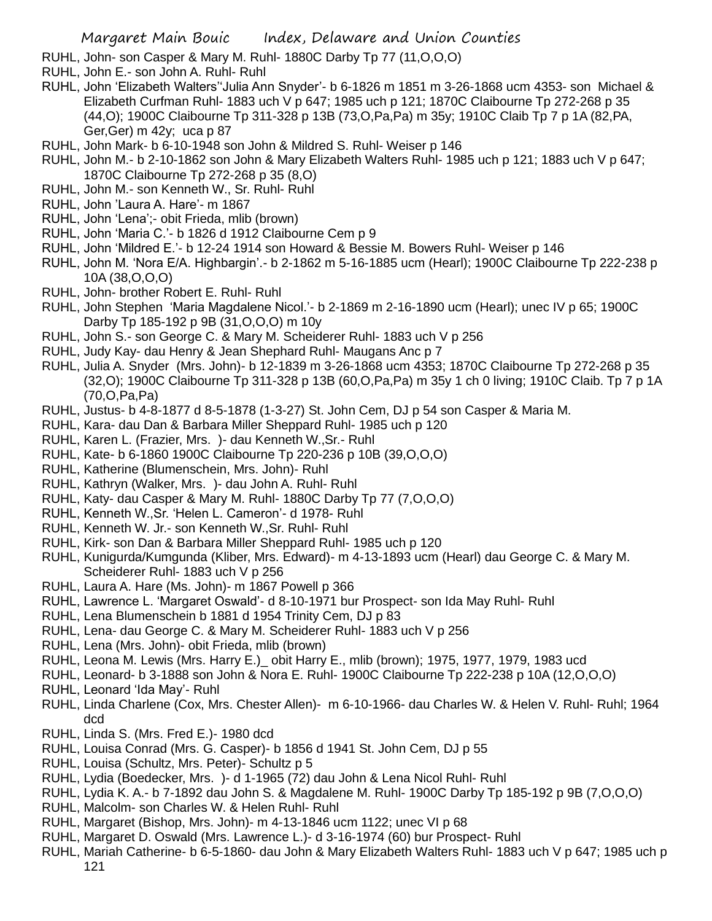RUHL, John- son Casper & Mary M. Ruhl- 1880C Darby Tp 77 (11,O,O,O)

- RUHL, John E.- son John A. Ruhl- Ruhl
- RUHL, John 'Elizabeth Walters''Julia Ann Snyder'- b 6-1826 m 1851 m 3-26-1868 ucm 4353- son Michael & Elizabeth Curfman Ruhl- 1883 uch V p 647; 1985 uch p 121; 1870C Claibourne Tp 272-268 p 35 (44,O); 1900C Claibourne Tp 311-328 p 13B (73,O,Pa,Pa) m 35y; 1910C Claib Tp 7 p 1A (82,PA, Ger,Ger) m 42y; uca p 87
- RUHL, John Mark- b 6-10-1948 son John & Mildred S. Ruhl- Weiser p 146
- RUHL, John M.- b 2-10-1862 son John & Mary Elizabeth Walters Ruhl- 1985 uch p 121; 1883 uch V p 647; 1870C Claibourne Tp 272-268 p 35 (8,O)
- RUHL, John M.- son Kenneth W., Sr. Ruhl- Ruhl
- RUHL, John 'Laura A. Hare'- m 1867
- RUHL, John 'Lena';- obit Frieda, mlib (brown)
- RUHL, John 'Maria C.'- b 1826 d 1912 Claibourne Cem p 9
- RUHL, John 'Mildred E.'- b 12-24 1914 son Howard & Bessie M. Bowers Ruhl- Weiser p 146
- RUHL, John M. 'Nora E/A. Highbargin'.- b 2-1862 m 5-16-1885 ucm (Hearl); 1900C Claibourne Tp 222-238 p 10A (38,O,O,O)
- RUHL, John- brother Robert E. Ruhl- Ruhl
- RUHL, John Stephen 'Maria Magdalene Nicol.'- b 2-1869 m 2-16-1890 ucm (Hearl); unec IV p 65; 1900C Darby Tp 185-192 p 9B (31,O,O,O) m 10y
- RUHL, John S.- son George C. & Mary M. Scheiderer Ruhl- 1883 uch V p 256
- RUHL, Judy Kay- dau Henry & Jean Shephard Ruhl- Maugans Anc p 7
- RUHL, Julia A. Snyder (Mrs. John)- b 12-1839 m 3-26-1868 ucm 4353; 1870C Claibourne Tp 272-268 p 35 (32,O); 1900C Claibourne Tp 311-328 p 13B (60,O,Pa,Pa) m 35y 1 ch 0 living; 1910C Claib. Tp 7 p 1A (70,O,Pa,Pa)
- RUHL, Justus- b 4-8-1877 d 8-5-1878 (1-3-27) St. John Cem, DJ p 54 son Casper & Maria M.
- RUHL, Kara- dau Dan & Barbara Miller Sheppard Ruhl- 1985 uch p 120
- RUHL, Karen L. (Frazier, Mrs. )- dau Kenneth W.,Sr.- Ruhl
- RUHL, Kate- b 6-1860 1900C Claibourne Tp 220-236 p 10B (39,O,O,O)
- RUHL, Katherine (Blumenschein, Mrs. John)- Ruhl
- RUHL, Kathryn (Walker, Mrs. )- dau John A. Ruhl- Ruhl
- RUHL, Katy- dau Casper & Mary M. Ruhl- 1880C Darby Tp 77 (7,O,O,O)
- RUHL, Kenneth W.,Sr. 'Helen L. Cameron'- d 1978- Ruhl
- RUHL, Kenneth W. Jr.- son Kenneth W.,Sr. Ruhl- Ruhl
- RUHL, Kirk- son Dan & Barbara Miller Sheppard Ruhl- 1985 uch p 120
- RUHL, Kunigurda/Kumgunda (Kliber, Mrs. Edward)- m 4-13-1893 ucm (Hearl) dau George C. & Mary M. Scheiderer Ruhl- 1883 uch V p 256
- RUHL, Laura A. Hare (Ms. John)- m 1867 Powell p 366
- RUHL, Lawrence L. 'Margaret Oswald'- d 8-10-1971 bur Prospect- son Ida May Ruhl- Ruhl
- RUHL, Lena Blumenschein b 1881 d 1954 Trinity Cem, DJ p 83
- RUHL, Lena- dau George C. & Mary M. Scheiderer Ruhl- 1883 uch V p 256
- RUHL, Lena (Mrs. John)- obit Frieda, mlib (brown)
- RUHL, Leona M. Lewis (Mrs. Harry E.)\_ obit Harry E., mlib (brown); 1975, 1977, 1979, 1983 ucd
- RUHL, Leonard- b 3-1888 son John & Nora E. Ruhl- 1900C Claibourne Tp 222-238 p 10A (12,O,O,O)
- RUHL, Leonard 'Ida May'- Ruhl
- RUHL, Linda Charlene (Cox, Mrs. Chester Allen)- m 6-10-1966- dau Charles W. & Helen V. Ruhl- Ruhl; 1964 dcd
- RUHL, Linda S. (Mrs. Fred E.)- 1980 dcd
- RUHL, Louisa Conrad (Mrs. G. Casper)- b 1856 d 1941 St. John Cem, DJ p 55
- RUHL, Louisa (Schultz, Mrs. Peter)- Schultz p 5
- RUHL, Lydia (Boedecker, Mrs. )- d 1-1965 (72) dau John & Lena Nicol Ruhl- Ruhl
- RUHL, Lydia K. A.- b 7-1892 dau John S. & Magdalene M. Ruhl- 1900C Darby Tp 185-192 p 9B (7,O,O,O)
- RUHL, Malcolm- son Charles W. & Helen Ruhl- Ruhl
- RUHL, Margaret (Bishop, Mrs. John)- m 4-13-1846 ucm 1122; unec VI p 68
- RUHL, Margaret D. Oswald (Mrs. Lawrence L.)- d 3-16-1974 (60) bur Prospect- Ruhl
- RUHL, Mariah Catherine- b 6-5-1860- dau John & Mary Elizabeth Walters Ruhl- 1883 uch V p 647; 1985 uch p 121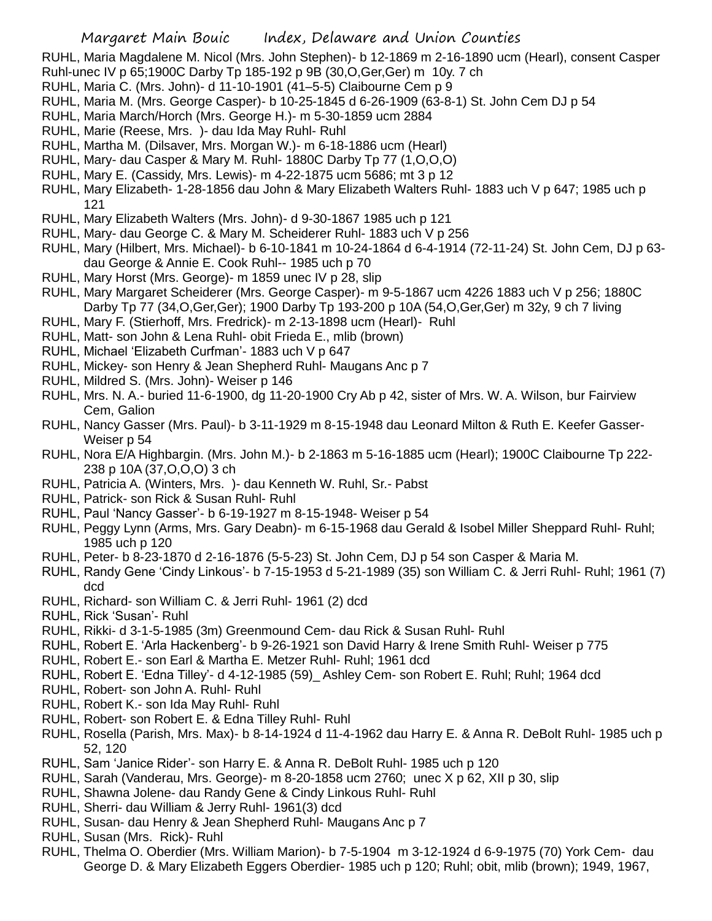RUHL, Maria Magdalene M. Nicol (Mrs. John Stephen)- b 12-1869 m 2-16-1890 ucm (Hearl), consent Casper Ruhl-unec IV p 65;1900C Darby Tp 185-192 p 9B (30,O,Ger,Ger) m 10y. 7 ch

- RUHL, Maria C. (Mrs. John)- d 11-10-1901 (41–5-5) Claibourne Cem p 9
- RUHL, Maria M. (Mrs. George Casper)- b 10-25-1845 d 6-26-1909 (63-8-1) St. John Cem DJ p 54
- RUHL, Maria March/Horch (Mrs. George H.)- m 5-30-1859 ucm 2884
- RUHL, Marie (Reese, Mrs. )- dau Ida May Ruhl- Ruhl
- RUHL, Martha M. (Dilsaver, Mrs. Morgan W.)- m 6-18-1886 ucm (Hearl)
- RUHL, Mary- dau Casper & Mary M. Ruhl- 1880C Darby Tp 77 (1,O,O,O)
- RUHL, Mary E. (Cassidy, Mrs. Lewis)- m 4-22-1875 ucm 5686; mt 3 p 12
- RUHL, Mary Elizabeth- 1-28-1856 dau John & Mary Elizabeth Walters Ruhl- 1883 uch V p 647; 1985 uch p 121
- RUHL, Mary Elizabeth Walters (Mrs. John)- d 9-30-1867 1985 uch p 121
- RUHL, Mary- dau George C. & Mary M. Scheiderer Ruhl- 1883 uch V p 256
- RUHL, Mary (Hilbert, Mrs. Michael)- b 6-10-1841 m 10-24-1864 d 6-4-1914 (72-11-24) St. John Cem, DJ p 63 dau George & Annie E. Cook Ruhl-- 1985 uch p 70
- RUHL, Mary Horst (Mrs. George)- m 1859 unec IV p 28, slip
- RUHL, Mary Margaret Scheiderer (Mrs. George Casper)- m 9-5-1867 ucm 4226 1883 uch V p 256; 1880C Darby Tp 77 (34,O,Ger,Ger); 1900 Darby Tp 193-200 p 10A (54,O,Ger,Ger) m 32y, 9 ch 7 living
- RUHL, Mary F. (Stierhoff, Mrs. Fredrick)- m 2-13-1898 ucm (Hearl)- Ruhl
- RUHL, Matt- son John & Lena Ruhl- obit Frieda E., mlib (brown)
- RUHL, Michael 'Elizabeth Curfman'- 1883 uch V p 647
- RUHL, Mickey- son Henry & Jean Shepherd Ruhl- Maugans Anc p 7
- RUHL, Mildred S. (Mrs. John)- Weiser p 146
- RUHL, Mrs. N. A.- buried 11-6-1900, dg 11-20-1900 Cry Ab p 42, sister of Mrs. W. A. Wilson, bur Fairview Cem, Galion
- RUHL, Nancy Gasser (Mrs. Paul)- b 3-11-1929 m 8-15-1948 dau Leonard Milton & Ruth E. Keefer Gasser-Weiser p 54
- RUHL, Nora E/A Highbargin. (Mrs. John M.)- b 2-1863 m 5-16-1885 ucm (Hearl); 1900C Claibourne Tp 222- 238 p 10A (37,O,O,O) 3 ch
- RUHL, Patricia A. (Winters, Mrs. )- dau Kenneth W. Ruhl, Sr.- Pabst
- RUHL, Patrick- son Rick & Susan Ruhl- Ruhl
- RUHL, Paul 'Nancy Gasser'- b 6-19-1927 m 8-15-1948- Weiser p 54
- RUHL, Peggy Lynn (Arms, Mrs. Gary Deabn)- m 6-15-1968 dau Gerald & Isobel Miller Sheppard Ruhl- Ruhl; 1985 uch p 120
- RUHL, Peter- b 8-23-1870 d 2-16-1876 (5-5-23) St. John Cem, DJ p 54 son Casper & Maria M.
- RUHL, Randy Gene 'Cindy Linkous'- b 7-15-1953 d 5-21-1989 (35) son William C. & Jerri Ruhl- Ruhl; 1961 (7) dcd
- RUHL, Richard- son William C. & Jerri Ruhl- 1961 (2) dcd
- RUHL, Rick 'Susan'- Ruhl
- RUHL, Rikki- d 3-1-5-1985 (3m) Greenmound Cem- dau Rick & Susan Ruhl- Ruhl
- RUHL, Robert E. 'Arla Hackenberg'- b 9-26-1921 son David Harry & Irene Smith Ruhl- Weiser p 775
- RUHL, Robert E.- son Earl & Martha E. Metzer Ruhl- Ruhl; 1961 dcd
- RUHL, Robert E. 'Edna Tilley'- d 4-12-1985 (59)\_ Ashley Cem- son Robert E. Ruhl; Ruhl; 1964 dcd
- RUHL, Robert- son John A. Ruhl- Ruhl
- RUHL, Robert K.- son Ida May Ruhl- Ruhl
- RUHL, Robert- son Robert E. & Edna Tilley Ruhl- Ruhl
- RUHL, Rosella (Parish, Mrs. Max)- b 8-14-1924 d 11-4-1962 dau Harry E. & Anna R. DeBolt Ruhl- 1985 uch p 52, 120
- RUHL, Sam 'Janice Rider'- son Harry E. & Anna R. DeBolt Ruhl- 1985 uch p 120
- RUHL, Sarah (Vanderau, Mrs. George)- m 8-20-1858 ucm 2760; unec X p 62, XII p 30, slip
- RUHL, Shawna Jolene- dau Randy Gene & Cindy Linkous Ruhl- Ruhl
- RUHL, Sherri- dau William & Jerry Ruhl- 1961(3) dcd
- RUHL, Susan- dau Henry & Jean Shepherd Ruhl- Maugans Anc p 7
- RUHL, Susan (Mrs. Rick)- Ruhl
- RUHL, Thelma O. Oberdier (Mrs. William Marion)- b 7-5-1904 m 3-12-1924 d 6-9-1975 (70) York Cem- dau George D. & Mary Elizabeth Eggers Oberdier- 1985 uch p 120; Ruhl; obit, mlib (brown); 1949, 1967,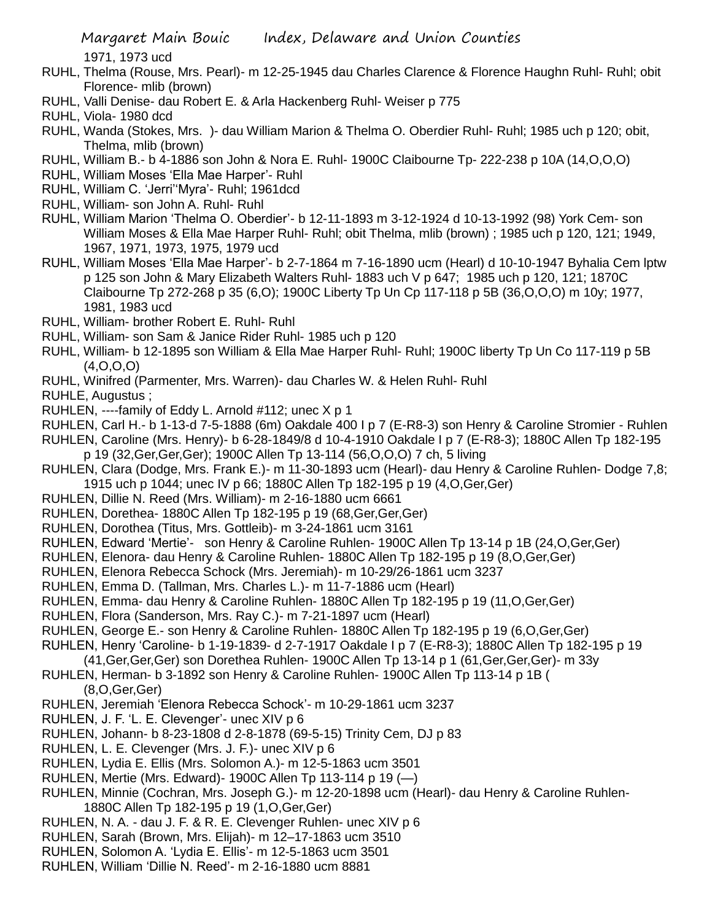1971, 1973 ucd

- RUHL, Thelma (Rouse, Mrs. Pearl)- m 12-25-1945 dau Charles Clarence & Florence Haughn Ruhl- Ruhl; obit Florence- mlib (brown)
- RUHL, Valli Denise- dau Robert E. & Arla Hackenberg Ruhl- Weiser p 775

RUHL, Viola- 1980 dcd

- RUHL, Wanda (Stokes, Mrs. )- dau William Marion & Thelma O. Oberdier Ruhl- Ruhl; 1985 uch p 120; obit, Thelma, mlib (brown)
- RUHL, William B.- b 4-1886 son John & Nora E. Ruhl- 1900C Claibourne Tp- 222-238 p 10A (14,O,O,O)
- RUHL, William Moses 'Ella Mae Harper'- Ruhl
- RUHL, William C. 'Jerri''Myra'- Ruhl; 1961dcd
- RUHL, William- son John A. Ruhl- Ruhl
- RUHL, William Marion 'Thelma O. Oberdier'- b 12-11-1893 m 3-12-1924 d 10-13-1992 (98) York Cem- son William Moses & Ella Mae Harper Ruhl- Ruhl; obit Thelma, mlib (brown) ; 1985 uch p 120, 121; 1949, 1967, 1971, 1973, 1975, 1979 ucd
- RUHL, William Moses 'Ella Mae Harper'- b 2-7-1864 m 7-16-1890 ucm (Hearl) d 10-10-1947 Byhalia Cem lptw p 125 son John & Mary Elizabeth Walters Ruhl- 1883 uch V p 647; 1985 uch p 120, 121; 1870C Claibourne Tp 272-268 p 35 (6,O); 1900C Liberty Tp Un Cp 117-118 p 5B (36,O,O,O) m 10y; 1977, 1981, 1983 ucd
- RUHL, William- brother Robert E. Ruhl- Ruhl
- RUHL, William- son Sam & Janice Rider Ruhl- 1985 uch p 120
- RUHL, William- b 12-1895 son William & Ella Mae Harper Ruhl- Ruhl; 1900C liberty Tp Un Co 117-119 p 5B  $(4,0,0,0)$
- RUHL, Winifred (Parmenter, Mrs. Warren)- dau Charles W. & Helen Ruhl- Ruhl

RUHLE, Augustus ;

- RUHLEN, ----family of Eddy L. Arnold #112; unec X p 1
- RUHLEN, Carl H.- b 1-13-d 7-5-1888 (6m) Oakdale 400 I p 7 (E-R8-3) son Henry & Caroline Stromier Ruhlen
- RUHLEN, Caroline (Mrs. Henry)- b 6-28-1849/8 d 10-4-1910 Oakdale I p 7 (E-R8-3); 1880C Allen Tp 182-195 p 19 (32,Ger,Ger,Ger); 1900C Allen Tp 13-114 (56,O,O,O) 7 ch, 5 living
- RUHLEN, Clara (Dodge, Mrs. Frank E.)- m 11-30-1893 ucm (Hearl)- dau Henry & Caroline Ruhlen- Dodge 7,8; 1915 uch p 1044; unec IV p 66; 1880C Allen Tp 182-195 p 19 (4,O,Ger,Ger)
- RUHLEN, Dillie N. Reed (Mrs. William)- m 2-16-1880 ucm 6661
- RUHLEN, Dorethea- 1880C Allen Tp 182-195 p 19 (68,Ger,Ger,Ger)
- RUHLEN, Dorothea (Titus, Mrs. Gottleib)- m 3-24-1861 ucm 3161
- RUHLEN, Edward 'Mertie'- son Henry & Caroline Ruhlen- 1900C Allen Tp 13-14 p 1B (24,O,Ger,Ger)
- RUHLEN, Elenora- dau Henry & Caroline Ruhlen- 1880C Allen Tp 182-195 p 19 (8,O,Ger,Ger)
- RUHLEN, Elenora Rebecca Schock (Mrs. Jeremiah)- m 10-29/26-1861 ucm 3237
- RUHLEN, Emma D. (Tallman, Mrs. Charles L.)- m 11-7-1886 ucm (Hearl)
- RUHLEN, Emma- dau Henry & Caroline Ruhlen- 1880C Allen Tp 182-195 p 19 (11,O,Ger,Ger)
- RUHLEN, Flora (Sanderson, Mrs. Ray C.)- m 7-21-1897 ucm (Hearl)
- RUHLEN, George E.- son Henry & Caroline Ruhlen- 1880C Allen Tp 182-195 p 19 (6,O,Ger,Ger)
- RUHLEN, Henry 'Caroline- b 1-19-1839- d 2-7-1917 Oakdale I p 7 (E-R8-3); 1880C Allen Tp 182-195 p 19
- (41,Ger,Ger,Ger) son Dorethea Ruhlen- 1900C Allen Tp 13-14 p 1 (61,Ger,Ger,Ger)- m 33y
- RUHLEN, Herman- b 3-1892 son Henry & Caroline Ruhlen- 1900C Allen Tp 113-14 p 1B ( (8,O,Ger,Ger)
- RUHLEN, Jeremiah 'Elenora Rebecca Schock'- m 10-29-1861 ucm 3237
- RUHLEN, J. F. 'L. E. Clevenger'- unec XIV p 6
- RUHLEN, Johann- b 8-23-1808 d 2-8-1878 (69-5-15) Trinity Cem, DJ p 83
- RUHLEN, L. E. Clevenger (Mrs. J. F.)- unec XIV p 6
- RUHLEN, Lydia E. Ellis (Mrs. Solomon A.)- m 12-5-1863 ucm 3501
- RUHLEN, Mertie (Mrs. Edward)- 1900C Allen Tp 113-114 p 19 (—)
- RUHLEN, Minnie (Cochran, Mrs. Joseph G.)- m 12-20-1898 ucm (Hearl)- dau Henry & Caroline Ruhlen-1880C Allen Tp 182-195 p 19 (1,O,Ger,Ger)
- RUHLEN, N. A. dau J. F. & R. E. Clevenger Ruhlen- unec XIV p 6
- RUHLEN, Sarah (Brown, Mrs. Elijah)- m 12–17-1863 ucm 3510
- RUHLEN, Solomon A. 'Lydia E. Ellis'- m 12-5-1863 ucm 3501
- RUHLEN, William 'Dillie N. Reed'- m 2-16-1880 ucm 8881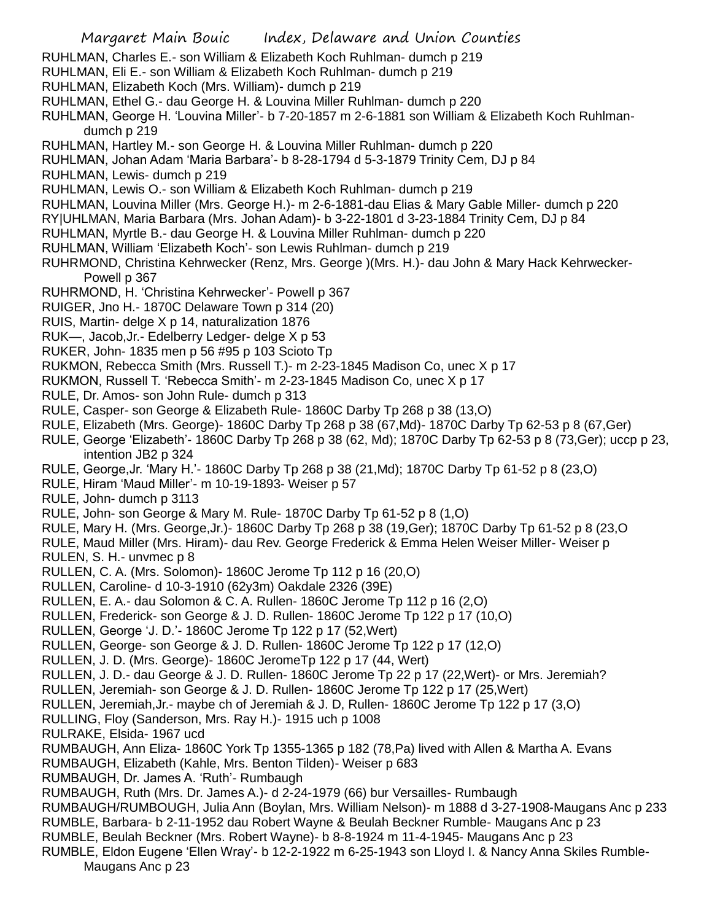- RUHLMAN, Charles E.- son William & Elizabeth Koch Ruhlman- dumch p 219
- RUHLMAN, Eli E.- son William & Elizabeth Koch Ruhlman- dumch p 219
- RUHLMAN, Elizabeth Koch (Mrs. William)- dumch p 219
- RUHLMAN, Ethel G.- dau George H. & Louvina Miller Ruhlman- dumch p 220
- RUHLMAN, George H. 'Louvina Miller'- b 7-20-1857 m 2-6-1881 son William & Elizabeth Koch Ruhlmandumch p 219
- RUHLMAN, Hartley M.- son George H. & Louvina Miller Ruhlman- dumch p 220
- RUHLMAN, Johan Adam 'Maria Barbara'- b 8-28-1794 d 5-3-1879 Trinity Cem, DJ p 84
- RUHLMAN, Lewis- dumch p 219
- RUHLMAN, Lewis O.- son William & Elizabeth Koch Ruhlman- dumch p 219
- RUHLMAN, Louvina Miller (Mrs. George H.)- m 2-6-1881-dau Elias & Mary Gable Miller- dumch p 220
- RY|UHLMAN, Maria Barbara (Mrs. Johan Adam)- b 3-22-1801 d 3-23-1884 Trinity Cem, DJ p 84
- RUHLMAN, Myrtle B.- dau George H. & Louvina Miller Ruhlman- dumch p 220
- RUHLMAN, William 'Elizabeth Koch'- son Lewis Ruhlman- dumch p 219
- RUHRMOND, Christina Kehrwecker (Renz, Mrs. George )(Mrs. H.)- dau John & Mary Hack Kehrwecker-Powell p 367
- RUHRMOND, H. 'Christina Kehrwecker'- Powell p 367
- RUIGER, Jno H.- 1870C Delaware Town p 314 (20)
- RUIS, Martin- delge X p 14, naturalization 1876
- RUK—, Jacob,Jr.- Edelberry Ledger- delge X p 53
- RUKER, John- 1835 men p 56 #95 p 103 Scioto Tp
- RUKMON, Rebecca Smith (Mrs. Russell T.)- m 2-23-1845 Madison Co, unec X p 17
- RUKMON, Russell T. 'Rebecca Smith'- m 2-23-1845 Madison Co, unec X p 17
- RULE, Dr. Amos- son John Rule- dumch p 313
- RULE, Casper- son George & Elizabeth Rule- 1860C Darby Tp 268 p 38 (13,O)
- RULE, Elizabeth (Mrs. George)- 1860C Darby Tp 268 p 38 (67,Md)- 1870C Darby Tp 62-53 p 8 (67,Ger)
- RULE, George 'Elizabeth'- 1860C Darby Tp 268 p 38 (62, Md); 1870C Darby Tp 62-53 p 8 (73,Ger); uccp p 23, intention JB2 p 324
- RULE, George,Jr. 'Mary H.'- 1860C Darby Tp 268 p 38 (21,Md); 1870C Darby Tp 61-52 p 8 (23,O)
- RULE, Hiram 'Maud Miller'- m 10-19-1893- Weiser p 57
- RULE, John- dumch p 3113
- RULE, John- son George & Mary M. Rule- 1870C Darby Tp 61-52 p 8 (1,O)
- RULE, Mary H. (Mrs. George,Jr.)- 1860C Darby Tp 268 p 38 (19,Ger); 1870C Darby Tp 61-52 p 8 (23,O
- RULE, Maud Miller (Mrs. Hiram)- dau Rev. George Frederick & Emma Helen Weiser Miller- Weiser p RULEN, S. H.- unvmec p 8
- RULLEN, C. A. (Mrs. Solomon)- 1860C Jerome Tp 112 p 16 (20,O)
- RULLEN, Caroline- d 10-3-1910 (62y3m) Oakdale 2326 (39E)
- RULLEN, E. A.- dau Solomon & C. A. Rullen- 1860C Jerome Tp 112 p 16 (2,O)
- RULLEN, Frederick- son George & J. D. Rullen- 1860C Jerome Tp 122 p 17 (10,O)
- RULLEN, George 'J. D.'- 1860C Jerome Tp 122 p 17 (52,Wert)
- RULLEN, George- son George & J. D. Rullen- 1860C Jerome Tp 122 p 17 (12,O)
- RULLEN, J. D. (Mrs. George)- 1860C JeromeTp 122 p 17 (44, Wert)
- RULLEN, J. D.- dau George & J. D. Rullen- 1860C Jerome Tp 22 p 17 (22,Wert)- or Mrs. Jeremiah?
- RULLEN, Jeremiah- son George & J. D. Rullen- 1860C Jerome Tp 122 p 17 (25,Wert)
- RULLEN, Jeremiah,Jr.- maybe ch of Jeremiah & J. D, Rullen- 1860C Jerome Tp 122 p 17 (3,O)
- RULLING, Floy (Sanderson, Mrs. Ray H.)- 1915 uch p 1008
- RULRAKE, Elsida- 1967 ucd
- RUMBAUGH, Ann Eliza- 1860C York Tp 1355-1365 p 182 (78,Pa) lived with Allen & Martha A. Evans
- RUMBAUGH, Elizabeth (Kahle, Mrs. Benton Tilden)- Weiser p 683
- RUMBAUGH, Dr. James A. 'Ruth'- Rumbaugh
- RUMBAUGH, Ruth (Mrs. Dr. James A.)- d 2-24-1979 (66) bur Versailles- Rumbaugh
- RUMBAUGH/RUMBOUGH, Julia Ann (Boylan, Mrs. William Nelson)- m 1888 d 3-27-1908-Maugans Anc p 233
- RUMBLE, Barbara- b 2-11-1952 dau Robert Wayne & Beulah Beckner Rumble- Maugans Anc p 23
- RUMBLE, Beulah Beckner (Mrs. Robert Wayne)- b 8-8-1924 m 11-4-1945- Maugans Anc p 23
- RUMBLE, Eldon Eugene 'Ellen Wray'- b 12-2-1922 m 6-25-1943 son Lloyd I. & Nancy Anna Skiles Rumble-Maugans Anc p 23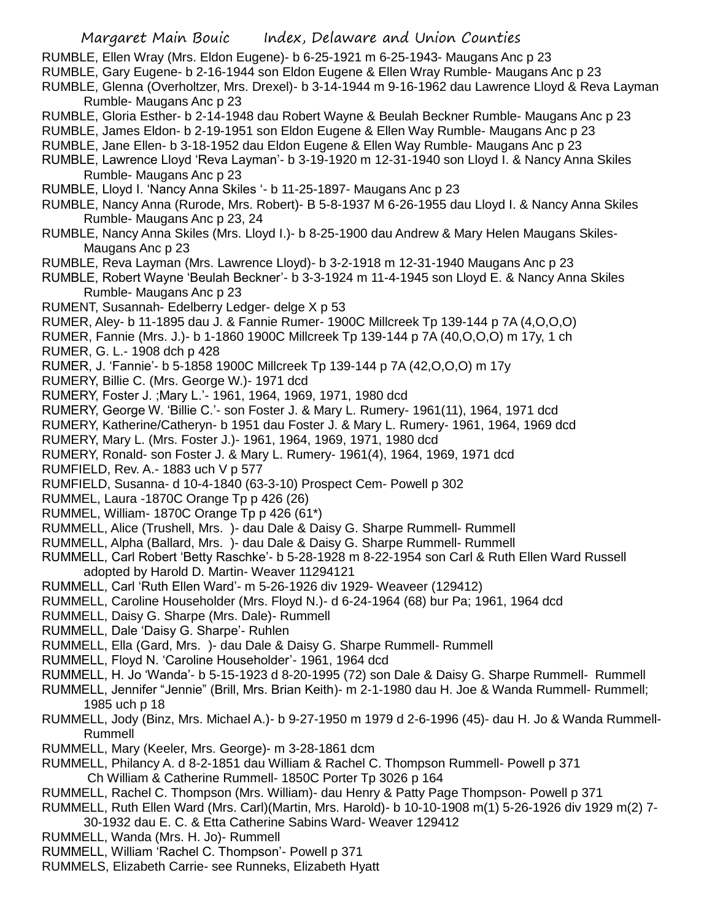RUMBLE, Ellen Wray (Mrs. Eldon Eugene)- b 6-25-1921 m 6-25-1943- Maugans Anc p 23

- RUMBLE, Gary Eugene- b 2-16-1944 son Eldon Eugene & Ellen Wray Rumble- Maugans Anc p 23
- RUMBLE, Glenna (Overholtzer, Mrs. Drexel)- b 3-14-1944 m 9-16-1962 dau Lawrence Lloyd & Reva Layman Rumble- Maugans Anc p 23
- RUMBLE, Gloria Esther- b 2-14-1948 dau Robert Wayne & Beulah Beckner Rumble- Maugans Anc p 23
- RUMBLE, James Eldon- b 2-19-1951 son Eldon Eugene & Ellen Way Rumble- Maugans Anc p 23

RUMBLE, Jane Ellen- b 3-18-1952 dau Eldon Eugene & Ellen Way Rumble- Maugans Anc p 23

- RUMBLE, Lawrence Lloyd 'Reva Layman'- b 3-19-1920 m 12-31-1940 son Lloyd I. & Nancy Anna Skiles Rumble- Maugans Anc p 23
- RUMBLE, Lloyd I. 'Nancy Anna Skiles '- b 11-25-1897- Maugans Anc p 23
- RUMBLE, Nancy Anna (Rurode, Mrs. Robert)- B 5-8-1937 M 6-26-1955 dau Lloyd I. & Nancy Anna Skiles Rumble- Maugans Anc p 23, 24
- RUMBLE, Nancy Anna Skiles (Mrs. Lloyd I.)- b 8-25-1900 dau Andrew & Mary Helen Maugans Skiles-Maugans Anc p 23
- RUMBLE, Reva Layman (Mrs. Lawrence Lloyd)- b 3-2-1918 m 12-31-1940 Maugans Anc p 23
- RUMBLE, Robert Wayne 'Beulah Beckner'- b 3-3-1924 m 11-4-1945 son Lloyd E. & Nancy Anna Skiles Rumble- Maugans Anc p 23
- RUMENT, Susannah- Edelberry Ledger- delge X p 53
- RUMER, Aley- b 11-1895 dau J. & Fannie Rumer- 1900C Millcreek Tp 139-144 p 7A (4,O,O,O)
- RUMER, Fannie (Mrs. J.)- b 1-1860 1900C Millcreek Tp 139-144 p 7A (40,O,O,O) m 17y, 1 ch RUMER, G. L.- 1908 dch p 428
- RUMER, J. 'Fannie'- b 5-1858 1900C Millcreek Tp 139-144 p 7A (42,O,O,O) m 17y
- RUMERY, Billie C. (Mrs. George W.)- 1971 dcd
- RUMERY, Foster J. ;Mary L.'- 1961, 1964, 1969, 1971, 1980 dcd
- RUMERY, George W. 'Billie C.'- son Foster J. & Mary L. Rumery- 1961(11), 1964, 1971 dcd
- RUMERY, Katherine/Catheryn- b 1951 dau Foster J. & Mary L. Rumery- 1961, 1964, 1969 dcd
- RUMERY, Mary L. (Mrs. Foster J.)- 1961, 1964, 1969, 1971, 1980 dcd
- RUMERY, Ronald- son Foster J. & Mary L. Rumery- 1961(4), 1964, 1969, 1971 dcd
- RUMFIELD, Rev. A.- 1883 uch V p 577
- RUMFIELD, Susanna- d 10-4-1840 (63-3-10) Prospect Cem- Powell p 302
- RUMMEL, Laura -1870C Orange Tp p 426 (26)
- RUMMEL, William- 1870C Orange Tp p 426 (61\*)
- RUMMELL, Alice (Trushell, Mrs. )- dau Dale & Daisy G. Sharpe Rummell- Rummell
- RUMMELL, Alpha (Ballard, Mrs. )- dau Dale & Daisy G. Sharpe Rummell- Rummell
- RUMMELL, Carl Robert 'Betty Raschke'- b 5-28-1928 m 8-22-1954 son Carl & Ruth Ellen Ward Russell adopted by Harold D. Martin- Weaver 11294121
- RUMMELL, Carl 'Ruth Ellen Ward'- m 5-26-1926 div 1929- Weaveer (129412)
- RUMMELL, Caroline Householder (Mrs. Floyd N.)- d 6-24-1964 (68) bur Pa; 1961, 1964 dcd
- RUMMELL, Daisy G. Sharpe (Mrs. Dale)- Rummell
- RUMMELL, Dale 'Daisy G. Sharpe'- Ruhlen
- RUMMELL, Ella (Gard, Mrs. )- dau Dale & Daisy G. Sharpe Rummell- Rummell
- RUMMELL, Floyd N. 'Caroline Householder'- 1961, 1964 dcd
- RUMMELL, H. Jo 'Wanda'- b 5-15-1923 d 8-20-1995 (72) son Dale & Daisy G. Sharpe Rummell- Rummell
- RUMMELL, Jennifer "Jennie" (Brill, Mrs. Brian Keith)- m 2-1-1980 dau H. Joe & Wanda Rummell- Rummell; 1985 uch p 18
- RUMMELL, Jody (Binz, Mrs. Michael A.)- b 9-27-1950 m 1979 d 2-6-1996 (45)- dau H. Jo & Wanda Rummell-Rummell
- RUMMELL, Mary (Keeler, Mrs. George)- m 3-28-1861 dcm
- RUMMELL, Philancy A. d 8-2-1851 dau William & Rachel C. Thompson Rummell- Powell p 371
	- Ch William & Catherine Rummell- 1850C Porter Tp 3026 p 164
- RUMMELL, Rachel C. Thompson (Mrs. William)- dau Henry & Patty Page Thompson- Powell p 371
- RUMMELL, Ruth Ellen Ward (Mrs. Carl)(Martin, Mrs. Harold)- b 10-10-1908 m(1) 5-26-1926 div 1929 m(2) 7-
- 30-1932 dau E. C. & Etta Catherine Sabins Ward- Weaver 129412
- RUMMELL, Wanda (Mrs. H. Jo)- Rummell
- RUMMELL, William 'Rachel C. Thompson'- Powell p 371
- RUMMELS, Elizabeth Carrie- see Runneks, Elizabeth Hyatt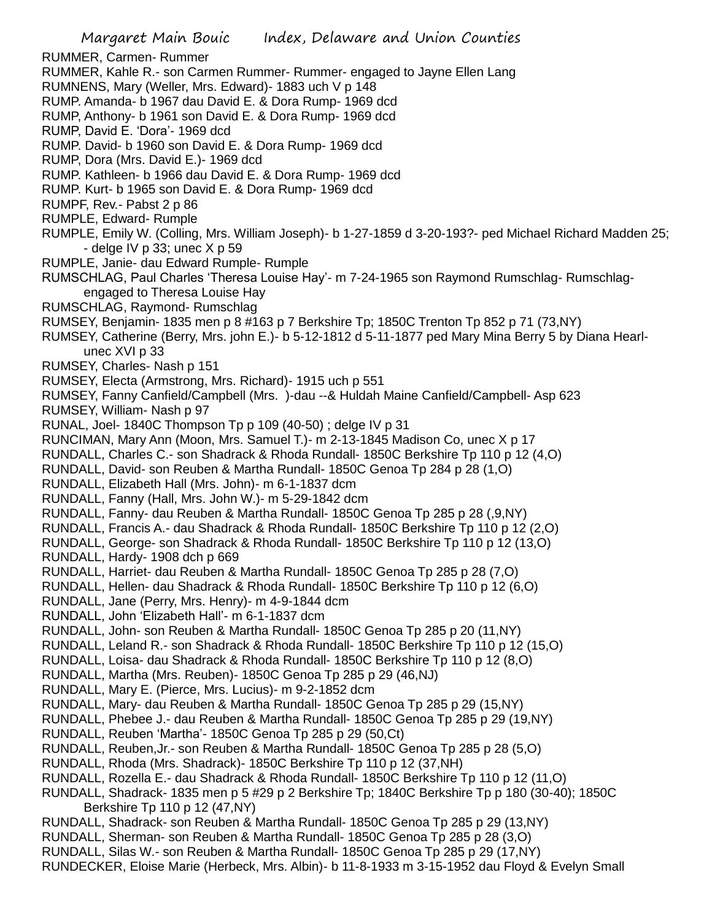Margaret Main Bouic Index, Delaware and Union Counties RUMMER, Carmen- Rummer RUMMER, Kahle R.- son Carmen Rummer- Rummer- engaged to Jayne Ellen Lang RUMNENS, Mary (Weller, Mrs. Edward)- 1883 uch V p 148 RUMP. Amanda- b 1967 dau David E. & Dora Rump- 1969 dcd RUMP, Anthony- b 1961 son David E. & Dora Rump- 1969 dcd RUMP, David E. 'Dora'- 1969 dcd RUMP. David- b 1960 son David E. & Dora Rump- 1969 dcd RUMP, Dora (Mrs. David E.)- 1969 dcd RUMP. Kathleen- b 1966 dau David E. & Dora Rump- 1969 dcd RUMP. Kurt- b 1965 son David E. & Dora Rump- 1969 dcd RUMPF, Rev.- Pabst 2 p 86 RUMPLE, Edward- Rumple RUMPLE, Emily W. (Colling, Mrs. William Joseph)- b 1-27-1859 d 3-20-193?- ped Michael Richard Madden 25; - delge IV  $p$  33; unec  $X$   $p$  59 RUMPLE, Janie- dau Edward Rumple- Rumple RUMSCHLAG, Paul Charles 'Theresa Louise Hay'- m 7-24-1965 son Raymond Rumschlag- Rumschlagengaged to Theresa Louise Hay RUMSCHLAG, Raymond- Rumschlag RUMSEY, Benjamin- 1835 men p 8 #163 p 7 Berkshire Tp; 1850C Trenton Tp 852 p 71 (73,NY) RUMSEY, Catherine (Berry, Mrs. john E.)- b 5-12-1812 d 5-11-1877 ped Mary Mina Berry 5 by Diana Hearlunec XVI p 33 RUMSEY, Charles- Nash p 151 RUMSEY, Electa (Armstrong, Mrs. Richard)- 1915 uch p 551 RUMSEY, Fanny Canfield/Campbell (Mrs. )-dau --& Huldah Maine Canfield/Campbell- Asp 623 RUMSEY, William- Nash p 97 RUNAL, Joel- 1840C Thompson Tp p 109 (40-50) ; delge IV p 31 RUNCIMAN, Mary Ann (Moon, Mrs. Samuel T.)- m 2-13-1845 Madison Co, unec X p 17 RUNDALL, Charles C.- son Shadrack & Rhoda Rundall- 1850C Berkshire Tp 110 p 12 (4,O) RUNDALL, David- son Reuben & Martha Rundall- 1850C Genoa Tp 284 p 28 (1,O) RUNDALL, Elizabeth Hall (Mrs. John)- m 6-1-1837 dcm RUNDALL, Fanny (Hall, Mrs. John W.)- m 5-29-1842 dcm RUNDALL, Fanny- dau Reuben & Martha Rundall- 1850C Genoa Tp 285 p 28 (,9,NY) RUNDALL, Francis A.- dau Shadrack & Rhoda Rundall- 1850C Berkshire Tp 110 p 12 (2,O) RUNDALL, George- son Shadrack & Rhoda Rundall- 1850C Berkshire Tp 110 p 12 (13,O) RUNDALL, Hardy- 1908 dch p 669 RUNDALL, Harriet- dau Reuben & Martha Rundall- 1850C Genoa Tp 285 p 28 (7,O) RUNDALL, Hellen- dau Shadrack & Rhoda Rundall- 1850C Berkshire Tp 110 p 12 (6,O) RUNDALL, Jane (Perry, Mrs. Henry)- m 4-9-1844 dcm RUNDALL, John 'Elizabeth Hall'- m 6-1-1837 dcm RUNDALL, John- son Reuben & Martha Rundall- 1850C Genoa Tp 285 p 20 (11,NY) RUNDALL, Leland R.- son Shadrack & Rhoda Rundall- 1850C Berkshire Tp 110 p 12 (15,O) RUNDALL, Loisa- dau Shadrack & Rhoda Rundall- 1850C Berkshire Tp 110 p 12 (8,O) RUNDALL, Martha (Mrs. Reuben)- 1850C Genoa Tp 285 p 29 (46,NJ) RUNDALL, Mary E. (Pierce, Mrs. Lucius)- m 9-2-1852 dcm RUNDALL, Mary- dau Reuben & Martha Rundall- 1850C Genoa Tp 285 p 29 (15,NY) RUNDALL, Phebee J.- dau Reuben & Martha Rundall- 1850C Genoa Tp 285 p 29 (19,NY) RUNDALL, Reuben 'Martha'- 1850C Genoa Tp 285 p 29 (50,Ct) RUNDALL, Reuben,Jr.- son Reuben & Martha Rundall- 1850C Genoa Tp 285 p 28 (5,O) RUNDALL, Rhoda (Mrs. Shadrack)- 1850C Berkshire Tp 110 p 12 (37,NH) RUNDALL, Rozella E.- dau Shadrack & Rhoda Rundall- 1850C Berkshire Tp 110 p 12 (11,O) RUNDALL, Shadrack- 1835 men p 5 #29 p 2 Berkshire Tp; 1840C Berkshire Tp p 180 (30-40); 1850C Berkshire Tp 110 p 12 (47,NY) RUNDALL, Shadrack- son Reuben & Martha Rundall- 1850C Genoa Tp 285 p 29 (13,NY) RUNDALL, Sherman- son Reuben & Martha Rundall- 1850C Genoa Tp 285 p 28 (3,O) RUNDALL, Silas W.- son Reuben & Martha Rundall- 1850C Genoa Tp 285 p 29 (17,NY)

RUNDECKER, Eloise Marie (Herbeck, Mrs. Albin)- b 11-8-1933 m 3-15-1952 dau Floyd & Evelyn Small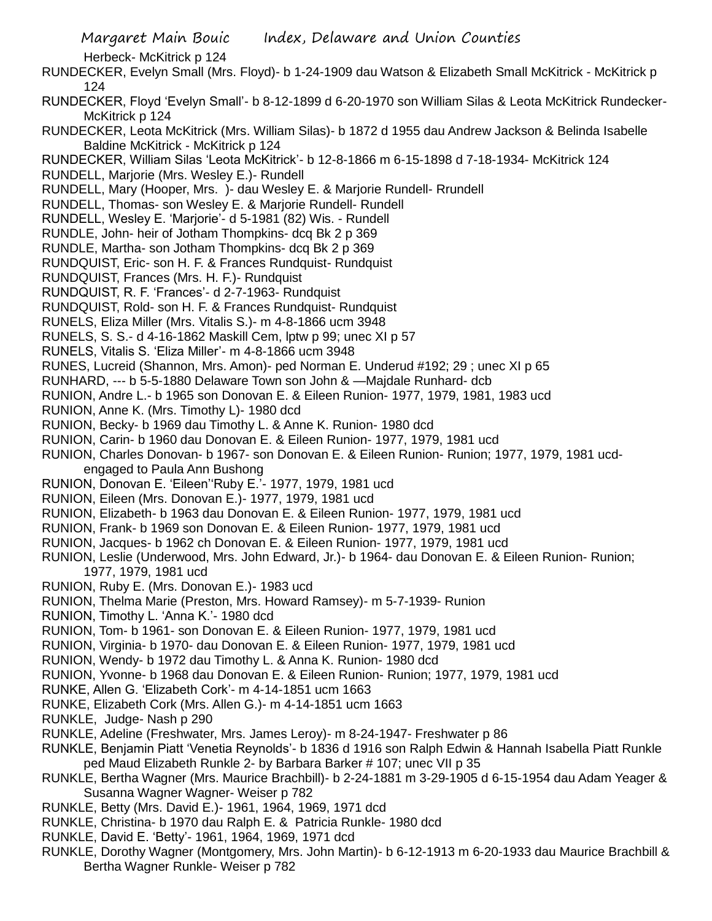- RUNDECKER, Evelyn Small (Mrs. Floyd)- b 1-24-1909 dau Watson & Elizabeth Small McKitrick McKitrick p 124
- RUNDECKER, Floyd 'Evelyn Small'- b 8-12-1899 d 6-20-1970 son William Silas & Leota McKitrick Rundecker-McKitrick p 124
- RUNDECKER, Leota McKitrick (Mrs. William Silas)- b 1872 d 1955 dau Andrew Jackson & Belinda Isabelle Baldine McKitrick - McKitrick p 124
- RUNDECKER, William Silas 'Leota McKitrick'- b 12-8-1866 m 6-15-1898 d 7-18-1934- McKitrick 124
- RUNDELL, Marjorie (Mrs. Wesley E.)- Rundell
- RUNDELL, Mary (Hooper, Mrs. )- dau Wesley E. & Marjorie Rundell- Rrundell
- RUNDELL, Thomas- son Wesley E. & Marjorie Rundell- Rundell
- RUNDELL, Wesley E. 'Marjorie'- d 5-1981 (82) Wis. Rundell
- RUNDLE, John- heir of Jotham Thompkins- dcq Bk 2 p 369
- RUNDLE, Martha- son Jotham Thompkins- dcq Bk 2 p 369
- RUNDQUIST, Eric- son H. F. & Frances Rundquist- Rundquist
- RUNDQUIST, Frances (Mrs. H. F.)- Rundquist
- RUNDQUIST, R. F. 'Frances'- d 2-7-1963- Rundquist
- RUNDQUIST, Rold- son H. F. & Frances Rundquist- Rundquist
- RUNELS, Eliza Miller (Mrs. Vitalis S.)- m 4-8-1866 ucm 3948
- RUNELS, S. S.- d 4-16-1862 Maskill Cem, lptw p 99; unec XI p 57
- RUNELS, Vitalis S. 'Eliza Miller'- m 4-8-1866 ucm 3948
- RUNES, Lucreid (Shannon, Mrs. Amon)- ped Norman E. Underud #192; 29 ; unec XI p 65
- RUNHARD, --- b 5-5-1880 Delaware Town son John & —Majdale Runhard- dcb
- RUNION, Andre L.- b 1965 son Donovan E. & Eileen Runion- 1977, 1979, 1981, 1983 ucd
- RUNION, Anne K. (Mrs. Timothy L)- 1980 dcd
- RUNION, Becky- b 1969 dau Timothy L. & Anne K. Runion- 1980 dcd
- RUNION, Carin- b 1960 dau Donovan E. & Eileen Runion- 1977, 1979, 1981 ucd
- RUNION, Charles Donovan- b 1967- son Donovan E. & Eileen Runion- Runion; 1977, 1979, 1981 ucdengaged to Paula Ann Bushong
- RUNION, Donovan E. 'Eileen''Ruby E.'- 1977, 1979, 1981 ucd
- RUNION, Eileen (Mrs. Donovan E.)- 1977, 1979, 1981 ucd
- RUNION, Elizabeth- b 1963 dau Donovan E. & Eileen Runion- 1977, 1979, 1981 ucd
- RUNION, Frank- b 1969 son Donovan E. & Eileen Runion- 1977, 1979, 1981 ucd
- RUNION, Jacques- b 1962 ch Donovan E. & Eileen Runion- 1977, 1979, 1981 ucd
- RUNION, Leslie (Underwood, Mrs. John Edward, Jr.)- b 1964- dau Donovan E. & Eileen Runion- Runion; 1977, 1979, 1981 ucd
- RUNION, Ruby E. (Mrs. Donovan E.)- 1983 ucd
- RUNION, Thelma Marie (Preston, Mrs. Howard Ramsey)- m 5-7-1939- Runion
- RUNION, Timothy L. 'Anna K.'- 1980 dcd
- RUNION, Tom- b 1961- son Donovan E. & Eileen Runion- 1977, 1979, 1981 ucd
- RUNION, Virginia- b 1970- dau Donovan E. & Eileen Runion- 1977, 1979, 1981 ucd
- RUNION, Wendy- b 1972 dau Timothy L. & Anna K. Runion- 1980 dcd
- RUNION, Yvonne- b 1968 dau Donovan E. & Eileen Runion- Runion; 1977, 1979, 1981 ucd
- RUNKE, Allen G. 'Elizabeth Cork'- m 4-14-1851 ucm 1663
- RUNKE, Elizabeth Cork (Mrs. Allen G.)- m 4-14-1851 ucm 1663
- RUNKLE, Judge- Nash p 290
- RUNKLE, Adeline (Freshwater, Mrs. James Leroy)- m 8-24-1947- Freshwater p 86
- RUNKLE, Benjamin Piatt 'Venetia Reynolds'- b 1836 d 1916 son Ralph Edwin & Hannah Isabella Piatt Runkle ped Maud Elizabeth Runkle 2- by Barbara Barker # 107; unec VII p 35
- RUNKLE, Bertha Wagner (Mrs. Maurice Brachbill)- b 2-24-1881 m 3-29-1905 d 6-15-1954 dau Adam Yeager & Susanna Wagner Wagner- Weiser p 782
- RUNKLE, Betty (Mrs. David E.)- 1961, 1964, 1969, 1971 dcd
- RUNKLE, Christina- b 1970 dau Ralph E. & Patricia Runkle- 1980 dcd
- RUNKLE, David E. 'Betty'- 1961, 1964, 1969, 1971 dcd
- RUNKLE, Dorothy Wagner (Montgomery, Mrs. John Martin)- b 6-12-1913 m 6-20-1933 dau Maurice Brachbill & Bertha Wagner Runkle- Weiser p 782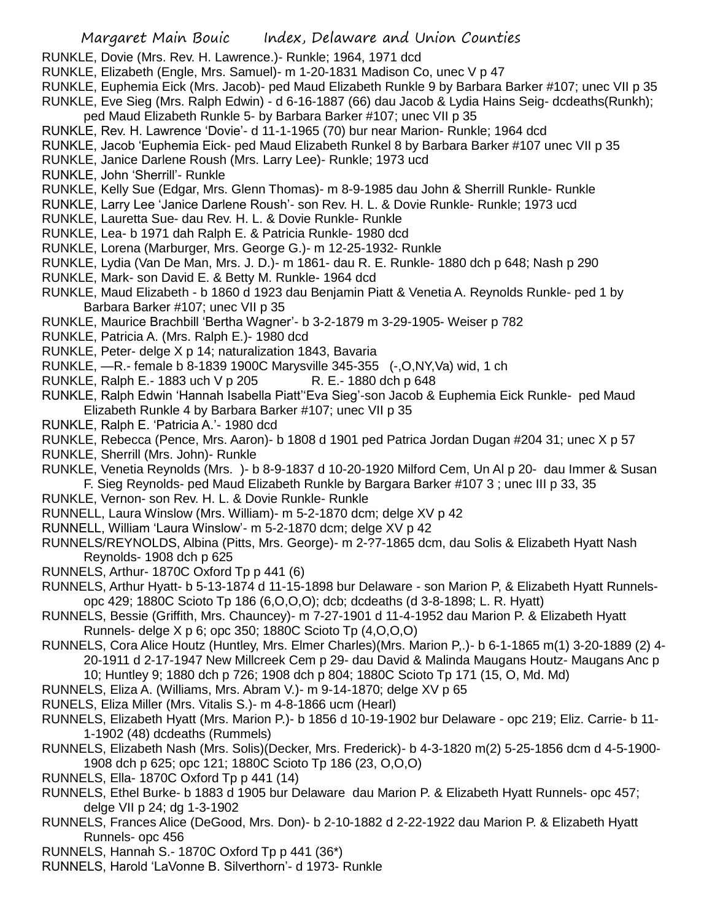- RUNKLE, Dovie (Mrs. Rev. H. Lawrence.)- Runkle; 1964, 1971 dcd
- RUNKLE, Elizabeth (Engle, Mrs. Samuel)- m 1-20-1831 Madison Co, unec V p 47
- RUNKLE, Euphemia Eick (Mrs. Jacob)- ped Maud Elizabeth Runkle 9 by Barbara Barker #107; unec VII p 35
- RUNKLE, Eve Sieg (Mrs. Ralph Edwin) d 6-16-1887 (66) dau Jacob & Lydia Hains Seig- dcdeaths(Runkh); ped Maud Elizabeth Runkle 5- by Barbara Barker #107; unec VII p 35
- RUNKLE, Rev. H. Lawrence 'Dovie'- d 11-1-1965 (70) bur near Marion- Runkle; 1964 dcd
- RUNKLE, Jacob 'Euphemia Eick- ped Maud Elizabeth Runkel 8 by Barbara Barker #107 unec VII p 35
- RUNKLE, Janice Darlene Roush (Mrs. Larry Lee)- Runkle; 1973 ucd
- RUNKLE, John 'Sherrill'- Runkle
- RUNKLE, Kelly Sue (Edgar, Mrs. Glenn Thomas)- m 8-9-1985 dau John & Sherrill Runkle- Runkle
- RUNKLE, Larry Lee 'Janice Darlene Roush'- son Rev. H. L. & Dovie Runkle- Runkle; 1973 ucd
- RUNKLE, Lauretta Sue- dau Rev. H. L. & Dovie Runkle- Runkle
- RUNKLE, Lea- b 1971 dah Ralph E. & Patricia Runkle- 1980 dcd
- RUNKLE, Lorena (Marburger, Mrs. George G.)- m 12-25-1932- Runkle
- RUNKLE, Lydia (Van De Man, Mrs. J. D.)- m 1861- dau R. E. Runkle- 1880 dch p 648; Nash p 290
- RUNKLE, Mark- son David E. & Betty M. Runkle- 1964 dcd
- RUNKLE, Maud Elizabeth b 1860 d 1923 dau Benjamin Piatt & Venetia A. Reynolds Runkle- ped 1 by Barbara Barker #107; unec VII p 35
- RUNKLE, Maurice Brachbill 'Bertha Wagner'- b 3-2-1879 m 3-29-1905- Weiser p 782
- RUNKLE, Patricia A. (Mrs. Ralph E.)- 1980 dcd
- RUNKLE, Peter- delge X p 14; naturalization 1843, Bavaria
- RUNKLE, —R.- female b 8-1839 1900C Marysville 345-355 (-,O,NY,Va) wid, 1 ch
- RUNKLE, Ralph E.-1883 uch V p 205 R. E.-1880 dch p 648
- RUNKLE, Ralph Edwin 'Hannah Isabella Piatt''Eva Sieg'-son Jacob & Euphemia Eick Runkle- ped Maud Elizabeth Runkle 4 by Barbara Barker #107; unec VII p 35
- RUNKLE, Ralph E. 'Patricia A.'- 1980 dcd
- RUNKLE, Rebecca (Pence, Mrs. Aaron)- b 1808 d 1901 ped Patrica Jordan Dugan #204 31; unec X p 57
- RUNKLE, Sherrill (Mrs. John)- Runkle
- RUNKLE, Venetia Reynolds (Mrs. )- b 8-9-1837 d 10-20-1920 Milford Cem, Un Al p 20- dau Immer & Susan F. Sieg Reynolds- ped Maud Elizabeth Runkle by Bargara Barker #107 3 ; unec III p 33, 35
- RUNKLE, Vernon- son Rev. H. L. & Dovie Runkle- Runkle
- RUNNELL, Laura Winslow (Mrs. William)- m 5-2-1870 dcm; delge XV p 42
- RUNNELL, William 'Laura Winslow'- m 5-2-1870 dcm; delge XV p 42
- RUNNELS/REYNOLDS, Albina (Pitts, Mrs. George)- m 2-?7-1865 dcm, dau Solis & Elizabeth Hyatt Nash Reynolds- 1908 dch p 625
- RUNNELS, Arthur- 1870C Oxford Tp p 441 (6)
- RUNNELS, Arthur Hyatt- b 5-13-1874 d 11-15-1898 bur Delaware son Marion P, & Elizabeth Hyatt Runnelsopc 429; 1880C Scioto Tp 186 (6,O,O,O); dcb; dcdeaths (d 3-8-1898; L. R. Hyatt)
- RUNNELS, Bessie (Griffith, Mrs. Chauncey)- m 7-27-1901 d 11-4-1952 dau Marion P. & Elizabeth Hyatt Runnels- delge X p 6; opc 350; 1880C Scioto Tp (4,O,O,O)
- RUNNELS, Cora Alice Houtz (Huntley, Mrs. Elmer Charles)(Mrs. Marion P,.)- b 6-1-1865 m(1) 3-20-1889 (2) 4- 20-1911 d 2-17-1947 New Millcreek Cem p 29- dau David & Malinda Maugans Houtz- Maugans Anc p 10; Huntley 9; 1880 dch p 726; 1908 dch p 804; 1880C Scioto Tp 171 (15, O, Md. Md)
- RUNNELS, Eliza A. (Williams, Mrs. Abram V.)- m 9-14-1870; delge XV p 65
- RUNELS, Eliza Miller (Mrs. Vitalis S.)- m 4-8-1866 ucm (Hearl)
- RUNNELS, Elizabeth Hyatt (Mrs. Marion P.)- b 1856 d 10-19-1902 bur Delaware opc 219; Eliz. Carrie- b 11- 1-1902 (48) dcdeaths (Rummels)
- RUNNELS, Elizabeth Nash (Mrs. Solis)(Decker, Mrs. Frederick)- b 4-3-1820 m(2) 5-25-1856 dcm d 4-5-1900- 1908 dch p 625; opc 121; 1880C Scioto Tp 186 (23, O,O,O)
- RUNNELS, Ella- 1870C Oxford Tp p 441 (14)
- RUNNELS, Ethel Burke- b 1883 d 1905 bur Delaware dau Marion P. & Elizabeth Hyatt Runnels- opc 457; delge VII p 24; dg 1-3-1902
- RUNNELS, Frances Alice (DeGood, Mrs. Don)- b 2-10-1882 d 2-22-1922 dau Marion P. & Elizabeth Hyatt Runnels- opc 456
- RUNNELS, Hannah S.- 1870C Oxford Tp p 441 (36\*)
- RUNNELS, Harold 'LaVonne B. Silverthorn'- d 1973- Runkle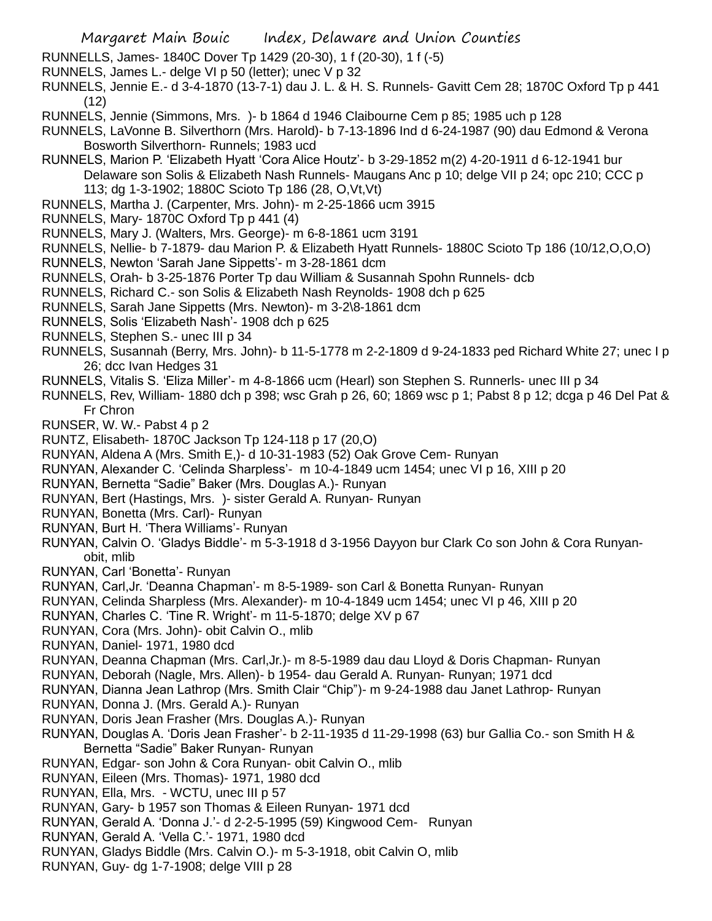- RUNNELLS, James- 1840C Dover Tp 1429 (20-30), 1 f (20-30), 1 f (-5)
- RUNNELS, James L.- delge VI p 50 (letter); unec V p 32
- RUNNELS, Jennie E.- d 3-4-1870 (13-7-1) dau J. L. & H. S. Runnels- Gavitt Cem 28; 1870C Oxford Tp p 441  $(12)$
- RUNNELS, Jennie (Simmons, Mrs. )- b 1864 d 1946 Claibourne Cem p 85; 1985 uch p 128
- RUNNELS, LaVonne B. Silverthorn (Mrs. Harold)- b 7-13-1896 Ind d 6-24-1987 (90) dau Edmond & Verona Bosworth Silverthorn- Runnels; 1983 ucd
- RUNNELS, Marion P. 'Elizabeth Hyatt 'Cora Alice Houtz'- b 3-29-1852 m(2) 4-20-1911 d 6-12-1941 bur Delaware son Solis & Elizabeth Nash Runnels- Maugans Anc p 10; delge VII p 24; opc 210; CCC p 113; dg 1-3-1902; 1880C Scioto Tp 186 (28, O,Vt,Vt)
- RUNNELS, Martha J. (Carpenter, Mrs. John)- m 2-25-1866 ucm 3915
- RUNNELS, Mary- 1870C Oxford Tp p 441 (4)
- RUNNELS, Mary J. (Walters, Mrs. George)- m 6-8-1861 ucm 3191
- RUNNELS, Nellie- b 7-1879- dau Marion P. & Elizabeth Hyatt Runnels- 1880C Scioto Tp 186 (10/12,O,O,O)
- RUNNELS, Newton 'Sarah Jane Sippetts'- m 3-28-1861 dcm
- RUNNELS, Orah- b 3-25-1876 Porter Tp dau William & Susannah Spohn Runnels- dcb
- RUNNELS, Richard C.- son Solis & Elizabeth Nash Reynolds- 1908 dch p 625
- RUNNELS, Sarah Jane Sippetts (Mrs. Newton)- m 3-2\8-1861 dcm
- RUNNELS, Solis 'Elizabeth Nash'- 1908 dch p 625
- RUNNELS, Stephen S.- unec III p 34
- RUNNELS, Susannah (Berry, Mrs. John)- b 11-5-1778 m 2-2-1809 d 9-24-1833 ped Richard White 27; unec I p 26; dcc Ivan Hedges 31
- RUNNELS, Vitalis S. 'Eliza Miller'- m 4-8-1866 ucm (Hearl) son Stephen S. Runnerls- unec III p 34
- RUNNELS, Rev, William- 1880 dch p 398; wsc Grah p 26, 60; 1869 wsc p 1; Pabst 8 p 12; dcga p 46 Del Pat & Fr Chron
- RUNSER, W. W.- Pabst 4 p 2
- RUNTZ, Elisabeth- 1870C Jackson Tp 124-118 p 17 (20,O)
- RUNYAN, Aldena A (Mrs. Smith E,)- d 10-31-1983 (52) Oak Grove Cem- Runyan
- RUNYAN, Alexander C. 'Celinda Sharpless'- m 10-4-1849 ucm 1454; unec VI p 16, XIII p 20
- RUNYAN, Bernetta "Sadie" Baker (Mrs. Douglas A.)- Runyan
- RUNYAN, Bert (Hastings, Mrs. )- sister Gerald A. Runyan- Runyan
- RUNYAN, Bonetta (Mrs. Carl)- Runyan
- RUNYAN, Burt H. 'Thera Williams'- Runyan
- RUNYAN, Calvin O. 'Gladys Biddle'- m 5-3-1918 d 3-1956 Dayyon bur Clark Co son John & Cora Runyanobit, mlib
- RUNYAN, Carl 'Bonetta'- Runyan
- RUNYAN, Carl,Jr. 'Deanna Chapman'- m 8-5-1989- son Carl & Bonetta Runyan- Runyan
- RUNYAN, Celinda Sharpless (Mrs. Alexander)- m 10-4-1849 ucm 1454; unec VI p 46, XIII p 20
- RUNYAN, Charles C. 'Tine R. Wright'- m 11-5-1870; delge XV p 67
- RUNYAN, Cora (Mrs. John)- obit Calvin O., mlib
- RUNYAN, Daniel- 1971, 1980 dcd
- RUNYAN, Deanna Chapman (Mrs. Carl,Jr.)- m 8-5-1989 dau dau Lloyd & Doris Chapman- Runyan
- RUNYAN, Deborah (Nagle, Mrs. Allen)- b 1954- dau Gerald A. Runyan- Runyan; 1971 dcd
- RUNYAN, Dianna Jean Lathrop (Mrs. Smith Clair "Chip")- m 9-24-1988 dau Janet Lathrop- Runyan
- RUNYAN, Donna J. (Mrs. Gerald A.)- Runyan
- RUNYAN, Doris Jean Frasher (Mrs. Douglas A.)- Runyan
- RUNYAN, Douglas A. 'Doris Jean Frasher'- b 2-11-1935 d 11-29-1998 (63) bur Gallia Co.- son Smith H & Bernetta "Sadie" Baker Runyan- Runyan
- RUNYAN, Edgar- son John & Cora Runyan- obit Calvin O., mlib
- RUNYAN, Eileen (Mrs. Thomas)- 1971, 1980 dcd
- RUNYAN, Ella, Mrs. WCTU, unec III p 57
- RUNYAN, Gary- b 1957 son Thomas & Eileen Runyan- 1971 dcd
- RUNYAN, Gerald A. 'Donna J.'- d 2-2-5-1995 (59) Kingwood Cem- Runyan
- RUNYAN, Gerald A. 'Vella C.'- 1971, 1980 dcd
- RUNYAN, Gladys Biddle (Mrs. Calvin O.)- m 5-3-1918, obit Calvin O, mlib
- RUNYAN, Guy- dg 1-7-1908; delge VIII p 28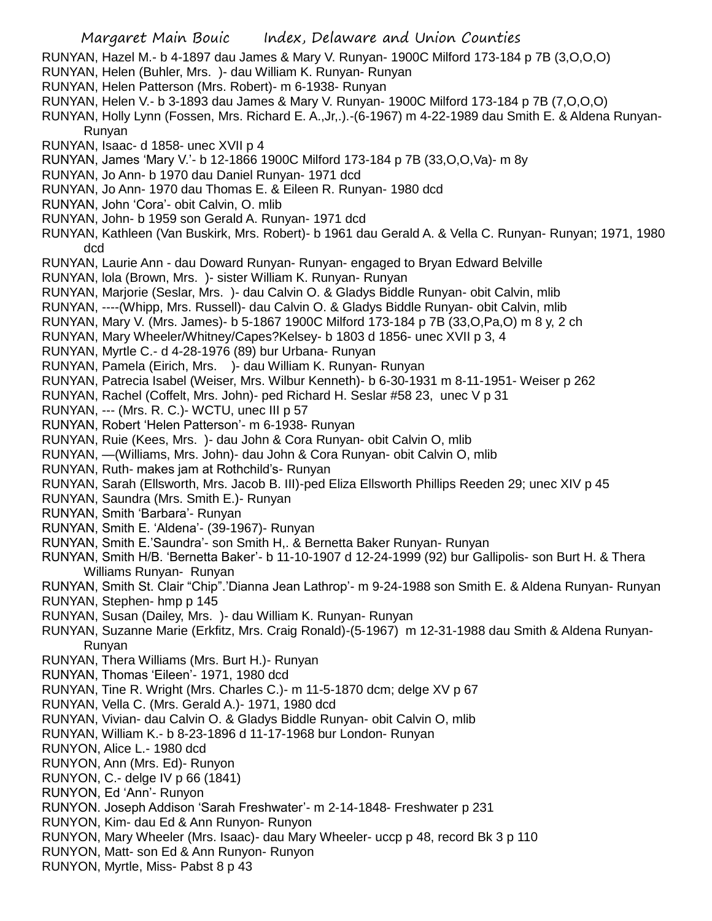- RUNYAN, Hazel M.- b 4-1897 dau James & Mary V. Runyan- 1900C Milford 173-184 p 7B (3,O,O,O)
- RUNYAN, Helen (Buhler, Mrs. )- dau William K. Runyan- Runyan
- RUNYAN, Helen Patterson (Mrs. Robert)- m 6-1938- Runyan
- RUNYAN, Helen V.- b 3-1893 dau James & Mary V. Runyan- 1900C Milford 173-184 p 7B (7,O,O,O)
- RUNYAN, Holly Lynn (Fossen, Mrs. Richard E. A.,Jr,.).-(6-1967) m 4-22-1989 dau Smith E. & Aldena Runyan-Runyan
- RUNYAN, Isaac- d 1858- unec XVII p 4
- RUNYAN, James 'Mary V.'- b 12-1866 1900C Milford 173-184 p 7B (33,O,O,Va)- m 8y
- RUNYAN, Jo Ann- b 1970 dau Daniel Runyan- 1971 dcd
- RUNYAN, Jo Ann- 1970 dau Thomas E. & Eileen R. Runyan- 1980 dcd
- RUNYAN, John 'Cora'- obit Calvin, O. mlib
- RUNYAN, John- b 1959 son Gerald A. Runyan- 1971 dcd
- RUNYAN, Kathleen (Van Buskirk, Mrs. Robert)- b 1961 dau Gerald A. & Vella C. Runyan- Runyan; 1971, 1980 dcd
- RUNYAN, Laurie Ann dau Doward Runyan- Runyan- engaged to Bryan Edward Belville
- RUNYAN, lola (Brown, Mrs. )- sister William K. Runyan- Runyan
- RUNYAN, Marjorie (Seslar, Mrs. )- dau Calvin O. & Gladys Biddle Runyan- obit Calvin, mlib
- RUNYAN, ----(Whipp, Mrs. Russell)- dau Calvin O. & Gladys Biddle Runyan- obit Calvin, mlib
- RUNYAN, Mary V. (Mrs. James)- b 5-1867 1900C Milford 173-184 p 7B (33,O,Pa,O) m 8 y, 2 ch
- RUNYAN, Mary Wheeler/Whitney/Capes?Kelsey- b 1803 d 1856- unec XVII p 3, 4
- RUNYAN, Myrtle C.- d 4-28-1976 (89) bur Urbana- Runyan
- RUNYAN, Pamela (Eirich, Mrs. )- dau William K. Runyan- Runyan
- RUNYAN, Patrecia Isabel (Weiser, Mrs. Wilbur Kenneth)- b 6-30-1931 m 8-11-1951- Weiser p 262
- RUNYAN, Rachel (Coffelt, Mrs. John)- ped Richard H. Seslar #58 23, unec V p 31
- RUNYAN, --- (Mrs. R. C.)- WCTU, unec III p 57
- RUNYAN, Robert 'Helen Patterson'- m 6-1938- Runyan
- RUNYAN, Ruie (Kees, Mrs. )- dau John & Cora Runyan- obit Calvin O, mlib
- RUNYAN, —(Williams, Mrs. John)- dau John & Cora Runyan- obit Calvin O, mlib
- RUNYAN, Ruth- makes jam at Rothchild's- Runyan
- RUNYAN, Sarah (Ellsworth, Mrs. Jacob B. III)-ped Eliza Ellsworth Phillips Reeden 29; unec XIV p 45
- RUNYAN, Saundra (Mrs. Smith E.)- Runyan
- RUNYAN, Smith 'Barbara'- Runyan
- RUNYAN, Smith E. 'Aldena'- (39-1967)- Runyan
- RUNYAN, Smith E.'Saundra'- son Smith H,. & Bernetta Baker Runyan- Runyan
- RUNYAN, Smith H/B. 'Bernetta Baker'- b 11-10-1907 d 12-24-1999 (92) bur Gallipolis- son Burt H. & Thera Williams Runyan- Runyan
- RUNYAN, Smith St. Clair "Chip".'Dianna Jean Lathrop'- m 9-24-1988 son Smith E. & Aldena Runyan- Runyan
- RUNYAN, Stephen- hmp p 145
- RUNYAN, Susan (Dailey, Mrs. )- dau William K. Runyan- Runyan
- RUNYAN, Suzanne Marie (Erkfitz, Mrs. Craig Ronald)-(5-1967) m 12-31-1988 dau Smith & Aldena Runyan-Runyan
- RUNYAN, Thera Williams (Mrs. Burt H.)- Runyan
- RUNYAN, Thomas 'Eileen'- 1971, 1980 dcd
- RUNYAN, Tine R. Wright (Mrs. Charles C.)- m 11-5-1870 dcm; delge XV p 67
- RUNYAN, Vella C. (Mrs. Gerald A.)- 1971, 1980 dcd
- RUNYAN, Vivian- dau Calvin O. & Gladys Biddle Runyan- obit Calvin O, mlib
- RUNYAN, William K.- b 8-23-1896 d 11-17-1968 bur London- Runyan
- RUNYON, Alice L.- 1980 dcd
- RUNYON, Ann (Mrs. Ed)- Runyon
- RUNYON, C.- delge IV p 66 (1841)
- RUNYON, Ed 'Ann'- Runyon
- RUNYON. Joseph Addison 'Sarah Freshwater'- m 2-14-1848- Freshwater p 231
- RUNYON, Kim- dau Ed & Ann Runyon- Runyon
- RUNYON, Mary Wheeler (Mrs. Isaac)- dau Mary Wheeler- uccp p 48, record Bk 3 p 110
- RUNYON, Matt- son Ed & Ann Runyon- Runyon
- RUNYON, Myrtle, Miss- Pabst 8 p 43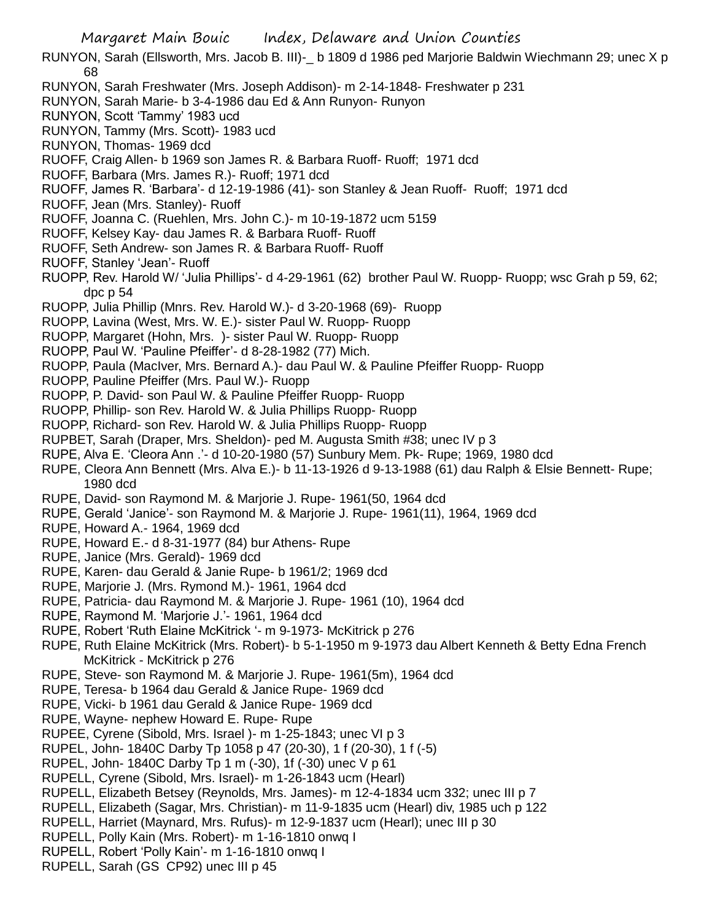- RUNYON, Sarah (Ellsworth, Mrs. Jacob B. III)-\_ b 1809 d 1986 ped Marjorie Baldwin Wiechmann 29; unec X p 68
- RUNYON, Sarah Freshwater (Mrs. Joseph Addison)- m 2-14-1848- Freshwater p 231
- RUNYON, Sarah Marie- b 3-4-1986 dau Ed & Ann Runyon- Runyon
- RUNYON, Scott 'Tammy' 1983 ucd
- RUNYON, Tammy (Mrs. Scott)- 1983 ucd
- RUNYON, Thomas- 1969 dcd
- RUOFF, Craig Allen- b 1969 son James R. & Barbara Ruoff- Ruoff; 1971 dcd
- RUOFF, Barbara (Mrs. James R.)- Ruoff; 1971 dcd
- RUOFF, James R. 'Barbara'- d 12-19-1986 (41)- son Stanley & Jean Ruoff- Ruoff; 1971 dcd
- RUOFF, Jean (Mrs. Stanley)- Ruoff
- RUOFF, Joanna C. (Ruehlen, Mrs. John C.)- m 10-19-1872 ucm 5159
- RUOFF, Kelsey Kay- dau James R. & Barbara Ruoff- Ruoff
- RUOFF, Seth Andrew- son James R. & Barbara Ruoff- Ruoff
- RUOFF, Stanley 'Jean'- Ruoff
- RUOPP, Rev. Harold W/ 'Julia Phillips'- d 4-29-1961 (62) brother Paul W. Ruopp- Ruopp; wsc Grah p 59, 62; dpc p 54
- RUOPP, Julia Phillip (Mnrs. Rev. Harold W.)- d 3-20-1968 (69)- Ruopp
- RUOPP, Lavina (West, Mrs. W. E.)- sister Paul W. Ruopp- Ruopp
- RUOPP, Margaret (Hohn, Mrs. )- sister Paul W. Ruopp- Ruopp
- RUOPP, Paul W. 'Pauline Pfeiffer'- d 8-28-1982 (77) Mich.
- RUOPP, Paula (MacIver, Mrs. Bernard A.)- dau Paul W. & Pauline Pfeiffer Ruopp- Ruopp
- RUOPP, Pauline Pfeiffer (Mrs. Paul W.)- Ruopp
- RUOPP, P. David- son Paul W. & Pauline Pfeiffer Ruopp- Ruopp
- RUOPP, Phillip- son Rev. Harold W. & Julia Phillips Ruopp- Ruopp
- RUOPP, Richard- son Rev. Harold W. & Julia Phillips Ruopp- Ruopp
- RUPBET, Sarah (Draper, Mrs. Sheldon)- ped M. Augusta Smith #38; unec IV p 3
- RUPE, Alva E. 'Cleora Ann .'- d 10-20-1980 (57) Sunbury Mem. Pk- Rupe; 1969, 1980 dcd
- RUPE, Cleora Ann Bennett (Mrs. Alva E.)- b 11-13-1926 d 9-13-1988 (61) dau Ralph & Elsie Bennett- Rupe; 1980 dcd
- RUPE, David- son Raymond M. & Marjorie J. Rupe- 1961(50, 1964 dcd
- RUPE, Gerald 'Janice'- son Raymond M. & Marjorie J. Rupe- 1961(11), 1964, 1969 dcd
- RUPE, Howard A.- 1964, 1969 dcd
- RUPE, Howard E.- d 8-31-1977 (84) bur Athens- Rupe
- RUPE, Janice (Mrs. Gerald)- 1969 dcd
- RUPE, Karen- dau Gerald & Janie Rupe- b 1961/2; 1969 dcd
- RUPE, Marjorie J. (Mrs. Rymond M.)- 1961, 1964 dcd
- RUPE, Patricia- dau Raymond M. & Marjorie J. Rupe- 1961 (10), 1964 dcd
- RUPE, Raymond M. 'Marjorie J.'- 1961, 1964 dcd
- RUPE, Robert 'Ruth Elaine McKitrick '- m 9-1973- McKitrick p 276
- RUPE, Ruth Elaine McKitrick (Mrs. Robert)- b 5-1-1950 m 9-1973 dau Albert Kenneth & Betty Edna French McKitrick - McKitrick p 276
- RUPE, Steve- son Raymond M. & Marjorie J. Rupe- 1961(5m), 1964 dcd
- RUPE, Teresa- b 1964 dau Gerald & Janice Rupe- 1969 dcd
- RUPE, Vicki- b 1961 dau Gerald & Janice Rupe- 1969 dcd
- RUPE, Wayne- nephew Howard E. Rupe- Rupe
- RUPEE, Cyrene (Sibold, Mrs. Israel )- m 1-25-1843; unec VI p 3
- RUPEL, John- 1840C Darby Tp 1058 p 47 (20-30), 1 f (20-30), 1 f (-5)
- RUPEL, John- 1840C Darby Tp 1 m (-30), 1f (-30) unec V p 61
- RUPELL, Cyrene (Sibold, Mrs. Israel)- m 1-26-1843 ucm (Hearl)
- RUPELL, Elizabeth Betsey (Reynolds, Mrs. James)- m 12-4-1834 ucm 332; unec III p 7
- RUPELL, Elizabeth (Sagar, Mrs. Christian)- m 11-9-1835 ucm (Hearl) div, 1985 uch p 122
- RUPELL, Harriet (Maynard, Mrs. Rufus)- m 12-9-1837 ucm (Hearl); unec III p 30
- RUPELL, Polly Kain (Mrs. Robert)- m 1-16-1810 onwq I
- RUPELL, Robert 'Polly Kain'- m 1-16-1810 onwq I
- RUPELL, Sarah (GS CP92) unec III p 45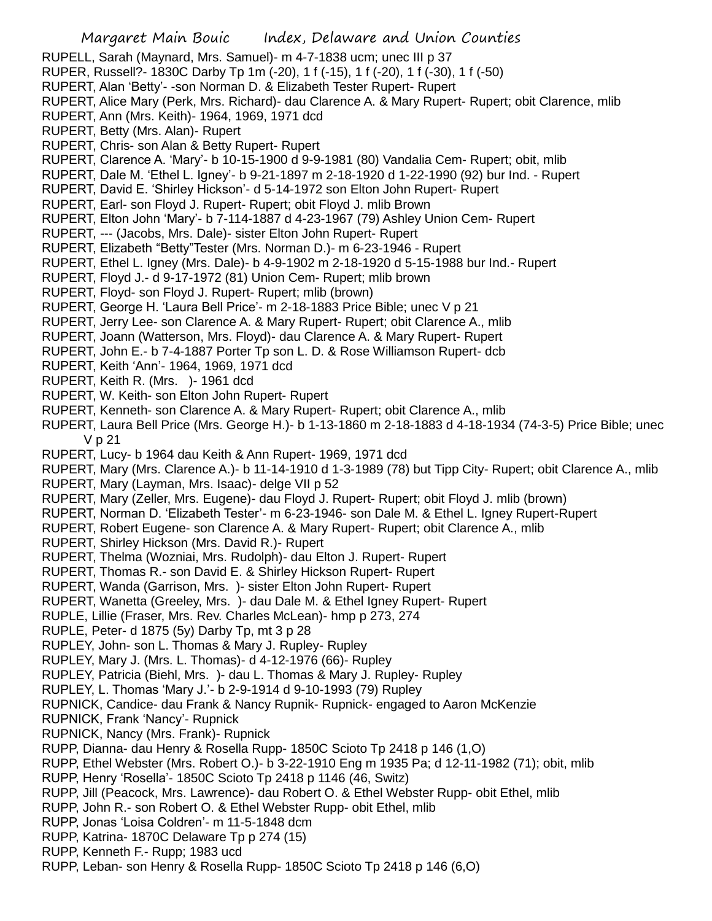RUPELL, Sarah (Maynard, Mrs. Samuel)- m 4-7-1838 ucm; unec III p 37

- RUPER, Russell?- 1830C Darby Tp 1m (-20), 1 f (-15), 1 f (-20), 1 f (-30), 1 f (-50)
- RUPERT, Alan 'Betty'- -son Norman D. & Elizabeth Tester Rupert- Rupert
- RUPERT, Alice Mary (Perk, Mrs. Richard)- dau Clarence A. & Mary Rupert- Rupert; obit Clarence, mlib
- RUPERT, Ann (Mrs. Keith)- 1964, 1969, 1971 dcd
- RUPERT, Betty (Mrs. Alan)- Rupert
- RUPERT, Chris- son Alan & Betty Rupert- Rupert
- RUPERT, Clarence A. 'Mary'- b 10-15-1900 d 9-9-1981 (80) Vandalia Cem- Rupert; obit, mlib
- RUPERT, Dale M. 'Ethel L. Igney'- b 9-21-1897 m 2-18-1920 d 1-22-1990 (92) bur Ind. Rupert
- RUPERT, David E. 'Shirley Hickson'- d 5-14-1972 son Elton John Rupert- Rupert
- RUPERT, Earl- son Floyd J. Rupert- Rupert; obit Floyd J. mlib Brown
- RUPERT, Elton John 'Mary'- b 7-114-1887 d 4-23-1967 (79) Ashley Union Cem- Rupert
- RUPERT, --- (Jacobs, Mrs. Dale)- sister Elton John Rupert- Rupert
- RUPERT, Elizabeth "Betty"Tester (Mrs. Norman D.)- m 6-23-1946 Rupert
- RUPERT, Ethel L. Igney (Mrs. Dale)- b 4-9-1902 m 2-18-1920 d 5-15-1988 bur Ind.- Rupert
- RUPERT, Floyd J.- d 9-17-1972 (81) Union Cem- Rupert; mlib brown
- RUPERT, Floyd- son Floyd J. Rupert- Rupert; mlib (brown)
- RUPERT, George H. 'Laura Bell Price'- m 2-18-1883 Price Bible; unec V p 21
- RUPERT, Jerry Lee- son Clarence A. & Mary Rupert- Rupert; obit Clarence A., mlib
- RUPERT, Joann (Watterson, Mrs. Floyd)- dau Clarence A. & Mary Rupert- Rupert
- RUPERT, John E.- b 7-4-1887 Porter Tp son L. D. & Rose Williamson Rupert- dcb
- RUPERT, Keith 'Ann'- 1964, 1969, 1971 dcd
- RUPERT, Keith R. (Mrs. )- 1961 dcd
- RUPERT, W. Keith- son Elton John Rupert- Rupert
- RUPERT, Kenneth- son Clarence A. & Mary Rupert- Rupert; obit Clarence A., mlib
- RUPERT, Laura Bell Price (Mrs. George H.)- b 1-13-1860 m 2-18-1883 d 4-18-1934 (74-3-5) Price Bible; unec V p 21
- RUPERT, Lucy- b 1964 dau Keith & Ann Rupert- 1969, 1971 dcd
- RUPERT, Mary (Mrs. Clarence A.)- b 11-14-1910 d 1-3-1989 (78) but Tipp City- Rupert; obit Clarence A., mlib
- RUPERT, Mary (Layman, Mrs. Isaac)- delge VII p 52
- RUPERT, Mary (Zeller, Mrs. Eugene)- dau Floyd J. Rupert- Rupert; obit Floyd J. mlib (brown)
- RUPERT, Norman D. 'Elizabeth Tester'- m 6-23-1946- son Dale M. & Ethel L. Igney Rupert-Rupert
- RUPERT, Robert Eugene- son Clarence A. & Mary Rupert- Rupert; obit Clarence A., mlib
- RUPERT, Shirley Hickson (Mrs. David R.)- Rupert
- RUPERT, Thelma (Wozniai, Mrs. Rudolph)- dau Elton J. Rupert- Rupert
- RUPERT, Thomas R.- son David E. & Shirley Hickson Rupert- Rupert
- RUPERT, Wanda (Garrison, Mrs. )- sister Elton John Rupert- Rupert
- RUPERT, Wanetta (Greeley, Mrs. )- dau Dale M. & Ethel Igney Rupert- Rupert
- RUPLE, Lillie (Fraser, Mrs. Rev. Charles McLean)- hmp p 273, 274
- RUPLE, Peter- d 1875 (5y) Darby Tp, mt 3 p 28
- RUPLEY, John- son L. Thomas & Mary J. Rupley- Rupley
- RUPLEY, Mary J. (Mrs. L. Thomas)- d 4-12-1976 (66)- Rupley
- RUPLEY, Patricia (Biehl, Mrs. )- dau L. Thomas & Mary J. Rupley- Rupley
- RUPLEY, L. Thomas 'Mary J.'- b 2-9-1914 d 9-10-1993 (79) Rupley
- RUPNICK, Candice- dau Frank & Nancy Rupnik- Rupnick- engaged to Aaron McKenzie
- RUPNICK, Frank 'Nancy'- Rupnick
- RUPNICK, Nancy (Mrs. Frank)- Rupnick
- RUPP, Dianna- dau Henry & Rosella Rupp- 1850C Scioto Tp 2418 p 146 (1,O)
- RUPP, Ethel Webster (Mrs. Robert O.)- b 3-22-1910 Eng m 1935 Pa; d 12-11-1982 (71); obit, mlib
- RUPP, Henry 'Rosella'- 1850C Scioto Tp 2418 p 1146 (46, Switz)
- RUPP, Jill (Peacock, Mrs. Lawrence)- dau Robert O. & Ethel Webster Rupp- obit Ethel, mlib
- RUPP, John R.- son Robert O. & Ethel Webster Rupp- obit Ethel, mlib
- RUPP, Jonas 'Loisa Coldren'- m 11-5-1848 dcm
- RUPP, Katrina- 1870C Delaware Tp p 274 (15)
- RUPP, Kenneth F.- Rupp; 1983 ucd
- RUPP, Leban- son Henry & Rosella Rupp- 1850C Scioto Tp 2418 p 146 (6,O)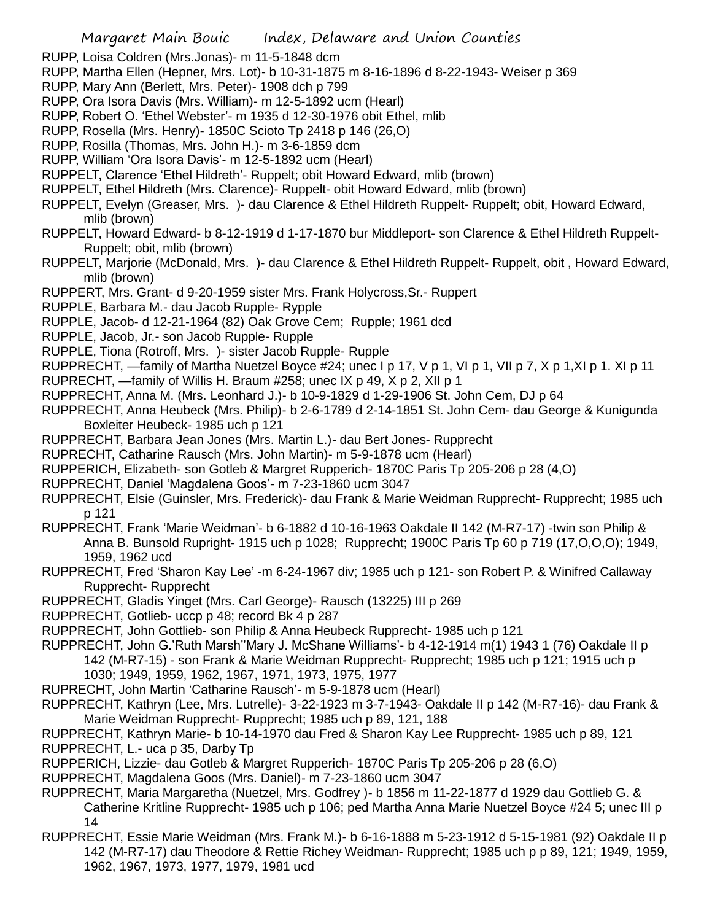RUPP, Loisa Coldren (Mrs.Jonas)- m 11-5-1848 dcm

- RUPP, Martha Ellen (Hepner, Mrs. Lot)- b 10-31-1875 m 8-16-1896 d 8-22-1943- Weiser p 369
- RUPP, Mary Ann (Berlett, Mrs. Peter)- 1908 dch p 799
- RUPP, Ora Isora Davis (Mrs. William)- m 12-5-1892 ucm (Hearl)
- RUPP, Robert O. 'Ethel Webster'- m 1935 d 12-30-1976 obit Ethel, mlib
- RUPP, Rosella (Mrs. Henry)- 1850C Scioto Tp 2418 p 146 (26,O)
- RUPP, Rosilla (Thomas, Mrs. John H.)- m 3-6-1859 dcm
- RUPP, William 'Ora Isora Davis'- m 12-5-1892 ucm (Hearl)
- RUPPELT, Clarence 'Ethel Hildreth'- Ruppelt; obit Howard Edward, mlib (brown)
- RUPPELT, Ethel Hildreth (Mrs. Clarence)- Ruppelt- obit Howard Edward, mlib (brown)
- RUPPELT, Evelyn (Greaser, Mrs. )- dau Clarence & Ethel Hildreth Ruppelt- Ruppelt; obit, Howard Edward, mlib (brown)
- RUPPELT, Howard Edward- b 8-12-1919 d 1-17-1870 bur Middleport- son Clarence & Ethel Hildreth Ruppelt-Ruppelt; obit, mlib (brown)
- RUPPELT, Marjorie (McDonald, Mrs. )- dau Clarence & Ethel Hildreth Ruppelt- Ruppelt, obit , Howard Edward, mlib (brown)
- RUPPERT, Mrs. Grant- d 9-20-1959 sister Mrs. Frank Holycross,Sr.- Ruppert
- RUPPLE, Barbara M.- dau Jacob Rupple- Rypple
- RUPPLE, Jacob- d 12-21-1964 (82) Oak Grove Cem; Rupple; 1961 dcd
- RUPPLE, Jacob, Jr.- son Jacob Rupple- Rupple
- RUPPLE, Tiona (Rotroff, Mrs. )- sister Jacob Rupple- Rupple
- RUPPRECHT, —family of Martha Nuetzel Boyce #24; unec I p 17, V p 1, VI p 1, VII p 7, X p 1, XI p 1. XI p 11
- RUPRECHT, —family of Willis H. Braum #258; unec IX p 49, X p 2, XII p 1
- RUPPRECHT, Anna M. (Mrs. Leonhard J.)- b 10-9-1829 d 1-29-1906 St. John Cem, DJ p 64
- RUPPRECHT, Anna Heubeck (Mrs. Philip)- b 2-6-1789 d 2-14-1851 St. John Cem- dau George & Kunigunda Boxleiter Heubeck- 1985 uch p 121
- RUPPRECHT, Barbara Jean Jones (Mrs. Martin L.)- dau Bert Jones- Rupprecht
- RUPRECHT, Catharine Rausch (Mrs. John Martin)- m 5-9-1878 ucm (Hearl)
- RUPPERICH, Elizabeth- son Gotleb & Margret Rupperich- 1870C Paris Tp 205-206 p 28 (4,O)
- RUPPRECHT, Daniel 'Magdalena Goos'- m 7-23-1860 ucm 3047
- RUPPRECHT, Elsie (Guinsler, Mrs. Frederick)- dau Frank & Marie Weidman Rupprecht- Rupprecht; 1985 uch p 121
- RUPPRECHT, Frank 'Marie Weidman'- b 6-1882 d 10-16-1963 Oakdale II 142 (M-R7-17) -twin son Philip & Anna B. Bunsold Rupright- 1915 uch p 1028; Rupprecht; 1900C Paris Tp 60 p 719 (17,O,O,O); 1949, 1959, 1962 ucd
- RUPPRECHT, Fred 'Sharon Kay Lee' -m 6-24-1967 div; 1985 uch p 121- son Robert P. & Winifred Callaway Rupprecht- Rupprecht
- RUPPRECHT, Gladis Yinget (Mrs. Carl George)- Rausch (13225) III p 269
- RUPPRECHT, Gotlieb- uccp p 48; record Bk 4 p 287
- RUPPRECHT, John Gottlieb- son Philip & Anna Heubeck Rupprecht- 1985 uch p 121
- RUPPRECHT, John G.'Ruth Marsh''Mary J. McShane Williams'- b 4-12-1914 m(1) 1943 1 (76) Oakdale II p 142 (M-R7-15) - son Frank & Marie Weidman Rupprecht- Rupprecht; 1985 uch p 121; 1915 uch p 1030; 1949, 1959, 1962, 1967, 1971, 1973, 1975, 1977
- RUPRECHT, John Martin 'Catharine Rausch'- m 5-9-1878 ucm (Hearl)
- RUPPRECHT, Kathryn (Lee, Mrs. Lutrelle)- 3-22-1923 m 3-7-1943- Oakdale II p 142 (M-R7-16)- dau Frank & Marie Weidman Rupprecht- Rupprecht; 1985 uch p 89, 121, 188
- RUPPRECHT, Kathryn Marie- b 10-14-1970 dau Fred & Sharon Kay Lee Rupprecht- 1985 uch p 89, 121 RUPPRECHT, L.- uca p 35, Darby Tp
- RUPPERICH, Lizzie- dau Gotleb & Margret Rupperich- 1870C Paris Tp 205-206 p 28 (6,O)
- RUPPRECHT, Magdalena Goos (Mrs. Daniel)- m 7-23-1860 ucm 3047
- RUPPRECHT, Maria Margaretha (Nuetzel, Mrs. Godfrey )- b 1856 m 11-22-1877 d 1929 dau Gottlieb G. & Catherine Kritline Rupprecht- 1985 uch p 106; ped Martha Anna Marie Nuetzel Boyce #24 5; unec III p 14
- RUPPRECHT, Essie Marie Weidman (Mrs. Frank M.)- b 6-16-1888 m 5-23-1912 d 5-15-1981 (92) Oakdale II p 142 (M-R7-17) dau Theodore & Rettie Richey Weidman- Rupprecht; 1985 uch p p 89, 121; 1949, 1959, 1962, 1967, 1973, 1977, 1979, 1981 ucd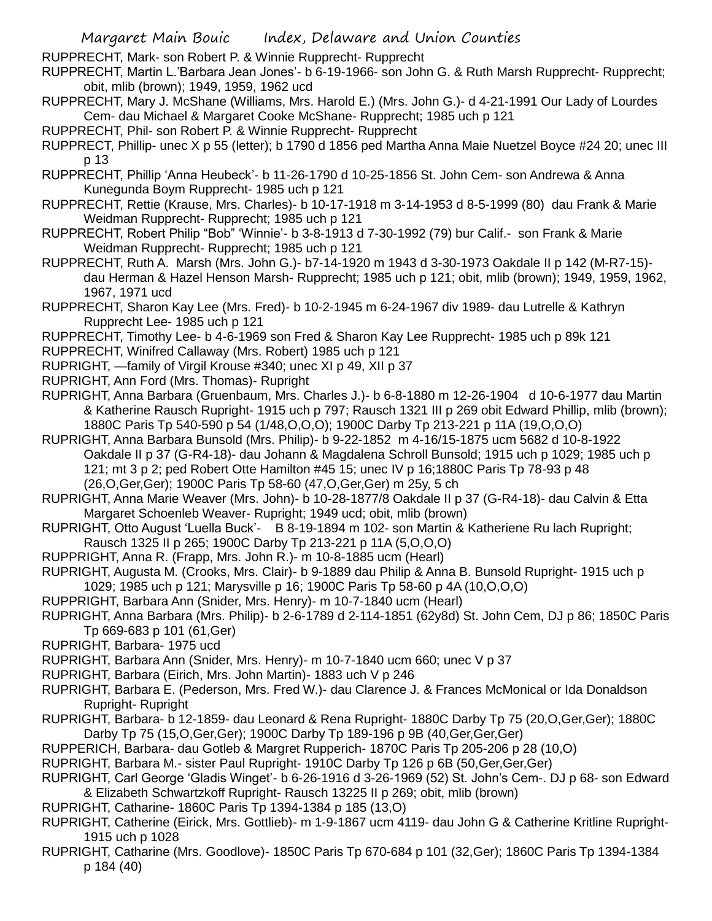RUPPRECHT, Mark- son Robert P. & Winnie Rupprecht- Rupprecht

- RUPPRECHT, Martin L.'Barbara Jean Jones'- b 6-19-1966- son John G. & Ruth Marsh Rupprecht- Rupprecht; obit, mlib (brown); 1949, 1959, 1962 ucd
- RUPPRECHT, Mary J. McShane (Williams, Mrs. Harold E.) (Mrs. John G.)- d 4-21-1991 Our Lady of Lourdes Cem- dau Michael & Margaret Cooke McShane- Rupprecht; 1985 uch p 121
- RUPPRECHT, Phil- son Robert P. & Winnie Rupprecht- Rupprecht
- RUPPRECT, Phillip- unec X p 55 (letter); b 1790 d 1856 ped Martha Anna Maie Nuetzel Boyce #24 20; unec III p 13
- RUPPRECHT, Phillip 'Anna Heubeck'- b 11-26-1790 d 10-25-1856 St. John Cem- son Andrewa & Anna Kunegunda Boym Rupprecht- 1985 uch p 121
- RUPPRECHT, Rettie (Krause, Mrs. Charles)- b 10-17-1918 m 3-14-1953 d 8-5-1999 (80) dau Frank & Marie Weidman Rupprecht- Rupprecht; 1985 uch p 121
- RUPPRECHT, Robert Philip "Bob" 'Winnie'- b 3-8-1913 d 7-30-1992 (79) bur Calif.- son Frank & Marie Weidman Rupprecht- Rupprecht; 1985 uch p 121
- RUPPRECHT, Ruth A. Marsh (Mrs. John G.)- b7-14-1920 m 1943 d 3-30-1973 Oakdale II p 142 (M-R7-15) dau Herman & Hazel Henson Marsh- Rupprecht; 1985 uch p 121; obit, mlib (brown); 1949, 1959, 1962, 1967, 1971 ucd
- RUPPRECHT, Sharon Kay Lee (Mrs. Fred)- b 10-2-1945 m 6-24-1967 div 1989- dau Lutrelle & Kathryn Rupprecht Lee- 1985 uch p 121
- RUPPRECHT, Timothy Lee- b 4-6-1969 son Fred & Sharon Kay Lee Rupprecht- 1985 uch p 89k 121
- RUPPRECHT, Winifred Callaway (Mrs. Robert) 1985 uch p 121
- RUPRIGHT, —family of Virgil Krouse #340; unec XI p 49, XII p 37
- RUPRIGHT, Ann Ford (Mrs. Thomas)- Rupright
- RUPRIGHT, Anna Barbara (Gruenbaum, Mrs. Charles J.)- b 6-8-1880 m 12-26-1904 d 10-6-1977 dau Martin & Katherine Rausch Rupright- 1915 uch p 797; Rausch 1321 III p 269 obit Edward Phillip, mlib (brown); 1880C Paris Tp 540-590 p 54 (1/48,O,O,O); 1900C Darby Tp 213-221 p 11A (19,O,O,O)
- RUPRIGHT, Anna Barbara Bunsold (Mrs. Philip)- b 9-22-1852 m 4-16/15-1875 ucm 5682 d 10-8-1922 Oakdale II p 37 (G-R4-18)- dau Johann & Magdalena Schroll Bunsold; 1915 uch p 1029; 1985 uch p 121; mt 3 p 2; ped Robert Otte Hamilton #45 15; unec IV p 16;1880C Paris Tp 78-93 p 48 (26,O,Ger,Ger); 1900C Paris Tp 58-60 (47,O,Ger,Ger) m 25y, 5 ch
- RUPRIGHT, Anna Marie Weaver (Mrs. John)- b 10-28-1877/8 Oakdale II p 37 (G-R4-18)- dau Calvin & Etta Margaret Schoenleb Weaver- Rupright; 1949 ucd; obit, mlib (brown)
- RUPRIGHT, Otto August 'Luella Buck'- B 8-19-1894 m 102- son Martin & Katheriene Ru lach Rupright; Rausch 1325 II p 265; 1900C Darby Tp 213-221 p 11A (5,O,O,O)
- RUPPRIGHT, Anna R. (Frapp, Mrs. John R.)- m 10-8-1885 ucm (Hearl)
- RUPRIGHT, Augusta M. (Crooks, Mrs. Clair)- b 9-1889 dau Philip & Anna B. Bunsold Rupright- 1915 uch p 1029; 1985 uch p 121; Marysville p 16; 1900C Paris Tp 58-60 p 4A (10,O,O,O)
- RUPPRIGHT, Barbara Ann (Snider, Mrs. Henry)- m 10-7-1840 ucm (Hearl)
- RUPRIGHT, Anna Barbara (Mrs. Philip)- b 2-6-1789 d 2-114-1851 (62y8d) St. John Cem, DJ p 86; 1850C Paris Tp 669-683 p 101 (61,Ger)
- RUPRIGHT, Barbara- 1975 ucd
- RUPRIGHT, Barbara Ann (Snider, Mrs. Henry)- m 10-7-1840 ucm 660; unec V p 37
- RUPRIGHT, Barbara (Eirich, Mrs. John Martin)- 1883 uch V p 246
- RUPRIGHT, Barbara E. (Pederson, Mrs. Fred W.)- dau Clarence J. & Frances McMonical or Ida Donaldson Rupright- Rupright
- RUPRIGHT, Barbara- b 12-1859- dau Leonard & Rena Rupright- 1880C Darby Tp 75 (20,O,Ger,Ger); 1880C Darby Tp 75 (15,O,Ger,Ger); 1900C Darby Tp 189-196 p 9B (40,Ger,Ger,Ger)
- RUPPERICH, Barbara- dau Gotleb & Margret Rupperich- 1870C Paris Tp 205-206 p 28 (10,O)
- RUPRIGHT, Barbara M.- sister Paul Rupright- 1910C Darby Tp 126 p 6B (50,Ger,Ger,Ger)
- RUPRIGHT, Carl George 'Gladis Winget'- b 6-26-1916 d 3-26-1969 (52) St. John's Cem-. DJ p 68- son Edward & Elizabeth Schwartzkoff Rupright- Rausch 13225 II p 269; obit, mlib (brown)
- RUPRIGHT, Catharine- 1860C Paris Tp 1394-1384 p 185 (13,O)
- RUPRIGHT, Catherine (Eirick, Mrs. Gottlieb)- m 1-9-1867 ucm 4119- dau John G & Catherine Kritline Rupright-1915 uch p 1028
- RUPRIGHT, Catharine (Mrs. Goodlove)- 1850C Paris Tp 670-684 p 101 (32,Ger); 1860C Paris Tp 1394-1384 p 184 (40)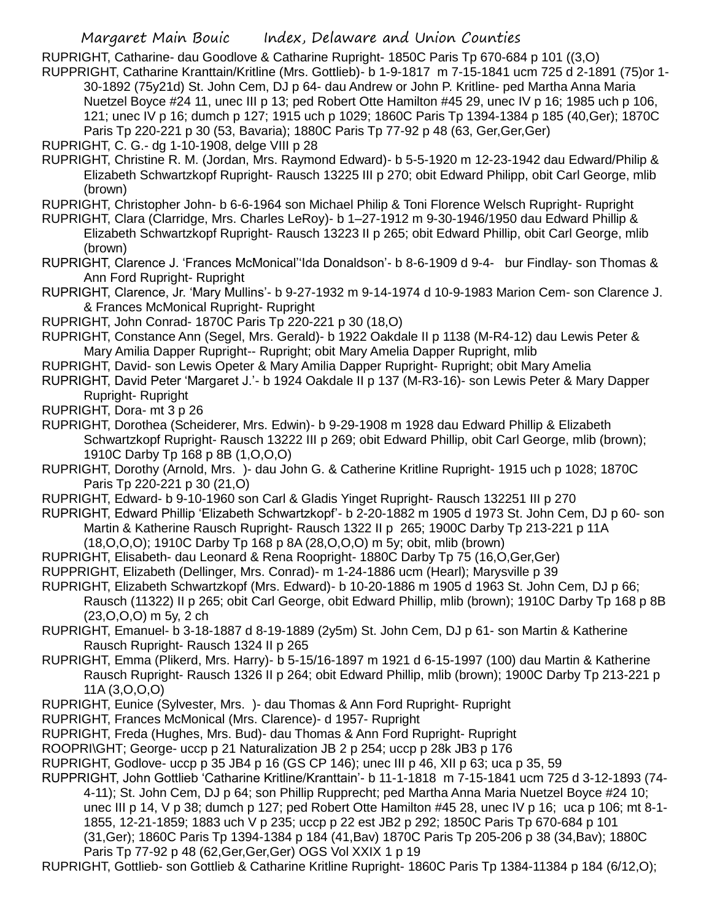RUPRIGHT, Catharine- dau Goodlove & Catharine Rupright- 1850C Paris Tp 670-684 p 101 ((3,O)

- RUPPRIGHT, Catharine Kranttain/Kritline (Mrs. Gottlieb)- b 1-9-1817 m 7-15-1841 ucm 725 d 2-1891 (75)or 1- 30-1892 (75y21d) St. John Cem, DJ p 64- dau Andrew or John P. Kritline- ped Martha Anna Maria Nuetzel Boyce #24 11, unec III p 13; ped Robert Otte Hamilton #45 29, unec IV p 16; 1985 uch p 106, 121; unec IV p 16; dumch p 127; 1915 uch p 1029; 1860C Paris Tp 1394-1384 p 185 (40,Ger); 1870C Paris Tp 220-221 p 30 (53, Bavaria); 1880C Paris Tp 77-92 p 48 (63, Ger,Ger,Ger)
- RUPRIGHT, C. G.- dg 1-10-1908, delge VIII p 28
- RUPRIGHT, Christine R. M. (Jordan, Mrs. Raymond Edward)- b 5-5-1920 m 12-23-1942 dau Edward/Philip & Elizabeth Schwartzkopf Rupright- Rausch 13225 III p 270; obit Edward Philipp, obit Carl George, mlib (brown)
- RUPRIGHT, Christopher John- b 6-6-1964 son Michael Philip & Toni Florence Welsch Rupright- Rupright
- RUPRIGHT, Clara (Clarridge, Mrs. Charles LeRoy)- b 1–27-1912 m 9-30-1946/1950 dau Edward Phillip & Elizabeth Schwartzkopf Rupright- Rausch 13223 II p 265; obit Edward Phillip, obit Carl George, mlib (brown)
- RUPRIGHT, Clarence J. 'Frances McMonical''Ida Donaldson'- b 8-6-1909 d 9-4- bur Findlay- son Thomas & Ann Ford Rupright- Rupright
- RUPRIGHT, Clarence, Jr. 'Mary Mullins'- b 9-27-1932 m 9-14-1974 d 10-9-1983 Marion Cem- son Clarence J. & Frances McMonical Rupright- Rupright
- RUPRIGHT, John Conrad- 1870C Paris Tp 220-221 p 30 (18,O)
- RUPRIGHT, Constance Ann (Segel, Mrs. Gerald)- b 1922 Oakdale II p 1138 (M-R4-12) dau Lewis Peter & Mary Amilia Dapper Rupright-- Rupright; obit Mary Amelia Dapper Rupright, mlib
- RUPRIGHT, David- son Lewis Opeter & Mary Amilia Dapper Rupright- Rupright; obit Mary Amelia
- RUPRIGHT, David Peter 'Margaret J.'- b 1924 Oakdale II p 137 (M-R3-16)- son Lewis Peter & Mary Dapper Rupright- Rupright
- RUPRIGHT, Dora- mt 3 p 26
- RUPRIGHT, Dorothea (Scheiderer, Mrs. Edwin)- b 9-29-1908 m 1928 dau Edward Phillip & Elizabeth Schwartzkopf Rupright- Rausch 13222 III p 269; obit Edward Phillip, obit Carl George, mlib (brown); 1910C Darby Tp 168 p 8B (1,O,O,O)
- RUPRIGHT, Dorothy (Arnold, Mrs. )- dau John G. & Catherine Kritline Rupright- 1915 uch p 1028; 1870C Paris Tp 220-221 p 30 (21,O)
- RUPRIGHT, Edward- b 9-10-1960 son Carl & Gladis Yinget Rupright- Rausch 132251 III p 270
- RUPRIGHT, Edward Phillip 'Elizabeth Schwartzkopf'- b 2-20-1882 m 1905 d 1973 St. John Cem, DJ p 60- son Martin & Katherine Rausch Rupright- Rausch 1322 II p 265; 1900C Darby Tp 213-221 p 11A (18,O,O,O); 1910C Darby Tp 168 p 8A (28,O,O,O) m 5y; obit, mlib (brown)
- 
- RUPRIGHT, Elisabeth- dau Leonard & Rena Roopright- 1880C Darby Tp 75 (16,O,Ger,Ger)
- RUPPRIGHT, Elizabeth (Dellinger, Mrs. Conrad)- m 1-24-1886 ucm (Hearl); Marysville p 39
- RUPRIGHT, Elizabeth Schwartzkopf (Mrs. Edward)- b 10-20-1886 m 1905 d 1963 St. John Cem, DJ p 66; Rausch (11322) II p 265; obit Carl George, obit Edward Phillip, mlib (brown); 1910C Darby Tp 168 p 8B (23,O,O,O) m 5y, 2 ch
- RUPRIGHT, Emanuel- b 3-18-1887 d 8-19-1889 (2y5m) St. John Cem, DJ p 61- son Martin & Katherine Rausch Rupright- Rausch 1324 II p 265
- RUPRIGHT, Emma (Plikerd, Mrs. Harry)- b 5-15/16-1897 m 1921 d 6-15-1997 (100) dau Martin & Katherine Rausch Rupright- Rausch 1326 II p 264; obit Edward Phillip, mlib (brown); 1900C Darby Tp 213-221 p 11A (3,O,O,O)
- RUPRIGHT, Eunice (Sylvester, Mrs. )- dau Thomas & Ann Ford Rupright- Rupright
- RUPRIGHT, Frances McMonical (Mrs. Clarence)- d 1957- Rupright
- RUPRIGHT, Freda (Hughes, Mrs. Bud)- dau Thomas & Ann Ford Rupright- Rupright
- ROOPRI\GHT; George- uccp p 21 Naturalization JB 2 p 254; uccp p 28k JB3 p 176
- RUPRIGHT, Godlove- uccp p 35 JB4 p 16 (GS CP 146); unec III p 46, XII p 63; uca p 35, 59
- RUPPRIGHT, John Gottlieb 'Catharine Kritline/Kranttain'- b 11-1-1818 m 7-15-1841 ucm 725 d 3-12-1893 (74- 4-11); St. John Cem, DJ p 64; son Phillip Rupprecht; ped Martha Anna Maria Nuetzel Boyce #24 10; unec III p 14, V p 38; dumch p 127; ped Robert Otte Hamilton #45 28, unec IV p 16; uca p 106; mt 8-1- 1855, 12-21-1859; 1883 uch V p 235; uccp p 22 est JB2 p 292; 1850C Paris Tp 670-684 p 101 (31,Ger); 1860C Paris Tp 1394-1384 p 184 (41,Bav) 1870C Paris Tp 205-206 p 38 (34,Bav); 1880C Paris Tp 77-92 p 48 (62,Ger,Ger,Ger) OGS Vol XXIX 1 p 19
- RUPRIGHT, Gottlieb- son Gottlieb & Catharine Kritline Rupright- 1860C Paris Tp 1384-11384 p 184 (6/12,O);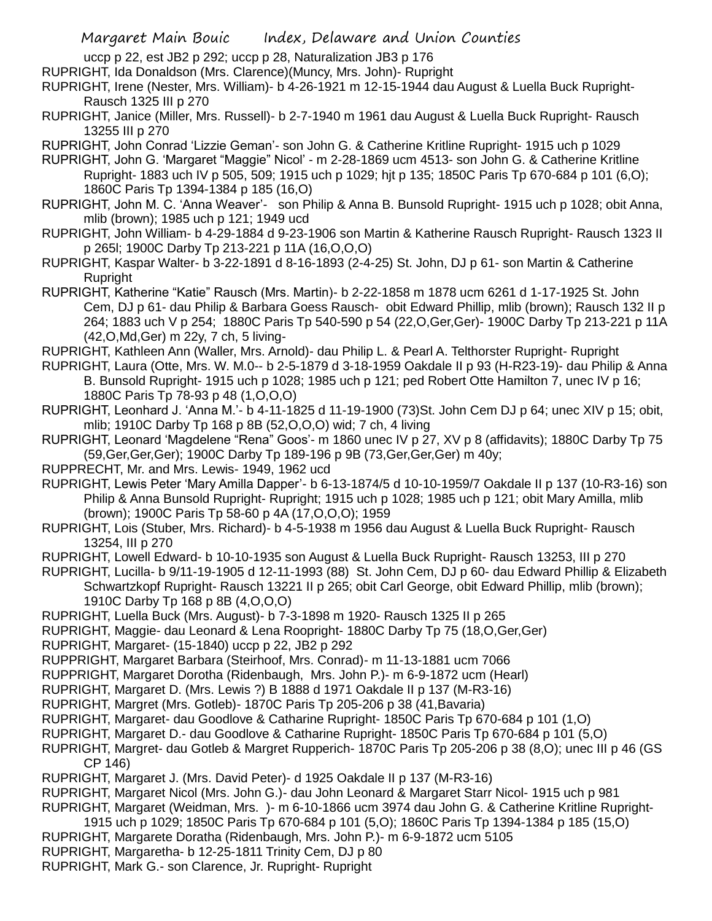uccp p 22, est JB2 p 292; uccp p 28, Naturalization JB3 p 176

RUPRIGHT, Ida Donaldson (Mrs. Clarence)(Muncy, Mrs. John)- Rupright

RUPRIGHT, Irene (Nester, Mrs. William)- b 4-26-1921 m 12-15-1944 dau August & Luella Buck Rupright-Rausch 1325 III p 270

RUPRIGHT, Janice (Miller, Mrs. Russell)- b 2-7-1940 m 1961 dau August & Luella Buck Rupright- Rausch 13255 III p 270

RUPRIGHT, John Conrad 'Lizzie Geman'- son John G. & Catherine Kritline Rupright- 1915 uch p 1029

- RUPRIGHT, John G. 'Margaret "Maggie" Nicol' m 2-28-1869 ucm 4513- son John G. & Catherine Kritline Rupright- 1883 uch IV p 505, 509; 1915 uch p 1029; hjt p 135; 1850C Paris Tp 670-684 p 101 (6,O); 1860C Paris Tp 1394-1384 p 185 (16,O)
- RUPRIGHT, John M. C. 'Anna Weaver'- son Philip & Anna B. Bunsold Rupright- 1915 uch p 1028; obit Anna, mlib (brown); 1985 uch p 121; 1949 ucd
- RUPRIGHT, John William- b 4-29-1884 d 9-23-1906 son Martin & Katherine Rausch Rupright- Rausch 1323 II p 265l; 1900C Darby Tp 213-221 p 11A (16,O,O,O)
- RUPRIGHT, Kaspar Walter- b 3-22-1891 d 8-16-1893 (2-4-25) St. John, DJ p 61- son Martin & Catherine Rupright
- RUPRIGHT, Katherine "Katie" Rausch (Mrs. Martin)- b 2-22-1858 m 1878 ucm 6261 d 1-17-1925 St. John Cem, DJ p 61- dau Philip & Barbara Goess Rausch- obit Edward Phillip, mlib (brown); Rausch 132 II p 264; 1883 uch V p 254; 1880C Paris Tp 540-590 p 54 (22,O,Ger,Ger)- 1900C Darby Tp 213-221 p 11A (42,O,Md,Ger) m 22y, 7 ch, 5 living-

RUPRIGHT, Kathleen Ann (Waller, Mrs. Arnold)- dau Philip L. & Pearl A. Telthorster Rupright- Rupright

- RUPRIGHT, Laura (Otte, Mrs. W. M.0-- b 2-5-1879 d 3-18-1959 Oakdale II p 93 (H-R23-19)- dau Philip & Anna B. Bunsold Rupright- 1915 uch p 1028; 1985 uch p 121; ped Robert Otte Hamilton 7, unec IV p 16; 1880C Paris Tp 78-93 p 48 (1,O,O,O)
- RUPRIGHT, Leonhard J. 'Anna M.'- b 4-11-1825 d 11-19-1900 (73)St. John Cem DJ p 64; unec XIV p 15; obit, mlib; 1910C Darby Tp 168 p 8B (52,O,O,O) wid; 7 ch, 4 living
- RUPRIGHT, Leonard 'Magdelene "Rena" Goos'- m 1860 unec IV p 27, XV p 8 (affidavits); 1880C Darby Tp 75 (59,Ger,Ger,Ger); 1900C Darby Tp 189-196 p 9B (73,Ger,Ger,Ger) m 40y;

RUPPRECHT, Mr. and Mrs. Lewis- 1949, 1962 ucd

- RUPRIGHT, Lewis Peter 'Mary Amilla Dapper'- b 6-13-1874/5 d 10-10-1959/7 Oakdale II p 137 (10-R3-16) son Philip & Anna Bunsold Rupright- Rupright; 1915 uch p 1028; 1985 uch p 121; obit Mary Amilla, mlib (brown); 1900C Paris Tp 58-60 p 4A (17,O,O,O); 1959
- RUPRIGHT, Lois (Stuber, Mrs. Richard)- b 4-5-1938 m 1956 dau August & Luella Buck Rupright- Rausch 13254, III p 270
- RUPRIGHT, Lowell Edward- b 10-10-1935 son August & Luella Buck Rupright- Rausch 13253, III p 270
- RUPRIGHT, Lucilla- b 9/11-19-1905 d 12-11-1993 (88) St. John Cem, DJ p 60- dau Edward Phillip & Elizabeth Schwartzkopf Rupright- Rausch 13221 II p 265; obit Carl George, obit Edward Phillip, mlib (brown); 1910C Darby Tp 168 p 8B (4,O,O,O)
- RUPRIGHT, Luella Buck (Mrs. August)- b 7-3-1898 m 1920- Rausch 1325 II p 265
- RUPRIGHT, Maggie- dau Leonard & Lena Roopright- 1880C Darby Tp 75 (18,O,Ger,Ger)

RUPRIGHT, Margaret- (15-1840) uccp p 22, JB2 p 292

RUPPRIGHT, Margaret Barbara (Steirhoof, Mrs. Conrad)- m 11-13-1881 ucm 7066

RUPPRIGHT, Margaret Dorotha (Ridenbaugh, Mrs. John P.)- m 6-9-1872 ucm (Hearl)

- RUPRIGHT, Margaret D. (Mrs. Lewis ?) B 1888 d 1971 Oakdale II p 137 (M-R3-16)
- RUPRIGHT, Margret (Mrs. Gotleb)- 1870C Paris Tp 205-206 p 38 (41,Bavaria)
- RUPRIGHT, Margaret- dau Goodlove & Catharine Rupright- 1850C Paris Tp 670-684 p 101 (1,O)
- RUPRIGHT, Margaret D.- dau Goodlove & Catharine Rupright- 1850C Paris Tp 670-684 p 101 (5,O)
- RUPRIGHT, Margret- dau Gotleb & Margret Rupperich- 1870C Paris Tp 205-206 p 38 (8,O); unec III p 46 (GS CP 146)
- RUPRIGHT, Margaret J. (Mrs. David Peter)- d 1925 Oakdale II p 137 (M-R3-16)
- RUPRIGHT, Margaret Nicol (Mrs. John G.)- dau John Leonard & Margaret Starr Nicol- 1915 uch p 981
- RUPRIGHT, Margaret (Weidman, Mrs. )- m 6-10-1866 ucm 3974 dau John G. & Catherine Kritline Rupright-
- 1915 uch p 1029; 1850C Paris Tp 670-684 p 101 (5,O); 1860C Paris Tp 1394-1384 p 185 (15,O)
- RUPRIGHT, Margarete Doratha (Ridenbaugh, Mrs. John P.)- m 6-9-1872 ucm 5105
- RUPRIGHT, Margaretha- b 12-25-1811 Trinity Cem, DJ p 80
- RUPRIGHT, Mark G.- son Clarence, Jr. Rupright- Rupright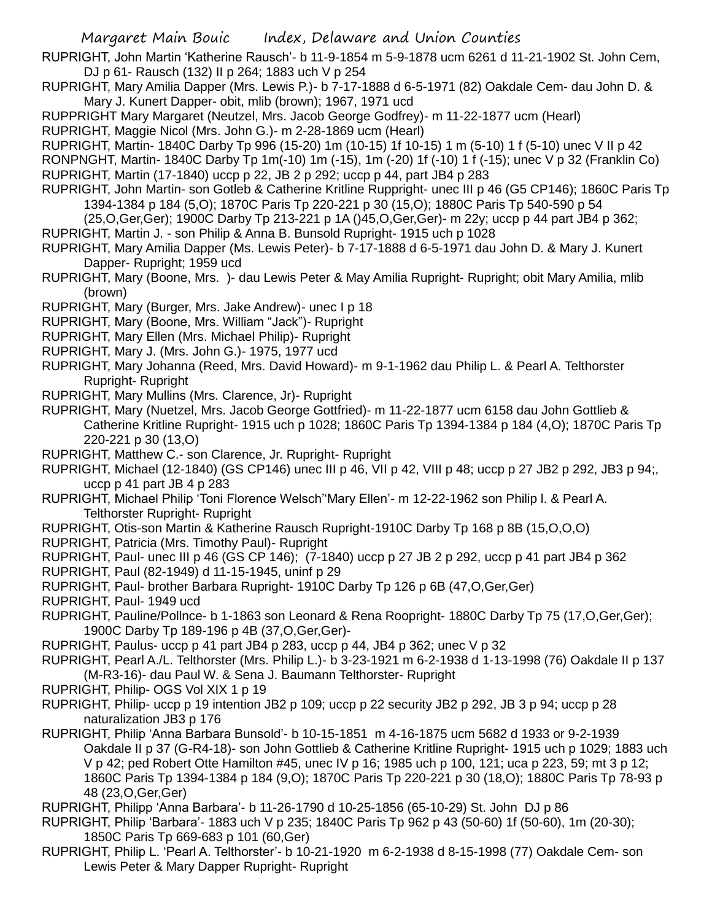RUPRIGHT, John Martin 'Katherine Rausch'- b 11-9-1854 m 5-9-1878 ucm 6261 d 11-21-1902 St. John Cem, DJ p 61- Rausch (132) II p 264; 1883 uch V p 254

RUPRIGHT, Mary Amilia Dapper (Mrs. Lewis P.)- b 7-17-1888 d 6-5-1971 (82) Oakdale Cem- dau John D. & Mary J. Kunert Dapper- obit, mlib (brown); 1967, 1971 ucd

RUPPRIGHT Mary Margaret (Neutzel, Mrs. Jacob George Godfrey)- m 11-22-1877 ucm (Hearl) RUPRIGHT, Maggie Nicol (Mrs. John G.)- m 2-28-1869 ucm (Hearl)

RUPRIGHT, Martin- 1840C Darby Tp 996 (15-20) 1m (10-15) 1f 10-15) 1 m (5-10) 1 f (5-10) unec V II p 42 RONPNGHT, Martin- 1840C Darby Tp 1m(-10) 1m (-15), 1m (-20) 1f (-10) 1 f (-15); unec V p 32 (Franklin Co) RUPRIGHT, Martin (17-1840) uccp p 22, JB 2 p 292; uccp p 44, part JB4 p 283

RUPRIGHT, John Martin- son Gotleb & Catherine Kritline Ruppright- unec III p 46 (G5 CP146); 1860C Paris Tp 1394-1384 p 184 (5,O); 1870C Paris Tp 220-221 p 30 (15,O); 1880C Paris Tp 540-590 p 54

(25,O,Ger,Ger); 1900C Darby Tp 213-221 p 1A ()45,O,Ger,Ger)- m 22y; uccp p 44 part JB4 p 362;

RUPRIGHT, Martin J. - son Philip & Anna B. Bunsold Rupright- 1915 uch p 1028

RUPRIGHT, Mary Amilia Dapper (Ms. Lewis Peter)- b 7-17-1888 d 6-5-1971 dau John D. & Mary J. Kunert Dapper- Rupright; 1959 ucd

RUPRIGHT, Mary (Boone, Mrs. )- dau Lewis Peter & May Amilia Rupright- Rupright; obit Mary Amilia, mlib (brown)

- RUPRIGHT, Mary (Burger, Mrs. Jake Andrew)- unec I p 18
- RUPRIGHT, Mary (Boone, Mrs. William "Jack")- Rupright
- RUPRIGHT, Mary Ellen (Mrs. Michael Philip)- Rupright
- RUPRIGHT, Mary J. (Mrs. John G.)- 1975, 1977 ucd
- RUPRIGHT, Mary Johanna (Reed, Mrs. David Howard)- m 9-1-1962 dau Philip L. & Pearl A. Telthorster Rupright- Rupright

RUPRIGHT, Mary Mullins (Mrs. Clarence, Jr)- Rupright

RUPRIGHT, Mary (Nuetzel, Mrs. Jacob George Gottfried)- m 11-22-1877 ucm 6158 dau John Gottlieb & Catherine Kritline Rupright- 1915 uch p 1028; 1860C Paris Tp 1394-1384 p 184 (4,O); 1870C Paris Tp 220-221 p 30 (13,O)

RUPRIGHT, Matthew C.- son Clarence, Jr. Rupright- Rupright

RUPRIGHT, Michael (12-1840) (GS CP146) unec III p 46, VII p 42, VIII p 48; uccp p 27 JB2 p 292, JB3 p 94;, uccp  $p$  41 part JB 4  $p$  283

RUPRIGHT, Michael Philip 'Toni Florence Welsch''Mary Ellen'- m 12-22-1962 son Philip l. & Pearl A. Telthorster Rupright- Rupright

RUPRIGHT, Otis-son Martin & Katherine Rausch Rupright-1910C Darby Tp 168 p 8B (15,O,O,O)

RUPRIGHT, Patricia (Mrs. Timothy Paul)- Rupright

RUPRIGHT, Paul- unec III p 46 (GS CP 146); (7-1840) uccp p 27 JB 2 p 292, uccp p 41 part JB4 p 362

RUPRIGHT, Paul (82-1949) d 11-15-1945, uninf p 29

RUPRIGHT, Paul- brother Barbara Rupright- 1910C Darby Tp 126 p 6B (47,O,Ger,Ger)

RUPRIGHT, Paul- 1949 ucd

RUPRIGHT, Pauline/Pollnce- b 1-1863 son Leonard & Rena Roopright- 1880C Darby Tp 75 (17,O,Ger,Ger); 1900C Darby Tp 189-196 p 4B (37,O,Ger,Ger)-

RUPRIGHT, Paulus- uccp p 41 part JB4 p 283, uccp p 44, JB4 p 362; unec V p 32

- RUPRIGHT, Pearl A./L. Telthorster (Mrs. Philip L.)- b 3-23-1921 m 6-2-1938 d 1-13-1998 (76) Oakdale II p 137 (M-R3-16)- dau Paul W. & Sena J. Baumann Telthorster- Rupright
- RUPRIGHT, Philip- OGS Vol XIX 1 p 19
- RUPRIGHT, Philip- uccp p 19 intention JB2 p 109; uccp p 22 security JB2 p 292, JB 3 p 94; uccp p 28 naturalization JB3 p 176
- RUPRIGHT, Philip 'Anna Barbara Bunsold'- b 10-15-1851 m 4-16-1875 ucm 5682 d 1933 or 9-2-1939 Oakdale II p 37 (G-R4-18)- son John Gottlieb & Catherine Kritline Rupright- 1915 uch p 1029; 1883 uch V p 42; ped Robert Otte Hamilton #45, unec IV p 16; 1985 uch p 100, 121; uca p 223, 59; mt 3 p 12; 1860C Paris Tp 1394-1384 p 184 (9,O); 1870C Paris Tp 220-221 p 30 (18,O); 1880C Paris Tp 78-93 p 48 (23,O,Ger,Ger)
- RUPRIGHT, Philipp 'Anna Barbara'- b 11-26-1790 d 10-25-1856 (65-10-29) St. John DJ p 86
- RUPRIGHT, Philip 'Barbara'- 1883 uch V p 235; 1840C Paris Tp 962 p 43 (50-60) 1f (50-60), 1m (20-30); 1850C Paris Tp 669-683 p 101 (60,Ger)
- RUPRIGHT, Philip L. 'Pearl A. Telthorster'- b 10-21-1920 m 6-2-1938 d 8-15-1998 (77) Oakdale Cem- son Lewis Peter & Mary Dapper Rupright- Rupright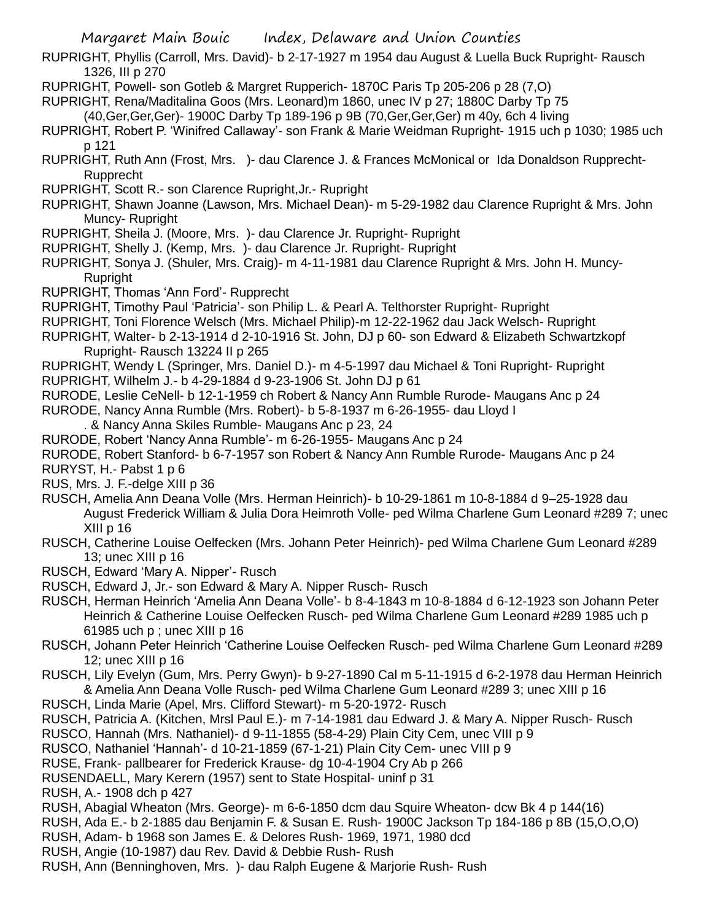- RUPRIGHT, Phyllis (Carroll, Mrs. David)- b 2-17-1927 m 1954 dau August & Luella Buck Rupright- Rausch 1326, III p 270
- RUPRIGHT, Powell- son Gotleb & Margret Rupperich- 1870C Paris Tp 205-206 p 28 (7,O)
- RUPRIGHT, Rena/Maditalina Goos (Mrs. Leonard)m 1860, unec IV p 27; 1880C Darby Tp 75
	- (40,Ger,Ger,Ger)- 1900C Darby Tp 189-196 p 9B (70,Ger,Ger,Ger) m 40y, 6ch 4 living
- RUPRIGHT, Robert P. 'Winifred Callaway'- son Frank & Marie Weidman Rupright- 1915 uch p 1030; 1985 uch p 121
- RUPRIGHT, Ruth Ann (Frost, Mrs. )- dau Clarence J. & Frances McMonical or Ida Donaldson Rupprecht-Rupprecht
- RUPRIGHT, Scott R.- son Clarence Rupright,Jr.- Rupright
- RUPRIGHT, Shawn Joanne (Lawson, Mrs. Michael Dean)- m 5-29-1982 dau Clarence Rupright & Mrs. John Muncy- Rupright
- RUPRIGHT, Sheila J. (Moore, Mrs. )- dau Clarence Jr. Rupright- Rupright
- RUPRIGHT, Shelly J. (Kemp, Mrs. )- dau Clarence Jr. Rupright- Rupright
- RUPRIGHT, Sonya J. (Shuler, Mrs. Craig)- m 4-11-1981 dau Clarence Rupright & Mrs. John H. Muncy-Rupright
- RUPRIGHT, Thomas 'Ann Ford'- Rupprecht
- RUPRIGHT, Timothy Paul 'Patricia'- son Philip L. & Pearl A. Telthorster Rupright- Rupright
- RUPRIGHT, Toni Florence Welsch (Mrs. Michael Philip)-m 12-22-1962 dau Jack Welsch- Rupright
- RUPRIGHT, Walter- b 2-13-1914 d 2-10-1916 St. John, DJ p 60- son Edward & Elizabeth Schwartzkopf Rupright- Rausch 13224 II p 265
- RUPRIGHT, Wendy L (Springer, Mrs. Daniel D.)- m 4-5-1997 dau Michael & Toni Rupright- Rupright
- RUPRIGHT, Wilhelm J.- b 4-29-1884 d 9-23-1906 St. John DJ p 61
- RURODE, Leslie CeNell- b 12-1-1959 ch Robert & Nancy Ann Rumble Rurode- Maugans Anc p 24
- RURODE, Nancy Anna Rumble (Mrs. Robert)- b 5-8-1937 m 6-26-1955- dau Lloyd I
	- . & Nancy Anna Skiles Rumble- Maugans Anc p 23, 24
- RURODE, Robert 'Nancy Anna Rumble'- m 6-26-1955- Maugans Anc p 24
- RURODE, Robert Stanford- b 6-7-1957 son Robert & Nancy Ann Rumble Rurode- Maugans Anc p 24
- RURYST, H.- Pabst 1 p 6
- RUS, Mrs. J. F.-delge XIII p 36
- RUSCH, Amelia Ann Deana Volle (Mrs. Herman Heinrich)- b 10-29-1861 m 10-8-1884 d 9–25-1928 dau August Frederick William & Julia Dora Heimroth Volle- ped Wilma Charlene Gum Leonard #289 7; unec XIII p 16
- RUSCH, Catherine Louise Oelfecken (Mrs. Johann Peter Heinrich)- ped Wilma Charlene Gum Leonard #289 13; unec XIII p 16
- RUSCH, Edward 'Mary A. Nipper'- Rusch
- RUSCH, Edward J, Jr.- son Edward & Mary A. Nipper Rusch- Rusch
- RUSCH, Herman Heinrich 'Amelia Ann Deana Volle'- b 8-4-1843 m 10-8-1884 d 6-12-1923 son Johann Peter Heinrich & Catherine Louise Oelfecken Rusch- ped Wilma Charlene Gum Leonard #289 1985 uch p 61985 uch p ; unec XIII p 16
- RUSCH, Johann Peter Heinrich 'Catherine Louise Oelfecken Rusch- ped Wilma Charlene Gum Leonard #289 12; unec XIII p 16
- RUSCH, Lily Evelyn (Gum, Mrs. Perry Gwyn)- b 9-27-1890 Cal m 5-11-1915 d 6-2-1978 dau Herman Heinrich & Amelia Ann Deana Volle Rusch- ped Wilma Charlene Gum Leonard #289 3; unec XIII p 16
- RUSCH, Linda Marie (Apel, Mrs. Clifford Stewart)- m 5-20-1972- Rusch
- RUSCH, Patricia A. (Kitchen, Mrsl Paul E.)- m 7-14-1981 dau Edward J. & Mary A. Nipper Rusch- Rusch
- RUSCO, Hannah (Mrs. Nathaniel)- d 9-11-1855 (58-4-29) Plain City Cem, unec VIII p 9
- RUSCO, Nathaniel 'Hannah'- d 10-21-1859 (67-1-21) Plain City Cem- unec VIII p 9
- RUSE, Frank- pallbearer for Frederick Krause- dg 10-4-1904 Cry Ab p 266
- RUSENDAELL, Mary Kerern (1957) sent to State Hospital- uninf p 31
- RUSH, A.- 1908 dch p 427
- RUSH, Abagial Wheaton (Mrs. George)- m 6-6-1850 dcm dau Squire Wheaton- dcw Bk 4 p 144(16)
- RUSH, Ada E.- b 2-1885 dau Benjamin F. & Susan E. Rush- 1900C Jackson Tp 184-186 p 8B (15,O,O,O)
- RUSH, Adam- b 1968 son James E. & Delores Rush- 1969, 1971, 1980 dcd
- RUSH, Angie (10-1987) dau Rev. David & Debbie Rush- Rush
- RUSH, Ann (Benninghoven, Mrs. )- dau Ralph Eugene & Marjorie Rush- Rush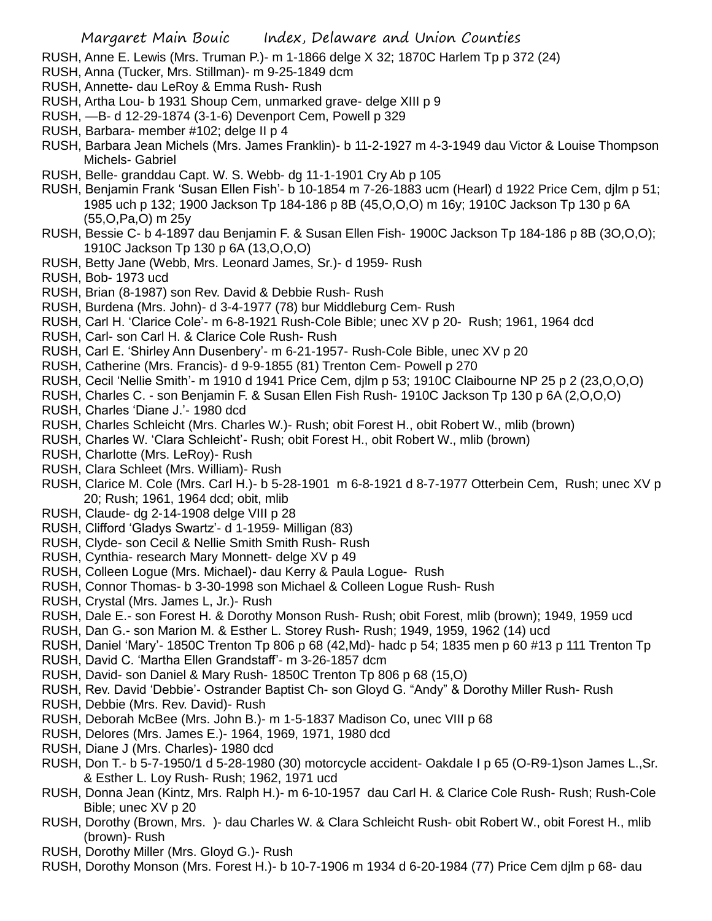RUSH, Anne E. Lewis (Mrs. Truman P.)- m 1-1866 delge X 32; 1870C Harlem Tp p 372 (24)

- RUSH, Anna (Tucker, Mrs. Stillman)- m 9-25-1849 dcm
- RUSH, Annette- dau LeRoy & Emma Rush- Rush
- RUSH, Artha Lou- b 1931 Shoup Cem, unmarked grave- delge XIII p 9
- RUSH, —B- d 12-29-1874 (3-1-6) Devenport Cem, Powell p 329
- RUSH, Barbara- member #102; delge II p 4
- RUSH, Barbara Jean Michels (Mrs. James Franklin)- b 11-2-1927 m 4-3-1949 dau Victor & Louise Thompson Michels- Gabriel
- RUSH, Belle- granddau Capt. W. S. Webb- dg 11-1-1901 Cry Ab p 105
- RUSH, Benjamin Frank 'Susan Ellen Fish'- b 10-1854 m 7-26-1883 ucm (Hearl) d 1922 Price Cem, djlm p 51; 1985 uch p 132; 1900 Jackson Tp 184-186 p 8B (45,O,O,O) m 16y; 1910C Jackson Tp 130 p 6A (55,O,Pa,O) m 25y
- RUSH, Bessie C- b 4-1897 dau Benjamin F. & Susan Ellen Fish- 1900C Jackson Tp 184-186 p 8B (3O,O,O); 1910C Jackson Tp 130 p 6A (13,O,O,O)
- RUSH, Betty Jane (Webb, Mrs. Leonard James, Sr.)- d 1959- Rush

RUSH, Bob- 1973 ucd

- RUSH, Brian (8-1987) son Rev. David & Debbie Rush- Rush
- RUSH, Burdena (Mrs. John)- d 3-4-1977 (78) bur Middleburg Cem- Rush
- RUSH, Carl H. 'Clarice Cole'- m 6-8-1921 Rush-Cole Bible; unec XV p 20- Rush; 1961, 1964 dcd
- RUSH, Carl- son Carl H. & Clarice Cole Rush- Rush
- RUSH, Carl E. 'Shirley Ann Dusenbery'- m 6-21-1957- Rush-Cole Bible, unec XV p 20
- RUSH, Catherine (Mrs. Francis)- d 9-9-1855 (81) Trenton Cem- Powell p 270
- RUSH, Cecil 'Nellie Smith'- m 1910 d 1941 Price Cem, djlm p 53; 1910C Claibourne NP 25 p 2 (23,O,O,O)
- RUSH, Charles C. son Benjamin F. & Susan Ellen Fish Rush- 1910C Jackson Tp 130 p 6A (2,O,O,O)
- RUSH, Charles 'Diane J.'- 1980 dcd
- RUSH, Charles Schleicht (Mrs. Charles W.)- Rush; obit Forest H., obit Robert W., mlib (brown)
- RUSH, Charles W. 'Clara Schleicht'- Rush; obit Forest H., obit Robert W., mlib (brown)
- RUSH, Charlotte (Mrs. LeRoy)- Rush
- RUSH, Clara Schleet (Mrs. William)- Rush
- RUSH, Clarice M. Cole (Mrs. Carl H.)- b 5-28-1901 m 6-8-1921 d 8-7-1977 Otterbein Cem, Rush; unec XV p 20; Rush; 1961, 1964 dcd; obit, mlib
- RUSH, Claude- dg 2-14-1908 delge VIII p 28
- RUSH, Clifford 'Gladys Swartz'- d 1-1959- Milligan (83)
- RUSH, Clyde- son Cecil & Nellie Smith Smith Rush- Rush
- RUSH, Cynthia- research Mary Monnett- delge XV p 49
- RUSH, Colleen Logue (Mrs. Michael)- dau Kerry & Paula Logue- Rush
- RUSH, Connor Thomas- b 3-30-1998 son Michael & Colleen Logue Rush- Rush
- RUSH, Crystal (Mrs. James L, Jr.)- Rush
- RUSH, Dale E.- son Forest H. & Dorothy Monson Rush- Rush; obit Forest, mlib (brown); 1949, 1959 ucd
- RUSH, Dan G.- son Marion M. & Esther L. Storey Rush- Rush; 1949, 1959, 1962 (14) ucd
- RUSH, Daniel 'Mary'- 1850C Trenton Tp 806 p 68 (42,Md)- hadc p 54; 1835 men p 60 #13 p 111 Trenton Tp RUSH, David C. 'Martha Ellen Grandstaff'- m 3-26-1857 dcm
- RUSH, David- son Daniel & Mary Rush- 1850C Trenton Tp 806 p 68 (15,O)
- RUSH, Rev. David 'Debbie'- Ostrander Baptist Ch- son Gloyd G. "Andy" & Dorothy Miller Rush- Rush
- RUSH, Debbie (Mrs. Rev. David)- Rush
- RUSH, Deborah McBee (Mrs. John B.)- m 1-5-1837 Madison Co, unec VIII p 68
- RUSH, Delores (Mrs. James E.)- 1964, 1969, 1971, 1980 dcd
- RUSH, Diane J (Mrs. Charles)- 1980 dcd
- RUSH, Don T.- b 5-7-1950/1 d 5-28-1980 (30) motorcycle accident- Oakdale I p 65 (O-R9-1)son James L.,Sr. & Esther L. Loy Rush- Rush; 1962, 1971 ucd
- RUSH, Donna Jean (Kintz, Mrs. Ralph H.)- m 6-10-1957 dau Carl H. & Clarice Cole Rush- Rush; Rush-Cole Bible; unec XV p 20
- RUSH, Dorothy (Brown, Mrs. )- dau Charles W. & Clara Schleicht Rush- obit Robert W., obit Forest H., mlib (brown)- Rush
- RUSH, Dorothy Miller (Mrs. Gloyd G.)- Rush
- RUSH, Dorothy Monson (Mrs. Forest H.)- b 10-7-1906 m 1934 d 6-20-1984 (77) Price Cem djlm p 68- dau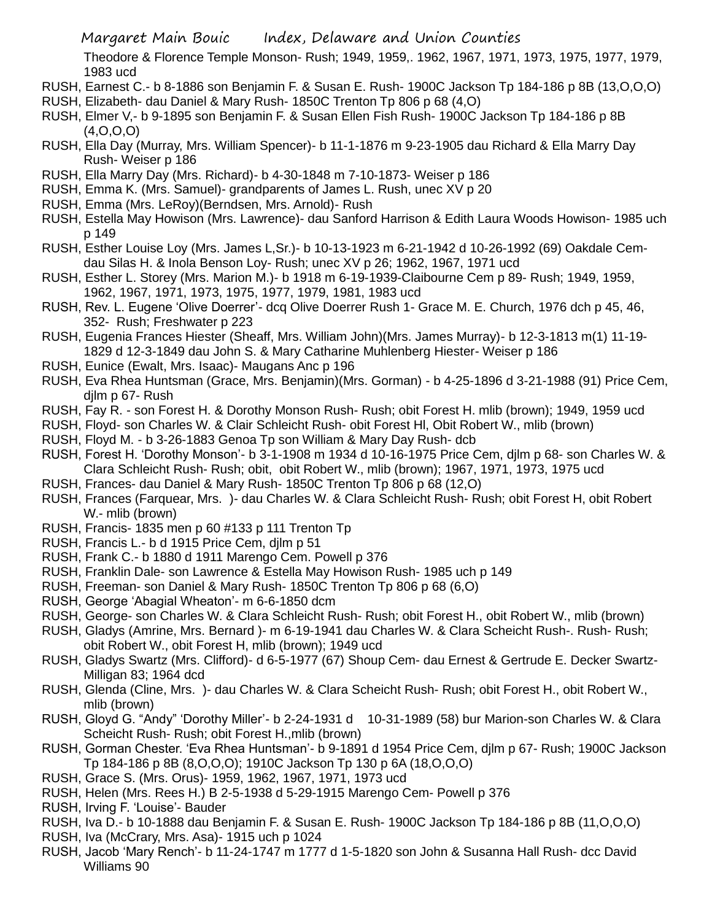Theodore & Florence Temple Monson- Rush; 1949, 1959,. 1962, 1967, 1971, 1973, 1975, 1977, 1979, 1983 ucd

- RUSH, Earnest C.- b 8-1886 son Benjamin F. & Susan E. Rush- 1900C Jackson Tp 184-186 p 8B (13,O,O,O)
- RUSH, Elizabeth- dau Daniel & Mary Rush- 1850C Trenton Tp 806 p 68 (4,O)
- RUSH, Elmer V,- b 9-1895 son Benjamin F. & Susan Ellen Fish Rush- 1900C Jackson Tp 184-186 p 8B (4,O,O,O)
- RUSH, Ella Day (Murray, Mrs. William Spencer)- b 11-1-1876 m 9-23-1905 dau Richard & Ella Marry Day Rush- Weiser p 186
- RUSH, Ella Marry Day (Mrs. Richard)- b 4-30-1848 m 7-10-1873- Weiser p 186
- RUSH, Emma K. (Mrs. Samuel)- grandparents of James L. Rush, unec XV p 20
- RUSH, Emma (Mrs. LeRoy)(Berndsen, Mrs. Arnold)- Rush
- RUSH, Estella May Howison (Mrs. Lawrence)- dau Sanford Harrison & Edith Laura Woods Howison- 1985 uch p 149
- RUSH, Esther Louise Loy (Mrs. James L,Sr.)- b 10-13-1923 m 6-21-1942 d 10-26-1992 (69) Oakdale Cemdau Silas H. & Inola Benson Loy- Rush; unec XV p 26; 1962, 1967, 1971 ucd
- RUSH, Esther L. Storey (Mrs. Marion M.)- b 1918 m 6-19-1939-Claibourne Cem p 89- Rush; 1949, 1959, 1962, 1967, 1971, 1973, 1975, 1977, 1979, 1981, 1983 ucd
- RUSH, Rev. L. Eugene 'Olive Doerrer'- dcq Olive Doerrer Rush 1- Grace M. E. Church, 1976 dch p 45, 46, 352- Rush; Freshwater p 223
- RUSH, Eugenia Frances Hiester (Sheaff, Mrs. William John)(Mrs. James Murray)- b 12-3-1813 m(1) 11-19- 1829 d 12-3-1849 dau John S. & Mary Catharine Muhlenberg Hiester- Weiser p 186
- RUSH, Eunice (Ewalt, Mrs. Isaac)- Maugans Anc p 196
- RUSH, Eva Rhea Huntsman (Grace, Mrs. Benjamin)(Mrs. Gorman) b 4-25-1896 d 3-21-1988 (91) Price Cem, djlm p 67- Rush
- RUSH, Fay R. son Forest H. & Dorothy Monson Rush- Rush; obit Forest H. mlib (brown); 1949, 1959 ucd
- RUSH, Floyd- son Charles W. & Clair Schleicht Rush- obit Forest Hl, Obit Robert W., mlib (brown)
- RUSH, Floyd M. b 3-26-1883 Genoa Tp son William & Mary Day Rush- dcb
- RUSH, Forest H. 'Dorothy Monson'- b 3-1-1908 m 1934 d 10-16-1975 Price Cem, djlm p 68- son Charles W. & Clara Schleicht Rush- Rush; obit, obit Robert W., mlib (brown); 1967, 1971, 1973, 1975 ucd
- RUSH, Frances- dau Daniel & Mary Rush- 1850C Trenton Tp 806 p 68 (12,O)
- RUSH, Frances (Farquear, Mrs. )- dau Charles W. & Clara Schleicht Rush- Rush; obit Forest H, obit Robert W.- mlib (brown)
- RUSH, Francis- 1835 men p 60 #133 p 111 Trenton Tp
- RUSH, Francis L.- b d 1915 Price Cem, djlm p 51
- RUSH, Frank C.- b 1880 d 1911 Marengo Cem. Powell p 376
- RUSH, Franklin Dale- son Lawrence & Estella May Howison Rush- 1985 uch p 149
- RUSH, Freeman- son Daniel & Mary Rush- 1850C Trenton Tp 806 p 68 (6,O)
- RUSH, George 'Abagial Wheaton'- m 6-6-1850 dcm
- RUSH, George- son Charles W. & Clara Schleicht Rush- Rush; obit Forest H., obit Robert W., mlib (brown)
- RUSH, Gladys (Amrine, Mrs. Bernard )- m 6-19-1941 dau Charles W. & Clara Scheicht Rush-. Rush- Rush; obit Robert W., obit Forest H, mlib (brown); 1949 ucd
- RUSH, Gladys Swartz (Mrs. Clifford)- d 6-5-1977 (67) Shoup Cem- dau Ernest & Gertrude E. Decker Swartz-Milligan 83; 1964 dcd
- RUSH, Glenda (Cline, Mrs. )- dau Charles W. & Clara Scheicht Rush- Rush; obit Forest H., obit Robert W., mlib (brown)
- RUSH, Gloyd G. "Andy" 'Dorothy Miller'- b 2-24-1931 d 10-31-1989 (58) bur Marion-son Charles W. & Clara Scheicht Rush- Rush; obit Forest H.,mlib (brown)
- RUSH, Gorman Chester. 'Eva Rhea Huntsman'- b 9-1891 d 1954 Price Cem, djlm p 67- Rush; 1900C Jackson Tp 184-186 p 8B (8,O,O,O); 1910C Jackson Tp 130 p 6A (18,O,O,O)
- RUSH, Grace S. (Mrs. Orus)- 1959, 1962, 1967, 1971, 1973 ucd
- RUSH, Helen (Mrs. Rees H.) B 2-5-1938 d 5-29-1915 Marengo Cem- Powell p 376
- RUSH, Irving F. 'Louise'- Bauder
- RUSH, Iva D.- b 10-1888 dau Benjamin F. & Susan E. Rush- 1900C Jackson Tp 184-186 p 8B (11,O,O,O)
- RUSH, Iva (McCrary, Mrs. Asa)- 1915 uch p 1024
- RUSH, Jacob 'Mary Rench'- b 11-24-1747 m 1777 d 1-5-1820 son John & Susanna Hall Rush- dcc David Williams 90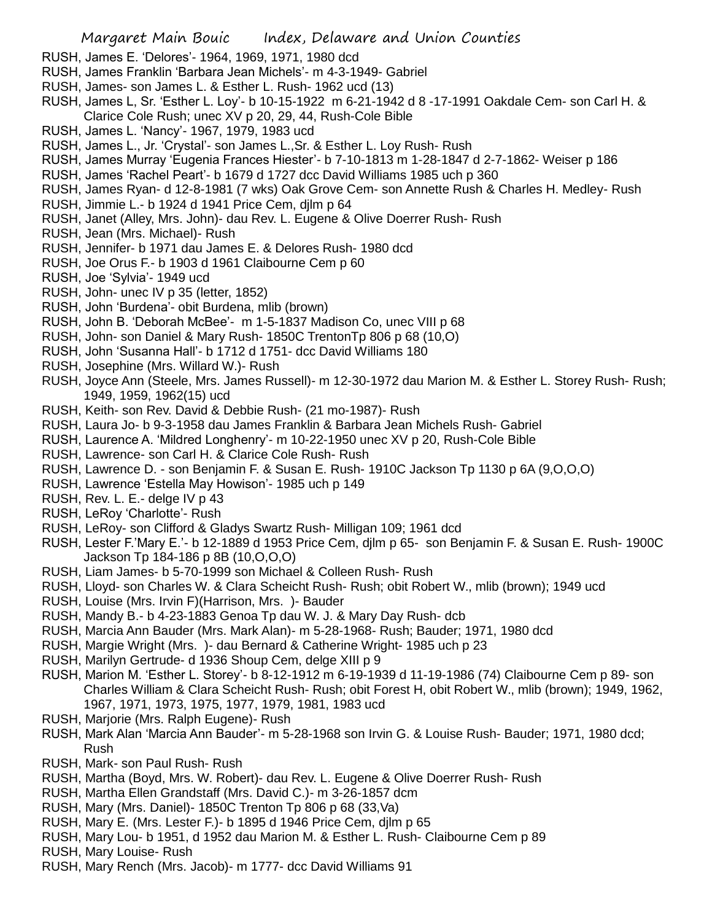- RUSH, James E. 'Delores'- 1964, 1969, 1971, 1980 dcd
- RUSH, James Franklin 'Barbara Jean Michels'- m 4-3-1949- Gabriel
- RUSH, James- son James L. & Esther L. Rush- 1962 ucd (13)
- RUSH, James L, Sr. 'Esther L. Loy'- b 10-15-1922 m 6-21-1942 d 8 -17-1991 Oakdale Cem- son Carl H. & Clarice Cole Rush; unec XV p 20, 29, 44, Rush-Cole Bible
- RUSH, James L. 'Nancy'- 1967, 1979, 1983 ucd
- RUSH, James L., Jr. 'Crystal'- son James L.,Sr. & Esther L. Loy Rush- Rush
- RUSH, James Murray 'Eugenia Frances Hiester'- b 7-10-1813 m 1-28-1847 d 2-7-1862- Weiser p 186
- RUSH, James 'Rachel Peart'- b 1679 d 1727 dcc David Williams 1985 uch p 360
- RUSH, James Ryan- d 12-8-1981 (7 wks) Oak Grove Cem- son Annette Rush & Charles H. Medley- Rush
- RUSH, Jimmie L.- b 1924 d 1941 Price Cem, djlm p 64
- RUSH, Janet (Alley, Mrs. John)- dau Rev. L. Eugene & Olive Doerrer Rush- Rush
- RUSH, Jean (Mrs. Michael)- Rush
- RUSH, Jennifer- b 1971 dau James E. & Delores Rush- 1980 dcd
- RUSH, Joe Orus F.- b 1903 d 1961 Claibourne Cem p 60
- RUSH, Joe 'Sylvia'- 1949 ucd
- RUSH, John- unec IV p 35 (letter, 1852)
- RUSH, John 'Burdena'- obit Burdena, mlib (brown)
- RUSH, John B. 'Deborah McBee'- m 1-5-1837 Madison Co, unec VIII p 68
- RUSH, John- son Daniel & Mary Rush- 1850C TrentonTp 806 p 68 (10,O)
- RUSH, John 'Susanna Hall'- b 1712 d 1751- dcc David Williams 180
- RUSH, Josephine (Mrs. Willard W.)- Rush
- RUSH, Joyce Ann (Steele, Mrs. James Russell)- m 12-30-1972 dau Marion M. & Esther L. Storey Rush- Rush; 1949, 1959, 1962(15) ucd
- RUSH, Keith- son Rev. David & Debbie Rush- (21 mo-1987)- Rush
- RUSH, Laura Jo- b 9-3-1958 dau James Franklin & Barbara Jean Michels Rush- Gabriel
- RUSH, Laurence A. 'Mildred Longhenry'- m 10-22-1950 unec XV p 20, Rush-Cole Bible
- RUSH, Lawrence- son Carl H. & Clarice Cole Rush- Rush
- RUSH, Lawrence D. son Benjamin F. & Susan E. Rush- 1910C Jackson Tp 1130 p 6A (9,O,O,O)
- RUSH, Lawrence 'Estella May Howison'- 1985 uch p 149
- RUSH, Rev. L. E.- delge IV p 43
- RUSH, LeRoy 'Charlotte'- Rush
- RUSH, LeRoy- son Clifford & Gladys Swartz Rush- Milligan 109; 1961 dcd
- RUSH, Lester F.'Mary E.'- b 12-1889 d 1953 Price Cem, djlm p 65- son Benjamin F. & Susan E. Rush- 1900C Jackson Tp 184-186 p 8B (10,O,O,O)
- RUSH, Liam James- b 5-70-1999 son Michael & Colleen Rush- Rush
- RUSH, Lloyd- son Charles W. & Clara Scheicht Rush- Rush; obit Robert W., mlib (brown); 1949 ucd
- RUSH, Louise (Mrs. Irvin F)(Harrison, Mrs. )- Bauder
- RUSH, Mandy B.- b 4-23-1883 Genoa Tp dau W. J. & Mary Day Rush- dcb
- RUSH, Marcia Ann Bauder (Mrs. Mark Alan)- m 5-28-1968- Rush; Bauder; 1971, 1980 dcd
- RUSH, Margie Wright (Mrs. )- dau Bernard & Catherine Wright- 1985 uch p 23
- RUSH, Marilyn Gertrude- d 1936 Shoup Cem, delge XIII p 9
- RUSH, Marion M. 'Esther L. Storey'- b 8-12-1912 m 6-19-1939 d 11-19-1986 (74) Claibourne Cem p 89- son Charles William & Clara Scheicht Rush- Rush; obit Forest H, obit Robert W., mlib (brown); 1949, 1962, 1967, 1971, 1973, 1975, 1977, 1979, 1981, 1983 ucd
- RUSH, Marjorie (Mrs. Ralph Eugene)- Rush
- RUSH, Mark Alan 'Marcia Ann Bauder'- m 5-28-1968 son Irvin G. & Louise Rush- Bauder; 1971, 1980 dcd; Rush
- RUSH, Mark- son Paul Rush- Rush
- RUSH, Martha (Boyd, Mrs. W. Robert)- dau Rev. L. Eugene & Olive Doerrer Rush- Rush
- RUSH, Martha Ellen Grandstaff (Mrs. David C.)- m 3-26-1857 dcm
- RUSH, Mary (Mrs. Daniel)- 1850C Trenton Tp 806 p 68 (33,Va)
- RUSH, Mary E. (Mrs. Lester F.)- b 1895 d 1946 Price Cem, djlm p 65
- RUSH, Mary Lou- b 1951, d 1952 dau Marion M. & Esther L. Rush- Claibourne Cem p 89
- RUSH, Mary Louise- Rush
- RUSH, Mary Rench (Mrs. Jacob)- m 1777- dcc David Williams 91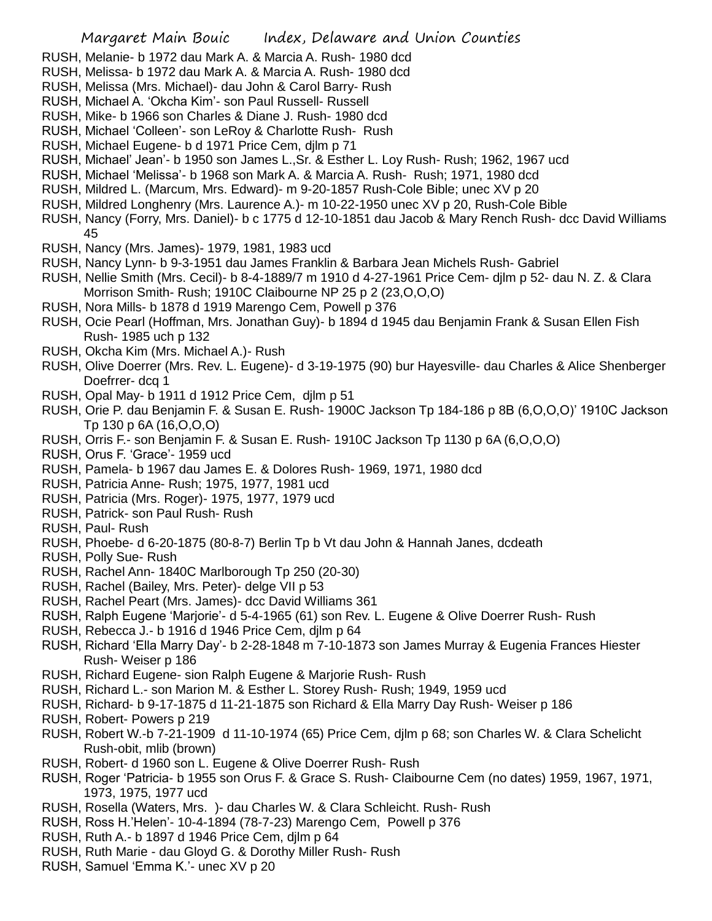- RUSH, Melanie- b 1972 dau Mark A. & Marcia A. Rush- 1980 dcd
- RUSH, Melissa- b 1972 dau Mark A. & Marcia A. Rush- 1980 dcd
- RUSH, Melissa (Mrs. Michael)- dau John & Carol Barry- Rush
- RUSH, Michael A. 'Okcha Kim'- son Paul Russell- Russell
- RUSH, Mike- b 1966 son Charles & Diane J. Rush- 1980 dcd
- RUSH, Michael 'Colleen'- son LeRoy & Charlotte Rush- Rush
- RUSH, Michael Eugene- b d 1971 Price Cem, djlm p 71
- RUSH, Michael' Jean'- b 1950 son James L.,Sr. & Esther L. Loy Rush- Rush; 1962, 1967 ucd
- RUSH, Michael 'Melissa'- b 1968 son Mark A. & Marcia A. Rush- Rush; 1971, 1980 dcd
- RUSH, Mildred L. (Marcum, Mrs. Edward)- m 9-20-1857 Rush-Cole Bible; unec XV p 20
- RUSH, Mildred Longhenry (Mrs. Laurence A.)- m 10-22-1950 unec XV p 20, Rush-Cole Bible
- RUSH, Nancy (Forry, Mrs. Daniel)- b c 1775 d 12-10-1851 dau Jacob & Mary Rench Rush- dcc David Williams 45
- RUSH, Nancy (Mrs. James)- 1979, 1981, 1983 ucd
- RUSH, Nancy Lynn- b 9-3-1951 dau James Franklin & Barbara Jean Michels Rush- Gabriel
- RUSH, Nellie Smith (Mrs. Cecil)- b 8-4-1889/7 m 1910 d 4-27-1961 Price Cem- djlm p 52- dau N. Z. & Clara Morrison Smith- Rush; 1910C Claibourne NP 25 p 2 (23,O,O,O)
- RUSH, Nora Mills- b 1878 d 1919 Marengo Cem, Powell p 376
- RUSH, Ocie Pearl (Hoffman, Mrs. Jonathan Guy)- b 1894 d 1945 dau Benjamin Frank & Susan Ellen Fish Rush- 1985 uch p 132
- RUSH, Okcha Kim (Mrs. Michael A.)- Rush
- RUSH, Olive Doerrer (Mrs. Rev. L. Eugene)- d 3-19-1975 (90) bur Hayesville- dau Charles & Alice Shenberger Doefrrer- dcq 1
- RUSH, Opal May- b 1911 d 1912 Price Cem, djlm p 51
- RUSH, Orie P. dau Benjamin F. & Susan E. Rush- 1900C Jackson Tp 184-186 p 8B (6,O,O,O)' 1910C Jackson Tp 130 p 6A (16,O,O,O)
- RUSH, Orris F.- son Benjamin F. & Susan E. Rush- 1910C Jackson Tp 1130 p 6A (6,O,O,O)
- RUSH, Orus F. 'Grace'- 1959 ucd
- RUSH, Pamela- b 1967 dau James E. & Dolores Rush- 1969, 1971, 1980 dcd
- RUSH, Patricia Anne- Rush; 1975, 1977, 1981 ucd
- RUSH, Patricia (Mrs. Roger)- 1975, 1977, 1979 ucd
- RUSH, Patrick- son Paul Rush- Rush
- RUSH, Paul- Rush
- RUSH, Phoebe- d 6-20-1875 (80-8-7) Berlin Tp b Vt dau John & Hannah Janes, dcdeath
- RUSH, Polly Sue- Rush
- RUSH, Rachel Ann- 1840C Marlborough Tp 250 (20-30)
- RUSH, Rachel (Bailey, Mrs. Peter)- delge VII p 53
- RUSH, Rachel Peart (Mrs. James)- dcc David Williams 361
- RUSH, Ralph Eugene 'Marjorie'- d 5-4-1965 (61) son Rev. L. Eugene & Olive Doerrer Rush- Rush
- RUSH, Rebecca J.- b 1916 d 1946 Price Cem, djlm p 64
- RUSH, Richard 'Ella Marry Day'- b 2-28-1848 m 7-10-1873 son James Murray & Eugenia Frances Hiester Rush- Weiser p 186
- RUSH, Richard Eugene- sion Ralph Eugene & Marjorie Rush- Rush
- RUSH, Richard L.- son Marion M. & Esther L. Storey Rush- Rush; 1949, 1959 ucd
- RUSH, Richard- b 9-17-1875 d 11-21-1875 son Richard & Ella Marry Day Rush- Weiser p 186
- RUSH, Robert- Powers p 219
- RUSH, Robert W.-b 7-21-1909 d 11-10-1974 (65) Price Cem, djlm p 68; son Charles W. & Clara Schelicht Rush-obit, mlib (brown)
- RUSH, Robert- d 1960 son L. Eugene & Olive Doerrer Rush- Rush
- RUSH, Roger 'Patricia- b 1955 son Orus F. & Grace S. Rush- Claibourne Cem (no dates) 1959, 1967, 1971, 1973, 1975, 1977 ucd
- RUSH, Rosella (Waters, Mrs. )- dau Charles W. & Clara Schleicht. Rush- Rush
- RUSH, Ross H.'Helen'- 10-4-1894 (78-7-23) Marengo Cem, Powell p 376
- RUSH, Ruth A.- b 1897 d 1946 Price Cem, djlm p 64
- RUSH, Ruth Marie dau Gloyd G. & Dorothy Miller Rush- Rush
- RUSH, Samuel 'Emma K.'- unec XV p 20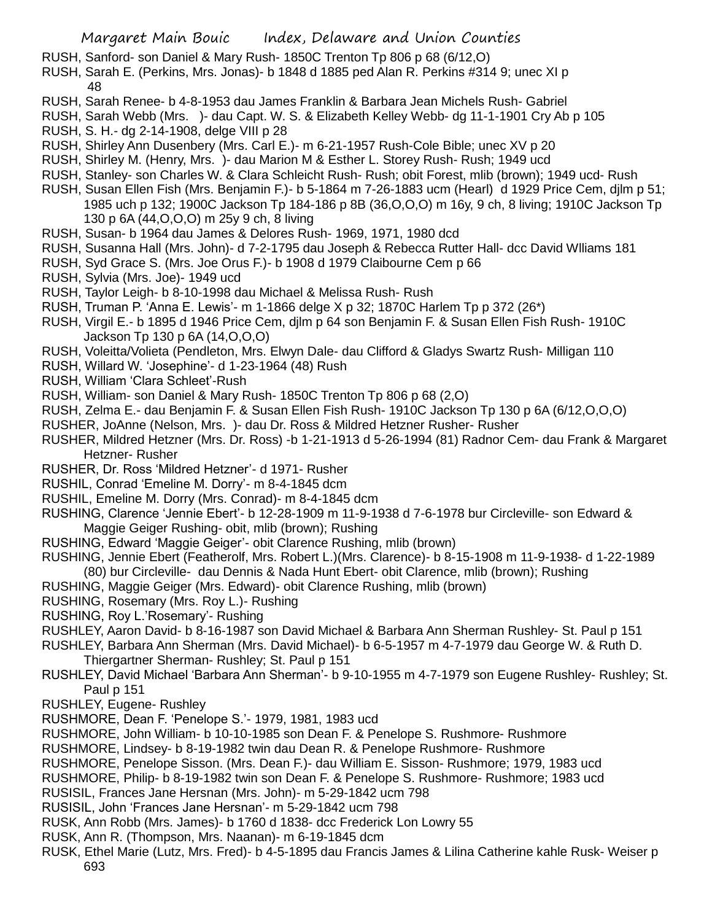- RUSH, Sanford- son Daniel & Mary Rush- 1850C Trenton Tp 806 p 68 (6/12,O)
- RUSH, Sarah E. (Perkins, Mrs. Jonas)- b 1848 d 1885 ped Alan R. Perkins #314 9; unec XI p 48
- RUSH, Sarah Renee- b 4-8-1953 dau James Franklin & Barbara Jean Michels Rush- Gabriel
- RUSH, Sarah Webb (Mrs. )- dau Capt. W. S. & Elizabeth Kelley Webb- dg 11-1-1901 Cry Ab p 105
- RUSH, S. H.- dg 2-14-1908, delge VIII p 28
- RUSH, Shirley Ann Dusenbery (Mrs. Carl E.)- m 6-21-1957 Rush-Cole Bible; unec XV p 20
- RUSH, Shirley M. (Henry, Mrs. )- dau Marion M & Esther L. Storey Rush- Rush; 1949 ucd
- RUSH, Stanley- son Charles W. & Clara Schleicht Rush- Rush; obit Forest, mlib (brown); 1949 ucd- Rush
- RUSH, Susan Ellen Fish (Mrs. Benjamin F.)- b 5-1864 m 7-26-1883 ucm (Hearl) d 1929 Price Cem, djlm p 51; 1985 uch p 132; 1900C Jackson Tp 184-186 p 8B (36,O,O,O) m 16y, 9 ch, 8 living; 1910C Jackson Tp 130 p 6A (44,O,O,O) m 25y 9 ch, 8 living
- RUSH, Susan- b 1964 dau James & Delores Rush- 1969, 1971, 1980 dcd
- RUSH, Susanna Hall (Mrs. John)- d 7-2-1795 dau Joseph & Rebecca Rutter Hall- dcc David Wlliams 181
- RUSH, Syd Grace S. (Mrs. Joe Orus F.)- b 1908 d 1979 Claibourne Cem p 66
- RUSH, Sylvia (Mrs. Joe)- 1949 ucd
- RUSH, Taylor Leigh- b 8-10-1998 dau Michael & Melissa Rush- Rush
- RUSH, Truman P. 'Anna E. Lewis'- m 1-1866 delge X p 32; 1870C Harlem Tp p 372 (26\*)
- RUSH, Virgil E.- b 1895 d 1946 Price Cem, djlm p 64 son Benjamin F. & Susan Ellen Fish Rush- 1910C Jackson Tp 130 p 6A (14,O,O,O)
- RUSH, Voleitta/Volieta (Pendleton, Mrs. Elwyn Dale- dau Clifford & Gladys Swartz Rush- Milligan 110
- RUSH, Willard W. 'Josephine'- d 1-23-1964 (48) Rush
- RUSH, William 'Clara Schleet'-Rush
- RUSH, William- son Daniel & Mary Rush- 1850C Trenton Tp 806 p 68 (2,O)
- RUSH, Zelma E.- dau Benjamin F. & Susan Ellen Fish Rush- 1910C Jackson Tp 130 p 6A (6/12,O,O,O)
- RUSHER, JoAnne (Nelson, Mrs. )- dau Dr. Ross & Mildred Hetzner Rusher- Rusher
- RUSHER, Mildred Hetzner (Mrs. Dr. Ross) -b 1-21-1913 d 5-26-1994 (81) Radnor Cem- dau Frank & Margaret Hetzner- Rusher
- RUSHER, Dr. Ross 'Mildred Hetzner'- d 1971- Rusher
- RUSHIL, Conrad 'Emeline M. Dorry'- m 8-4-1845 dcm
- RUSHIL, Emeline M. Dorry (Mrs. Conrad)- m 8-4-1845 dcm
- RUSHING, Clarence 'Jennie Ebert'- b 12-28-1909 m 11-9-1938 d 7-6-1978 bur Circleville- son Edward & Maggie Geiger Rushing- obit, mlib (brown); Rushing
- RUSHING, Edward 'Maggie Geiger'- obit Clarence Rushing, mlib (brown)
- RUSHING, Jennie Ebert (Featherolf, Mrs. Robert L.)(Mrs. Clarence)- b 8-15-1908 m 11-9-1938- d 1-22-1989 (80) bur Circleville- dau Dennis & Nada Hunt Ebert- obit Clarence, mlib (brown); Rushing
- RUSHING, Maggie Geiger (Mrs. Edward)- obit Clarence Rushing, mlib (brown)
- RUSHING, Rosemary (Mrs. Roy L.)- Rushing
- RUSHING, Roy L.'Rosemary'- Rushing
- RUSHLEY, Aaron David- b 8-16-1987 son David Michael & Barbara Ann Sherman Rushley- St. Paul p 151
- RUSHLEY, Barbara Ann Sherman (Mrs. David Michael)- b 6-5-1957 m 4-7-1979 dau George W. & Ruth D. Thiergartner Sherman- Rushley; St. Paul p 151
- RUSHLEY, David Michael 'Barbara Ann Sherman'- b 9-10-1955 m 4-7-1979 son Eugene Rushley- Rushley; St. Paul p 151
- RUSHLEY, Eugene- Rushley
- RUSHMORE, Dean F. 'Penelope S.'- 1979, 1981, 1983 ucd
- RUSHMORE, John William- b 10-10-1985 son Dean F. & Penelope S. Rushmore- Rushmore
- RUSHMORE, Lindsey- b 8-19-1982 twin dau Dean R. & Penelope Rushmore- Rushmore
- RUSHMORE, Penelope Sisson. (Mrs. Dean F.)- dau William E. Sisson- Rushmore; 1979, 1983 ucd
- RUSHMORE, Philip- b 8-19-1982 twin son Dean F. & Penelope S. Rushmore- Rushmore; 1983 ucd
- RUSISIL, Frances Jane Hersnan (Mrs. John)- m 5-29-1842 ucm 798
- RUSISIL, John 'Frances Jane Hersnan'- m 5-29-1842 ucm 798
- RUSK, Ann Robb (Mrs. James)- b 1760 d 1838- dcc Frederick Lon Lowry 55
- RUSK, Ann R. (Thompson, Mrs. Naanan)- m 6-19-1845 dcm
- RUSK, Ethel Marie (Lutz, Mrs. Fred)- b 4-5-1895 dau Francis James & Lilina Catherine kahle Rusk- Weiser p 693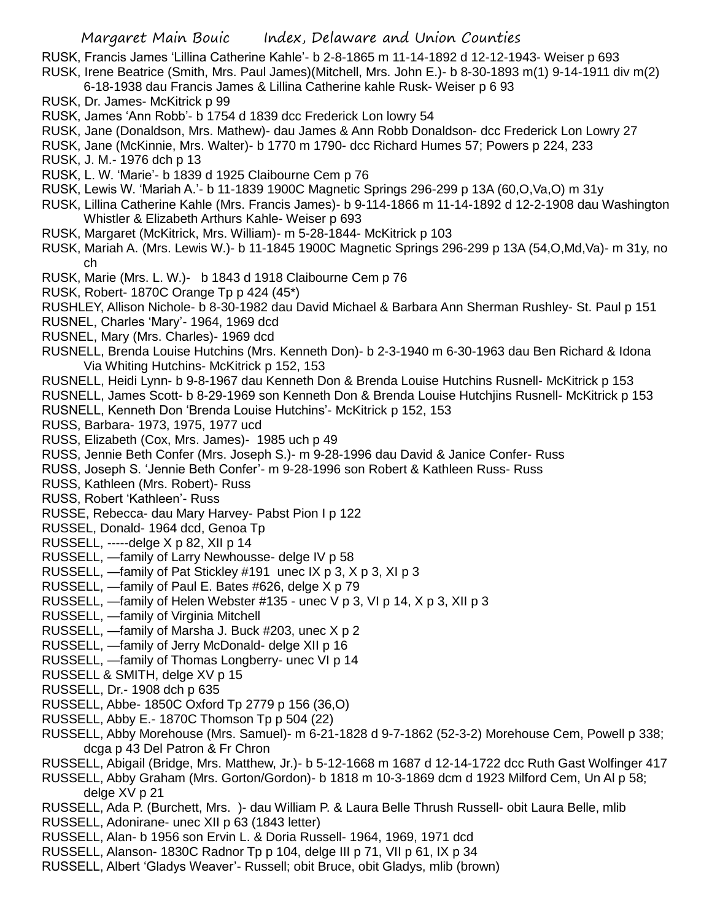RUSK, Francis James 'Lillina Catherine Kahle'- b 2-8-1865 m 11-14-1892 d 12-12-1943- Weiser p 693 RUSK, Irene Beatrice (Smith, Mrs. Paul James)(Mitchell, Mrs. John E.)- b 8-30-1893 m(1) 9-14-1911 div m(2)

- 6-18-1938 dau Francis James & Lillina Catherine kahle Rusk- Weiser p 6 93
- RUSK, Dr. James- McKitrick p 99
- RUSK, James 'Ann Robb'- b 1754 d 1839 dcc Frederick Lon lowry 54
- RUSK, Jane (Donaldson, Mrs. Mathew)- dau James & Ann Robb Donaldson- dcc Frederick Lon Lowry 27
- RUSK, Jane (McKinnie, Mrs. Walter)- b 1770 m 1790- dcc Richard Humes 57; Powers p 224, 233
- RUSK, J. M.- 1976 dch p 13
- RUSK, L. W. 'Marie'- b 1839 d 1925 Claibourne Cem p 76
- RUSK, Lewis W. 'Mariah A.'- b 11-1839 1900C Magnetic Springs 296-299 p 13A (60,O,Va,O) m 31y
- RUSK, Lillina Catherine Kahle (Mrs. Francis James)- b 9-114-1866 m 11-14-1892 d 12-2-1908 dau Washington Whistler & Elizabeth Arthurs Kahle- Weiser p 693
- RUSK, Margaret (McKitrick, Mrs. William)- m 5-28-1844- McKitrick p 103
- RUSK, Mariah A. (Mrs. Lewis W.)- b 11-1845 1900C Magnetic Springs 296-299 p 13A (54,O,Md,Va)- m 31y, no ch
- RUSK, Marie (Mrs. L. W.)- b 1843 d 1918 Claibourne Cem p 76
- RUSK, Robert- 1870C Orange Tp p 424 (45\*)
- RUSHLEY, Allison Nichole- b 8-30-1982 dau David Michael & Barbara Ann Sherman Rushley- St. Paul p 151
- RUSNEL, Charles 'Mary'- 1964, 1969 dcd
- RUSNEL, Mary (Mrs. Charles)- 1969 dcd
- RUSNELL, Brenda Louise Hutchins (Mrs. Kenneth Don)- b 2-3-1940 m 6-30-1963 dau Ben Richard & Idona Via Whiting Hutchins- McKitrick p 152, 153
- RUSNELL, Heidi Lynn- b 9-8-1967 dau Kenneth Don & Brenda Louise Hutchins Rusnell- McKitrick p 153
- RUSNELL, James Scott- b 8-29-1969 son Kenneth Don & Brenda Louise Hutchjins Rusnell- McKitrick p 153
- RUSNELL, Kenneth Don 'Brenda Louise Hutchins'- McKitrick p 152, 153
- RUSS, Barbara- 1973, 1975, 1977 ucd
- RUSS, Elizabeth (Cox, Mrs. James)- 1985 uch p 49
- RUSS, Jennie Beth Confer (Mrs. Joseph S.)- m 9-28-1996 dau David & Janice Confer- Russ
- RUSS, Joseph S. 'Jennie Beth Confer'- m 9-28-1996 son Robert & Kathleen Russ- Russ
- RUSS, Kathleen (Mrs. Robert)- Russ
- RUSS, Robert 'Kathleen'- Russ
- RUSSE, Rebecca- dau Mary Harvey- Pabst Pion I p 122
- RUSSEL, Donald- 1964 dcd, Genoa Tp
- RUSSELL, -----delge X p 82, XII p 14
- RUSSELL, —family of Larry Newhousse- delge IV p 58
- RUSSELL, —family of Pat Stickley #191 unec IX p 3, X p 3, XI p 3
- RUSSELL, —family of Paul E. Bates #626, delge X p 79
- RUSSELL,  $-$ family of Helen Webster #135 unec  $\vee$  p 3,  $\vee$ l p 14,  $\vee$  p 3,  $\vee$ ll p 3
- RUSSELL, —family of Virginia Mitchell
- RUSSELL, —family of Marsha J. Buck #203, unec X p 2
- RUSSELL, —family of Jerry McDonald- delge XII p 16
- RUSSELL, —family of Thomas Longberry- unec VI p 14
- RUSSELL & SMITH, delge XV p 15
- RUSSELL, Dr.- 1908 dch p 635
- RUSSELL, Abbe- 1850C Oxford Tp 2779 p 156 (36,O)
- RUSSELL, Abby E.- 1870C Thomson Tp p 504 (22)
- RUSSELL, Abby Morehouse (Mrs. Samuel)- m 6-21-1828 d 9-7-1862 (52-3-2) Morehouse Cem, Powell p 338; dcga p 43 Del Patron & Fr Chron
- RUSSELL, Abigail (Bridge, Mrs. Matthew, Jr.)- b 5-12-1668 m 1687 d 12-14-1722 dcc Ruth Gast Wolfinger 417
- RUSSELL, Abby Graham (Mrs. Gorton/Gordon)- b 1818 m 10-3-1869 dcm d 1923 Milford Cem, Un Al p 58; delge XV p 21
- RUSSELL, Ada P. (Burchett, Mrs. )- dau William P. & Laura Belle Thrush Russell- obit Laura Belle, mlib
- RUSSELL, Adonirane- unec XII p 63 (1843 letter)
- RUSSELL, Alan- b 1956 son Ervin L. & Doria Russell- 1964, 1969, 1971 dcd
- RUSSELL, Alanson- 1830C Radnor Tp p 104, delge III p 71, VII p 61, IX p 34
- RUSSELL, Albert 'Gladys Weaver'- Russell; obit Bruce, obit Gladys, mlib (brown)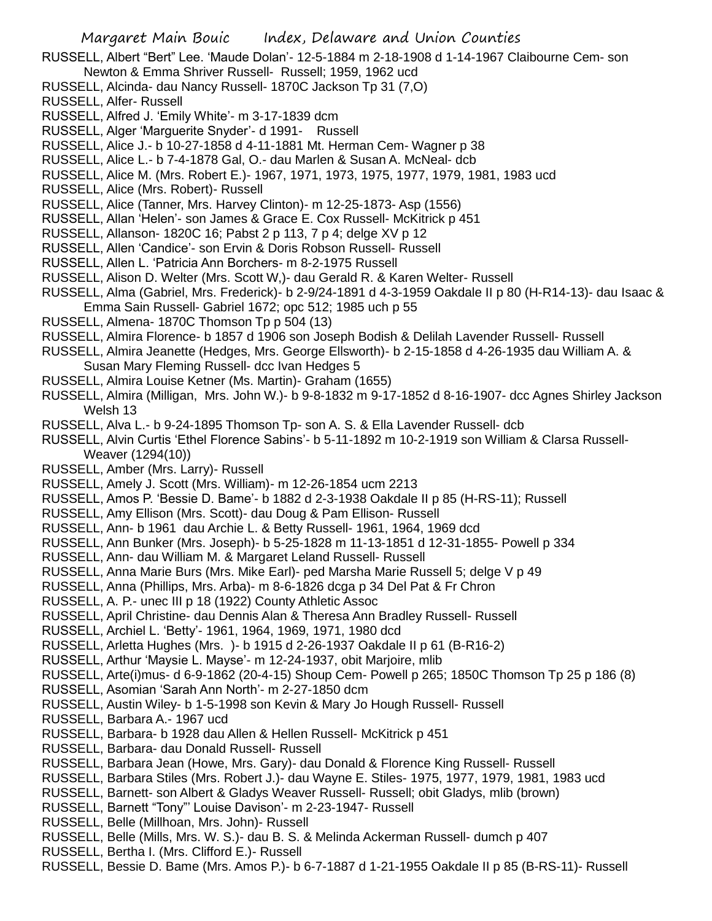RUSSELL, Albert "Bert" Lee. 'Maude Dolan'- 12-5-1884 m 2-18-1908 d 1-14-1967 Claibourne Cem- son Newton & Emma Shriver Russell- Russell; 1959, 1962 ucd

- RUSSELL, Alcinda- dau Nancy Russell- 1870C Jackson Tp 31 (7,O)
- RUSSELL, Alfer- Russell
- RUSSELL, Alfred J. 'Emily White'- m 3-17-1839 dcm
- RUSSELL, Alger 'Marguerite Snyder'- d 1991- Russell
- RUSSELL, Alice J.- b 10-27-1858 d 4-11-1881 Mt. Herman Cem- Wagner p 38
- RUSSELL, Alice L.- b 7-4-1878 Gal, O.- dau Marlen & Susan A. McNeal- dcb
- RUSSELL, Alice M. (Mrs. Robert E.)- 1967, 1971, 1973, 1975, 1977, 1979, 1981, 1983 ucd
- RUSSELL, Alice (Mrs. Robert)- Russell
- RUSSELL, Alice (Tanner, Mrs. Harvey Clinton)- m 12-25-1873- Asp (1556)
- RUSSELL, Allan 'Helen'- son James & Grace E. Cox Russell- McKitrick p 451
- RUSSELL, Allanson- 1820C 16; Pabst 2 p 113, 7 p 4; delge XV p 12
- RUSSELL, Allen 'Candice'- son Ervin & Doris Robson Russell- Russell
- RUSSELL, Allen L. 'Patricia Ann Borchers- m 8-2-1975 Russell
- RUSSELL, Alison D. Welter (Mrs. Scott W,)- dau Gerald R. & Karen Welter- Russell
- RUSSELL, Alma (Gabriel, Mrs. Frederick)- b 2-9/24-1891 d 4-3-1959 Oakdale II p 80 (H-R14-13)- dau Isaac & Emma Sain Russell- Gabriel 1672; opc 512; 1985 uch p 55
- RUSSELL, Almena- 1870C Thomson Tp p 504 (13)
- RUSSELL, Almira Florence- b 1857 d 1906 son Joseph Bodish & Delilah Lavender Russell- Russell
- RUSSELL, Almira Jeanette (Hedges, Mrs. George Ellsworth)- b 2-15-1858 d 4-26-1935 dau William A. & Susan Mary Fleming Russell- dcc Ivan Hedges 5
- RUSSELL, Almira Louise Ketner (Ms. Martin)- Graham (1655)
- RUSSELL, Almira (Milligan, Mrs. John W.)- b 9-8-1832 m 9-17-1852 d 8-16-1907- dcc Agnes Shirley Jackson Welsh 13
- RUSSELL, Alva L.- b 9-24-1895 Thomson Tp- son A. S. & Ella Lavender Russell- dcb
- RUSSELL, Alvin Curtis 'Ethel Florence Sabins'- b 5-11-1892 m 10-2-1919 son William & Clarsa Russell-Weaver (1294(10))
- RUSSELL, Amber (Mrs. Larry)- Russell
- RUSSELL, Amely J. Scott (Mrs. William)- m 12-26-1854 ucm 2213
- RUSSELL, Amos P. 'Bessie D. Bame'- b 1882 d 2-3-1938 Oakdale II p 85 (H-RS-11); Russell
- RUSSELL, Amy Ellison (Mrs. Scott)- dau Doug & Pam Ellison- Russell
- RUSSELL, Ann- b 1961 dau Archie L. & Betty Russell- 1961, 1964, 1969 dcd
- RUSSELL, Ann Bunker (Mrs. Joseph)- b 5-25-1828 m 11-13-1851 d 12-31-1855- Powell p 334
- RUSSELL, Ann- dau William M. & Margaret Leland Russell- Russell
- RUSSELL, Anna Marie Burs (Mrs. Mike Earl)- ped Marsha Marie Russell 5; delge V p 49
- RUSSELL, Anna (Phillips, Mrs. Arba)- m 8-6-1826 dcga p 34 Del Pat & Fr Chron
- RUSSELL, A. P.- unec III p 18 (1922) County Athletic Assoc
- RUSSELL, April Christine- dau Dennis Alan & Theresa Ann Bradley Russell- Russell
- RUSSELL, Archiel L. 'Betty'- 1961, 1964, 1969, 1971, 1980 dcd
- RUSSELL, Arletta Hughes (Mrs. )- b 1915 d 2-26-1937 Oakdale II p 61 (B-R16-2)
- RUSSELL, Arthur 'Maysie L. Mayse'- m 12-24-1937, obit Marjoire, mlib
- RUSSELL, Arte(i)mus- d 6-9-1862 (20-4-15) Shoup Cem- Powell p 265; 1850C Thomson Tp 25 p 186 (8)
- RUSSELL, Asomian 'Sarah Ann North'- m 2-27-1850 dcm
- RUSSELL, Austin Wiley- b 1-5-1998 son Kevin & Mary Jo Hough Russell- Russell
- RUSSELL, Barbara A.- 1967 ucd
- RUSSELL, Barbara- b 1928 dau Allen & Hellen Russell- McKitrick p 451
- RUSSELL, Barbara- dau Donald Russell- Russell
- RUSSELL, Barbara Jean (Howe, Mrs. Gary)- dau Donald & Florence King Russell- Russell
- RUSSELL, Barbara Stiles (Mrs. Robert J.)- dau Wayne E. Stiles- 1975, 1977, 1979, 1981, 1983 ucd
- RUSSELL, Barnett- son Albert & Gladys Weaver Russell- Russell; obit Gladys, mlib (brown)
- RUSSELL, Barnett "Tony"' Louise Davison'- m 2-23-1947- Russell
- RUSSELL, Belle (Millhoan, Mrs. John)- Russell
- RUSSELL, Belle (Mills, Mrs. W. S.)- dau B. S. & Melinda Ackerman Russell- dumch p 407
- RUSSELL, Bertha I. (Mrs. Clifford E.)- Russell
- RUSSELL, Bessie D. Bame (Mrs. Amos P.)- b 6-7-1887 d 1-21-1955 Oakdale II p 85 (B-RS-11)- Russell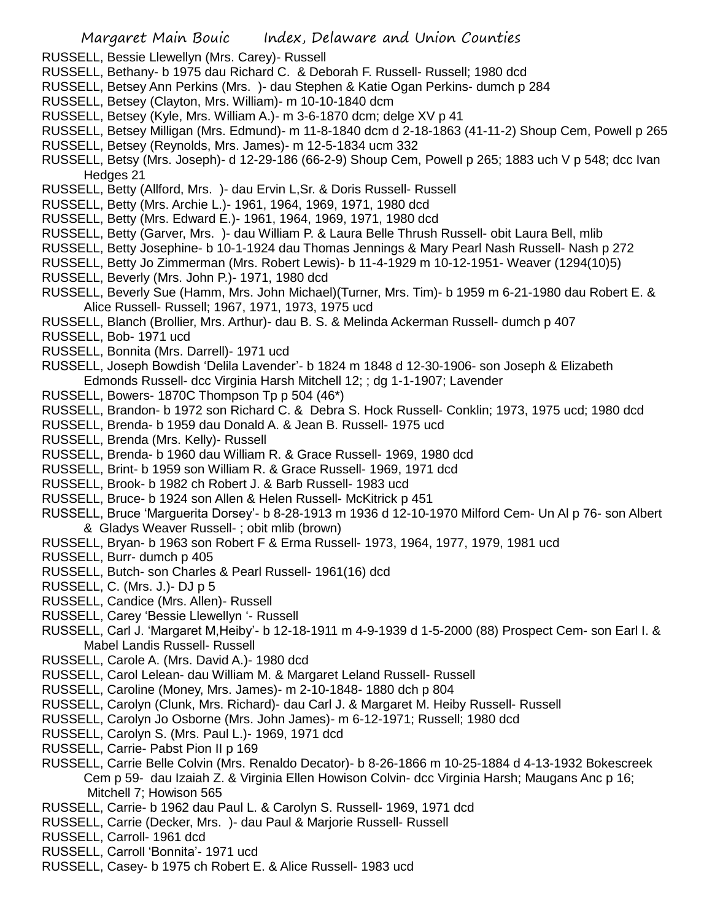- RUSSELL, Bessie Llewellyn (Mrs. Carey)- Russell
- RUSSELL, Bethany- b 1975 dau Richard C. & Deborah F. Russell- Russell; 1980 dcd
- RUSSELL, Betsey Ann Perkins (Mrs. )- dau Stephen & Katie Ogan Perkins- dumch p 284
- RUSSELL, Betsey (Clayton, Mrs. William)- m 10-10-1840 dcm
- RUSSELL, Betsey (Kyle, Mrs. William A.)- m 3-6-1870 dcm; delge XV p 41
- RUSSELL, Betsey Milligan (Mrs. Edmund)- m 11-8-1840 dcm d 2-18-1863 (41-11-2) Shoup Cem, Powell p 265
- RUSSELL, Betsey (Reynolds, Mrs. James)- m 12-5-1834 ucm 332
- RUSSELL, Betsy (Mrs. Joseph)- d 12-29-186 (66-2-9) Shoup Cem, Powell p 265; 1883 uch V p 548; dcc Ivan Hedges 21
- RUSSELL, Betty (Allford, Mrs. )- dau Ervin L,Sr. & Doris Russell- Russell
- RUSSELL, Betty (Mrs. Archie L.)- 1961, 1964, 1969, 1971, 1980 dcd
- RUSSELL, Betty (Mrs. Edward E.)- 1961, 1964, 1969, 1971, 1980 dcd
- RUSSELL, Betty (Garver, Mrs. )- dau William P. & Laura Belle Thrush Russell- obit Laura Bell, mlib
- RUSSELL, Betty Josephine- b 10-1-1924 dau Thomas Jennings & Mary Pearl Nash Russell- Nash p 272
- RUSSELL, Betty Jo Zimmerman (Mrs. Robert Lewis)- b 11-4-1929 m 10-12-1951- Weaver (1294(10)5)
- RUSSELL, Beverly (Mrs. John P.)- 1971, 1980 dcd
- RUSSELL, Beverly Sue (Hamm, Mrs. John Michael)(Turner, Mrs. Tim)- b 1959 m 6-21-1980 dau Robert E. & Alice Russell- Russell; 1967, 1971, 1973, 1975 ucd
- RUSSELL, Blanch (Brollier, Mrs. Arthur)- dau B. S. & Melinda Ackerman Russell- dumch p 407
- RUSSELL, Bob- 1971 ucd
- RUSSELL, Bonnita (Mrs. Darrell)- 1971 ucd
- RUSSELL, Joseph Bowdish 'Delila Lavender'- b 1824 m 1848 d 12-30-1906- son Joseph & Elizabeth Edmonds Russell- dcc Virginia Harsh Mitchell 12; ; dg 1-1-1907; Lavender
- RUSSELL, Bowers- 1870C Thompson Tp p 504 (46\*)
- RUSSELL, Brandon- b 1972 son Richard C. & Debra S. Hock Russell- Conklin; 1973, 1975 ucd; 1980 dcd
- RUSSELL, Brenda- b 1959 dau Donald A. & Jean B. Russell- 1975 ucd
- RUSSELL, Brenda (Mrs. Kelly)- Russell
- RUSSELL, Brenda- b 1960 dau William R. & Grace Russell- 1969, 1980 dcd
- RUSSELL, Brint- b 1959 son William R. & Grace Russell- 1969, 1971 dcd
- RUSSELL, Brook- b 1982 ch Robert J. & Barb Russell- 1983 ucd
- RUSSELL, Bruce- b 1924 son Allen & Helen Russell- McKitrick p 451
- RUSSELL, Bruce 'Marguerita Dorsey'- b 8-28-1913 m 1936 d 12-10-1970 Milford Cem- Un Al p 76- son Albert & Gladys Weaver Russell- ; obit mlib (brown)
- RUSSELL, Bryan- b 1963 son Robert F & Erma Russell- 1973, 1964, 1977, 1979, 1981 ucd
- RUSSELL, Burr- dumch p 405
- RUSSELL, Butch- son Charles & Pearl Russell- 1961(16) dcd
- RUSSELL, C. (Mrs. J.)- DJ p 5
- RUSSELL, Candice (Mrs. Allen)- Russell
- RUSSELL, Carey 'Bessie Llewellyn '- Russell
- RUSSELL, Carl J. 'Margaret M,Heiby'- b 12-18-1911 m 4-9-1939 d 1-5-2000 (88) Prospect Cem- son Earl I. & Mabel Landis Russell- Russell
- RUSSELL, Carole A. (Mrs. David A.)- 1980 dcd
- RUSSELL, Carol Lelean- dau William M. & Margaret Leland Russell- Russell
- RUSSELL, Caroline (Money, Mrs. James)- m 2-10-1848- 1880 dch p 804
- RUSSELL, Carolyn (Clunk, Mrs. Richard)- dau Carl J. & Margaret M. Heiby Russell- Russell
- RUSSELL, Carolyn Jo Osborne (Mrs. John James)- m 6-12-1971; Russell; 1980 dcd
- RUSSELL, Carolyn S. (Mrs. Paul L.)- 1969, 1971 dcd
- RUSSELL, Carrie- Pabst Pion II p 169
- RUSSELL, Carrie Belle Colvin (Mrs. Renaldo Decator)- b 8-26-1866 m 10-25-1884 d 4-13-1932 Bokescreek
	- Cem p 59- dau Izaiah Z. & Virginia Ellen Howison Colvin- dcc Virginia Harsh; Maugans Anc p 16; Mitchell 7; Howison 565
- RUSSELL, Carrie- b 1962 dau Paul L. & Carolyn S. Russell- 1969, 1971 dcd
- RUSSELL, Carrie (Decker, Mrs. )- dau Paul & Marjorie Russell- Russell
- RUSSELL, Carroll- 1961 dcd
- RUSSELL, Carroll 'Bonnita'- 1971 ucd
- RUSSELL, Casey- b 1975 ch Robert E. & Alice Russell- 1983 ucd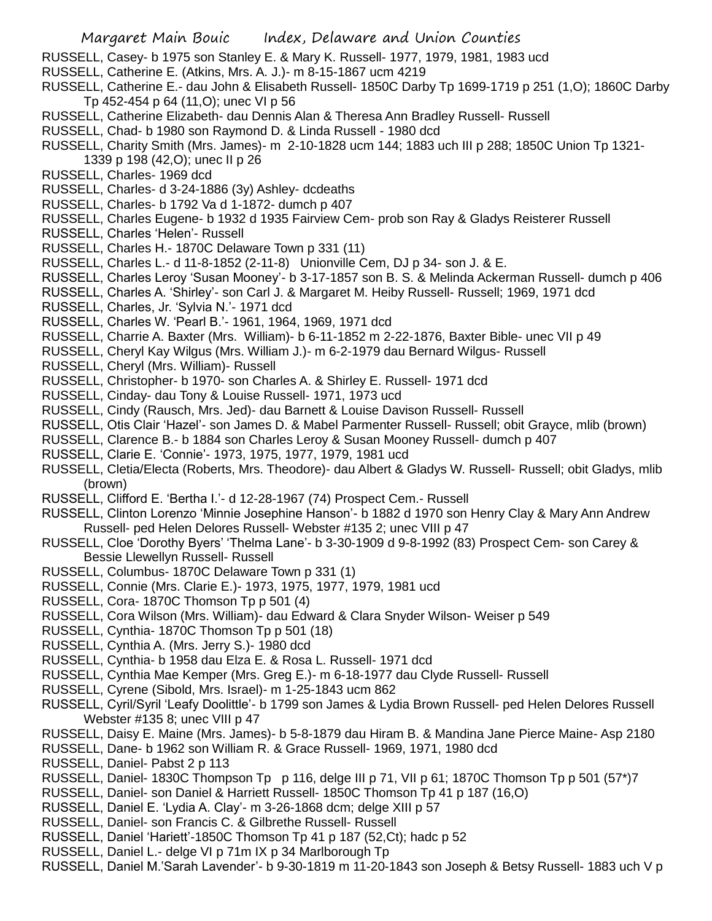- RUSSELL, Casey- b 1975 son Stanley E. & Mary K. Russell- 1977, 1979, 1981, 1983 ucd
- RUSSELL, Catherine E. (Atkins, Mrs. A. J.)- m 8-15-1867 ucm 4219
- RUSSELL, Catherine E.- dau John & Elisabeth Russell- 1850C Darby Tp 1699-1719 p 251 (1,O); 1860C Darby Tp 452-454 p 64 (11,O); unec VI p 56
- RUSSELL, Catherine Elizabeth- dau Dennis Alan & Theresa Ann Bradley Russell- Russell
- RUSSELL, Chad- b 1980 son Raymond D. & Linda Russell 1980 dcd
- RUSSELL, Charity Smith (Mrs. James)- m 2-10-1828 ucm 144; 1883 uch III p 288; 1850C Union Tp 1321-
	- 1339 p 198 (42,O); unec II p 26
- RUSSELL, Charles- 1969 dcd
- RUSSELL, Charles- d 3-24-1886 (3y) Ashley- dcdeaths
- RUSSELL, Charles- b 1792 Va d 1-1872- dumch p 407
- RUSSELL, Charles Eugene- b 1932 d 1935 Fairview Cem- prob son Ray & Gladys Reisterer Russell
- RUSSELL, Charles 'Helen'- Russell
- RUSSELL, Charles H.- 1870C Delaware Town p 331 (11)
- RUSSELL, Charles L.- d 11-8-1852 (2-11-8) Unionville Cem, DJ p 34- son J. & E.
- RUSSELL, Charles Leroy 'Susan Mooney'- b 3-17-1857 son B. S. & Melinda Ackerman Russell- dumch p 406
- RUSSELL, Charles A. 'Shirley'- son Carl J. & Margaret M. Heiby Russell- Russell; 1969, 1971 dcd
- RUSSELL, Charles, Jr. 'Sylvia N.'- 1971 dcd
- RUSSELL, Charles W. 'Pearl B.'- 1961, 1964, 1969, 1971 dcd
- RUSSELL, Charrie A. Baxter (Mrs. William)- b 6-11-1852 m 2-22-1876, Baxter Bible- unec VII p 49
- RUSSELL, Cheryl Kay Wilgus (Mrs. William J.)- m 6-2-1979 dau Bernard Wilgus- Russell
- RUSSELL, Cheryl (Mrs. William)- Russell
- RUSSELL, Christopher- b 1970- son Charles A. & Shirley E. Russell- 1971 dcd
- RUSSELL, Cinday- dau Tony & Louise Russell- 1971, 1973 ucd
- RUSSELL, Cindy (Rausch, Mrs. Jed)- dau Barnett & Louise Davison Russell- Russell
- RUSSELL, Otis Clair 'Hazel'- son James D. & Mabel Parmenter Russell- Russell; obit Grayce, mlib (brown)
- RUSSELL, Clarence B.- b 1884 son Charles Leroy & Susan Mooney Russell- dumch p 407
- RUSSELL, Clarie E. 'Connie'- 1973, 1975, 1977, 1979, 1981 ucd
- RUSSELL, Cletia/Electa (Roberts, Mrs. Theodore)- dau Albert & Gladys W. Russell- Russell; obit Gladys, mlib (brown)
- RUSSELL, Clifford E. 'Bertha I.'- d 12-28-1967 (74) Prospect Cem.- Russell
- RUSSELL, Clinton Lorenzo 'Minnie Josephine Hanson'- b 1882 d 1970 son Henry Clay & Mary Ann Andrew Russell- ped Helen Delores Russell- Webster #135 2; unec VIII p 47
- RUSSELL, Cloe 'Dorothy Byers' 'Thelma Lane'- b 3-30-1909 d 9-8-1992 (83) Prospect Cem- son Carey & Bessie Llewellyn Russell- Russell
- RUSSELL, Columbus- 1870C Delaware Town p 331 (1)
- RUSSELL, Connie (Mrs. Clarie E.)- 1973, 1975, 1977, 1979, 1981 ucd
- RUSSELL, Cora- 1870C Thomson Tp p 501 (4)
- RUSSELL, Cora Wilson (Mrs. William)- dau Edward & Clara Snyder Wilson- Weiser p 549
- RUSSELL, Cynthia- 1870C Thomson Tp p 501 (18)
- RUSSELL, Cynthia A. (Mrs. Jerry S.)- 1980 dcd
- RUSSELL, Cynthia- b 1958 dau Elza E. & Rosa L. Russell- 1971 dcd
- RUSSELL, Cynthia Mae Kemper (Mrs. Greg E.)- m 6-18-1977 dau Clyde Russell- Russell
- RUSSELL, Cyrene (Sibold, Mrs. Israel)- m 1-25-1843 ucm 862
- RUSSELL, Cyril/Syril 'Leafy Doolittle'- b 1799 son James & Lydia Brown Russell- ped Helen Delores Russell Webster #135 8; unec VIII p 47
- RUSSELL, Daisy E. Maine (Mrs. James)- b 5-8-1879 dau Hiram B. & Mandina Jane Pierce Maine- Asp 2180
- RUSSELL, Dane- b 1962 son William R. & Grace Russell- 1969, 1971, 1980 dcd
- RUSSELL, Daniel- Pabst 2 p 113
- RUSSELL, Daniel- 1830C Thompson Tp p 116, delge III p 71, VII p 61; 1870C Thomson Tp p 501 (57\*)7
- RUSSELL, Daniel- son Daniel & Harriett Russell- 1850C Thomson Tp 41 p 187 (16,O)
- RUSSELL, Daniel E. 'Lydia A. Clay'- m 3-26-1868 dcm; delge XIII p 57
- RUSSELL, Daniel- son Francis C. & Gilbrethe Russell- Russell
- RUSSELL, Daniel 'Hariett'-1850C Thomson Tp 41 p 187 (52,Ct); hadc p 52
- RUSSELL, Daniel L.- delge VI p 71m IX p 34 Marlborough Tp
- RUSSELL, Daniel M.'Sarah Lavender'- b 9-30-1819 m 11-20-1843 son Joseph & Betsy Russell- 1883 uch V p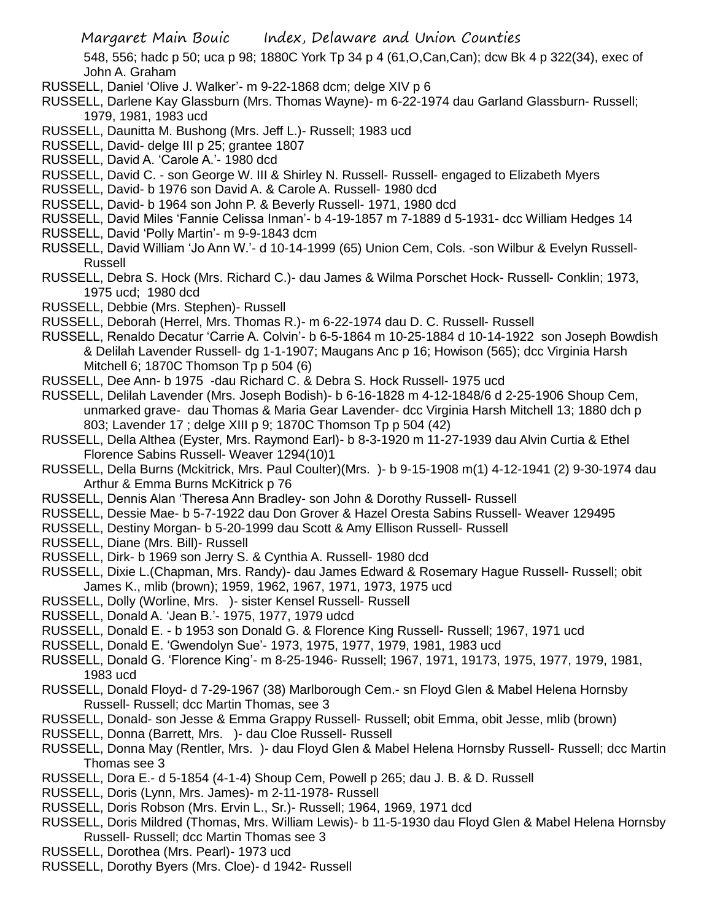548, 556; hadc p 50; uca p 98; 1880C York Tp 34 p 4 (61,O,Can,Can); dcw Bk 4 p 322(34), exec of John A. Graham

- RUSSELL, Daniel 'Olive J. Walker'- m 9-22-1868 dcm; delge XIV p 6
- RUSSELL, Darlene Kay Glassburn (Mrs. Thomas Wayne)- m 6-22-1974 dau Garland Glassburn- Russell; 1979, 1981, 1983 ucd
- RUSSELL, Daunitta M. Bushong (Mrs. Jeff L.)- Russell; 1983 ucd
- RUSSELL, David- delge III p 25; grantee 1807
- RUSSELL, David A. 'Carole A.'- 1980 dcd
- RUSSELL, David C. son George W. III & Shirley N. Russell- Russell- engaged to Elizabeth Myers
- RUSSELL, David- b 1976 son David A. & Carole A. Russell- 1980 dcd
- RUSSELL, David- b 1964 son John P. & Beverly Russell- 1971, 1980 dcd
- RUSSELL, David Miles 'Fannie Celissa Inman'- b 4-19-1857 m 7-1889 d 5-1931- dcc William Hedges 14
- RUSSELL, David 'Polly Martin'- m 9-9-1843 dcm
- RUSSELL, David William 'Jo Ann W.'- d 10-14-1999 (65) Union Cem, Cols. -son Wilbur & Evelyn Russell-Russell
- RUSSELL, Debra S. Hock (Mrs. Richard C.)- dau James & Wilma Porschet Hock- Russell- Conklin; 1973, 1975 ucd; 1980 dcd
- RUSSELL, Debbie (Mrs. Stephen)- Russell
- RUSSELL, Deborah (Herrel, Mrs. Thomas R.)- m 6-22-1974 dau D. C. Russell- Russell
- RUSSELL, Renaldo Decatur 'Carrie A. Colvin'- b 6-5-1864 m 10-25-1884 d 10-14-1922 son Joseph Bowdish & Delilah Lavender Russell- dg 1-1-1907; Maugans Anc p 16; Howison (565); dcc Virginia Harsh Mitchell 6; 1870C Thomson Tp p 504 (6)
- RUSSELL, Dee Ann- b 1975 -dau Richard C. & Debra S. Hock Russell- 1975 ucd
- RUSSELL, Delilah Lavender (Mrs. Joseph Bodish)- b 6-16-1828 m 4-12-1848/6 d 2-25-1906 Shoup Cem, unmarked grave- dau Thomas & Maria Gear Lavender- dcc Virginia Harsh Mitchell 13; 1880 dch p 803; Lavender 17 ; delge XIII p 9; 1870C Thomson Tp p 504 (42)
- RUSSELL, Della Althea (Eyster, Mrs. Raymond Earl)- b 8-3-1920 m 11-27-1939 dau Alvin Curtia & Ethel Florence Sabins Russell- Weaver 1294(10)1
- RUSSELL, Della Burns (Mckitrick, Mrs. Paul Coulter)(Mrs. )- b 9-15-1908 m(1) 4-12-1941 (2) 9-30-1974 dau Arthur & Emma Burns McKitrick p 76
- RUSSELL, Dennis Alan 'Theresa Ann Bradley- son John & Dorothy Russell- Russell
- RUSSELL, Dessie Mae- b 5-7-1922 dau Don Grover & Hazel Oresta Sabins Russell- Weaver 129495
- RUSSELL, Destiny Morgan- b 5-20-1999 dau Scott & Amy Ellison Russell- Russell
- RUSSELL, Diane (Mrs. Bill)- Russell
- RUSSELL, Dirk- b 1969 son Jerry S. & Cynthia A. Russell- 1980 dcd
- RUSSELL, Dixie L.(Chapman, Mrs. Randy)- dau James Edward & Rosemary Hague Russell- Russell; obit James K., mlib (brown); 1959, 1962, 1967, 1971, 1973, 1975 ucd
- RUSSELL, Dolly (Worline, Mrs. )- sister Kensel Russell- Russell
- RUSSELL, Donald A. 'Jean B.'- 1975, 1977, 1979 udcd
- RUSSELL, Donald E. b 1953 son Donald G. & Florence King Russell- Russell; 1967, 1971 ucd
- RUSSELL, Donald E. 'Gwendolyn Sue'- 1973, 1975, 1977, 1979, 1981, 1983 ucd
- RUSSELL, Donald G. 'Florence King'- m 8-25-1946- Russell; 1967, 1971, 19173, 1975, 1977, 1979, 1981, 1983 ucd
- RUSSELL, Donald Floyd- d 7-29-1967 (38) Marlborough Cem.- sn Floyd Glen & Mabel Helena Hornsby Russell- Russell; dcc Martin Thomas, see 3
- RUSSELL, Donald- son Jesse & Emma Grappy Russell- Russell; obit Emma, obit Jesse, mlib (brown)
- RUSSELL, Donna (Barrett, Mrs. )- dau Cloe Russell- Russell
- RUSSELL, Donna May (Rentler, Mrs. )- dau Floyd Glen & Mabel Helena Hornsby Russell- Russell; dcc Martin Thomas see 3
- RUSSELL, Dora E.- d 5-1854 (4-1-4) Shoup Cem, Powell p 265; dau J. B. & D. Russell
- RUSSELL, Doris (Lynn, Mrs. James)- m 2-11-1978- Russell
- RUSSELL, Doris Robson (Mrs. Ervin L., Sr.)- Russell; 1964, 1969, 1971 dcd
- RUSSELL, Doris Mildred (Thomas, Mrs. William Lewis)- b 11-5-1930 dau Floyd Glen & Mabel Helena Hornsby Russell- Russell; dcc Martin Thomas see 3
- RUSSELL, Dorothea (Mrs. Pearl)- 1973 ucd
- RUSSELL, Dorothy Byers (Mrs. Cloe)- d 1942- Russell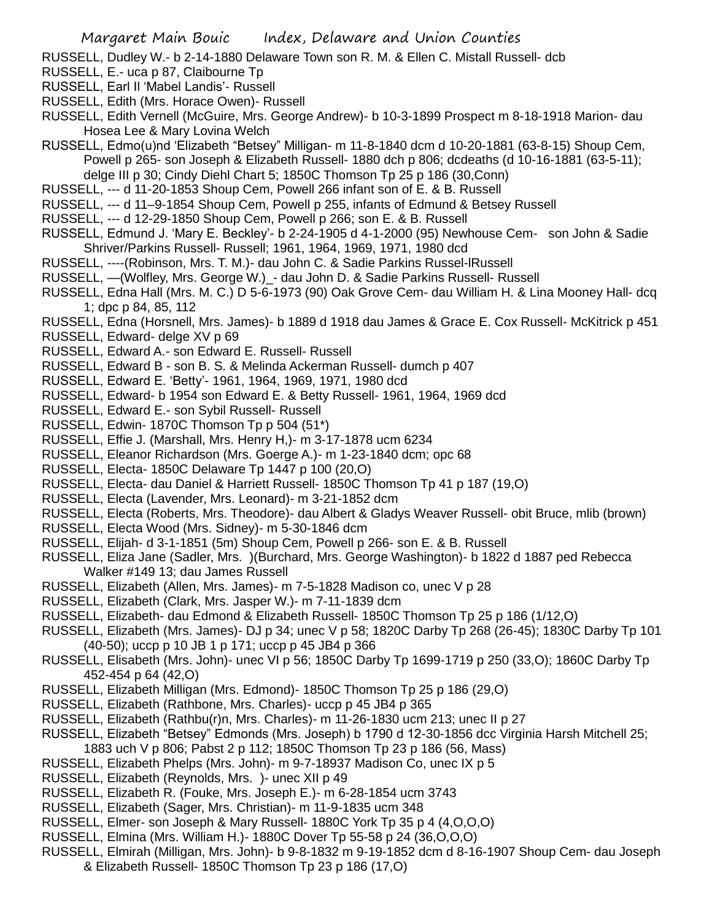- RUSSELL, Dudley W.- b 2-14-1880 Delaware Town son R. M. & Ellen C. Mistall Russell- dcb
- RUSSELL, E.- uca p 87, Claibourne Tp
- RUSSELL, Earl Il 'Mabel Landis'- Russell
- RUSSELL, Edith (Mrs. Horace Owen)- Russell
- RUSSELL, Edith Vernell (McGuire, Mrs. George Andrew)- b 10-3-1899 Prospect m 8-18-1918 Marion- dau Hosea Lee & Mary Lovina Welch
- RUSSELL, Edmo(u)nd 'Elizabeth "Betsey" Milligan- m 11-8-1840 dcm d 10-20-1881 (63-8-15) Shoup Cem, Powell p 265- son Joseph & Elizabeth Russell- 1880 dch p 806; dcdeaths (d 10-16-1881 (63-5-11); delge III p 30; Cindy Diehl Chart 5; 1850C Thomson Tp 25 p 186 (30,Conn)
- RUSSELL, --- d 11-20-1853 Shoup Cem, Powell 266 infant son of E. & B. Russell
- RUSSELL, --- d 11–9-1854 Shoup Cem, Powell p 255, infants of Edmund & Betsey Russell
- RUSSELL, --- d 12-29-1850 Shoup Cem, Powell p 266; son E. & B. Russell
- RUSSELL, Edmund J. 'Mary E. Beckley'- b 2-24-1905 d 4-1-2000 (95) Newhouse Cem- son John & Sadie Shriver/Parkins Russell- Russell; 1961, 1964, 1969, 1971, 1980 dcd
- RUSSELL, ----(Robinson, Mrs. T. M.)- dau John C. & Sadie Parkins Russel-lRussell
- RUSSELL, —(Wolfley, Mrs. George W.)\_- dau John D. & Sadie Parkins Russell- Russell
- RUSSELL, Edna Hall (Mrs. M. C.) D 5-6-1973 (90) Oak Grove Cem- dau William H. & Lina Mooney Hall- dcq 1; dpc p 84, 85, 112
- RUSSELL, Edna (Horsnell, Mrs. James)- b 1889 d 1918 dau James & Grace E. Cox Russell- McKitrick p 451
- RUSSELL, Edward- delge XV p 69
- RUSSELL, Edward A.- son Edward E. Russell- Russell
- RUSSELL, Edward B son B. S. & Melinda Ackerman Russell- dumch p 407
- RUSSELL, Edward E. 'Betty'- 1961, 1964, 1969, 1971, 1980 dcd
- RUSSELL, Edward- b 1954 son Edward E. & Betty Russell- 1961, 1964, 1969 dcd
- RUSSELL, Edward E.- son Sybil Russell- Russell
- RUSSELL, Edwin- 1870C Thomson Tp p 504 (51\*)
- RUSSELL, Effie J. (Marshall, Mrs. Henry H,)- m 3-17-1878 ucm 6234
- RUSSELL, Eleanor Richardson (Mrs. Goerge A.)- m 1-23-1840 dcm; opc 68
- RUSSELL, Electa- 1850C Delaware Tp 1447 p 100 (20,O)
- RUSSELL, Electa- dau Daniel & Harriett Russell- 1850C Thomson Tp 41 p 187 (19,O)
- RUSSELL, Electa (Lavender, Mrs. Leonard)- m 3-21-1852 dcm
- RUSSELL, Electa (Roberts, Mrs. Theodore)- dau Albert & Gladys Weaver Russell- obit Bruce, mlib (brown)
- RUSSELL, Electa Wood (Mrs. Sidney)- m 5-30-1846 dcm
- RUSSELL, Elijah- d 3-1-1851 (5m) Shoup Cem, Powell p 266- son E. & B. Russell
- RUSSELL, Eliza Jane (Sadler, Mrs. )(Burchard, Mrs. George Washington)- b 1822 d 1887 ped Rebecca Walker #149 13; dau James Russell
- RUSSELL, Elizabeth (Allen, Mrs. James)- m 7-5-1828 Madison co, unec V p 28
- RUSSELL, Elizabeth (Clark, Mrs. Jasper W.)- m 7-11-1839 dcm
- RUSSELL, Elizabeth- dau Edmond & Elizabeth Russell- 1850C Thomson Tp 25 p 186 (1/12,O)
- RUSSELL, Elizabeth (Mrs. James)- DJ p 34; unec V p 58; 1820C Darby Tp 268 (26-45); 1830C Darby Tp 101 (40-50); uccp p 10 JB 1 p 171; uccp p 45 JB4 p 366
- RUSSELL, Elisabeth (Mrs. John)- unec VI p 56; 1850C Darby Tp 1699-1719 p 250 (33,O); 1860C Darby Tp 452-454 p 64 (42,O)
- RUSSELL, Elizabeth Milligan (Mrs. Edmond)- 1850C Thomson Tp 25 p 186 (29,O)
- RUSSELL, Elizabeth (Rathbone, Mrs. Charles)- uccp p 45 JB4 p 365
- RUSSELL, Elizabeth (Rathbu(r)n, Mrs. Charles)- m 11-26-1830 ucm 213; unec II p 27
- RUSSELL, Elizabeth "Betsey" Edmonds (Mrs. Joseph) b 1790 d 12-30-1856 dcc Virginia Harsh Mitchell 25; 1883 uch V p 806; Pabst 2 p 112; 1850C Thomson Tp 23 p 186 (56, Mass)
- RUSSELL, Elizabeth Phelps (Mrs. John)- m 9-7-18937 Madison Co, unec IX p 5
- RUSSELL, Elizabeth (Reynolds, Mrs. )- unec XII p 49
- RUSSELL, Elizabeth R. (Fouke, Mrs. Joseph E.)- m 6-28-1854 ucm 3743
- RUSSELL, Elizabeth (Sager, Mrs. Christian)- m 11-9-1835 ucm 348
- RUSSELL, Elmer- son Joseph & Mary Russell- 1880C York Tp 35 p 4 (4,O,O,O)
- RUSSELL, Elmina (Mrs. William H.)- 1880C Dover Tp 55-58 p 24 (36,O,O,O)
- RUSSELL, Elmirah (Milligan, Mrs. John)- b 9-8-1832 m 9-19-1852 dcm d 8-16-1907 Shoup Cem- dau Joseph
	- & Elizabeth Russell- 1850C Thomson Tp 23 p 186 (17,O)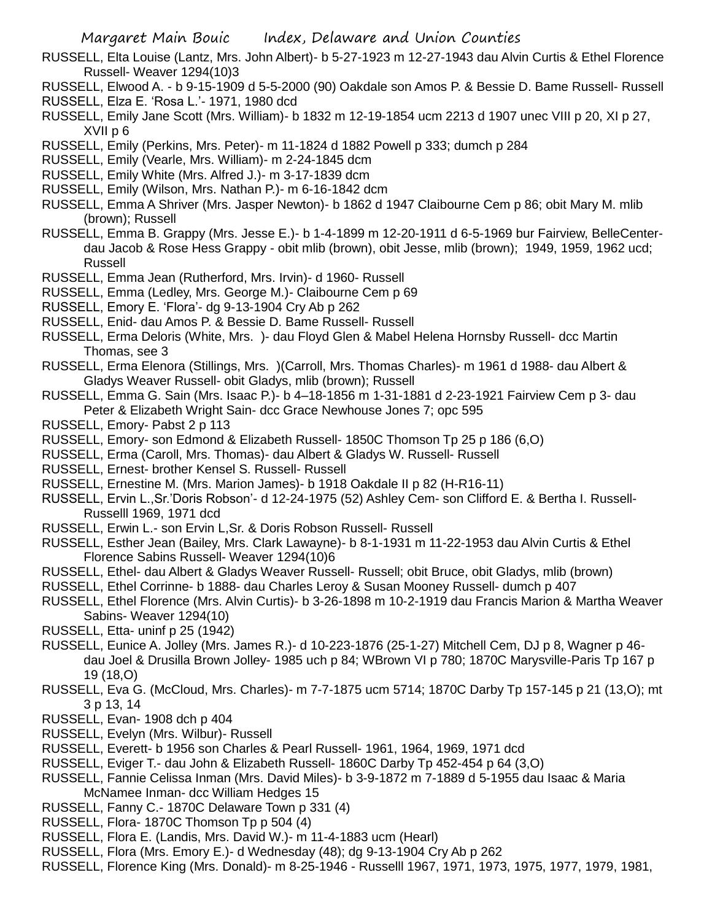- RUSSELL, Elta Louise (Lantz, Mrs. John Albert)- b 5-27-1923 m 12-27-1943 dau Alvin Curtis & Ethel Florence Russell- Weaver 1294(10)3
- RUSSELL, Elwood A. b 9-15-1909 d 5-5-2000 (90) Oakdale son Amos P. & Bessie D. Bame Russell- Russell
- RUSSELL, Elza E. 'Rosa L.'- 1971, 1980 dcd
- RUSSELL, Emily Jane Scott (Mrs. William)- b 1832 m 12-19-1854 ucm 2213 d 1907 unec VIII p 20, XI p 27, XVII p 6
- RUSSELL, Emily (Perkins, Mrs. Peter)- m 11-1824 d 1882 Powell p 333; dumch p 284
- RUSSELL, Emily (Vearle, Mrs. William)- m 2-24-1845 dcm
- RUSSELL, Emily White (Mrs. Alfred J.)- m 3-17-1839 dcm
- RUSSELL, Emily (Wilson, Mrs. Nathan P.)- m 6-16-1842 dcm
- RUSSELL, Emma A Shriver (Mrs. Jasper Newton)- b 1862 d 1947 Claibourne Cem p 86; obit Mary M. mlib (brown); Russell
- RUSSELL, Emma B. Grappy (Mrs. Jesse E.)- b 1-4-1899 m 12-20-1911 d 6-5-1969 bur Fairview, BelleCenterdau Jacob & Rose Hess Grappy - obit mlib (brown), obit Jesse, mlib (brown); 1949, 1959, 1962 ucd; Russell
- RUSSELL, Emma Jean (Rutherford, Mrs. Irvin)- d 1960- Russell
- RUSSELL, Emma (Ledley, Mrs. George M.)- Claibourne Cem p 69
- RUSSELL, Emory E. 'Flora'- dg 9-13-1904 Cry Ab p 262
- RUSSELL, Enid- dau Amos P. & Bessie D. Bame Russell- Russell
- RUSSELL, Erma Deloris (White, Mrs. )- dau Floyd Glen & Mabel Helena Hornsby Russell- dcc Martin Thomas, see 3
- RUSSELL, Erma Elenora (Stillings, Mrs. )(Carroll, Mrs. Thomas Charles)- m 1961 d 1988- dau Albert & Gladys Weaver Russell- obit Gladys, mlib (brown); Russell
- RUSSELL, Emma G. Sain (Mrs. Isaac P.)- b 4–18-1856 m 1-31-1881 d 2-23-1921 Fairview Cem p 3- dau Peter & Elizabeth Wright Sain- dcc Grace Newhouse Jones 7; opc 595
- RUSSELL, Emory- Pabst 2 p 113
- RUSSELL, Emory- son Edmond & Elizabeth Russell- 1850C Thomson Tp 25 p 186 (6,O)
- RUSSELL, Erma (Caroll, Mrs. Thomas)- dau Albert & Gladys W. Russell- Russell
- RUSSELL, Ernest- brother Kensel S. Russell- Russell
- RUSSELL, Ernestine M. (Mrs. Marion James)- b 1918 Oakdale II p 82 (H-R16-11)
- RUSSELL, Ervin L.,Sr.'Doris Robson'- d 12-24-1975 (52) Ashley Cem- son Clifford E. & Bertha I. Russell-Russelll 1969, 1971 dcd
- RUSSELL, Erwin L.- son Ervin L,Sr. & Doris Robson Russell- Russell
- RUSSELL, Esther Jean (Bailey, Mrs. Clark Lawayne)- b 8-1-1931 m 11-22-1953 dau Alvin Curtis & Ethel Florence Sabins Russell- Weaver 1294(10)6
- RUSSELL, Ethel- dau Albert & Gladys Weaver Russell- Russell; obit Bruce, obit Gladys, mlib (brown)
- RUSSELL, Ethel Corrinne- b 1888- dau Charles Leroy & Susan Mooney Russell- dumch p 407
- RUSSELL, Ethel Florence (Mrs. Alvin Curtis)- b 3-26-1898 m 10-2-1919 dau Francis Marion & Martha Weaver Sabins- Weaver 1294(10)
- RUSSELL, Etta- uninf p 25 (1942)
- RUSSELL, Eunice A. Jolley (Mrs. James R.)- d 10-223-1876 (25-1-27) Mitchell Cem, DJ p 8, Wagner p 46 dau Joel & Drusilla Brown Jolley- 1985 uch p 84; WBrown VI p 780; 1870C Marysville-Paris Tp 167 p 19 (18,O)
- RUSSELL, Eva G. (McCloud, Mrs. Charles)- m 7-7-1875 ucm 5714; 1870C Darby Tp 157-145 p 21 (13,O); mt 3 p 13, 14
- RUSSELL, Evan- 1908 dch p 404
- RUSSELL, Evelyn (Mrs. Wilbur)- Russell
- RUSSELL, Everett- b 1956 son Charles & Pearl Russell- 1961, 1964, 1969, 1971 dcd
- RUSSELL, Eviger T.- dau John & Elizabeth Russell- 1860C Darby Tp 452-454 p 64 (3,O)
- RUSSELL, Fannie Celissa Inman (Mrs. David Miles)- b 3-9-1872 m 7-1889 d 5-1955 dau Isaac & Maria McNamee Inman- dcc William Hedges 15
- RUSSELL, Fanny C.- 1870C Delaware Town p 331 (4)
- RUSSELL, Flora- 1870C Thomson Tp p 504 (4)
- RUSSELL, Flora E. (Landis, Mrs. David W.)- m 11-4-1883 ucm (Hearl)
- RUSSELL, Flora (Mrs. Emory E.)- d Wednesday (48); dg 9-13-1904 Cry Ab p 262
- RUSSELL, Florence King (Mrs. Donald)- m 8-25-1946 Russelll 1967, 1971, 1973, 1975, 1977, 1979, 1981,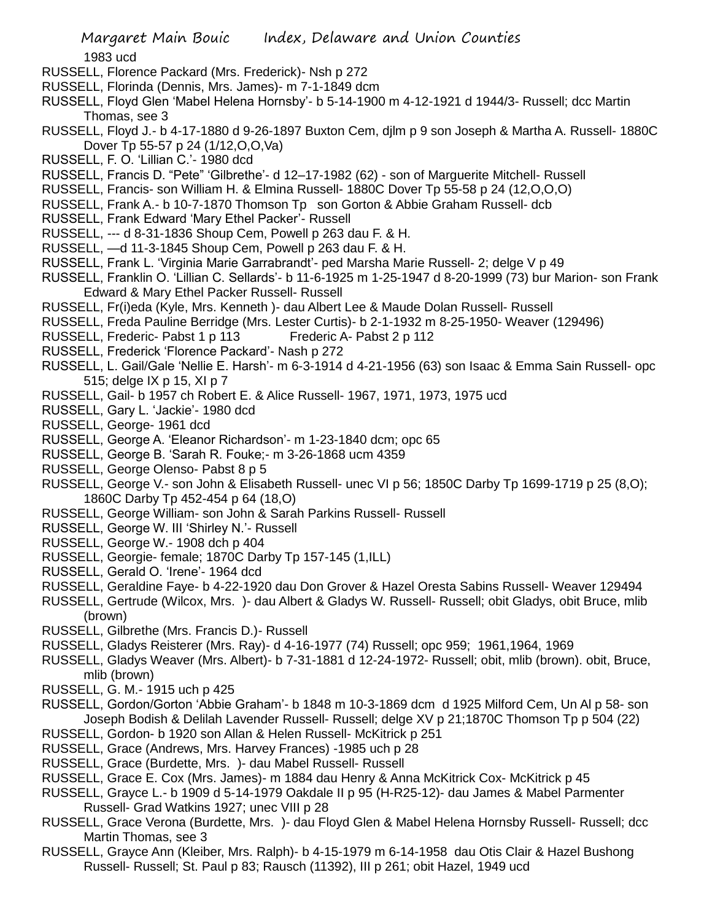1983 ucd

- RUSSELL, Florence Packard (Mrs. Frederick)- Nsh p 272
- RUSSELL, Florinda (Dennis, Mrs. James)- m 7-1-1849 dcm
- RUSSELL, Floyd Glen 'Mabel Helena Hornsby'- b 5-14-1900 m 4-12-1921 d 1944/3- Russell; dcc Martin Thomas, see 3
- RUSSELL, Floyd J.- b 4-17-1880 d 9-26-1897 Buxton Cem, djlm p 9 son Joseph & Martha A. Russell- 1880C Dover Tp 55-57 p 24 (1/12,O,O,Va)
- RUSSELL, F. O. 'Lillian C.'- 1980 dcd
- RUSSELL, Francis D. "Pete" 'Gilbrethe'- d 12–17-1982 (62) son of Marguerite Mitchell- Russell
- RUSSELL, Francis- son William H. & Elmina Russell- 1880C Dover Tp 55-58 p 24 (12,O,O,O)
- RUSSELL, Frank A.- b 10-7-1870 Thomson Tp son Gorton & Abbie Graham Russell- dcb
- RUSSELL, Frank Edward 'Mary Ethel Packer'- Russell
- RUSSELL, --- d 8-31-1836 Shoup Cem, Powell p 263 dau F. & H.
- RUSSELL, —d 11-3-1845 Shoup Cem, Powell p 263 dau F. & H.
- RUSSELL, Frank L. 'Virginia Marie Garrabrandt'- ped Marsha Marie Russell- 2; delge V p 49
- RUSSELL, Franklin O. 'Lillian C. Sellards'- b 11-6-1925 m 1-25-1947 d 8-20-1999 (73) bur Marion- son Frank Edward & Mary Ethel Packer Russell- Russell
- RUSSELL, Fr(i)eda (Kyle, Mrs. Kenneth )- dau Albert Lee & Maude Dolan Russell- Russell
- RUSSELL, Freda Pauline Berridge (Mrs. Lester Curtis)- b 2-1-1932 m 8-25-1950- Weaver (129496)
- RUSSELL, Frederic- Pabst 1 p 113 Frederic A- Pabst 2 p 112
- RUSSELL, Frederick 'Florence Packard'- Nash p 272
- RUSSELL, L. Gail/Gale 'Nellie E. Harsh'- m 6-3-1914 d 4-21-1956 (63) son Isaac & Emma Sain Russell- opc 515; delge IX p 15, XI p 7
- RUSSELL, Gail- b 1957 ch Robert E. & Alice Russell- 1967, 1971, 1973, 1975 ucd
- RUSSELL, Gary L. 'Jackie'- 1980 dcd
- RUSSELL, George- 1961 dcd
- RUSSELL, George A. 'Eleanor Richardson'- m 1-23-1840 dcm; opc 65
- RUSSELL, George B. 'Sarah R. Fouke;- m 3-26-1868 ucm 4359
- RUSSELL, George Olenso- Pabst 8 p 5
- RUSSELL, George V.- son John & Elisabeth Russell- unec VI p 56; 1850C Darby Tp 1699-1719 p 25 (8,O); 1860C Darby Tp 452-454 p 64 (18,O)
- RUSSELL, George William- son John & Sarah Parkins Russell- Russell
- RUSSELL, George W. III 'Shirley N.'- Russell
- RUSSELL, George W.- 1908 dch p 404
- RUSSELL, Georgie- female; 1870C Darby Tp 157-145 (1,ILL)
- RUSSELL, Gerald O. 'Irene'- 1964 dcd
- RUSSELL, Geraldine Faye- b 4-22-1920 dau Don Grover & Hazel Oresta Sabins Russell- Weaver 129494
- RUSSELL, Gertrude (Wilcox, Mrs. )- dau Albert & Gladys W. Russell- Russell; obit Gladys, obit Bruce, mlib (brown)
- RUSSELL, Gilbrethe (Mrs. Francis D.)- Russell
- RUSSELL, Gladys Reisterer (Mrs. Ray)- d 4-16-1977 (74) Russell; opc 959; 1961,1964, 1969
- RUSSELL, Gladys Weaver (Mrs. Albert)- b 7-31-1881 d 12-24-1972- Russell; obit, mlib (brown). obit, Bruce, mlib (brown)
- RUSSELL, G. M.- 1915 uch p 425
- RUSSELL, Gordon/Gorton 'Abbie Graham'- b 1848 m 10-3-1869 dcm d 1925 Milford Cem, Un Al p 58- son Joseph Bodish & Delilah Lavender Russell- Russell; delge XV p 21;1870C Thomson Tp p 504 (22)
- RUSSELL, Gordon- b 1920 son Allan & Helen Russell- McKitrick p 251
- RUSSELL, Grace (Andrews, Mrs. Harvey Frances) -1985 uch p 28
- RUSSELL, Grace (Burdette, Mrs. )- dau Mabel Russell- Russell
- RUSSELL, Grace E. Cox (Mrs. James)- m 1884 dau Henry & Anna McKitrick Cox- McKitrick p 45
- RUSSELL, Grayce L.- b 1909 d 5-14-1979 Oakdale II p 95 (H-R25-12)- dau James & Mabel Parmenter Russell- Grad Watkins 1927; unec VIII p 28
- RUSSELL, Grace Verona (Burdette, Mrs. )- dau Floyd Glen & Mabel Helena Hornsby Russell- Russell; dcc Martin Thomas, see 3
- RUSSELL, Grayce Ann (Kleiber, Mrs. Ralph)- b 4-15-1979 m 6-14-1958 dau Otis Clair & Hazel Bushong Russell- Russell; St. Paul p 83; Rausch (11392), III p 261; obit Hazel, 1949 ucd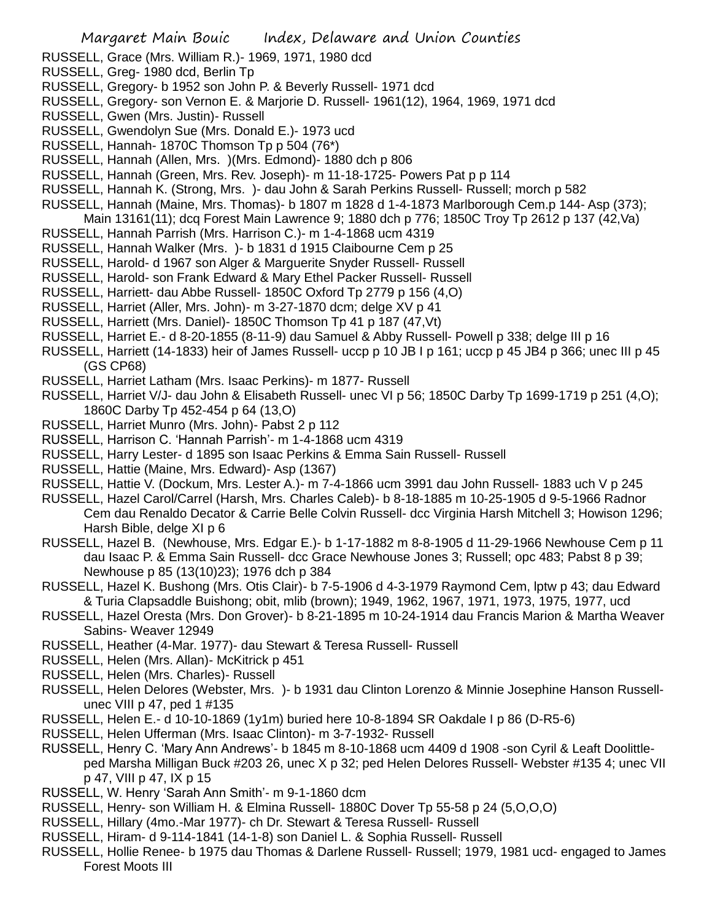- RUSSELL, Grace (Mrs. William R.)- 1969, 1971, 1980 dcd
- RUSSELL, Greg- 1980 dcd, Berlin Tp
- RUSSELL, Gregory- b 1952 son John P. & Beverly Russell- 1971 dcd
- RUSSELL, Gregory- son Vernon E. & Marjorie D. Russell- 1961(12), 1964, 1969, 1971 dcd
- RUSSELL, Gwen (Mrs. Justin)- Russell
- RUSSELL, Gwendolyn Sue (Mrs. Donald E.)- 1973 ucd
- RUSSELL, Hannah- 1870C Thomson Tp p 504 (76\*)
- RUSSELL, Hannah (Allen, Mrs. )(Mrs. Edmond)- 1880 dch p 806
- RUSSELL, Hannah (Green, Mrs. Rev. Joseph)- m 11-18-1725- Powers Pat p p 114
- RUSSELL, Hannah K. (Strong, Mrs. )- dau John & Sarah Perkins Russell- Russell; morch p 582
- RUSSELL, Hannah (Maine, Mrs. Thomas)- b 1807 m 1828 d 1-4-1873 Marlborough Cem.p 144- Asp (373);
- Main 13161(11); dcq Forest Main Lawrence 9; 1880 dch p 776; 1850C Troy Tp 2612 p 137 (42,Va)
- RUSSELL, Hannah Parrish (Mrs. Harrison C.)- m 1-4-1868 ucm 4319
- RUSSELL, Hannah Walker (Mrs. )- b 1831 d 1915 Claibourne Cem p 25
- RUSSELL, Harold- d 1967 son Alger & Marguerite Snyder Russell- Russell
- RUSSELL, Harold- son Frank Edward & Mary Ethel Packer Russell- Russell
- RUSSELL, Harriett- dau Abbe Russell- 1850C Oxford Tp 2779 p 156 (4,O)
- RUSSELL, Harriet (Aller, Mrs. John)- m 3-27-1870 dcm; delge XV p 41
- RUSSELL, Harriett (Mrs. Daniel)- 1850C Thomson Tp 41 p 187 (47,Vt)
- RUSSELL, Harriet E.- d 8-20-1855 (8-11-9) dau Samuel & Abby Russell- Powell p 338; delge III p 16
- RUSSELL, Harriett (14-1833) heir of James Russell- uccp p 10 JB I p 161; uccp p 45 JB4 p 366; unec III p 45 (GS CP68)
- RUSSELL, Harriet Latham (Mrs. Isaac Perkins)- m 1877- Russell
- RUSSELL, Harriet V/J- dau John & Elisabeth Russell- unec VI p 56; 1850C Darby Tp 1699-1719 p 251 (4,O); 1860C Darby Tp 452-454 p 64 (13,O)
- RUSSELL, Harriet Munro (Mrs. John)- Pabst 2 p 112
- RUSSELL, Harrison C. 'Hannah Parrish'- m 1-4-1868 ucm 4319
- RUSSELL, Harry Lester- d 1895 son Isaac Perkins & Emma Sain Russell- Russell
- RUSSELL, Hattie (Maine, Mrs. Edward)- Asp (1367)
- RUSSELL, Hattie V. (Dockum, Mrs. Lester A.)- m 7-4-1866 ucm 3991 dau John Russell- 1883 uch V p 245
- RUSSELL, Hazel Carol/Carrel (Harsh, Mrs. Charles Caleb)- b 8-18-1885 m 10-25-1905 d 9-5-1966 Radnor Cem dau Renaldo Decator & Carrie Belle Colvin Russell- dcc Virginia Harsh Mitchell 3; Howison 1296; Harsh Bible, delge XI p 6
- RUSSELL, Hazel B. (Newhouse, Mrs. Edgar E.)- b 1-17-1882 m 8-8-1905 d 11-29-1966 Newhouse Cem p 11 dau Isaac P. & Emma Sain Russell- dcc Grace Newhouse Jones 3; Russell; opc 483; Pabst 8 p 39; Newhouse p 85 (13(10)23); 1976 dch p 384
- RUSSELL, Hazel K. Bushong (Mrs. Otis Clair)- b 7-5-1906 d 4-3-1979 Raymond Cem, lptw p 43; dau Edward & Turia Clapsaddle Buishong; obit, mlib (brown); 1949, 1962, 1967, 1971, 1973, 1975, 1977, ucd
- RUSSELL, Hazel Oresta (Mrs. Don Grover)- b 8-21-1895 m 10-24-1914 dau Francis Marion & Martha Weaver Sabins- Weaver 12949
- RUSSELL, Heather (4-Mar. 1977)- dau Stewart & Teresa Russell- Russell
- RUSSELL, Helen (Mrs. Allan)- McKitrick p 451
- RUSSELL, Helen (Mrs. Charles)- Russell
- RUSSELL, Helen Delores (Webster, Mrs. )- b 1931 dau Clinton Lorenzo & Minnie Josephine Hanson Russellunec VIII p 47, ped 1 #135
- RUSSELL, Helen E.- d 10-10-1869 (1y1m) buried here 10-8-1894 SR Oakdale I p 86 (D-R5-6)
- RUSSELL, Helen Ufferman (Mrs. Isaac Clinton)- m 3-7-1932- Russell
- RUSSELL, Henry C. 'Mary Ann Andrews'- b 1845 m 8-10-1868 ucm 4409 d 1908 -son Cyril & Leaft Doolittleped Marsha Milligan Buck #203 26, unec X p 32; ped Helen Delores Russell- Webster #135 4; unec VII p 47, VIII p 47, IX p 15
- RUSSELL, W. Henry 'Sarah Ann Smith'- m 9-1-1860 dcm
- RUSSELL, Henry- son William H. & Elmina Russell- 1880C Dover Tp 55-58 p 24 (5,O,O,O)
- RUSSELL, Hillary (4mo.-Mar 1977)- ch Dr. Stewart & Teresa Russell- Russell
- RUSSELL, Hiram- d 9-114-1841 (14-1-8) son Daniel L. & Sophia Russell- Russell
- RUSSELL, Hollie Renee- b 1975 dau Thomas & Darlene Russell- Russell; 1979, 1981 ucd- engaged to James Forest Moots III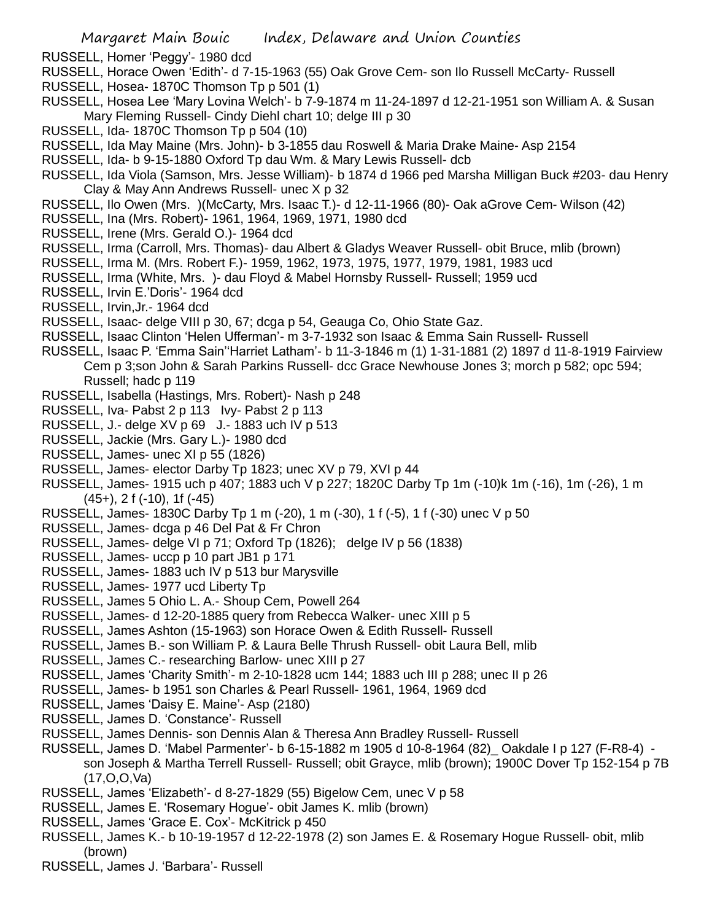- RUSSELL, Homer 'Peggy'- 1980 dcd
- RUSSELL, Horace Owen 'Edith'- d 7-15-1963 (55) Oak Grove Cem- son Ilo Russell McCarty- Russell
- RUSSELL, Hosea- 1870C Thomson Tp p 501 (1)
- RUSSELL, Hosea Lee 'Mary Lovina Welch'- b 7-9-1874 m 11-24-1897 d 12-21-1951 son William A. & Susan Mary Fleming Russell- Cindy Diehl chart 10; delge III p 30
- RUSSELL, Ida- 1870C Thomson Tp p 504 (10)
- RUSSELL, Ida May Maine (Mrs. John)- b 3-1855 dau Roswell & Maria Drake Maine- Asp 2154
- RUSSELL, Ida- b 9-15-1880 Oxford Tp dau Wm. & Mary Lewis Russell- dcb
- RUSSELL, Ida Viola (Samson, Mrs. Jesse William)- b 1874 d 1966 ped Marsha Milligan Buck #203- dau Henry Clay & May Ann Andrews Russell- unec X p 32
- RUSSELL, Ilo Owen (Mrs. )(McCarty, Mrs. Isaac T.)- d 12-11-1966 (80)- Oak aGrove Cem- Wilson (42)
- RUSSELL, Ina (Mrs. Robert)- 1961, 1964, 1969, 1971, 1980 dcd
- RUSSELL, Irene (Mrs. Gerald O.)- 1964 dcd
- RUSSELL, Irma (Carroll, Mrs. Thomas)- dau Albert & Gladys Weaver Russell- obit Bruce, mlib (brown)
- RUSSELL, Irma M. (Mrs. Robert F.)- 1959, 1962, 1973, 1975, 1977, 1979, 1981, 1983 ucd
- RUSSELL, Irma (White, Mrs. )- dau Floyd & Mabel Hornsby Russell- Russell; 1959 ucd
- RUSSELL, Irvin E.'Doris'- 1964 dcd
- RUSSELL, Irvin,Jr.- 1964 dcd
- RUSSELL, Isaac- delge VIII p 30, 67; dcga p 54, Geauga Co, Ohio State Gaz.
- RUSSELL, Isaac Clinton 'Helen Ufferman'- m 3-7-1932 son Isaac & Emma Sain Russell- Russell
- RUSSELL, Isaac P. 'Emma Sain''Harriet Latham'- b 11-3-1846 m (1) 1-31-1881 (2) 1897 d 11-8-1919 Fairview Cem p 3;son John & Sarah Parkins Russell- dcc Grace Newhouse Jones 3; morch p 582; opc 594; Russell; hadc p 119
- RUSSELL, Isabella (Hastings, Mrs. Robert)- Nash p 248
- RUSSELL, Iva- Pabst 2 p 113 Ivy- Pabst 2 p 113
- RUSSELL, J.- delge XV p 69 J.- 1883 uch IV p 513
- RUSSELL, Jackie (Mrs. Gary L.)- 1980 dcd
- RUSSELL, James- unec XI p 55 (1826)
- RUSSELL, James- elector Darby Tp 1823; unec XV p 79, XVI p 44
- RUSSELL, James- 1915 uch p 407; 1883 uch V p 227; 1820C Darby Tp 1m (-10)k 1m (-16), 1m (-26), 1 m (45+), 2 f (-10), 1f (-45)
- RUSSELL, James- 1830C Darby Tp 1 m (-20), 1 m (-30), 1 f (-5), 1 f (-30) unec V p 50
- RUSSELL, James- dcga p 46 Del Pat & Fr Chron
- RUSSELL, James- delge VI p 71; Oxford Tp (1826); delge IV p 56 (1838)
- RUSSELL, James- uccp p 10 part JB1 p 171
- RUSSELL, James- 1883 uch IV p 513 bur Marysville
- RUSSELL, James- 1977 ucd Liberty Tp
- RUSSELL, James 5 Ohio L. A.- Shoup Cem, Powell 264
- RUSSELL, James- d 12-20-1885 query from Rebecca Walker- unec XIII p 5
- RUSSELL, James Ashton (15-1963) son Horace Owen & Edith Russell- Russell
- RUSSELL, James B.- son William P. & Laura Belle Thrush Russell- obit Laura Bell, mlib
- RUSSELL, James C.- researching Barlow- unec XIII p 27
- RUSSELL, James 'Charity Smith'- m 2-10-1828 ucm 144; 1883 uch III p 288; unec II p 26
- RUSSELL, James- b 1951 son Charles & Pearl Russell- 1961, 1964, 1969 dcd
- RUSSELL, James 'Daisy E. Maine'- Asp (2180)
- RUSSELL, James D. 'Constance'- Russell
- RUSSELL, James Dennis- son Dennis Alan & Theresa Ann Bradley Russell- Russell
- RUSSELL, James D. 'Mabel Parmenter'- b 6-15-1882 m 1905 d 10-8-1964 (82)\_ Oakdale I p 127 (F-R8-4) son Joseph & Martha Terrell Russell- Russell; obit Grayce, mlib (brown); 1900C Dover Tp 152-154 p 7B (17,O,O,Va)
- RUSSELL, James 'Elizabeth'- d 8-27-1829 (55) Bigelow Cem, unec V p 58
- RUSSELL, James E. 'Rosemary Hogue'- obit James K. mlib (brown)
- RUSSELL, James 'Grace E. Cox'- McKitrick p 450
- RUSSELL, James K.- b 10-19-1957 d 12-22-1978 (2) son James E. & Rosemary Hogue Russell- obit, mlib (brown)
- RUSSELL, James J. 'Barbara'- Russell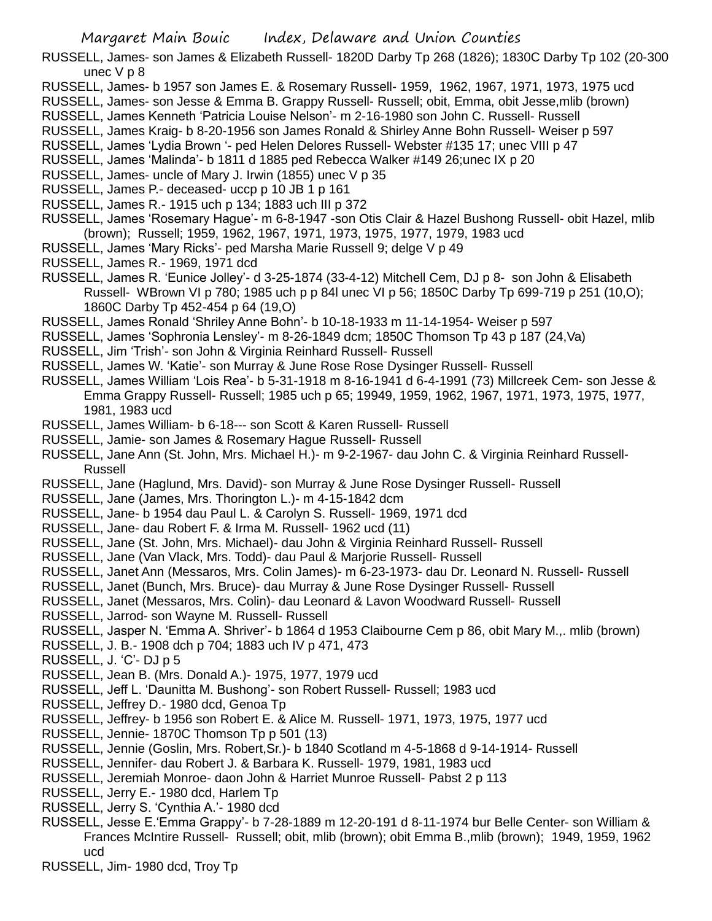RUSSELL, James- son James & Elizabeth Russell- 1820D Darby Tp 268 (1826); 1830C Darby Tp 102 (20-300 unec V p 8

- RUSSELL, James- b 1957 son James E. & Rosemary Russell- 1959, 1962, 1967, 1971, 1973, 1975 ucd
- RUSSELL, James- son Jesse & Emma B. Grappy Russell- Russell; obit, Emma, obit Jesse,mlib (brown)
- RUSSELL, James Kenneth 'Patricia Louise Nelson'- m 2-16-1980 son John C. Russell- Russell
- RUSSELL, James Kraig- b 8-20-1956 son James Ronald & Shirley Anne Bohn Russell- Weiser p 597
- RUSSELL, James 'Lydia Brown '- ped Helen Delores Russell- Webster #135 17; unec VIII p 47
- RUSSELL, James 'Malinda'- b 1811 d 1885 ped Rebecca Walker #149 26;unec IX p 20
- RUSSELL, James- uncle of Mary J. Irwin (1855) unec V p 35
- RUSSELL, James P.- deceased- uccp p 10 JB 1 p 161
- RUSSELL, James R.- 1915 uch p 134; 1883 uch III p 372
- RUSSELL, James 'Rosemary Hague'- m 6-8-1947 -son Otis Clair & Hazel Bushong Russell- obit Hazel, mlib (brown); Russell; 1959, 1962, 1967, 1971, 1973, 1975, 1977, 1979, 1983 ucd
- RUSSELL, James 'Mary Ricks'- ped Marsha Marie Russell 9; delge V p 49
- RUSSELL, James R.- 1969, 1971 dcd
- RUSSELL, James R. 'Eunice Jolley'- d 3-25-1874 (33-4-12) Mitchell Cem, DJ p 8- son John & Elisabeth Russell- WBrown VI p 780; 1985 uch p p 84l unec VI p 56; 1850C Darby Tp 699-719 p 251 (10,O); 1860C Darby Tp 452-454 p 64 (19,O)
- RUSSELL, James Ronald 'Shriley Anne Bohn'- b 10-18-1933 m 11-14-1954- Weiser p 597
- RUSSELL, James 'Sophronia Lensley'- m 8-26-1849 dcm; 1850C Thomson Tp 43 p 187 (24,Va)
- RUSSELL, Jim 'Trish'- son John & Virginia Reinhard Russell- Russell
- RUSSELL, James W. 'Katie'- son Murray & June Rose Rose Dysinger Russell- Russell
- RUSSELL, James William 'Lois Rea'- b 5-31-1918 m 8-16-1941 d 6-4-1991 (73) Millcreek Cem- son Jesse & Emma Grappy Russell- Russell; 1985 uch p 65; 19949, 1959, 1962, 1967, 1971, 1973, 1975, 1977, 1981, 1983 ucd
- RUSSELL, James William- b 6-18--- son Scott & Karen Russell- Russell
- RUSSELL, Jamie- son James & Rosemary Hague Russell- Russell
- RUSSELL, Jane Ann (St. John, Mrs. Michael H.)- m 9-2-1967- dau John C. & Virginia Reinhard Russell-Russell
- RUSSELL, Jane (Haglund, Mrs. David)- son Murray & June Rose Dysinger Russell- Russell
- RUSSELL, Jane (James, Mrs. Thorington L.)- m 4-15-1842 dcm
- RUSSELL, Jane- b 1954 dau Paul L. & Carolyn S. Russell- 1969, 1971 dcd
- RUSSELL, Jane- dau Robert F. & Irma M. Russell- 1962 ucd (11)
- RUSSELL, Jane (St. John, Mrs. Michael)- dau John & Virginia Reinhard Russell- Russell
- RUSSELL, Jane (Van Vlack, Mrs. Todd)- dau Paul & Marjorie Russell- Russell
- RUSSELL, Janet Ann (Messaros, Mrs. Colin James)- m 6-23-1973- dau Dr. Leonard N. Russell- Russell
- RUSSELL, Janet (Bunch, Mrs. Bruce)- dau Murray & June Rose Dysinger Russell- Russell
- RUSSELL, Janet (Messaros, Mrs. Colin)- dau Leonard & Lavon Woodward Russell- Russell
- RUSSELL, Jarrod- son Wayne M. Russell- Russell
- RUSSELL, Jasper N. 'Emma A. Shriver'- b 1864 d 1953 Claibourne Cem p 86, obit Mary M.,. mlib (brown)
- RUSSELL, J. B.- 1908 dch p 704; 1883 uch IV p 471, 473
- RUSSELL, J. 'C'- DJ p 5
- RUSSELL, Jean B. (Mrs. Donald A.)- 1975, 1977, 1979 ucd
- RUSSELL, Jeff L. 'Daunitta M. Bushong'- son Robert Russell- Russell; 1983 ucd
- RUSSELL, Jeffrey D.- 1980 dcd, Genoa Tp
- RUSSELL, Jeffrey- b 1956 son Robert E. & Alice M. Russell- 1971, 1973, 1975, 1977 ucd
- RUSSELL, Jennie- 1870C Thomson Tp p 501 (13)
- RUSSELL, Jennie (Goslin, Mrs. Robert,Sr.)- b 1840 Scotland m 4-5-1868 d 9-14-1914- Russell
- RUSSELL, Jennifer- dau Robert J. & Barbara K. Russell- 1979, 1981, 1983 ucd
- RUSSELL, Jeremiah Monroe- daon John & Harriet Munroe Russell- Pabst 2 p 113
- RUSSELL, Jerry E.- 1980 dcd, Harlem Tp
- RUSSELL, Jerry S. 'Cynthia A.'- 1980 dcd
- RUSSELL, Jesse E.'Emma Grappy'- b 7-28-1889 m 12-20-191 d 8-11-1974 bur Belle Center- son William & Frances McIntire Russell- Russell; obit, mlib (brown); obit Emma B.,mlib (brown); 1949, 1959, 1962 ucd
- RUSSELL, Jim- 1980 dcd, Troy Tp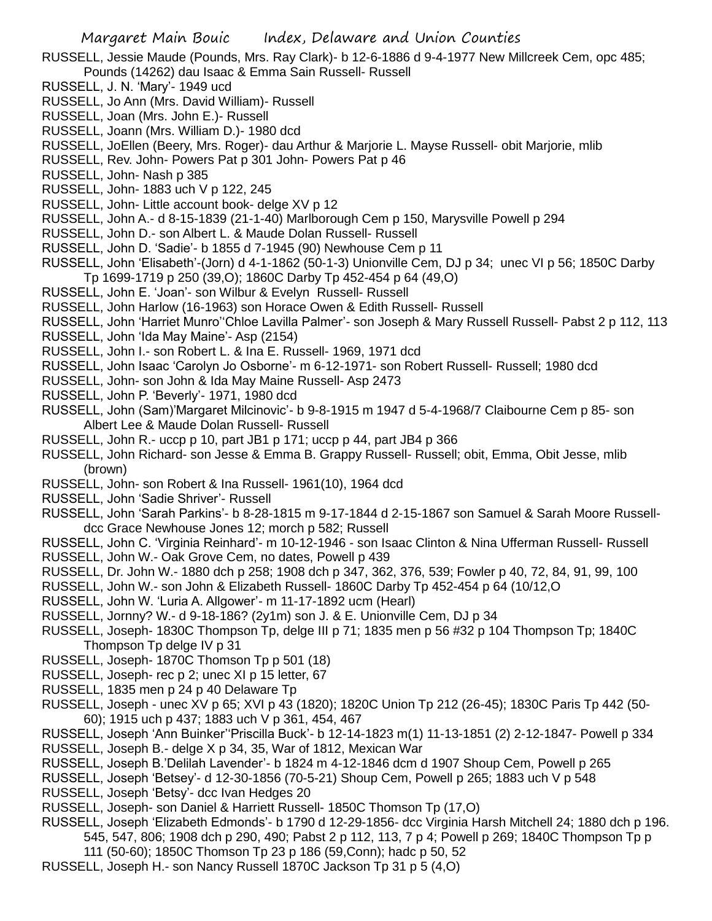- RUSSELL, Jessie Maude (Pounds, Mrs. Ray Clark)- b 12-6-1886 d 9-4-1977 New Millcreek Cem, opc 485; Pounds (14262) dau Isaac & Emma Sain Russell- Russell
- RUSSELL, J. N. 'Mary'- 1949 ucd
- RUSSELL, Jo Ann (Mrs. David William)- Russell
- RUSSELL, Joan (Mrs. John E.)- Russell
- RUSSELL, Joann (Mrs. William D.)- 1980 dcd
- RUSSELL, JoEllen (Beery, Mrs. Roger)- dau Arthur & Marjorie L. Mayse Russell- obit Marjorie, mlib
- RUSSELL, Rev. John- Powers Pat p 301 John- Powers Pat p 46
- RUSSELL, John- Nash p 385
- RUSSELL, John- 1883 uch V p 122, 245
- RUSSELL, John- Little account book- delge XV p 12
- RUSSELL, John A.- d 8-15-1839 (21-1-40) Marlborough Cem p 150, Marysville Powell p 294
- RUSSELL, John D.- son Albert L. & Maude Dolan Russell- Russell
- RUSSELL, John D. 'Sadie'- b 1855 d 7-1945 (90) Newhouse Cem p 11
- RUSSELL, John 'Elisabeth'-(Jorn) d 4-1-1862 (50-1-3) Unionville Cem, DJ p 34; unec VI p 56; 1850C Darby Tp 1699-1719 p 250 (39,O); 1860C Darby Tp 452-454 p 64 (49,O)
- RUSSELL, John E. 'Joan'- son Wilbur & Evelyn Russell- Russell
- RUSSELL, John Harlow (16-1963) son Horace Owen & Edith Russell- Russell
- RUSSELL, John 'Harriet Munro''Chloe Lavilla Palmer'- son Joseph & Mary Russell Russell- Pabst 2 p 112, 113
- RUSSELL, John 'Ida May Maine'- Asp (2154)
- RUSSELL, John I.- son Robert L. & Ina E. Russell- 1969, 1971 dcd
- RUSSELL, John Isaac 'Carolyn Jo Osborne'- m 6-12-1971- son Robert Russell- Russell; 1980 dcd
- RUSSELL, John- son John & Ida May Maine Russell- Asp 2473
- RUSSELL, John P. 'Beverly'- 1971, 1980 dcd
- RUSSELL, John (Sam)'Margaret Milcinovic'- b 9-8-1915 m 1947 d 5-4-1968/7 Claibourne Cem p 85- son Albert Lee & Maude Dolan Russell- Russell
- RUSSELL, John R.- uccp p 10, part JB1 p 171; uccp p 44, part JB4 p 366
- RUSSELL, John Richard- son Jesse & Emma B. Grappy Russell- Russell; obit, Emma, Obit Jesse, mlib (brown)
- RUSSELL, John- son Robert & Ina Russell- 1961(10), 1964 dcd
- RUSSELL, John 'Sadie Shriver'- Russell
- RUSSELL, John 'Sarah Parkins'- b 8-28-1815 m 9-17-1844 d 2-15-1867 son Samuel & Sarah Moore Russelldcc Grace Newhouse Jones 12; morch p 582; Russell
- RUSSELL, John C. 'Virginia Reinhard'- m 10-12-1946 son Isaac Clinton & Nina Ufferman Russell- Russell
- RUSSELL, John W.- Oak Grove Cem, no dates, Powell p 439
- RUSSELL, Dr. John W.- 1880 dch p 258; 1908 dch p 347, 362, 376, 539; Fowler p 40, 72, 84, 91, 99, 100
- RUSSELL, John W.- son John & Elizabeth Russell- 1860C Darby Tp 452-454 p 64 (10/12,O
- RUSSELL, John W. 'Luria A. Allgower'- m 11-17-1892 ucm (Hearl)
- RUSSELL, Jornny? W.- d 9-18-186? (2y1m) son J. & E. Unionville Cem, DJ p 34
- RUSSELL, Joseph- 1830C Thompson Tp, delge III p 71; 1835 men p 56 #32 p 104 Thompson Tp; 1840C Thompson Tp delge IV p 31
- RUSSELL, Joseph- 1870C Thomson Tp p 501 (18)
- RUSSELL, Joseph- rec p 2; unec XI p 15 letter, 67
- RUSSELL, 1835 men p 24 p 40 Delaware Tp
- RUSSELL, Joseph unec XV p 65; XVI p 43 (1820); 1820C Union Tp 212 (26-45); 1830C Paris Tp 442 (50- 60); 1915 uch p 437; 1883 uch V p 361, 454, 467
- RUSSELL, Joseph 'Ann Buinker''Priscilla Buck'- b 12-14-1823 m(1) 11-13-1851 (2) 2-12-1847- Powell p 334
- RUSSELL, Joseph B.- delge X p 34, 35, War of 1812, Mexican War
- RUSSELL, Joseph B.'Delilah Lavender'- b 1824 m 4-12-1846 dcm d 1907 Shoup Cem, Powell p 265
- RUSSELL, Joseph 'Betsey'- d 12-30-1856 (70-5-21) Shoup Cem, Powell p 265; 1883 uch V p 548
- RUSSELL, Joseph 'Betsy'- dcc Ivan Hedges 20
- RUSSELL, Joseph- son Daniel & Harriett Russell- 1850C Thomson Tp (17,O)
- RUSSELL, Joseph 'Elizabeth Edmonds'- b 1790 d 12-29-1856- dcc Virginia Harsh Mitchell 24; 1880 dch p 196. 545, 547, 806; 1908 dch p 290, 490; Pabst 2 p 112, 113, 7 p 4; Powell p 269; 1840C Thompson Tp p
	- 111 (50-60); 1850C Thomson Tp 23 p 186 (59,Conn); hadc p 50, 52
- RUSSELL, Joseph H.- son Nancy Russell 1870C Jackson Tp 31 p 5 (4,O)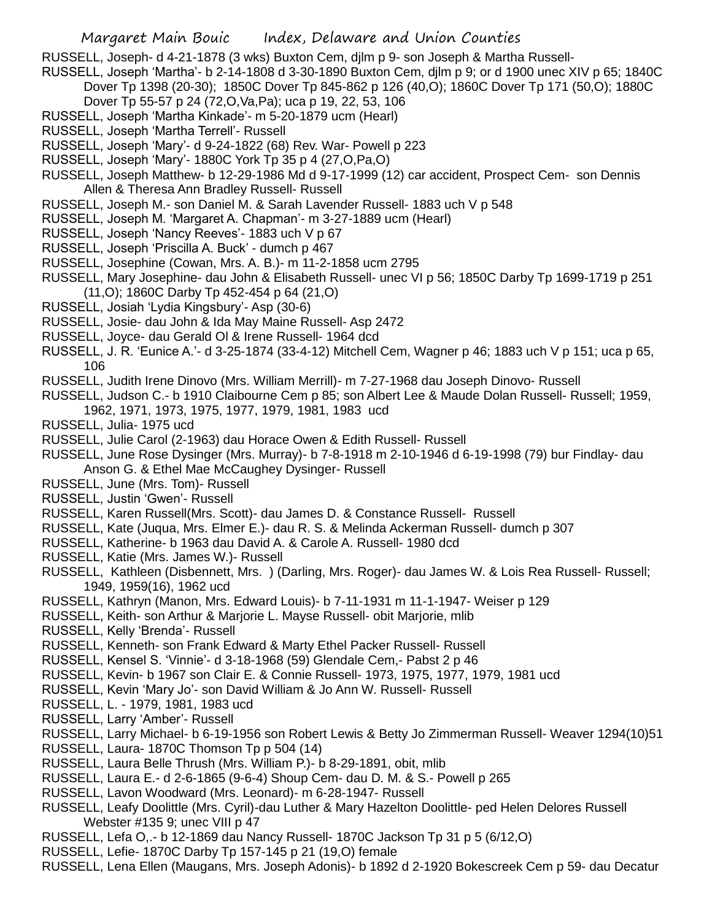RUSSELL, Joseph- d 4-21-1878 (3 wks) Buxton Cem, djlm p 9- son Joseph & Martha Russell-

- RUSSELL, Joseph 'Martha'- b 2-14-1808 d 3-30-1890 Buxton Cem, djlm p 9; or d 1900 unec XIV p 65; 1840C
	- Dover Tp 1398 (20-30); 1850C Dover Tp 845-862 p 126 (40,O); 1860C Dover Tp 171 (50,O); 1880C Dover Tp 55-57 p 24 (72,O,Va,Pa); uca p 19, 22, 53, 106
- RUSSELL, Joseph 'Martha Kinkade'- m 5-20-1879 ucm (Hearl)
- RUSSELL, Joseph 'Martha Terrell'- Russell
- RUSSELL, Joseph 'Mary'- d 9-24-1822 (68) Rev. War- Powell p 223
- RUSSELL, Joseph 'Mary'- 1880C York Tp 35 p 4 (27,O,Pa,O)
- RUSSELL, Joseph Matthew- b 12-29-1986 Md d 9-17-1999 (12) car accident, Prospect Cem- son Dennis Allen & Theresa Ann Bradley Russell- Russell
- RUSSELL, Joseph M.- son Daniel M. & Sarah Lavender Russell- 1883 uch V p 548
- RUSSELL, Joseph M. 'Margaret A. Chapman'- m 3-27-1889 ucm (Hearl)
- RUSSELL, Joseph 'Nancy Reeves'- 1883 uch V p 67
- RUSSELL, Joseph 'Priscilla A. Buck' dumch p 467
- RUSSELL, Josephine (Cowan, Mrs. A. B.)- m 11-2-1858 ucm 2795
- RUSSELL, Mary Josephine- dau John & Elisabeth Russell- unec VI p 56; 1850C Darby Tp 1699-1719 p 251 (11,O); 1860C Darby Tp 452-454 p 64 (21,O)
- RUSSELL, Josiah 'Lydia Kingsbury'- Asp (30-6)
- RUSSELL, Josie- dau John & Ida May Maine Russell- Asp 2472
- RUSSELL, Joyce- dau Gerald Ol & Irene Russell- 1964 dcd
- RUSSELL, J. R. 'Eunice A.'- d 3-25-1874 (33-4-12) Mitchell Cem, Wagner p 46; 1883 uch V p 151; uca p 65, 106
- RUSSELL, Judith Irene Dinovo (Mrs. William Merrill)- m 7-27-1968 dau Joseph Dinovo- Russell
- RUSSELL, Judson C.- b 1910 Claibourne Cem p 85; son Albert Lee & Maude Dolan Russell- Russell; 1959,
- 1962, 1971, 1973, 1975, 1977, 1979, 1981, 1983 ucd
- RUSSELL, Julia- 1975 ucd
- RUSSELL, Julie Carol (2-1963) dau Horace Owen & Edith Russell- Russell
- RUSSELL, June Rose Dysinger (Mrs. Murray)- b 7-8-1918 m 2-10-1946 d 6-19-1998 (79) bur Findlay- dau Anson G. & Ethel Mae McCaughey Dysinger- Russell
- RUSSELL, June (Mrs. Tom)- Russell
- RUSSELL, Justin 'Gwen'- Russell
- RUSSELL, Karen Russell(Mrs. Scott)- dau James D. & Constance Russell- Russell
- RUSSELL, Kate (Juqua, Mrs. Elmer E.)- dau R. S. & Melinda Ackerman Russell- dumch p 307
- RUSSELL, Katherine- b 1963 dau David A. & Carole A. Russell- 1980 dcd
- RUSSELL, Katie (Mrs. James W.)- Russell
- RUSSELL, Kathleen (Disbennett, Mrs. ) (Darling, Mrs. Roger)- dau James W. & Lois Rea Russell- Russell; 1949, 1959(16), 1962 ucd
- RUSSELL, Kathryn (Manon, Mrs. Edward Louis)- b 7-11-1931 m 11-1-1947- Weiser p 129
- RUSSELL, Keith- son Arthur & Marjorie L. Mayse Russell- obit Marjorie, mlib
- RUSSELL, Kelly 'Brenda'- Russell
- RUSSELL, Kenneth- son Frank Edward & Marty Ethel Packer Russell- Russell
- RUSSELL, Kensel S. 'Vinnie'- d 3-18-1968 (59) Glendale Cem,- Pabst 2 p 46
- RUSSELL, Kevin- b 1967 son Clair E. & Connie Russell- 1973, 1975, 1977, 1979, 1981 ucd
- RUSSELL, Kevin 'Mary Jo'- son David William & Jo Ann W. Russell- Russell
- RUSSELL, L. 1979, 1981, 1983 ucd
- RUSSELL, Larry 'Amber'- Russell
- RUSSELL, Larry Michael- b 6-19-1956 son Robert Lewis & Betty Jo Zimmerman Russell- Weaver 1294(10)51
- RUSSELL, Laura- 1870C Thomson Tp p 504 (14)
- RUSSELL, Laura Belle Thrush (Mrs. William P.)- b 8-29-1891, obit, mlib
- RUSSELL, Laura E.- d 2-6-1865 (9-6-4) Shoup Cem- dau D. M. & S.- Powell p 265
- RUSSELL, Lavon Woodward (Mrs. Leonard)- m 6-28-1947- Russell
- RUSSELL, Leafy Doolittle (Mrs. Cyril)-dau Luther & Mary Hazelton Doolittle- ped Helen Delores Russell Webster #135 9; unec VIII p 47
- RUSSELL, Lefa O,.- b 12-1869 dau Nancy Russell- 1870C Jackson Tp 31 p 5 (6/12,O)
- RUSSELL, Lefie- 1870C Darby Tp 157-145 p 21 (19,O) female
- RUSSELL, Lena Ellen (Maugans, Mrs. Joseph Adonis)- b 1892 d 2-1920 Bokescreek Cem p 59- dau Decatur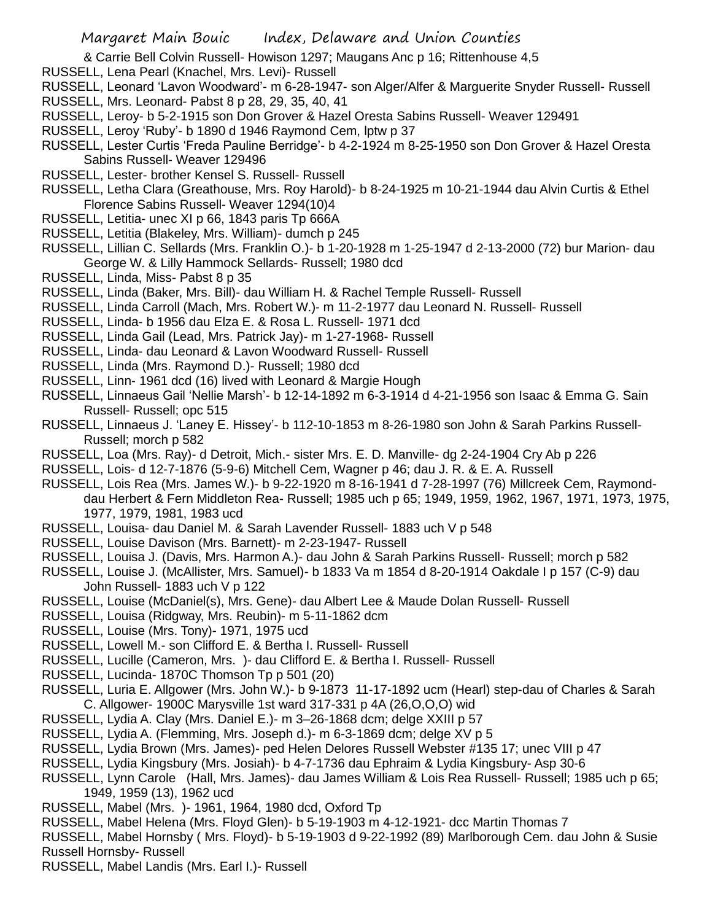- & Carrie Bell Colvin Russell- Howison 1297; Maugans Anc p 16; Rittenhouse 4,5
- RUSSELL, Lena Pearl (Knachel, Mrs. Levi)- Russell
- RUSSELL, Leonard 'Lavon Woodward'- m 6-28-1947- son Alger/Alfer & Marguerite Snyder Russell- Russell
- RUSSELL, Mrs. Leonard- Pabst 8 p 28, 29, 35, 40, 41
- RUSSELL, Leroy- b 5-2-1915 son Don Grover & Hazel Oresta Sabins Russell- Weaver 129491
- RUSSELL, Leroy 'Ruby'- b 1890 d 1946 Raymond Cem, lptw p 37
- RUSSELL, Lester Curtis 'Freda Pauline Berridge'- b 4-2-1924 m 8-25-1950 son Don Grover & Hazel Oresta Sabins Russell- Weaver 129496
- RUSSELL, Lester- brother Kensel S. Russell- Russell
- RUSSELL, Letha Clara (Greathouse, Mrs. Roy Harold)- b 8-24-1925 m 10-21-1944 dau Alvin Curtis & Ethel Florence Sabins Russell- Weaver 1294(10)4
- RUSSELL, Letitia- unec XI p 66, 1843 paris Tp 666A
- RUSSELL, Letitia (Blakeley, Mrs. William)- dumch p 245
- RUSSELL, Lillian C. Sellards (Mrs. Franklin O.)- b 1-20-1928 m 1-25-1947 d 2-13-2000 (72) bur Marion- dau George W. & Lilly Hammock Sellards- Russell; 1980 dcd
- RUSSELL, Linda, Miss- Pabst 8 p 35
- RUSSELL, Linda (Baker, Mrs. Bill)- dau William H. & Rachel Temple Russell- Russell
- RUSSELL, Linda Carroll (Mach, Mrs. Robert W.)- m 11-2-1977 dau Leonard N. Russell- Russell
- RUSSELL, Linda- b 1956 dau Elza E. & Rosa L. Russell- 1971 dcd
- RUSSELL, Linda Gail (Lead, Mrs. Patrick Jay)- m 1-27-1968- Russell
- RUSSELL, Linda- dau Leonard & Lavon Woodward Russell- Russell
- RUSSELL, Linda (Mrs. Raymond D.)- Russell; 1980 dcd
- RUSSELL, Linn- 1961 dcd (16) lived with Leonard & Margie Hough
- RUSSELL, Linnaeus Gail 'Nellie Marsh'- b 12-14-1892 m 6-3-1914 d 4-21-1956 son Isaac & Emma G. Sain Russell- Russell; opc 515
- RUSSELL, Linnaeus J. 'Laney E. Hissey'- b 112-10-1853 m 8-26-1980 son John & Sarah Parkins Russell-Russell; morch p 582
- RUSSELL, Loa (Mrs. Ray)- d Detroit, Mich.- sister Mrs. E. D. Manville- dg 2-24-1904 Cry Ab p 226
- RUSSELL, Lois- d 12-7-1876 (5-9-6) Mitchell Cem, Wagner p 46; dau J. R. & E. A. Russell
- RUSSELL, Lois Rea (Mrs. James W.)- b 9-22-1920 m 8-16-1941 d 7-28-1997 (76) Millcreek Cem, Raymonddau Herbert & Fern Middleton Rea- Russell; 1985 uch p 65; 1949, 1959, 1962, 1967, 1971, 1973, 1975, 1977, 1979, 1981, 1983 ucd
- RUSSELL, Louisa- dau Daniel M. & Sarah Lavender Russell- 1883 uch V p 548
- RUSSELL, Louise Davison (Mrs. Barnett)- m 2-23-1947- Russell
- RUSSELL, Louisa J. (Davis, Mrs. Harmon A.)- dau John & Sarah Parkins Russell- Russell; morch p 582
- RUSSELL, Louise J. (McAllister, Mrs. Samuel)- b 1833 Va m 1854 d 8-20-1914 Oakdale I p 157 (C-9) dau John Russell- 1883 uch V p 122
- RUSSELL, Louise (McDaniel(s), Mrs. Gene)- dau Albert Lee & Maude Dolan Russell- Russell
- RUSSELL, Louisa (Ridgway, Mrs. Reubin)- m 5-11-1862 dcm
- RUSSELL, Louise (Mrs. Tony)- 1971, 1975 ucd
- RUSSELL, Lowell M.- son Clifford E. & Bertha I. Russell- Russell
- RUSSELL, Lucille (Cameron, Mrs. )- dau Clifford E. & Bertha I. Russell- Russell
- RUSSELL, Lucinda- 1870C Thomson Tp p 501 (20)
- RUSSELL, Luria E. Allgower (Mrs. John W.)- b 9-1873 11-17-1892 ucm (Hearl) step-dau of Charles & Sarah C. Allgower- 1900C Marysville 1st ward 317-331 p 4A (26,O,O,O) wid
- RUSSELL, Lydia A. Clay (Mrs. Daniel E.)- m 3–26-1868 dcm; delge XXIII p 57
- RUSSELL, Lydia A. (Flemming, Mrs. Joseph d.)- m 6-3-1869 dcm; delge XV p 5
- RUSSELL, Lydia Brown (Mrs. James)- ped Helen Delores Russell Webster #135 17; unec VIII p 47
- RUSSELL, Lydia Kingsbury (Mrs. Josiah)- b 4-7-1736 dau Ephraim & Lydia Kingsbury- Asp 30-6
- RUSSELL, Lynn Carole (Hall, Mrs. James)- dau James William & Lois Rea Russell- Russell; 1985 uch p 65; 1949, 1959 (13), 1962 ucd
- RUSSELL, Mabel (Mrs. )- 1961, 1964, 1980 dcd, Oxford Tp
- RUSSELL, Mabel Helena (Mrs. Floyd Glen)- b 5-19-1903 m 4-12-1921- dcc Martin Thomas 7
- RUSSELL, Mabel Hornsby ( Mrs. Floyd)- b 5-19-1903 d 9-22-1992 (89) Marlborough Cem. dau John & Susie Russell Hornsby- Russell
- RUSSELL, Mabel Landis (Mrs. Earl I.)- Russell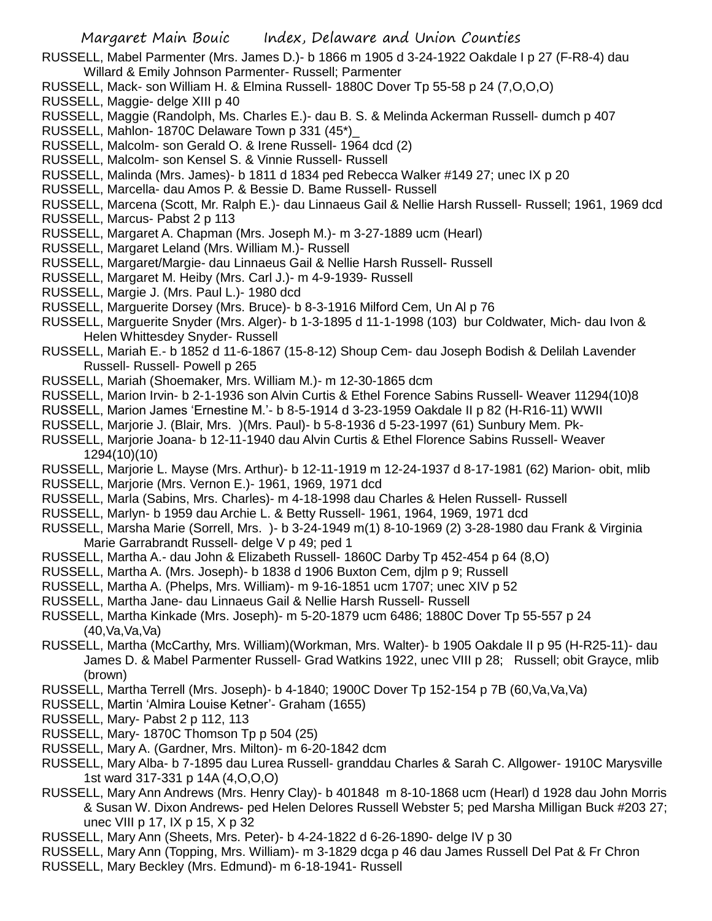RUSSELL, Mabel Parmenter (Mrs. James D.)- b 1866 m 1905 d 3-24-1922 Oakdale I p 27 (F-R8-4) dau Willard & Emily Johnson Parmenter- Russell; Parmenter

- RUSSELL, Mack- son William H. & Elmina Russell- 1880C Dover Tp 55-58 p 24 (7,O,O,O)
- RUSSELL, Maggie- delge XIII p 40
- RUSSELL, Maggie (Randolph, Ms. Charles E.)- dau B. S. & Melinda Ackerman Russell- dumch p 407
- RUSSELL, Mahlon- 1870C Delaware Town p 331 (45\*)\_
- RUSSELL, Malcolm- son Gerald O. & Irene Russell- 1964 dcd (2)
- RUSSELL, Malcolm- son Kensel S. & Vinnie Russell- Russell
- RUSSELL, Malinda (Mrs. James)- b 1811 d 1834 ped Rebecca Walker #149 27; unec IX p 20
- RUSSELL, Marcella- dau Amos P. & Bessie D. Bame Russell- Russell

RUSSELL, Marcena (Scott, Mr. Ralph E.)- dau Linnaeus Gail & Nellie Harsh Russell- Russell; 1961, 1969 dcd

- RUSSELL, Marcus- Pabst 2 p 113
- RUSSELL, Margaret A. Chapman (Mrs. Joseph M.)- m 3-27-1889 ucm (Hearl)
- RUSSELL, Margaret Leland (Mrs. William M.)- Russell
- RUSSELL, Margaret/Margie- dau Linnaeus Gail & Nellie Harsh Russell- Russell
- RUSSELL, Margaret M. Heiby (Mrs. Carl J.)- m 4-9-1939- Russell
- RUSSELL, Margie J. (Mrs. Paul L.)- 1980 dcd
- RUSSELL, Marguerite Dorsey (Mrs. Bruce)- b 8-3-1916 Milford Cem, Un Al p 76
- RUSSELL, Marguerite Snyder (Mrs. Alger)- b 1-3-1895 d 11-1-1998 (103) bur Coldwater, Mich- dau Ivon & Helen Whittesdey Snyder- Russell
- RUSSELL, Mariah E.- b 1852 d 11-6-1867 (15-8-12) Shoup Cem- dau Joseph Bodish & Delilah Lavender Russell- Russell- Powell p 265
- RUSSELL, Mariah (Shoemaker, Mrs. William M.)- m 12-30-1865 dcm
- RUSSELL, Marion Irvin- b 2-1-1936 son Alvin Curtis & Ethel Forence Sabins Russell- Weaver 11294(10)8
- RUSSELL, Marion James 'Ernestine M.'- b 8-5-1914 d 3-23-1959 Oakdale II p 82 (H-R16-11) WWII
- RUSSELL, Marjorie J. (Blair, Mrs. )(Mrs. Paul)- b 5-8-1936 d 5-23-1997 (61) Sunbury Mem. Pk-
- RUSSELL, Marjorie Joana- b 12-11-1940 dau Alvin Curtis & Ethel Florence Sabins Russell- Weaver 1294(10)(10)
- RUSSELL, Marjorie L. Mayse (Mrs. Arthur)- b 12-11-1919 m 12-24-1937 d 8-17-1981 (62) Marion- obit, mlib
- RUSSELL, Marjorie (Mrs. Vernon E.)- 1961, 1969, 1971 dcd
- RUSSELL, Marla (Sabins, Mrs. Charles)- m 4-18-1998 dau Charles & Helen Russell- Russell
- RUSSELL, Marlyn- b 1959 dau Archie L. & Betty Russell- 1961, 1964, 1969, 1971 dcd
- RUSSELL, Marsha Marie (Sorrell, Mrs. )- b 3-24-1949 m(1) 8-10-1969 (2) 3-28-1980 dau Frank & Virginia Marie Garrabrandt Russell- delge V p 49; ped 1
- RUSSELL, Martha A.- dau John & Elizabeth Russell- 1860C Darby Tp 452-454 p 64 (8,O)
- RUSSELL, Martha A. (Mrs. Joseph)- b 1838 d 1906 Buxton Cem, djlm p 9; Russell
- RUSSELL, Martha A. (Phelps, Mrs. William)- m 9-16-1851 ucm 1707; unec XIV p 52
- RUSSELL, Martha Jane- dau Linnaeus Gail & Nellie Harsh Russell- Russell
- RUSSELL, Martha Kinkade (Mrs. Joseph)- m 5-20-1879 ucm 6486; 1880C Dover Tp 55-557 p 24 (40,Va,Va,Va)
- RUSSELL, Martha (McCarthy, Mrs. William)(Workman, Mrs. Walter)- b 1905 Oakdale II p 95 (H-R25-11)- dau James D. & Mabel Parmenter Russell- Grad Watkins 1922, unec VIII p 28; Russell; obit Grayce, mlib (brown)
- RUSSELL, Martha Terrell (Mrs. Joseph)- b 4-1840; 1900C Dover Tp 152-154 p 7B (60,Va,Va,Va)
- RUSSELL, Martin 'Almira Louise Ketner'- Graham (1655)
- RUSSELL, Mary- Pabst 2 p 112, 113
- RUSSELL, Mary- 1870C Thomson Tp p 504 (25)
- RUSSELL, Mary A. (Gardner, Mrs. Milton)- m 6-20-1842 dcm
- RUSSELL, Mary Alba- b 7-1895 dau Lurea Russell- granddau Charles & Sarah C. Allgower- 1910C Marysville 1st ward 317-331 p 14A (4,O,O,O)
- RUSSELL, Mary Ann Andrews (Mrs. Henry Clay)- b 401848 m 8-10-1868 ucm (Hearl) d 1928 dau John Morris & Susan W. Dixon Andrews- ped Helen Delores Russell Webster 5; ped Marsha Milligan Buck #203 27; unec VIII p 17, IX p 15, X p 32
- RUSSELL, Mary Ann (Sheets, Mrs. Peter)- b 4-24-1822 d 6-26-1890- delge IV p 30
- RUSSELL, Mary Ann (Topping, Mrs. William)- m 3-1829 dcga p 46 dau James Russell Del Pat & Fr Chron
- RUSSELL, Mary Beckley (Mrs. Edmund)- m 6-18-1941- Russell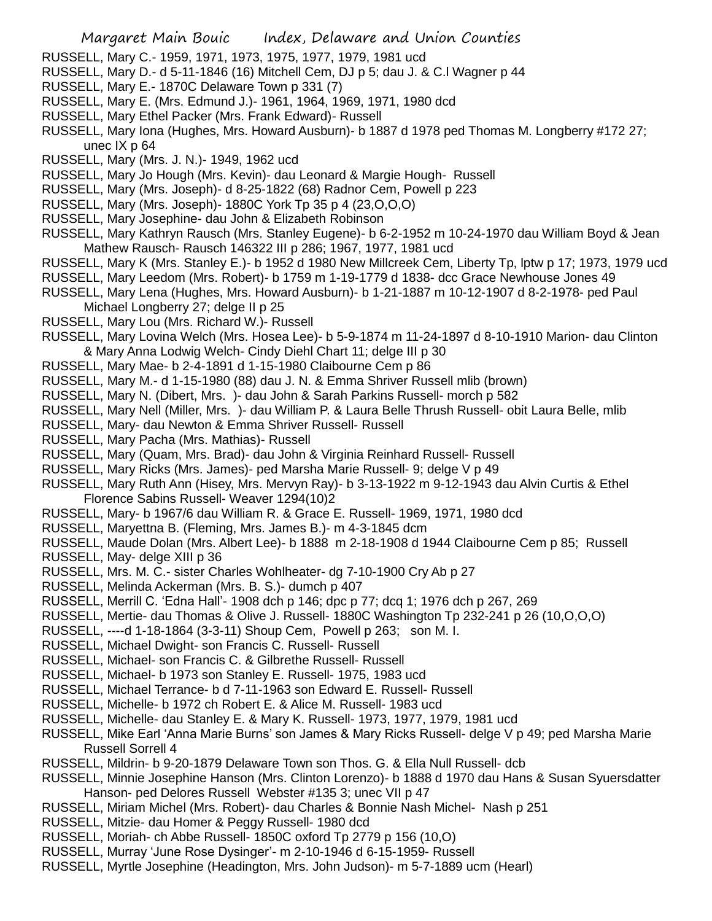- RUSSELL, Mary C.- 1959, 1971, 1973, 1975, 1977, 1979, 1981 ucd
- RUSSELL, Mary D.- d 5-11-1846 (16) Mitchell Cem, DJ p 5; dau J. & C.l Wagner p 44
- RUSSELL, Mary E.- 1870C Delaware Town p 331 (7)
- RUSSELL, Mary E. (Mrs. Edmund J.)- 1961, 1964, 1969, 1971, 1980 dcd
- RUSSELL, Mary Ethel Packer (Mrs. Frank Edward)- Russell
- RUSSELL, Mary Iona (Hughes, Mrs. Howard Ausburn)- b 1887 d 1978 ped Thomas M. Longberry #172 27; unec IX p 64
- RUSSELL, Mary (Mrs. J. N.)- 1949, 1962 ucd
- RUSSELL, Mary Jo Hough (Mrs. Kevin)- dau Leonard & Margie Hough- Russell
- RUSSELL, Mary (Mrs. Joseph)- d 8-25-1822 (68) Radnor Cem, Powell p 223
- RUSSELL, Mary (Mrs. Joseph)- 1880C York Tp 35 p 4 (23,O,O,O)
- RUSSELL, Mary Josephine- dau John & Elizabeth Robinson
- RUSSELL, Mary Kathryn Rausch (Mrs. Stanley Eugene)- b 6-2-1952 m 10-24-1970 dau William Boyd & Jean Mathew Rausch- Rausch 146322 III p 286; 1967, 1977, 1981 ucd
- RUSSELL, Mary K (Mrs. Stanley E.)- b 1952 d 1980 New Millcreek Cem, Liberty Tp, lptw p 17; 1973, 1979 ucd
- RUSSELL, Mary Leedom (Mrs. Robert)- b 1759 m 1-19-1779 d 1838- dcc Grace Newhouse Jones 49
- RUSSELL, Mary Lena (Hughes, Mrs. Howard Ausburn)- b 1-21-1887 m 10-12-1907 d 8-2-1978- ped Paul Michael Longberry 27; delge II p 25
- RUSSELL, Mary Lou (Mrs. Richard W.)- Russell
- RUSSELL, Mary Lovina Welch (Mrs. Hosea Lee)- b 5-9-1874 m 11-24-1897 d 8-10-1910 Marion- dau Clinton & Mary Anna Lodwig Welch- Cindy Diehl Chart 11; delge III p 30
- RUSSELL, Mary Mae- b 2-4-1891 d 1-15-1980 Claibourne Cem p 86
- RUSSELL, Mary M.- d 1-15-1980 (88) dau J. N. & Emma Shriver Russell mlib (brown)
- RUSSELL, Mary N. (Dibert, Mrs. )- dau John & Sarah Parkins Russell- morch p 582
- RUSSELL, Mary Nell (Miller, Mrs. )- dau William P. & Laura Belle Thrush Russell- obit Laura Belle, mlib
- RUSSELL, Mary- dau Newton & Emma Shriver Russell- Russell
- RUSSELL, Mary Pacha (Mrs. Mathias)- Russell
- RUSSELL, Mary (Quam, Mrs. Brad)- dau John & Virginia Reinhard Russell- Russell
- RUSSELL, Mary Ricks (Mrs. James)- ped Marsha Marie Russell- 9; delge V p 49
- RUSSELL, Mary Ruth Ann (Hisey, Mrs. Mervyn Ray)- b 3-13-1922 m 9-12-1943 dau Alvin Curtis & Ethel Florence Sabins Russell- Weaver 1294(10)2
- RUSSELL, Mary- b 1967/6 dau William R. & Grace E. Russell- 1969, 1971, 1980 dcd
- RUSSELL, Maryettna B. (Fleming, Mrs. James B.)- m 4-3-1845 dcm
- RUSSELL, Maude Dolan (Mrs. Albert Lee)- b 1888 m 2-18-1908 d 1944 Claibourne Cem p 85; Russell
- RUSSELL, May- delge XIII p 36
- RUSSELL, Mrs. M. C.- sister Charles Wohlheater- dg 7-10-1900 Cry Ab p 27
- RUSSELL, Melinda Ackerman (Mrs. B. S.)- dumch p 407
- RUSSELL, Merrill C. 'Edna Hall'- 1908 dch p 146; dpc p 77; dcq 1; 1976 dch p 267, 269
- RUSSELL, Mertie- dau Thomas & Olive J. Russell- 1880C Washington Tp 232-241 p 26 (10,O,O,O)
- RUSSELL, ----d 1-18-1864 (3-3-11) Shoup Cem, Powell p 263; son M. I.
- RUSSELL, Michael Dwight- son Francis C. Russell- Russell
- RUSSELL, Michael- son Francis C. & Gilbrethe Russell- Russell
- RUSSELL, Michael- b 1973 son Stanley E. Russell- 1975, 1983 ucd
- RUSSELL, Michael Terrance- b d 7-11-1963 son Edward E. Russell- Russell
- RUSSELL, Michelle- b 1972 ch Robert E. & Alice M. Russell- 1983 ucd
- RUSSELL, Michelle- dau Stanley E. & Mary K. Russell- 1973, 1977, 1979, 1981 ucd
- RUSSELL, Mike Earl 'Anna Marie Burns' son James & Mary Ricks Russell- delge V p 49; ped Marsha Marie Russell Sorrell 4
- RUSSELL, Mildrin- b 9-20-1879 Delaware Town son Thos. G. & Ella Null Russell- dcb
- RUSSELL, Minnie Josephine Hanson (Mrs. Clinton Lorenzo)- b 1888 d 1970 dau Hans & Susan Syuersdatter Hanson- ped Delores Russell Webster #135 3; unec VII p 47
- RUSSELL, Miriam Michel (Mrs. Robert)- dau Charles & Bonnie Nash Michel- Nash p 251
- RUSSELL, Mitzie- dau Homer & Peggy Russell- 1980 dcd
- RUSSELL, Moriah- ch Abbe Russell- 1850C oxford Tp 2779 p 156 (10,O)
- RUSSELL, Murray 'June Rose Dysinger'- m 2-10-1946 d 6-15-1959- Russell
- RUSSELL, Myrtle Josephine (Headington, Mrs. John Judson)- m 5-7-1889 ucm (Hearl)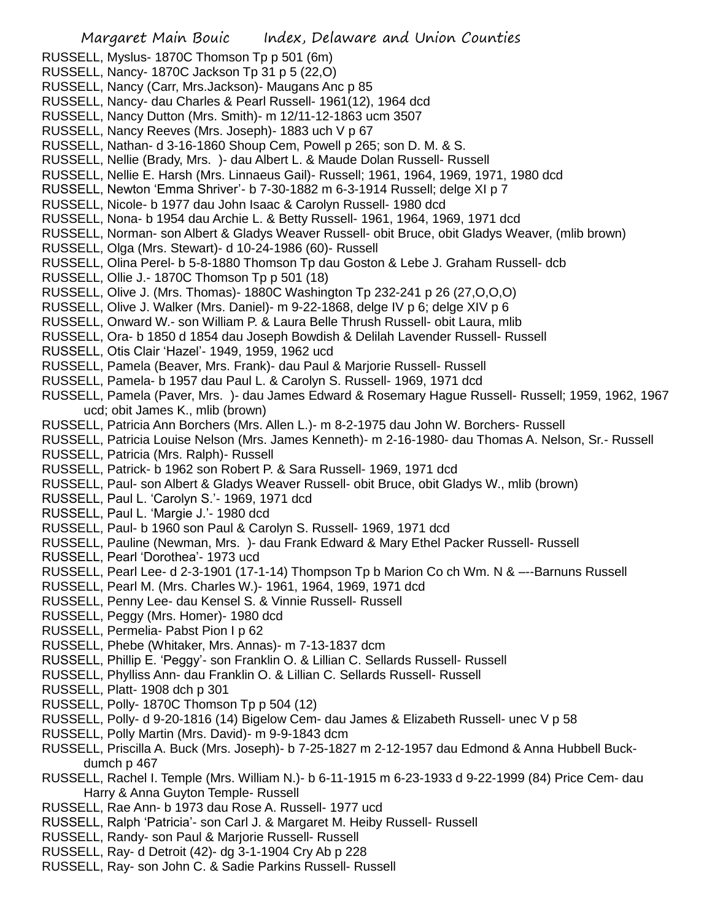- RUSSELL, Myslus- 1870C Thomson Tp p 501 (6m)
- RUSSELL, Nancy- 1870C Jackson Tp 31 p 5 (22,O)
- RUSSELL, Nancy (Carr, Mrs.Jackson)- Maugans Anc p 85
- RUSSELL, Nancy- dau Charles & Pearl Russell- 1961(12), 1964 dcd
- RUSSELL, Nancy Dutton (Mrs. Smith)- m 12/11-12-1863 ucm 3507
- RUSSELL, Nancy Reeves (Mrs. Joseph)- 1883 uch V p 67
- RUSSELL, Nathan- d 3-16-1860 Shoup Cem, Powell p 265; son D. M. & S.
- RUSSELL, Nellie (Brady, Mrs. )- dau Albert L. & Maude Dolan Russell- Russell
- RUSSELL, Nellie E. Harsh (Mrs. Linnaeus Gail)- Russell; 1961, 1964, 1969, 1971, 1980 dcd
- RUSSELL, Newton 'Emma Shriver'- b 7-30-1882 m 6-3-1914 Russell; delge XI p 7
- RUSSELL, Nicole- b 1977 dau John Isaac & Carolyn Russell- 1980 dcd
- RUSSELL, Nona- b 1954 dau Archie L. & Betty Russell- 1961, 1964, 1969, 1971 dcd
- RUSSELL, Norman- son Albert & Gladys Weaver Russell- obit Bruce, obit Gladys Weaver, (mlib brown)
- RUSSELL, Olga (Mrs. Stewart)- d 10-24-1986 (60)- Russell
- RUSSELL, Olina Perel- b 5-8-1880 Thomson Tp dau Goston & Lebe J. Graham Russell- dcb
- RUSSELL, Ollie J.- 1870C Thomson Tp p 501 (18)
- RUSSELL, Olive J. (Mrs. Thomas)- 1880C Washington Tp 232-241 p 26 (27,O,O,O)
- RUSSELL, Olive J. Walker (Mrs. Daniel)- m 9-22-1868, delge IV p 6; delge XIV p 6
- RUSSELL, Onward W.- son William P. & Laura Belle Thrush Russell- obit Laura, mlib
- RUSSELL, Ora- b 1850 d 1854 dau Joseph Bowdish & Delilah Lavender Russell- Russell
- RUSSELL, Otis Clair 'Hazel'- 1949, 1959, 1962 ucd
- RUSSELL, Pamela (Beaver, Mrs. Frank)- dau Paul & Marjorie Russell- Russell
- RUSSELL, Pamela- b 1957 dau Paul L. & Carolyn S. Russell- 1969, 1971 dcd
- RUSSELL, Pamela (Paver, Mrs. )- dau James Edward & Rosemary Hague Russell- Russell; 1959, 1962, 1967 ucd; obit James K., mlib (brown)
- RUSSELL, Patricia Ann Borchers (Mrs. Allen L.)- m 8-2-1975 dau John W. Borchers- Russell
- RUSSELL, Patricia Louise Nelson (Mrs. James Kenneth)- m 2-16-1980- dau Thomas A. Nelson, Sr.- Russell
- RUSSELL, Patricia (Mrs. Ralph)- Russell
- RUSSELL, Patrick- b 1962 son Robert P. & Sara Russell- 1969, 1971 dcd
- RUSSELL, Paul- son Albert & Gladys Weaver Russell- obit Bruce, obit Gladys W., mlib (brown)
- RUSSELL, Paul L. 'Carolyn S.'- 1969, 1971 dcd
- RUSSELL, Paul L. 'Margie J.'- 1980 dcd
- RUSSELL, Paul- b 1960 son Paul & Carolyn S. Russell- 1969, 1971 dcd
- RUSSELL, Pauline (Newman, Mrs. )- dau Frank Edward & Mary Ethel Packer Russell- Russell
- RUSSELL, Pearl 'Dorothea'- 1973 ucd
- RUSSELL, Pearl Lee- d 2-3-1901 (17-1-14) Thompson Tp b Marion Co ch Wm. N & –--Barnuns Russell
- RUSSELL, Pearl M. (Mrs. Charles W.)- 1961, 1964, 1969, 1971 dcd
- RUSSELL, Penny Lee- dau Kensel S. & Vinnie Russell- Russell
- RUSSELL, Peggy (Mrs. Homer)- 1980 dcd
- RUSSELL, Permelia- Pabst Pion I p 62
- RUSSELL, Phebe (Whitaker, Mrs. Annas)- m 7-13-1837 dcm
- RUSSELL, Phillip E. 'Peggy'- son Franklin O. & Lillian C. Sellards Russell- Russell
- RUSSELL, Phylliss Ann- dau Franklin O. & Lillian C. Sellards Russell- Russell
- RUSSELL, Platt- 1908 dch p 301
- RUSSELL, Polly- 1870C Thomson Tp p 504 (12)
- RUSSELL, Polly- d 9-20-1816 (14) Bigelow Cem- dau James & Elizabeth Russell- unec V p 58
- RUSSELL, Polly Martin (Mrs. David)- m 9-9-1843 dcm
- RUSSELL, Priscilla A. Buck (Mrs. Joseph)- b 7-25-1827 m 2-12-1957 dau Edmond & Anna Hubbell Buckdumch p 467
- RUSSELL, Rachel I. Temple (Mrs. William N.)- b 6-11-1915 m 6-23-1933 d 9-22-1999 (84) Price Cem- dau Harry & Anna Guyton Temple- Russell
- RUSSELL, Rae Ann- b 1973 dau Rose A. Russell- 1977 ucd
- RUSSELL, Ralph 'Patricia'- son Carl J. & Margaret M. Heiby Russell- Russell
- RUSSELL, Randy- son Paul & Marjorie Russell- Russell
- RUSSELL, Ray- d Detroit (42)- dg 3-1-1904 Cry Ab p 228
- RUSSELL, Ray- son John C. & Sadie Parkins Russell- Russell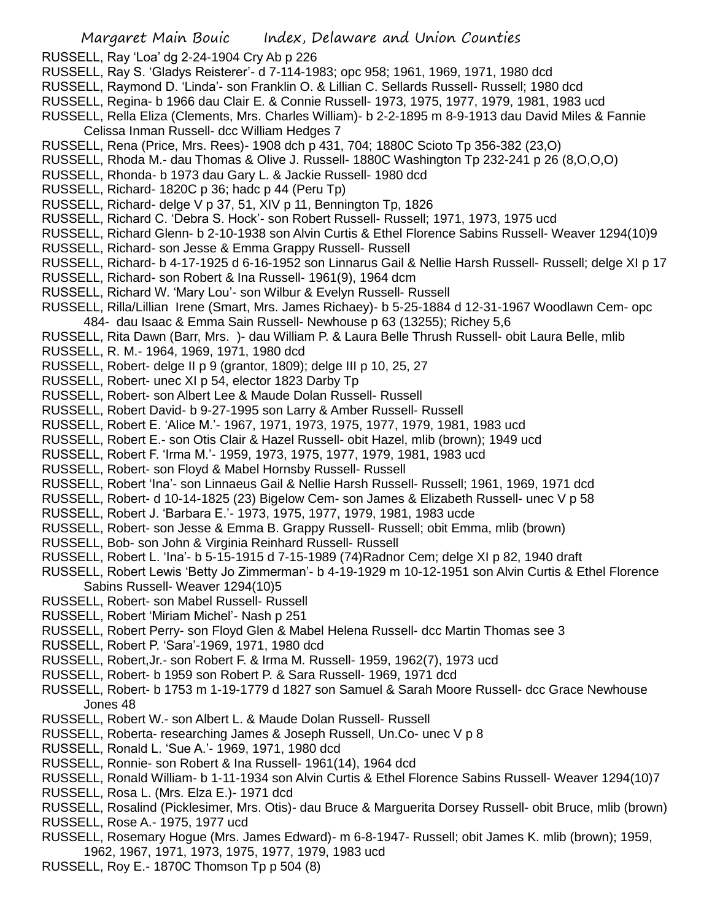RUSSELL, Ray 'Loa' dg 2-24-1904 Cry Ab p 226

- RUSSELL, Ray S. 'Gladys Reisterer'- d 7-114-1983; opc 958; 1961, 1969, 1971, 1980 dcd
- RUSSELL, Raymond D. 'Linda'- son Franklin O. & Lillian C. Sellards Russell- Russell; 1980 dcd
- RUSSELL, Regina- b 1966 dau Clair E. & Connie Russell- 1973, 1975, 1977, 1979, 1981, 1983 ucd
- RUSSELL, Rella Eliza (Clements, Mrs. Charles William)- b 2-2-1895 m 8-9-1913 dau David Miles & Fannie Celissa Inman Russell- dcc William Hedges 7
- RUSSELL, Rena (Price, Mrs. Rees)- 1908 dch p 431, 704; 1880C Scioto Tp 356-382 (23,O)
- RUSSELL, Rhoda M.- dau Thomas & Olive J. Russell- 1880C Washington Tp 232-241 p 26 (8,O,O,O)
- RUSSELL, Rhonda- b 1973 dau Gary L. & Jackie Russell- 1980 dcd
- RUSSELL, Richard- 1820C p 36; hadc p 44 (Peru Tp)
- RUSSELL, Richard- delge V p 37, 51, XIV p 11, Bennington Tp, 1826
- RUSSELL, Richard C. 'Debra S. Hock'- son Robert Russell- Russell; 1971, 1973, 1975 ucd
- RUSSELL, Richard Glenn- b 2-10-1938 son Alvin Curtis & Ethel Florence Sabins Russell- Weaver 1294(10)9
- RUSSELL, Richard- son Jesse & Emma Grappy Russell- Russell
- RUSSELL, Richard- b 4-17-1925 d 6-16-1952 son Linnarus Gail & Nellie Harsh Russell- Russell; delge XI p 17
- RUSSELL, Richard- son Robert & Ina Russell- 1961(9), 1964 dcm
- RUSSELL, Richard W. 'Mary Lou'- son Wilbur & Evelyn Russell- Russell
- RUSSELL, Rilla/Lillian Irene (Smart, Mrs. James Richaey)- b 5-25-1884 d 12-31-1967 Woodlawn Cem- opc 484- dau Isaac & Emma Sain Russell- Newhouse p 63 (13255); Richey 5,6
- RUSSELL, Rita Dawn (Barr, Mrs. )- dau William P. & Laura Belle Thrush Russell- obit Laura Belle, mlib
- RUSSELL, R. M.- 1964, 1969, 1971, 1980 dcd
- RUSSELL, Robert- delge II p 9 (grantor, 1809); delge III p 10, 25, 27
- RUSSELL, Robert- unec XI p 54, elector 1823 Darby Tp
- RUSSELL, Robert- son Albert Lee & Maude Dolan Russell- Russell
- RUSSELL, Robert David- b 9-27-1995 son Larry & Amber Russell- Russell
- RUSSELL, Robert E. 'Alice M.'- 1967, 1971, 1973, 1975, 1977, 1979, 1981, 1983 ucd
- RUSSELL, Robert E.- son Otis Clair & Hazel Russell- obit Hazel, mlib (brown); 1949 ucd
- RUSSELL, Robert F. 'Irma M.'- 1959, 1973, 1975, 1977, 1979, 1981, 1983 ucd
- RUSSELL, Robert- son Floyd & Mabel Hornsby Russell- Russell
- RUSSELL, Robert 'Ina'- son Linnaeus Gail & Nellie Harsh Russell- Russell; 1961, 1969, 1971 dcd
- RUSSELL, Robert- d 10-14-1825 (23) Bigelow Cem- son James & Elizabeth Russell- unec V p 58
- RUSSELL, Robert J. 'Barbara E.'- 1973, 1975, 1977, 1979, 1981, 1983 ucde
- RUSSELL, Robert- son Jesse & Emma B. Grappy Russell- Russell; obit Emma, mlib (brown)
- RUSSELL, Bob- son John & Virginia Reinhard Russell- Russell
- RUSSELL, Robert L. 'Ina'- b 5-15-1915 d 7-15-1989 (74)Radnor Cem; delge XI p 82, 1940 draft
- RUSSELL, Robert Lewis 'Betty Jo Zimmerman'- b 4-19-1929 m 10-12-1951 son Alvin Curtis & Ethel Florence Sabins Russell- Weaver 1294(10)5
- RUSSELL, Robert- son Mabel Russell- Russell
- RUSSELL, Robert 'Miriam Michel'- Nash p 251
- RUSSELL, Robert Perry- son Floyd Glen & Mabel Helena Russell- dcc Martin Thomas see 3
- RUSSELL, Robert P. 'Sara'-1969, 1971, 1980 dcd
- RUSSELL, Robert,Jr.- son Robert F. & Irma M. Russell- 1959, 1962(7), 1973 ucd
- RUSSELL, Robert- b 1959 son Robert P. & Sara Russell- 1969, 1971 dcd
- RUSSELL, Robert- b 1753 m 1-19-1779 d 1827 son Samuel & Sarah Moore Russell- dcc Grace Newhouse Jones 48
- RUSSELL, Robert W.- son Albert L. & Maude Dolan Russell- Russell
- RUSSELL, Roberta- researching James & Joseph Russell, Un.Co- unec V p 8
- RUSSELL, Ronald L. 'Sue A.'- 1969, 1971, 1980 dcd
- RUSSELL, Ronnie- son Robert & Ina Russell- 1961(14), 1964 dcd
- RUSSELL, Ronald William- b 1-11-1934 son Alvin Curtis & Ethel Florence Sabins Russell- Weaver 1294(10)7
- RUSSELL, Rosa L. (Mrs. Elza E.)- 1971 dcd
- RUSSELL, Rosalind (Picklesimer, Mrs. Otis)- dau Bruce & Marguerita Dorsey Russell- obit Bruce, mlib (brown) RUSSELL, Rose A.- 1975, 1977 ucd
- RUSSELL, Rosemary Hogue (Mrs. James Edward)- m 6-8-1947- Russell; obit James K. mlib (brown); 1959, 1962, 1967, 1971, 1973, 1975, 1977, 1979, 1983 ucd
- RUSSELL, Roy E.- 1870C Thomson Tp p 504 (8)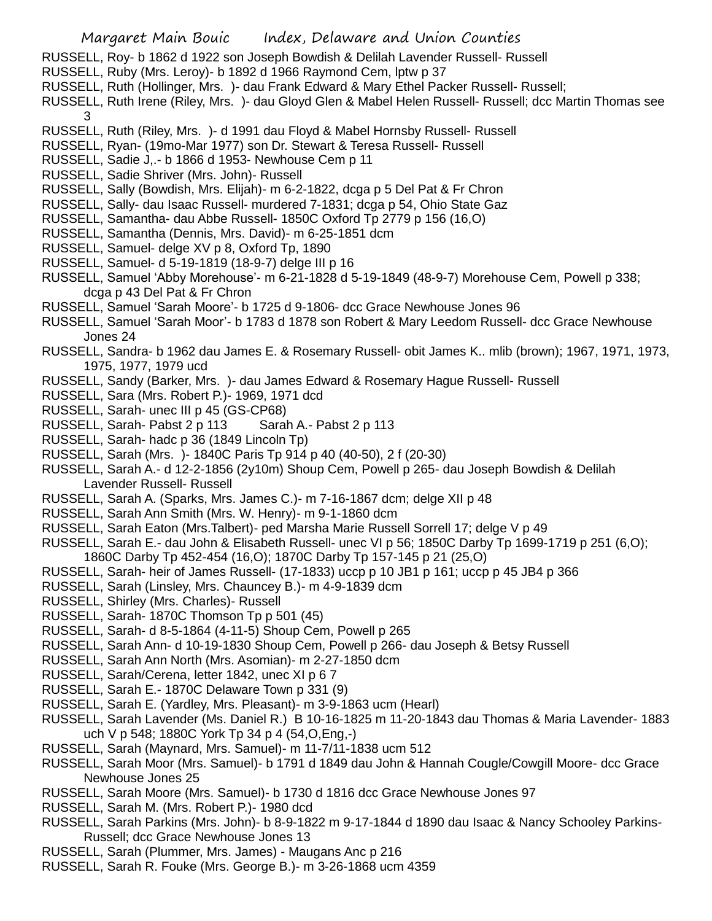- RUSSELL, Roy- b 1862 d 1922 son Joseph Bowdish & Delilah Lavender Russell- Russell
- RUSSELL, Ruby (Mrs. Leroy)- b 1892 d 1966 Raymond Cem, lptw p 37
- RUSSELL, Ruth (Hollinger, Mrs. )- dau Frank Edward & Mary Ethel Packer Russell- Russell;
- RUSSELL, Ruth Irene (Riley, Mrs. )- dau Gloyd Glen & Mabel Helen Russell- Russell; dcc Martin Thomas see 3
- RUSSELL, Ruth (Riley, Mrs. )- d 1991 dau Floyd & Mabel Hornsby Russell- Russell
- RUSSELL, Ryan- (19mo-Mar 1977) son Dr. Stewart & Teresa Russell- Russell
- RUSSELL, Sadie J,.- b 1866 d 1953- Newhouse Cem p 11
- RUSSELL, Sadie Shriver (Mrs. John)- Russell
- RUSSELL, Sally (Bowdish, Mrs. Elijah)- m 6-2-1822, dcga p 5 Del Pat & Fr Chron
- RUSSELL, Sally- dau Isaac Russell- murdered 7-1831; dcga p 54, Ohio State Gaz
- RUSSELL, Samantha- dau Abbe Russell- 1850C Oxford Tp 2779 p 156 (16,O)
- RUSSELL, Samantha (Dennis, Mrs. David)- m 6-25-1851 dcm
- RUSSELL, Samuel- delge XV p 8, Oxford Tp, 1890
- RUSSELL, Samuel- d 5-19-1819 (18-9-7) delge III p 16
- RUSSELL, Samuel 'Abby Morehouse'- m 6-21-1828 d 5-19-1849 (48-9-7) Morehouse Cem, Powell p 338; dcga p 43 Del Pat & Fr Chron
- RUSSELL, Samuel 'Sarah Moore'- b 1725 d 9-1806- dcc Grace Newhouse Jones 96
- RUSSELL, Samuel 'Sarah Moor'- b 1783 d 1878 son Robert & Mary Leedom Russell- dcc Grace Newhouse Jones 24
- RUSSELL, Sandra- b 1962 dau James E. & Rosemary Russell- obit James K.. mlib (brown); 1967, 1971, 1973, 1975, 1977, 1979 ucd
- RUSSELL, Sandy (Barker, Mrs. )- dau James Edward & Rosemary Hague Russell- Russell
- RUSSELL, Sara (Mrs. Robert P.)- 1969, 1971 dcd
- RUSSELL, Sarah- unec III p 45 (GS-CP68)
- RUSSELL, Sarah- Pabst 2 p 113 Sarah A.- Pabst 2 p 113
- RUSSELL, Sarah- hadc p 36 (1849 Lincoln Tp)
- RUSSELL, Sarah (Mrs. )- 1840C Paris Tp 914 p 40 (40-50), 2 f (20-30)
- RUSSELL, Sarah A.- d 12-2-1856 (2y10m) Shoup Cem, Powell p 265- dau Joseph Bowdish & Delilah Lavender Russell- Russell
- RUSSELL, Sarah A. (Sparks, Mrs. James C.)- m 7-16-1867 dcm; delge XII p 48
- RUSSELL, Sarah Ann Smith (Mrs. W. Henry)- m 9-1-1860 dcm
- RUSSELL, Sarah Eaton (Mrs.Talbert)- ped Marsha Marie Russell Sorrell 17; delge V p 49
- RUSSELL, Sarah E.- dau John & Elisabeth Russell- unec VI p 56; 1850C Darby Tp 1699-1719 p 251 (6,O); 1860C Darby Tp 452-454 (16,O); 1870C Darby Tp 157-145 p 21 (25,O)
- RUSSELL, Sarah- heir of James Russell- (17-1833) uccp p 10 JB1 p 161; uccp p 45 JB4 p 366
- RUSSELL, Sarah (Linsley, Mrs. Chauncey B.)- m 4-9-1839 dcm
- RUSSELL, Shirley (Mrs. Charles)- Russell
- RUSSELL, Sarah- 1870C Thomson Tp p 501 (45)
- RUSSELL, Sarah- d 8-5-1864 (4-11-5) Shoup Cem, Powell p 265
- RUSSELL, Sarah Ann- d 10-19-1830 Shoup Cem, Powell p 266- dau Joseph & Betsy Russell
- RUSSELL, Sarah Ann North (Mrs. Asomian)- m 2-27-1850 dcm
- RUSSELL, Sarah/Cerena, letter 1842, unec XI p 6 7
- RUSSELL, Sarah E.- 1870C Delaware Town p 331 (9)
- RUSSELL, Sarah E. (Yardley, Mrs. Pleasant)- m 3-9-1863 ucm (Hearl)
- RUSSELL, Sarah Lavender (Ms. Daniel R.) B 10-16-1825 m 11-20-1843 dau Thomas & Maria Lavender- 1883 uch V p 548; 1880C York Tp 34 p 4 (54,O,Eng,-)
- RUSSELL, Sarah (Maynard, Mrs. Samuel)- m 11-7/11-1838 ucm 512
- RUSSELL, Sarah Moor (Mrs. Samuel)- b 1791 d 1849 dau John & Hannah Cougle/Cowgill Moore- dcc Grace Newhouse Jones 25
- RUSSELL, Sarah Moore (Mrs. Samuel)- b 1730 d 1816 dcc Grace Newhouse Jones 97
- RUSSELL, Sarah M. (Mrs. Robert P.)- 1980 dcd
- RUSSELL, Sarah Parkins (Mrs. John)- b 8-9-1822 m 9-17-1844 d 1890 dau Isaac & Nancy Schooley Parkins-Russell; dcc Grace Newhouse Jones 13
- RUSSELL, Sarah (Plummer, Mrs. James) Maugans Anc p 216
- RUSSELL, Sarah R. Fouke (Mrs. George B.)- m 3-26-1868 ucm 4359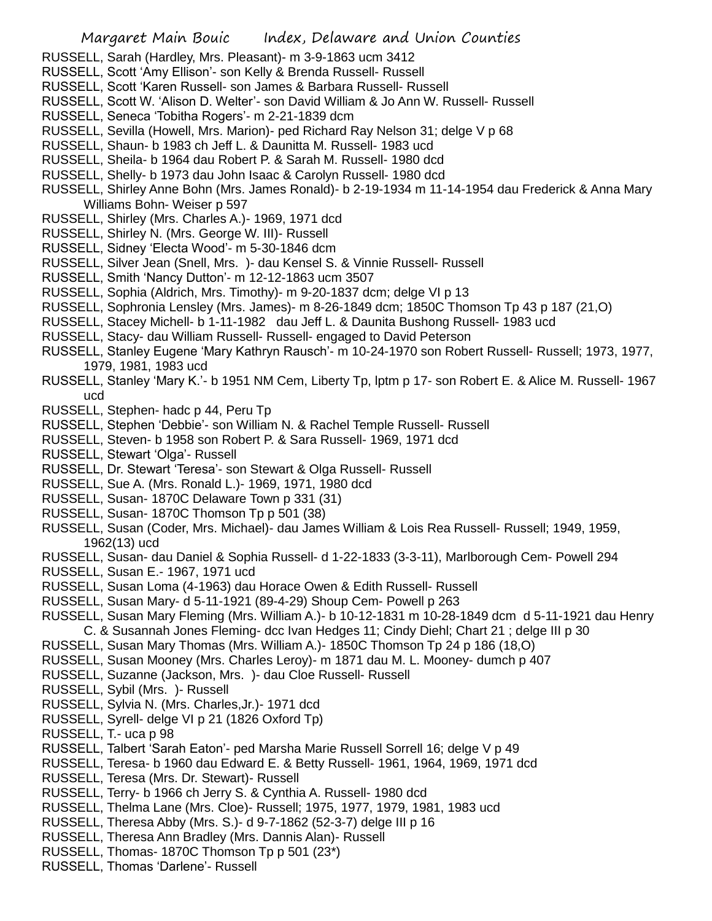- RUSSELL, Sarah (Hardley, Mrs. Pleasant)- m 3-9-1863 ucm 3412
- RUSSELL, Scott 'Amy Ellison'- son Kelly & Brenda Russell- Russell
- RUSSELL, Scott 'Karen Russell- son James & Barbara Russell- Russell
- RUSSELL, Scott W. 'Alison D. Welter'- son David William & Jo Ann W. Russell- Russell
- RUSSELL, Seneca 'Tobitha Rogers'- m 2-21-1839 dcm
- RUSSELL, Sevilla (Howell, Mrs. Marion)- ped Richard Ray Nelson 31; delge V p 68
- RUSSELL, Shaun- b 1983 ch Jeff L. & Daunitta M. Russell- 1983 ucd
- RUSSELL, Sheila- b 1964 dau Robert P. & Sarah M. Russell- 1980 dcd
- RUSSELL, Shelly- b 1973 dau John Isaac & Carolyn Russell- 1980 dcd
- RUSSELL, Shirley Anne Bohn (Mrs. James Ronald)- b 2-19-1934 m 11-14-1954 dau Frederick & Anna Mary Williams Bohn- Weiser p 597
- RUSSELL, Shirley (Mrs. Charles A.)- 1969, 1971 dcd
- RUSSELL, Shirley N. (Mrs. George W. III)- Russell
- RUSSELL, Sidney 'Electa Wood'- m 5-30-1846 dcm
- RUSSELL, Silver Jean (Snell, Mrs. )- dau Kensel S. & Vinnie Russell- Russell
- RUSSELL, Smith 'Nancy Dutton'- m 12-12-1863 ucm 3507
- RUSSELL, Sophia (Aldrich, Mrs. Timothy)- m 9-20-1837 dcm; delge VI p 13
- RUSSELL, Sophronia Lensley (Mrs. James)- m 8-26-1849 dcm; 1850C Thomson Tp 43 p 187 (21,O)
- RUSSELL, Stacey Michell- b 1-11-1982 dau Jeff L. & Daunita Bushong Russell- 1983 ucd
- RUSSELL, Stacy- dau William Russell- Russell- engaged to David Peterson
- RUSSELL, Stanley Eugene 'Mary Kathryn Rausch'- m 10-24-1970 son Robert Russell- Russell; 1973, 1977, 1979, 1981, 1983 ucd
- RUSSELL, Stanley 'Mary K.'- b 1951 NM Cem, Liberty Tp, lptm p 17- son Robert E. & Alice M. Russell- 1967 ucd
- RUSSELL, Stephen- hadc p 44, Peru Tp
- RUSSELL, Stephen 'Debbie'- son William N. & Rachel Temple Russell- Russell
- RUSSELL, Steven- b 1958 son Robert P. & Sara Russell- 1969, 1971 dcd
- RUSSELL, Stewart 'Olga'- Russell
- RUSSELL, Dr. Stewart 'Teresa'- son Stewart & Olga Russell- Russell
- RUSSELL, Sue A. (Mrs. Ronald L.)- 1969, 1971, 1980 dcd
- RUSSELL, Susan- 1870C Delaware Town p 331 (31)
- RUSSELL, Susan- 1870C Thomson Tp p 501 (38)
- RUSSELL, Susan (Coder, Mrs. Michael)- dau James William & Lois Rea Russell- Russell; 1949, 1959, 1962(13) ucd
- RUSSELL, Susan- dau Daniel & Sophia Russell- d 1-22-1833 (3-3-11), Marlborough Cem- Powell 294
- RUSSELL, Susan E.- 1967, 1971 ucd
- RUSSELL, Susan Loma (4-1963) dau Horace Owen & Edith Russell- Russell
- RUSSELL, Susan Mary- d 5-11-1921 (89-4-29) Shoup Cem- Powell p 263
- RUSSELL, Susan Mary Fleming (Mrs. William A.)- b 10-12-1831 m 10-28-1849 dcm d 5-11-1921 dau Henry C. & Susannah Jones Fleming- dcc Ivan Hedges 11; Cindy Diehl; Chart 21 ; delge III p 30
- RUSSELL, Susan Mary Thomas (Mrs. William A.)- 1850C Thomson Tp 24 p 186 (18,O)
- RUSSELL, Susan Mooney (Mrs. Charles Leroy)- m 1871 dau M. L. Mooney- dumch p 407
- RUSSELL, Suzanne (Jackson, Mrs. )- dau Cloe Russell- Russell
- RUSSELL, Sybil (Mrs. )- Russell
- RUSSELL, Sylvia N. (Mrs. Charles,Jr.)- 1971 dcd
- RUSSELL, Syrell- delge VI p 21 (1826 Oxford Tp)
- RUSSELL, T.- uca p 98
- RUSSELL, Talbert 'Sarah Eaton'- ped Marsha Marie Russell Sorrell 16; delge V p 49
- RUSSELL, Teresa- b 1960 dau Edward E. & Betty Russell- 1961, 1964, 1969, 1971 dcd
- RUSSELL, Teresa (Mrs. Dr. Stewart)- Russell
- RUSSELL, Terry- b 1966 ch Jerry S. & Cynthia A. Russell- 1980 dcd
- RUSSELL, Thelma Lane (Mrs. Cloe)- Russell; 1975, 1977, 1979, 1981, 1983 ucd
- RUSSELL, Theresa Abby (Mrs. S.)- d 9-7-1862 (52-3-7) delge III p 16
- RUSSELL, Theresa Ann Bradley (Mrs. Dannis Alan)- Russell
- RUSSELL, Thomas- 1870C Thomson Tp p 501 (23\*)
- RUSSELL, Thomas 'Darlene'- Russell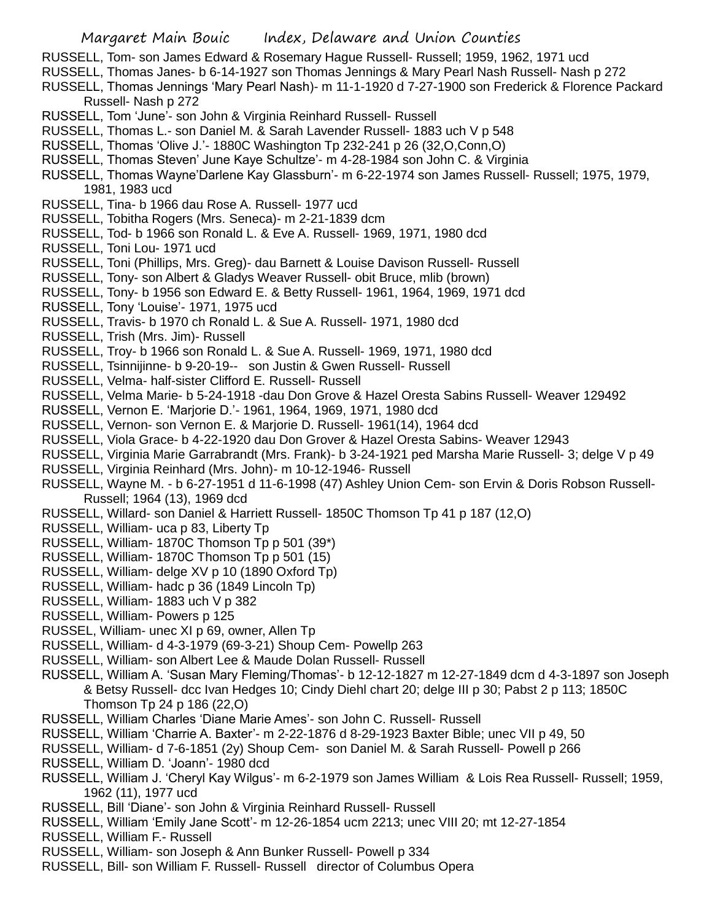- RUSSELL, Tom- son James Edward & Rosemary Hague Russell- Russell; 1959, 1962, 1971 ucd
- RUSSELL, Thomas Janes- b 6-14-1927 son Thomas Jennings & Mary Pearl Nash Russell- Nash p 272
- RUSSELL, Thomas Jennings 'Mary Pearl Nash)- m 11-1-1920 d 7-27-1900 son Frederick & Florence Packard Russell- Nash p 272
- RUSSELL, Tom 'June'- son John & Virginia Reinhard Russell- Russell
- RUSSELL, Thomas L.- son Daniel M. & Sarah Lavender Russell- 1883 uch V p 548
- RUSSELL, Thomas 'Olive J.'- 1880C Washington Tp 232-241 p 26 (32,O,Conn,O)
- RUSSELL, Thomas Steven' June Kaye Schultze'- m 4-28-1984 son John C. & Virginia
- RUSSELL, Thomas Wayne'Darlene Kay Glassburn'- m 6-22-1974 son James Russell- Russell; 1975, 1979, 1981, 1983 ucd
- RUSSELL, Tina- b 1966 dau Rose A. Russell- 1977 ucd
- RUSSELL, Tobitha Rogers (Mrs. Seneca)- m 2-21-1839 dcm
- RUSSELL, Tod- b 1966 son Ronald L. & Eve A. Russell- 1969, 1971, 1980 dcd
- RUSSELL, Toni Lou- 1971 ucd
- RUSSELL, Toni (Phillips, Mrs. Greg)- dau Barnett & Louise Davison Russell- Russell
- RUSSELL, Tony- son Albert & Gladys Weaver Russell- obit Bruce, mlib (brown)
- RUSSELL, Tony- b 1956 son Edward E. & Betty Russell- 1961, 1964, 1969, 1971 dcd
- RUSSELL, Tony 'Louise'- 1971, 1975 ucd
- RUSSELL, Travis- b 1970 ch Ronald L. & Sue A. Russell- 1971, 1980 dcd
- RUSSELL, Trish (Mrs. Jim)- Russell
- RUSSELL, Troy- b 1966 son Ronald L. & Sue A. Russell- 1969, 1971, 1980 dcd
- RUSSELL, Tsinnijinne- b 9-20-19-- son Justin & Gwen Russell- Russell
- RUSSELL, Velma- half-sister Clifford E. Russell- Russell
- RUSSELL, Velma Marie- b 5-24-1918 -dau Don Grove & Hazel Oresta Sabins Russell- Weaver 129492
- RUSSELL, Vernon E. 'Marjorie D.'- 1961, 1964, 1969, 1971, 1980 dcd
- RUSSELL, Vernon- son Vernon E. & Marjorie D. Russell- 1961(14), 1964 dcd
- RUSSELL, Viola Grace- b 4-22-1920 dau Don Grover & Hazel Oresta Sabins- Weaver 12943
- RUSSELL, Virginia Marie Garrabrandt (Mrs. Frank)- b 3-24-1921 ped Marsha Marie Russell- 3; delge V p 49
- RUSSELL, Virginia Reinhard (Mrs. John)- m 10-12-1946- Russell
- RUSSELL, Wayne M. b 6-27-1951 d 11-6-1998 (47) Ashley Union Cem- son Ervin & Doris Robson Russell-Russell; 1964 (13), 1969 dcd
- RUSSELL, Willard- son Daniel & Harriett Russell- 1850C Thomson Tp 41 p 187 (12,O)
- RUSSELL, William- uca p 83, Liberty Tp
- RUSSELL, William- 1870C Thomson Tp p 501 (39\*)
- RUSSELL, William- 1870C Thomson Tp p 501 (15)
- RUSSELL, William- delge XV p 10 (1890 Oxford Tp)
- RUSSELL, William- hadc p 36 (1849 Lincoln Tp)
- RUSSELL, William- 1883 uch V p 382
- RUSSELL, William- Powers p 125
- RUSSEL, William- unec XI p 69, owner, Allen Tp
- RUSSELL, William- d 4-3-1979 (69-3-21) Shoup Cem- Powellp 263
- RUSSELL, William- son Albert Lee & Maude Dolan Russell- Russell
- RUSSELL, William A. 'Susan Mary Fleming/Thomas'- b 12-12-1827 m 12-27-1849 dcm d 4-3-1897 son Joseph & Betsy Russell- dcc Ivan Hedges 10; Cindy Diehl chart 20; delge III p 30; Pabst 2 p 113; 1850C Thomson Tp 24 p 186 (22,O)
- RUSSELL, William Charles 'Diane Marie Ames'- son John C. Russell- Russell
- RUSSELL, William 'Charrie A. Baxter'- m 2-22-1876 d 8-29-1923 Baxter Bible; unec VII p 49, 50
- RUSSELL, William- d 7-6-1851 (2y) Shoup Cem- son Daniel M. & Sarah Russell- Powell p 266
- RUSSELL, William D. 'Joann'- 1980 dcd
- RUSSELL, William J. 'Cheryl Kay Wilgus'- m 6-2-1979 son James William & Lois Rea Russell- Russell; 1959, 1962 (11), 1977 ucd
- RUSSELL, Bill 'Diane'- son John & Virginia Reinhard Russell- Russell
- RUSSELL, William 'Emily Jane Scott'- m 12-26-1854 ucm 2213; unec VIII 20; mt 12-27-1854
- RUSSELL, William F.- Russell
- RUSSELL, William- son Joseph & Ann Bunker Russell- Powell p 334
- RUSSELL, Bill- son William F. Russell- Russell director of Columbus Opera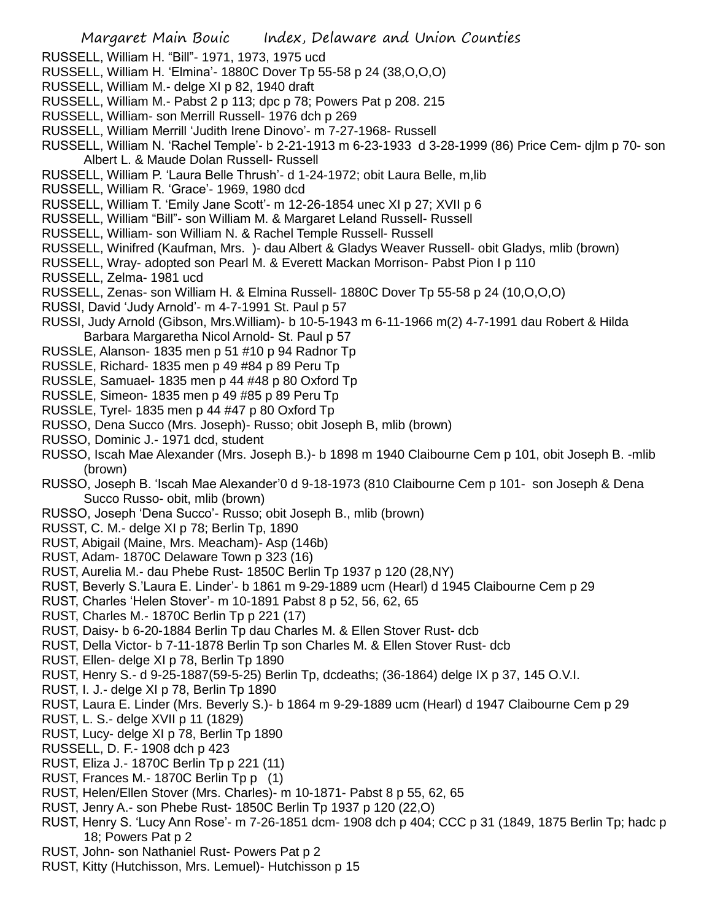RUSSELL, William H. "Bill"- 1971, 1973, 1975 ucd

- RUSSELL, William H. 'Elmina'- 1880C Dover Tp 55-58 p 24 (38,O,O,O)
- RUSSELL, William M.- delge XI p 82, 1940 draft
- RUSSELL, William M.- Pabst 2 p 113; dpc p 78; Powers Pat p 208. 215
- RUSSELL, William- son Merrill Russell- 1976 dch p 269
- RUSSELL, William Merrill 'Judith Irene Dinovo'- m 7-27-1968- Russell
- RUSSELL, William N. 'Rachel Temple'- b 2-21-1913 m 6-23-1933 d 3-28-1999 (86) Price Cem- djlm p 70- son Albert L. & Maude Dolan Russell- Russell
- RUSSELL, William P. 'Laura Belle Thrush'- d 1-24-1972; obit Laura Belle, m,lib
- RUSSELL, William R. 'Grace'- 1969, 1980 dcd
- RUSSELL, William T. 'Emily Jane Scott'- m 12-26-1854 unec XI p 27; XVII p 6
- RUSSELL, William "Bill"- son William M. & Margaret Leland Russell- Russell
- RUSSELL, William- son William N. & Rachel Temple Russell- Russell
- RUSSELL, Winifred (Kaufman, Mrs. )- dau Albert & Gladys Weaver Russell- obit Gladys, mlib (brown)
- RUSSELL, Wray- adopted son Pearl M. & Everett Mackan Morrison- Pabst Pion I p 110
- RUSSELL, Zelma- 1981 ucd
- RUSSELL, Zenas- son William H. & Elmina Russell- 1880C Dover Tp 55-58 p 24 (10,O,O,O)
- RUSSI, David 'Judy Arnold'- m 4-7-1991 St. Paul p 57
- RUSSI, Judy Arnold (Gibson, Mrs.William)- b 10-5-1943 m 6-11-1966 m(2) 4-7-1991 dau Robert & Hilda Barbara Margaretha Nicol Arnold- St. Paul p 57
- RUSSLE, Alanson- 1835 men p 51 #10 p 94 Radnor Tp
- RUSSLE, Richard- 1835 men p 49 #84 p 89 Peru Tp
- RUSSLE, Samuael- 1835 men p 44 #48 p 80 Oxford Tp
- RUSSLE, Simeon- 1835 men p 49 #85 p 89 Peru Tp
- RUSSLE, Tyrel- 1835 men p 44 #47 p 80 Oxford Tp
- RUSSO, Dena Succo (Mrs. Joseph)- Russo; obit Joseph B, mlib (brown)
- RUSSO, Dominic J.- 1971 dcd, student
- RUSSO, Iscah Mae Alexander (Mrs. Joseph B.)- b 1898 m 1940 Claibourne Cem p 101, obit Joseph B. -mlib (brown)
- RUSSO, Joseph B. 'Iscah Mae Alexander'0 d 9-18-1973 (810 Claibourne Cem p 101- son Joseph & Dena Succo Russo- obit, mlib (brown)
- RUSSO, Joseph 'Dena Succo'- Russo; obit Joseph B., mlib (brown)
- RUSST, C. M.- delge XI p 78; Berlin Tp, 1890
- RUST, Abigail (Maine, Mrs. Meacham)- Asp (146b)
- RUST, Adam- 1870C Delaware Town p 323 (16)
- RUST, Aurelia M.- dau Phebe Rust- 1850C Berlin Tp 1937 p 120 (28,NY)
- RUST, Beverly S.'Laura E. Linder'- b 1861 m 9-29-1889 ucm (Hearl) d 1945 Claibourne Cem p 29
- RUST, Charles 'Helen Stover'- m 10-1891 Pabst 8 p 52, 56, 62, 65
- RUST, Charles M.- 1870C Berlin Tp p 221 (17)
- RUST, Daisy- b 6-20-1884 Berlin Tp dau Charles M. & Ellen Stover Rust- dcb
- RUST, Della Victor- b 7-11-1878 Berlin Tp son Charles M. & Ellen Stover Rust- dcb
- RUST, Ellen- delge XI p 78, Berlin Tp 1890
- RUST, Henry S.- d 9-25-1887(59-5-25) Berlin Tp, dcdeaths; (36-1864) delge IX p 37, 145 O.V.I.
- RUST, I. J.- delge XI p 78, Berlin Tp 1890
- RUST, Laura E. Linder (Mrs. Beverly S.)- b 1864 m 9-29-1889 ucm (Hearl) d 1947 Claibourne Cem p 29
- RUST, L. S.- delge XVII p 11 (1829)
- RUST, Lucy- delge XI p 78, Berlin Tp 1890
- RUSSELL, D. F.- 1908 dch p 423
- RUST, Eliza J.- 1870C Berlin Tp p 221 (11)
- RUST, Frances M.- 1870C Berlin Tp p (1)
- RUST, Helen/Ellen Stover (Mrs. Charles)- m 10-1871- Pabst 8 p 55, 62, 65
- RUST, Jenry A.- son Phebe Rust- 1850C Berlin Tp 1937 p 120 (22,O)
- RUST, Henry S. 'Lucy Ann Rose'- m 7-26-1851 dcm- 1908 dch p 404; CCC p 31 (1849, 1875 Berlin Tp; hadc p 18; Powers Pat p 2
- RUST, John- son Nathaniel Rust- Powers Pat p 2
- RUST, Kitty (Hutchisson, Mrs. Lemuel)- Hutchisson p 15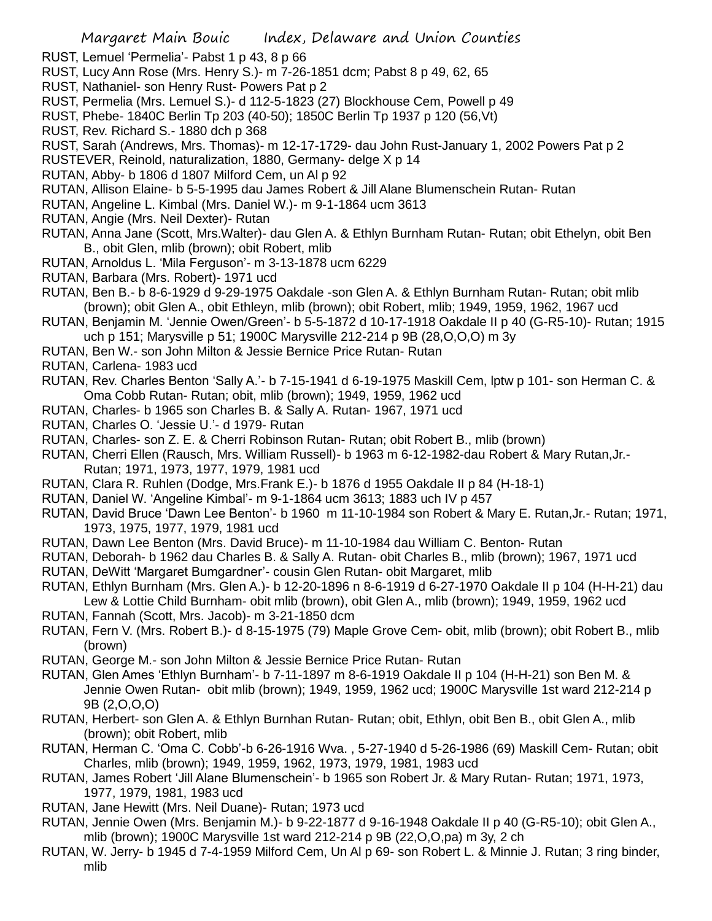- RUST, Lemuel 'Permelia'- Pabst 1 p 43, 8 p 66
- RUST, Lucy Ann Rose (Mrs. Henry S.)- m 7-26-1851 dcm; Pabst 8 p 49, 62, 65
- RUST, Nathaniel- son Henry Rust- Powers Pat p 2
- RUST, Permelia (Mrs. Lemuel S.)- d 112-5-1823 (27) Blockhouse Cem, Powell p 49
- RUST, Phebe- 1840C Berlin Tp 203 (40-50); 1850C Berlin Tp 1937 p 120 (56,Vt)
- RUST, Rev. Richard S.- 1880 dch p 368
- RUST, Sarah (Andrews, Mrs. Thomas)- m 12-17-1729- dau John Rust-January 1, 2002 Powers Pat p 2
- RUSTEVER, Reinold, naturalization, 1880, Germany- delge X p 14
- RUTAN, Abby- b 1806 d 1807 Milford Cem, un Al p 92
- RUTAN, Allison Elaine- b 5-5-1995 dau James Robert & Jill Alane Blumenschein Rutan- Rutan
- RUTAN, Angeline L. Kimbal (Mrs. Daniel W.)- m 9-1-1864 ucm 3613
- RUTAN, Angie (Mrs. Neil Dexter)- Rutan
- RUTAN, Anna Jane (Scott, Mrs.Walter)- dau Glen A. & Ethlyn Burnham Rutan- Rutan; obit Ethelyn, obit Ben B., obit Glen, mlib (brown); obit Robert, mlib
- RUTAN, Arnoldus L. 'Mila Ferguson'- m 3-13-1878 ucm 6229
- RUTAN, Barbara (Mrs. Robert)- 1971 ucd
- RUTAN, Ben B.- b 8-6-1929 d 9-29-1975 Oakdale -son Glen A. & Ethlyn Burnham Rutan- Rutan; obit mlib (brown); obit Glen A., obit Ethleyn, mlib (brown); obit Robert, mlib; 1949, 1959, 1962, 1967 ucd
- RUTAN, Benjamin M. 'Jennie Owen/Green'- b 5-5-1872 d 10-17-1918 Oakdale II p 40 (G-R5-10)- Rutan; 1915 uch p 151; Marysville p 51; 1900C Marysville 212-214 p 9B (28,O,O,O) m 3y
- RUTAN, Ben W.- son John Milton & Jessie Bernice Price Rutan- Rutan
- RUTAN, Carlena- 1983 ucd
- RUTAN, Rev. Charles Benton 'Sally A.'- b 7-15-1941 d 6-19-1975 Maskill Cem, lptw p 101- son Herman C. & Oma Cobb Rutan- Rutan; obit, mlib (brown); 1949, 1959, 1962 ucd
- RUTAN, Charles- b 1965 son Charles B. & Sally A. Rutan- 1967, 1971 ucd
- RUTAN, Charles O. 'Jessie U.'- d 1979- Rutan
- RUTAN, Charles- son Z. E. & Cherri Robinson Rutan- Rutan; obit Robert B., mlib (brown)
- RUTAN, Cherri Ellen (Rausch, Mrs. William Russell)- b 1963 m 6-12-1982-dau Robert & Mary Rutan,Jr.- Rutan; 1971, 1973, 1977, 1979, 1981 ucd
- RUTAN, Clara R. Ruhlen (Dodge, Mrs.Frank E.)- b 1876 d 1955 Oakdale II p 84 (H-18-1)
- RUTAN, Daniel W. 'Angeline Kimbal'- m 9-1-1864 ucm 3613; 1883 uch IV p 457
- RUTAN, David Bruce 'Dawn Lee Benton'- b 1960 m 11-10-1984 son Robert & Mary E. Rutan,Jr.- Rutan; 1971, 1973, 1975, 1977, 1979, 1981 ucd
- RUTAN, Dawn Lee Benton (Mrs. David Bruce)- m 11-10-1984 dau William C. Benton- Rutan
- RUTAN, Deborah- b 1962 dau Charles B. & Sally A. Rutan- obit Charles B., mlib (brown); 1967, 1971 ucd
- RUTAN, DeWitt 'Margaret Bumgardner'- cousin Glen Rutan- obit Margaret, mlib
- RUTAN, Ethlyn Burnham (Mrs. Glen A.)- b 12-20-1896 n 8-6-1919 d 6-27-1970 Oakdale II p 104 (H-H-21) dau Lew & Lottie Child Burnham- obit mlib (brown), obit Glen A., mlib (brown); 1949, 1959, 1962 ucd
- RUTAN, Fannah (Scott, Mrs. Jacob)- m 3-21-1850 dcm
- RUTAN, Fern V. (Mrs. Robert B.)- d 8-15-1975 (79) Maple Grove Cem- obit, mlib (brown); obit Robert B., mlib (brown)
- RUTAN, George M.- son John Milton & Jessie Bernice Price Rutan- Rutan
- RUTAN, Glen Ames 'Ethlyn Burnham'- b 7-11-1897 m 8-6-1919 Oakdale II p 104 (H-H-21) son Ben M. & Jennie Owen Rutan- obit mlib (brown); 1949, 1959, 1962 ucd; 1900C Marysville 1st ward 212-214 p 9B (2,O,O,O)
- RUTAN, Herbert- son Glen A. & Ethlyn Burnhan Rutan- Rutan; obit, Ethlyn, obit Ben B., obit Glen A., mlib (brown); obit Robert, mlib
- RUTAN, Herman C. 'Oma C. Cobb'-b 6-26-1916 Wva. , 5-27-1940 d 5-26-1986 (69) Maskill Cem- Rutan; obit Charles, mlib (brown); 1949, 1959, 1962, 1973, 1979, 1981, 1983 ucd
- RUTAN, James Robert 'Jill Alane Blumenschein'- b 1965 son Robert Jr. & Mary Rutan- Rutan; 1971, 1973, 1977, 1979, 1981, 1983 ucd
- RUTAN, Jane Hewitt (Mrs. Neil Duane)- Rutan; 1973 ucd
- RUTAN, Jennie Owen (Mrs. Benjamin M.)- b 9-22-1877 d 9-16-1948 Oakdale II p 40 (G-R5-10); obit Glen A., mlib (brown); 1900C Marysville 1st ward 212-214 p 9B (22,O,O,pa) m 3y, 2 ch
- RUTAN, W. Jerry- b 1945 d 7-4-1959 Milford Cem, Un Al p 69- son Robert L. & Minnie J. Rutan; 3 ring binder, mlib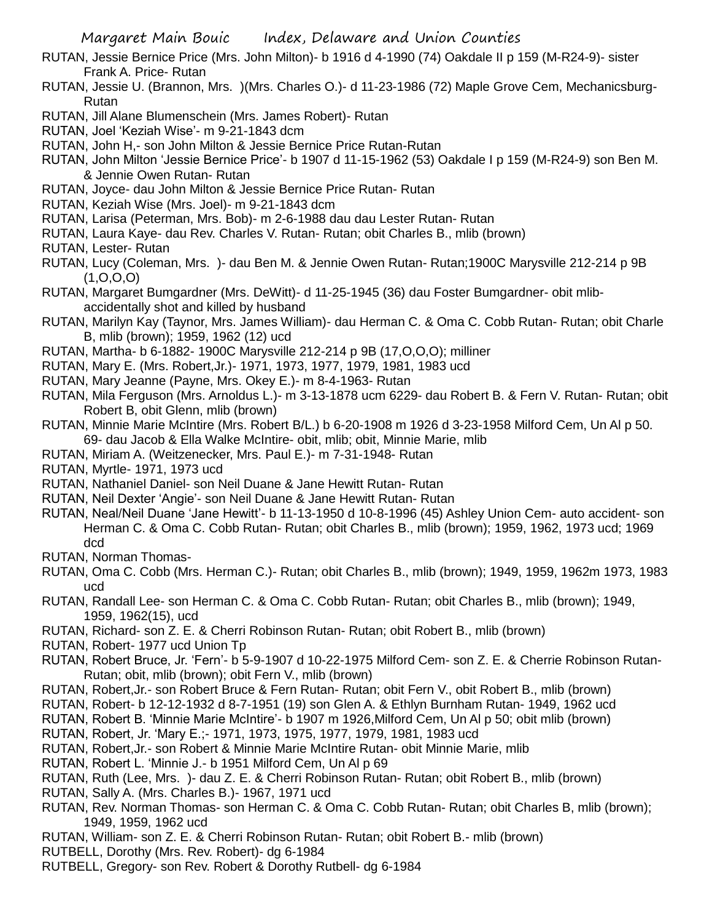- RUTAN, Jessie Bernice Price (Mrs. John Milton)- b 1916 d 4-1990 (74) Oakdale II p 159 (M-R24-9)- sister Frank A. Price- Rutan
- RUTAN, Jessie U. (Brannon, Mrs. )(Mrs. Charles O.)- d 11-23-1986 (72) Maple Grove Cem, Mechanicsburg-Rutan
- RUTAN, Jill Alane Blumenschein (Mrs. James Robert)- Rutan
- RUTAN, Joel 'Keziah Wise'- m 9-21-1843 dcm
- RUTAN, John H,- son John Milton & Jessie Bernice Price Rutan-Rutan
- RUTAN, John Milton 'Jessie Bernice Price'- b 1907 d 11-15-1962 (53) Oakdale I p 159 (M-R24-9) son Ben M. & Jennie Owen Rutan- Rutan
- RUTAN, Joyce- dau John Milton & Jessie Bernice Price Rutan- Rutan
- RUTAN, Keziah Wise (Mrs. Joel)- m 9-21-1843 dcm
- RUTAN, Larisa (Peterman, Mrs. Bob)- m 2-6-1988 dau dau Lester Rutan- Rutan
- RUTAN, Laura Kaye- dau Rev. Charles V. Rutan- Rutan; obit Charles B., mlib (brown)
- RUTAN, Lester- Rutan
- RUTAN, Lucy (Coleman, Mrs. )- dau Ben M. & Jennie Owen Rutan- Rutan;1900C Marysville 212-214 p 9B  $(1, 0, 0, 0)$
- RUTAN, Margaret Bumgardner (Mrs. DeWitt)- d 11-25-1945 (36) dau Foster Bumgardner- obit mlibaccidentally shot and killed by husband
- RUTAN, Marilyn Kay (Taynor, Mrs. James William)- dau Herman C. & Oma C. Cobb Rutan- Rutan; obit Charle B, mlib (brown); 1959, 1962 (12) ucd
- RUTAN, Martha- b 6-1882- 1900C Marysville 212-214 p 9B (17,O,O,O); milliner
- RUTAN, Mary E. (Mrs. Robert,Jr.)- 1971, 1973, 1977, 1979, 1981, 1983 ucd
- RUTAN, Mary Jeanne (Payne, Mrs. Okey E.)- m 8-4-1963- Rutan
- RUTAN, Mila Ferguson (Mrs. Arnoldus L.)- m 3-13-1878 ucm 6229- dau Robert B. & Fern V. Rutan- Rutan; obit Robert B, obit Glenn, mlib (brown)
- RUTAN, Minnie Marie McIntire (Mrs. Robert B/L.) b 6-20-1908 m 1926 d 3-23-1958 Milford Cem, Un Al p 50. 69- dau Jacob & Ella Walke McIntire- obit, mlib; obit, Minnie Marie, mlib
- RUTAN, Miriam A. (Weitzenecker, Mrs. Paul E.)- m 7-31-1948- Rutan
- RUTAN, Myrtle- 1971, 1973 ucd
- RUTAN, Nathaniel Daniel- son Neil Duane & Jane Hewitt Rutan- Rutan
- RUTAN, Neil Dexter 'Angie'- son Neil Duane & Jane Hewitt Rutan- Rutan
- RUTAN, Neal/Neil Duane 'Jane Hewitt'- b 11-13-1950 d 10-8-1996 (45) Ashley Union Cem- auto accident- son Herman C. & Oma C. Cobb Rutan- Rutan; obit Charles B., mlib (brown); 1959, 1962, 1973 ucd; 1969 dcd
- RUTAN, Norman Thomas-
- RUTAN, Oma C. Cobb (Mrs. Herman C.)- Rutan; obit Charles B., mlib (brown); 1949, 1959, 1962m 1973, 1983 ucd
- RUTAN, Randall Lee- son Herman C. & Oma C. Cobb Rutan- Rutan; obit Charles B., mlib (brown); 1949, 1959, 1962(15), ucd
- RUTAN, Richard- son Z. E. & Cherri Robinson Rutan- Rutan; obit Robert B., mlib (brown)
- RUTAN, Robert- 1977 ucd Union Tp
- RUTAN, Robert Bruce, Jr. 'Fern'- b 5-9-1907 d 10-22-1975 Milford Cem- son Z. E. & Cherrie Robinson Rutan-Rutan; obit, mlib (brown); obit Fern V., mlib (brown)
- RUTAN, Robert,Jr.- son Robert Bruce & Fern Rutan- Rutan; obit Fern V., obit Robert B., mlib (brown)
- RUTAN, Robert- b 12-12-1932 d 8-7-1951 (19) son Glen A. & Ethlyn Burnham Rutan- 1949, 1962 ucd
- RUTAN, Robert B. 'Minnie Marie McIntire'- b 1907 m 1926,Milford Cem, Un Al p 50; obit mlib (brown)
- RUTAN, Robert, Jr. 'Mary E.;- 1971, 1973, 1975, 1977, 1979, 1981, 1983 ucd
- RUTAN, Robert,Jr.- son Robert & Minnie Marie McIntire Rutan- obit Minnie Marie, mlib
- RUTAN, Robert L. 'Minnie J.- b 1951 Milford Cem, Un Al p 69
- RUTAN, Ruth (Lee, Mrs. )- dau Z. E. & Cherri Robinson Rutan- Rutan; obit Robert B., mlib (brown)
- RUTAN, Sally A. (Mrs. Charles B.)- 1967, 1971 ucd
- RUTAN, Rev. Norman Thomas- son Herman C. & Oma C. Cobb Rutan- Rutan; obit Charles B, mlib (brown); 1949, 1959, 1962 ucd
- RUTAN, William- son Z. E. & Cherri Robinson Rutan- Rutan; obit Robert B.- mlib (brown)
- RUTBELL, Dorothy (Mrs. Rev. Robert)- dg 6-1984
- RUTBELL, Gregory- son Rev. Robert & Dorothy Rutbell- dg 6-1984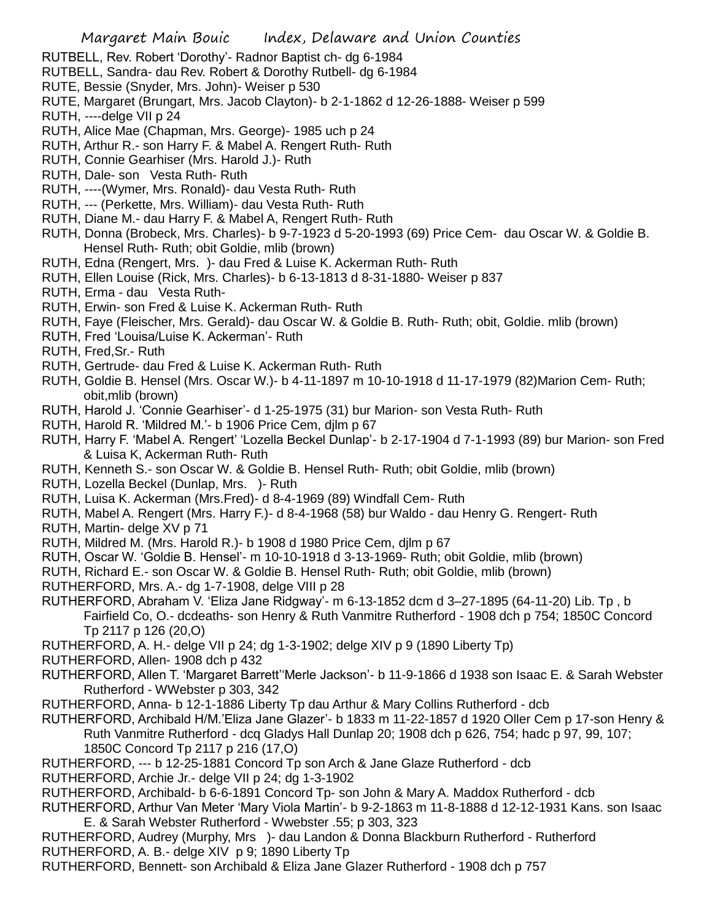RUTBELL, Rev. Robert 'Dorothy'- Radnor Baptist ch- dg 6-1984

- RUTBELL, Sandra- dau Rev. Robert & Dorothy Rutbell- dg 6-1984
- RUTE, Bessie (Snyder, Mrs. John)- Weiser p 530
- RUTE, Margaret (Brungart, Mrs. Jacob Clayton)- b 2-1-1862 d 12-26-1888- Weiser p 599
- RUTH, ----delge VII p 24
- RUTH, Alice Mae (Chapman, Mrs. George)- 1985 uch p 24
- RUTH, Arthur R.- son Harry F. & Mabel A. Rengert Ruth- Ruth
- RUTH, Connie Gearhiser (Mrs. Harold J.)- Ruth
- RUTH, Dale- son Vesta Ruth- Ruth
- RUTH, ----(Wymer, Mrs. Ronald)- dau Vesta Ruth- Ruth
- RUTH, --- (Perkette, Mrs. William)- dau Vesta Ruth- Ruth
- RUTH, Diane M.- dau Harry F. & Mabel A, Rengert Ruth- Ruth
- RUTH, Donna (Brobeck, Mrs. Charles)- b 9-7-1923 d 5-20-1993 (69) Price Cem- dau Oscar W. & Goldie B. Hensel Ruth- Ruth; obit Goldie, mlib (brown)
- RUTH, Edna (Rengert, Mrs. )- dau Fred & Luise K. Ackerman Ruth- Ruth
- RUTH, Ellen Louise (Rick, Mrs. Charles)- b 6-13-1813 d 8-31-1880- Weiser p 837
- RUTH, Erma dau Vesta Ruth-
- RUTH, Erwin- son Fred & Luise K. Ackerman Ruth- Ruth
- RUTH, Faye (Fleischer, Mrs. Gerald)- dau Oscar W. & Goldie B. Ruth- Ruth; obit, Goldie. mlib (brown)
- RUTH, Fred 'Louisa/Luise K. Ackerman'- Ruth
- RUTH, Fred,Sr.- Ruth
- RUTH, Gertrude- dau Fred & Luise K. Ackerman Ruth- Ruth
- RUTH, Goldie B. Hensel (Mrs. Oscar W.)- b 4-11-1897 m 10-10-1918 d 11-17-1979 (82)Marion Cem- Ruth; obit,mlib (brown)
- RUTH, Harold J. 'Connie Gearhiser'- d 1-25-1975 (31) bur Marion- son Vesta Ruth- Ruth
- RUTH, Harold R. 'Mildred M.'- b 1906 Price Cem, djlm p 67
- RUTH, Harry F. 'Mabel A. Rengert' 'Lozella Beckel Dunlap'- b 2-17-1904 d 7-1-1993 (89) bur Marion- son Fred & Luisa K, Ackerman Ruth- Ruth
- RUTH, Kenneth S.- son Oscar W. & Goldie B. Hensel Ruth- Ruth; obit Goldie, mlib (brown)
- RUTH, Lozella Beckel (Dunlap, Mrs. )- Ruth
- RUTH, Luisa K. Ackerman (Mrs.Fred)- d 8-4-1969 (89) Windfall Cem- Ruth
- RUTH, Mabel A. Rengert (Mrs. Harry F.)- d 8-4-1968 (58) bur Waldo dau Henry G. Rengert- Ruth
- RUTH, Martin- delge XV p 71
- RUTH, Mildred M. (Mrs. Harold R.)- b 1908 d 1980 Price Cem, djlm p 67
- RUTH, Oscar W. 'Goldie B. Hensel'- m 10-10-1918 d 3-13-1969- Ruth; obit Goldie, mlib (brown)
- RUTH, Richard E.- son Oscar W. & Goldie B. Hensel Ruth- Ruth; obit Goldie, mlib (brown)
- RUTHERFORD, Mrs. A.- dg 1-7-1908, delge VIII p 28
- RUTHERFORD, Abraham V. 'Eliza Jane Ridgway'- m 6-13-1852 dcm d 3–27-1895 (64-11-20) Lib. Tp , b Fairfield Co, O.- dcdeaths- son Henry & Ruth Vanmitre Rutherford - 1908 dch p 754; 1850C Concord Tp 2117 p 126 (20,O)
- RUTHERFORD, A. H.- delge VII p 24; dg 1-3-1902; delge XIV p 9 (1890 Liberty Tp)
- RUTHERFORD, Allen- 1908 dch p 432
- RUTHERFORD, Allen T. 'Margaret Barrett''Merle Jackson'- b 11-9-1866 d 1938 son Isaac E. & Sarah Webster Rutherford - WWebster p 303, 342
- RUTHERFORD, Anna- b 12-1-1886 Liberty Tp dau Arthur & Mary Collins Rutherford dcb
- RUTHERFORD, Archibald H/M.'Eliza Jane Glazer'- b 1833 m 11-22-1857 d 1920 Oller Cem p 17-son Henry & Ruth Vanmitre Rutherford - dcq Gladys Hall Dunlap 20; 1908 dch p 626, 754; hadc p 97, 99, 107; 1850C Concord Tp 2117 p 216 (17,O)
- RUTHERFORD, --- b 12-25-1881 Concord Tp son Arch & Jane Glaze Rutherford dcb
- RUTHERFORD, Archie Jr.- delge VII p 24; dg 1-3-1902
- RUTHERFORD, Archibald- b 6-6-1891 Concord Tp- son John & Mary A. Maddox Rutherford dcb
- RUTHERFORD, Arthur Van Meter 'Mary Viola Martin'- b 9-2-1863 m 11-8-1888 d 12-12-1931 Kans. son Isaac E. & Sarah Webster Rutherford - Wwebster .55; p 303, 323
- RUTHERFORD, Audrey (Murphy, Mrs )- dau Landon & Donna Blackburn Rutherford Rutherford RUTHERFORD, A. B.- delge XIV p 9; 1890 Liberty Tp
- RUTHERFORD, Bennett- son Archibald & Eliza Jane Glazer Rutherford 1908 dch p 757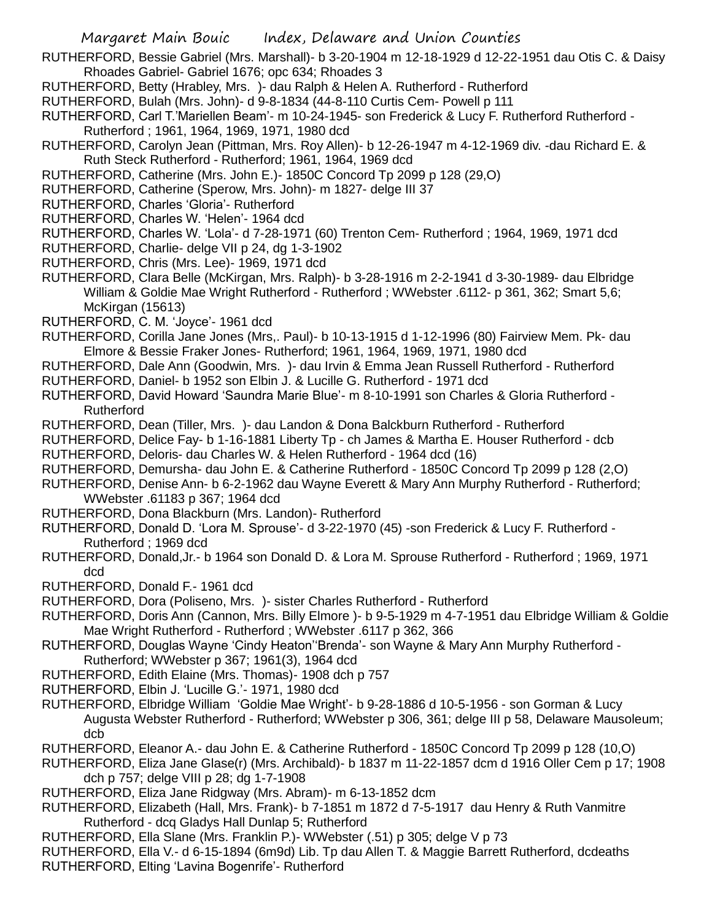- RUTHERFORD, Bessie Gabriel (Mrs. Marshall)- b 3-20-1904 m 12-18-1929 d 12-22-1951 dau Otis C. & Daisy Rhoades Gabriel- Gabriel 1676; opc 634; Rhoades 3
- RUTHERFORD, Betty (Hrabley, Mrs. )- dau Ralph & Helen A. Rutherford Rutherford
- RUTHERFORD, Bulah (Mrs. John)- d 9-8-1834 (44-8-110 Curtis Cem- Powell p 111
- RUTHERFORD, Carl T.'Mariellen Beam'- m 10-24-1945- son Frederick & Lucy F. Rutherford Rutherford -Rutherford ; 1961, 1964, 1969, 1971, 1980 dcd
- RUTHERFORD, Carolyn Jean (Pittman, Mrs. Roy Allen)- b 12-26-1947 m 4-12-1969 div. -dau Richard E. & Ruth Steck Rutherford - Rutherford; 1961, 1964, 1969 dcd
- RUTHERFORD, Catherine (Mrs. John E.)- 1850C Concord Tp 2099 p 128 (29,O)
- RUTHERFORD, Catherine (Sperow, Mrs. John)- m 1827- delge III 37
- RUTHERFORD, Charles 'Gloria'- Rutherford
- RUTHERFORD, Charles W. 'Helen'- 1964 dcd
- RUTHERFORD, Charles W. 'Lola'- d 7-28-1971 (60) Trenton Cem- Rutherford ; 1964, 1969, 1971 dcd
- RUTHERFORD, Charlie- delge VII p 24, dg 1-3-1902
- RUTHERFORD, Chris (Mrs. Lee)- 1969, 1971 dcd

RUTHERFORD, Clara Belle (McKirgan, Mrs. Ralph)- b 3-28-1916 m 2-2-1941 d 3-30-1989- dau Elbridge William & Goldie Mae Wright Rutherford - Rutherford ; WWebster .6112- p 361, 362; Smart 5,6; McKirgan (15613)

- RUTHERFORD, C. M. 'Joyce'- 1961 dcd
- RUTHERFORD, Corilla Jane Jones (Mrs,. Paul)- b 10-13-1915 d 1-12-1996 (80) Fairview Mem. Pk- dau Elmore & Bessie Fraker Jones- Rutherford; 1961, 1964, 1969, 1971, 1980 dcd
- RUTHERFORD, Dale Ann (Goodwin, Mrs. )- dau Irvin & Emma Jean Russell Rutherford Rutherford
- RUTHERFORD, Daniel- b 1952 son Elbin J. & Lucille G. Rutherford 1971 dcd
- RUTHERFORD, David Howard 'Saundra Marie Blue'- m 8-10-1991 son Charles & Gloria Rutherford Rutherford
- RUTHERFORD, Dean (Tiller, Mrs. )- dau Landon & Dona Balckburn Rutherford Rutherford
- RUTHERFORD, Delice Fay- b 1-16-1881 Liberty Tp ch James & Martha E. Houser Rutherford dcb
- RUTHERFORD, Deloris- dau Charles W. & Helen Rutherford 1964 dcd (16)
- RUTHERFORD, Demursha- dau John E. & Catherine Rutherford 1850C Concord Tp 2099 p 128 (2,O)
- RUTHERFORD, Denise Ann- b 6-2-1962 dau Wayne Everett & Mary Ann Murphy Rutherford Rutherford; WWebster .61183 p 367; 1964 dcd
- RUTHERFORD, Dona Blackburn (Mrs. Landon)- Rutherford
- RUTHERFORD, Donald D. 'Lora M. Sprouse'- d 3-22-1970 (45) -son Frederick & Lucy F. Rutherford Rutherford ; 1969 dcd
- RUTHERFORD, Donald,Jr.- b 1964 son Donald D. & Lora M. Sprouse Rutherford Rutherford ; 1969, 1971 dcd
- RUTHERFORD, Donald F.- 1961 dcd
- RUTHERFORD, Dora (Poliseno, Mrs. )- sister Charles Rutherford Rutherford
- RUTHERFORD, Doris Ann (Cannon, Mrs. Billy Elmore )- b 9-5-1929 m 4-7-1951 dau Elbridge William & Goldie Mae Wright Rutherford - Rutherford ; WWebster .6117 p 362, 366
- RUTHERFORD, Douglas Wayne 'Cindy Heaton''Brenda'- son Wayne & Mary Ann Murphy Rutherford Rutherford; WWebster p 367; 1961(3), 1964 dcd
- RUTHERFORD, Edith Elaine (Mrs. Thomas)- 1908 dch p 757
- RUTHERFORD, Elbin J. 'Lucille G.'- 1971, 1980 dcd
- RUTHERFORD, Elbridge William 'Goldie Mae Wright'- b 9-28-1886 d 10-5-1956 son Gorman & Lucy Augusta Webster Rutherford - Rutherford; WWebster p 306, 361; delge III p 58, Delaware Mausoleum; dcb
- RUTHERFORD, Eleanor A.- dau John E. & Catherine Rutherford 1850C Concord Tp 2099 p 128 (10,O)
- RUTHERFORD, Eliza Jane Glase(r) (Mrs. Archibald)- b 1837 m 11-22-1857 dcm d 1916 Oller Cem p 17; 1908 dch p 757; delge VIII p 28; dg 1-7-1908
- RUTHERFORD, Eliza Jane Ridgway (Mrs. Abram)- m 6-13-1852 dcm
- RUTHERFORD, Elizabeth (Hall, Mrs. Frank)- b 7-1851 m 1872 d 7-5-1917 dau Henry & Ruth Vanmitre Rutherford - dcq Gladys Hall Dunlap 5; Rutherford
- RUTHERFORD, Ella Slane (Mrs. Franklin P.)- WWebster (.51) p 305; delge V p 73
- RUTHERFORD, Ella V.- d 6-15-1894 (6m9d) Lib. Tp dau Allen T. & Maggie Barrett Rutherford, dcdeaths
- RUTHERFORD, Elting 'Lavina Bogenrife'- Rutherford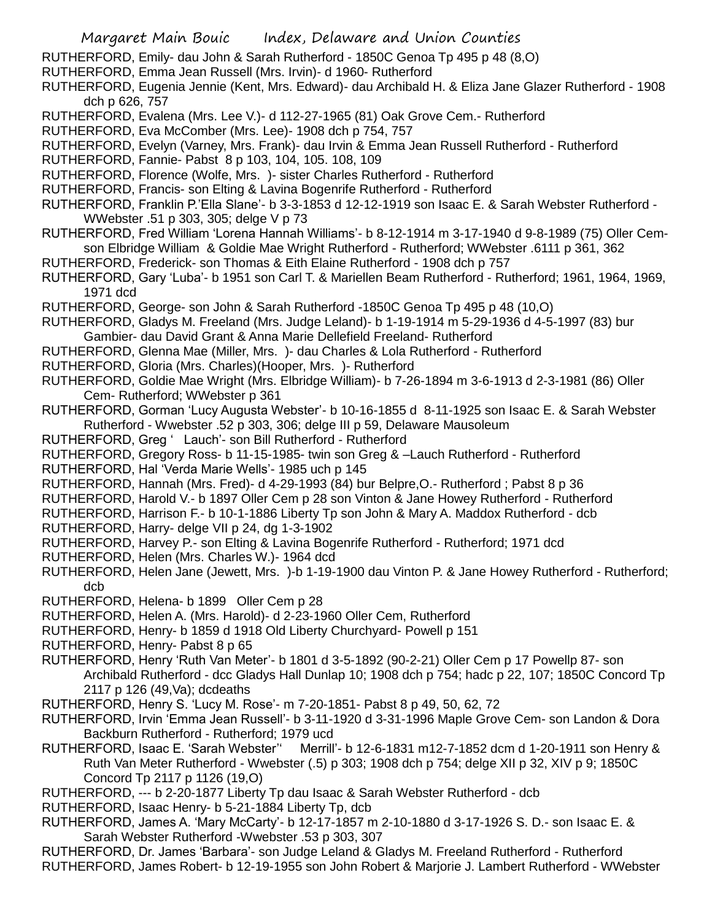RUTHERFORD, Emily- dau John & Sarah Rutherford - 1850C Genoa Tp 495 p 48 (8,O)

- RUTHERFORD, Emma Jean Russell (Mrs. Irvin)- d 1960- Rutherford
- RUTHERFORD, Eugenia Jennie (Kent, Mrs. Edward)- dau Archibald H. & Eliza Jane Glazer Rutherford 1908 dch p 626, 757
- RUTHERFORD, Evalena (Mrs. Lee V.)- d 112-27-1965 (81) Oak Grove Cem.- Rutherford
- RUTHERFORD, Eva McComber (Mrs. Lee)- 1908 dch p 754, 757
- RUTHERFORD, Evelyn (Varney, Mrs. Frank)- dau Irvin & Emma Jean Russell Rutherford Rutherford
- RUTHERFORD, Fannie- Pabst 8 p 103, 104, 105. 108, 109
- RUTHERFORD, Florence (Wolfe, Mrs. )- sister Charles Rutherford Rutherford
- RUTHERFORD, Francis- son Elting & Lavina Bogenrife Rutherford Rutherford
- RUTHERFORD, Franklin P.'Ella Slane'- b 3-3-1853 d 12-12-1919 son Isaac E. & Sarah Webster Rutherford WWebster .51 p 303, 305; delge V p 73
- RUTHERFORD, Fred William 'Lorena Hannah Williams'- b 8-12-1914 m 3-17-1940 d 9-8-1989 (75) Oller Cemson Elbridge William & Goldie Mae Wright Rutherford - Rutherford; WWebster .6111 p 361, 362
- RUTHERFORD, Frederick- son Thomas & Eith Elaine Rutherford 1908 dch p 757
- RUTHERFORD, Gary 'Luba'- b 1951 son Carl T. & Mariellen Beam Rutherford Rutherford; 1961, 1964, 1969, 1971 dcd
- RUTHERFORD, George- son John & Sarah Rutherford -1850C Genoa Tp 495 p 48 (10,O)
- RUTHERFORD, Gladys M. Freeland (Mrs. Judge Leland)- b 1-19-1914 m 5-29-1936 d 4-5-1997 (83) bur Gambier- dau David Grant & Anna Marie Dellefield Freeland- Rutherford
- RUTHERFORD, Glenna Mae (Miller, Mrs. )- dau Charles & Lola Rutherford Rutherford
- RUTHERFORD, Gloria (Mrs. Charles)(Hooper, Mrs. )- Rutherford
- RUTHERFORD, Goldie Mae Wright (Mrs. Elbridge William)- b 7-26-1894 m 3-6-1913 d 2-3-1981 (86) Oller Cem- Rutherford; WWebster p 361
- RUTHERFORD, Gorman 'Lucy Augusta Webster'- b 10-16-1855 d 8-11-1925 son Isaac E. & Sarah Webster Rutherford - Wwebster .52 p 303, 306; delge III p 59, Delaware Mausoleum
- RUTHERFORD, Greg ' Lauch'- son Bill Rutherford Rutherford
- RUTHERFORD, Gregory Ross- b 11-15-1985- twin son Greg & –Lauch Rutherford Rutherford
- RUTHERFORD, Hal 'Verda Marie Wells'- 1985 uch p 145
- RUTHERFORD, Hannah (Mrs. Fred)- d 4-29-1993 (84) bur Belpre,O.- Rutherford ; Pabst 8 p 36
- RUTHERFORD, Harold V.- b 1897 Oller Cem p 28 son Vinton & Jane Howey Rutherford Rutherford
- RUTHERFORD, Harrison F.- b 10-1-1886 Liberty Tp son John & Mary A. Maddox Rutherford dcb
- RUTHERFORD, Harry- delge VII p 24, dg 1-3-1902
- RUTHERFORD, Harvey P.- son Elting & Lavina Bogenrife Rutherford Rutherford; 1971 dcd
- RUTHERFORD, Helen (Mrs. Charles W.)- 1964 dcd
- RUTHERFORD, Helen Jane (Jewett, Mrs. )-b 1-19-1900 dau Vinton P. & Jane Howey Rutherford Rutherford; dcb
- RUTHERFORD, Helena- b 1899 Oller Cem p 28
- RUTHERFORD, Helen A. (Mrs. Harold)- d 2-23-1960 Oller Cem, Rutherford
- RUTHERFORD, Henry- b 1859 d 1918 Old Liberty Churchyard- Powell p 151
- RUTHERFORD, Henry- Pabst 8 p 65
- RUTHERFORD, Henry 'Ruth Van Meter'- b 1801 d 3-5-1892 (90-2-21) Oller Cem p 17 Powellp 87- son Archibald Rutherford - dcc Gladys Hall Dunlap 10; 1908 dch p 754; hadc p 22, 107; 1850C Concord Tp 2117 p 126 (49,Va); dcdeaths
- RUTHERFORD, Henry S. 'Lucy M. Rose'- m 7-20-1851- Pabst 8 p 49, 50, 62, 72
- RUTHERFORD, Irvin 'Emma Jean Russell'- b 3-11-1920 d 3-31-1996 Maple Grove Cem- son Landon & Dora Backburn Rutherford - Rutherford; 1979 ucd
- RUTHERFORD, Isaac E. 'Sarah Webster'' Merrill'- b 12-6-1831 m12-7-1852 dcm d 1-20-1911 son Henry & Ruth Van Meter Rutherford - Wwebster (.5) p 303; 1908 dch p 754; delge XII p 32, XIV p 9; 1850C Concord Tp 2117 p 1126 (19,O)
- RUTHERFORD, --- b 2-20-1877 Liberty Tp dau Isaac & Sarah Webster Rutherford dcb
- RUTHERFORD, Isaac Henry- b 5-21-1884 Liberty Tp, dcb
- RUTHERFORD, James A. 'Mary McCarty'- b 12-17-1857 m 2-10-1880 d 3-17-1926 S. D.- son Isaac E. & Sarah Webster Rutherford -Wwebster .53 p 303, 307
- RUTHERFORD, Dr. James 'Barbara'- son Judge Leland & Gladys M. Freeland Rutherford Rutherford RUTHERFORD, James Robert- b 12-19-1955 son John Robert & Marjorie J. Lambert Rutherford - WWebster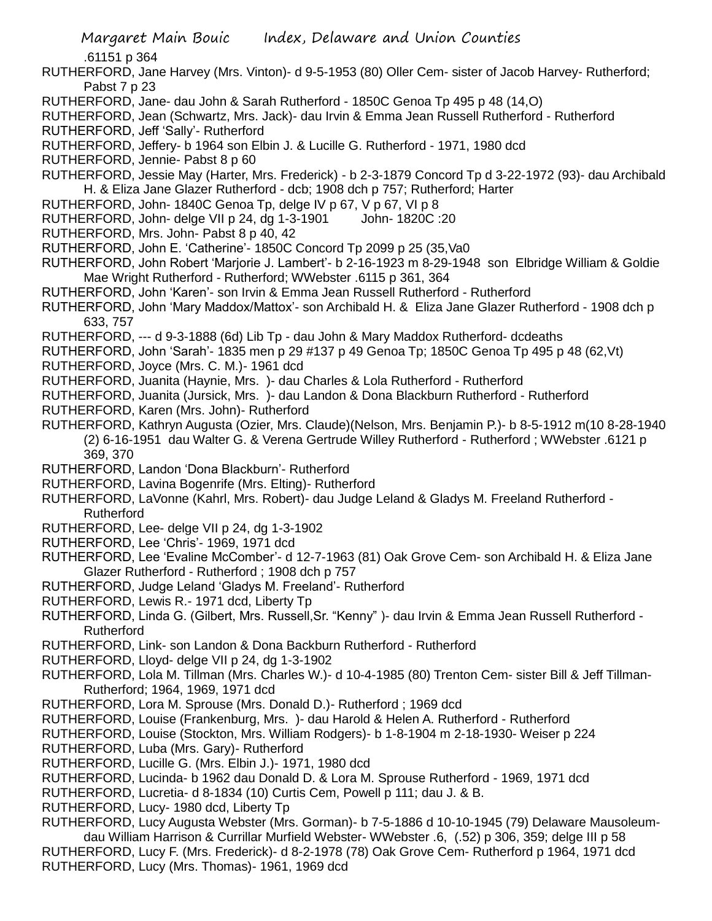.61151 p 364

- RUTHERFORD, Jane Harvey (Mrs. Vinton)- d 9-5-1953 (80) Oller Cem- sister of Jacob Harvey- Rutherford; Pabst 7 p 23
- RUTHERFORD, Jane- dau John & Sarah Rutherford 1850C Genoa Tp 495 p 48 (14,O)
- RUTHERFORD, Jean (Schwartz, Mrs. Jack)- dau Irvin & Emma Jean Russell Rutherford Rutherford
- RUTHERFORD, Jeff 'Sally'- Rutherford
- RUTHERFORD, Jeffery- b 1964 son Elbin J. & Lucille G. Rutherford 1971, 1980 dcd
- RUTHERFORD, Jennie- Pabst 8 p 60
- RUTHERFORD, Jessie May (Harter, Mrs. Frederick) b 2-3-1879 Concord Tp d 3-22-1972 (93)- dau Archibald H. & Eliza Jane Glazer Rutherford - dcb; 1908 dch p 757; Rutherford; Harter
- RUTHERFORD, John- 1840C Genoa Tp, delge IV p 67, V p 67, VI p 8
- RUTHERFORD, John- delge VII p 24, dg 1-3-1901 John- 1820C :20
- RUTHERFORD, Mrs. John- Pabst 8 p 40, 42
- RUTHERFORD, John E. 'Catherine'- 1850C Concord Tp 2099 p 25 (35,Va0
- RUTHERFORD, John Robert 'Marjorie J. Lambert'- b 2-16-1923 m 8-29-1948 son Elbridge William & Goldie Mae Wright Rutherford - Rutherford; WWebster .6115 p 361, 364
- RUTHERFORD, John 'Karen'- son Irvin & Emma Jean Russell Rutherford Rutherford
- RUTHERFORD, John 'Mary Maddox/Mattox'- son Archibald H. & Eliza Jane Glazer Rutherford 1908 dch p 633, 757
- RUTHERFORD, --- d 9-3-1888 (6d) Lib Tp dau John & Mary Maddox Rutherford- dcdeaths
- RUTHERFORD, John 'Sarah'- 1835 men p 29 #137 p 49 Genoa Tp; 1850C Genoa Tp 495 p 48 (62,Vt)
- RUTHERFORD, Joyce (Mrs. C. M.)- 1961 dcd
- RUTHERFORD, Juanita (Haynie, Mrs. )- dau Charles & Lola Rutherford Rutherford
- RUTHERFORD, Juanita (Jursick, Mrs. )- dau Landon & Dona Blackburn Rutherford Rutherford
- RUTHERFORD, Karen (Mrs. John)- Rutherford
- RUTHERFORD, Kathryn Augusta (Ozier, Mrs. Claude)(Nelson, Mrs. Benjamin P.)- b 8-5-1912 m(10 8-28-1940 (2) 6-16-1951 dau Walter G. & Verena Gertrude Willey Rutherford - Rutherford ; WWebster .6121 p 369, 370
- RUTHERFORD, Landon 'Dona Blackburn'- Rutherford
- RUTHERFORD, Lavina Bogenrife (Mrs. Elting)- Rutherford
- RUTHERFORD, LaVonne (Kahrl, Mrs. Robert)- dau Judge Leland & Gladys M. Freeland Rutherford Rutherford
- RUTHERFORD, Lee- delge VII p 24, dg 1-3-1902
- RUTHERFORD, Lee 'Chris'- 1969, 1971 dcd
- RUTHERFORD, Lee 'Evaline McComber'- d 12-7-1963 (81) Oak Grove Cem- son Archibald H. & Eliza Jane Glazer Rutherford - Rutherford ; 1908 dch p 757
- RUTHERFORD, Judge Leland 'Gladys M. Freeland'- Rutherford
- RUTHERFORD, Lewis R.- 1971 dcd, Liberty Tp
- RUTHERFORD, Linda G. (Gilbert, Mrs. Russell,Sr. "Kenny" )- dau Irvin & Emma Jean Russell Rutherford Rutherford
- RUTHERFORD, Link- son Landon & Dona Backburn Rutherford Rutherford
- RUTHERFORD, Lloyd- delge VII p 24, dg 1-3-1902
- RUTHERFORD, Lola M. Tillman (Mrs. Charles W.)- d 10-4-1985 (80) Trenton Cem- sister Bill & Jeff Tillman-Rutherford; 1964, 1969, 1971 dcd
- RUTHERFORD, Lora M. Sprouse (Mrs. Donald D.)- Rutherford ; 1969 dcd
- RUTHERFORD, Louise (Frankenburg, Mrs. )- dau Harold & Helen A. Rutherford Rutherford
- RUTHERFORD, Louise (Stockton, Mrs. William Rodgers)- b 1-8-1904 m 2-18-1930- Weiser p 224
- RUTHERFORD, Luba (Mrs. Gary)- Rutherford
- RUTHERFORD, Lucille G. (Mrs. Elbin J.)- 1971, 1980 dcd
- RUTHERFORD, Lucinda- b 1962 dau Donald D. & Lora M. Sprouse Rutherford 1969, 1971 dcd
- RUTHERFORD, Lucretia- d 8-1834 (10) Curtis Cem, Powell p 111; dau J. & B.
- RUTHERFORD, Lucy- 1980 dcd, Liberty Tp
- RUTHERFORD, Lucy Augusta Webster (Mrs. Gorman)- b 7-5-1886 d 10-10-1945 (79) Delaware Mausoleumdau William Harrison & Currillar Murfield Webster- WWebster .6, (.52) p 306, 359; delge III p 58 RUTHERFORD, Lucy F. (Mrs. Frederick)- d 8-2-1978 (78) Oak Grove Cem- Rutherford p 1964, 1971 dcd RUTHERFORD, Lucy (Mrs. Thomas)- 1961, 1969 dcd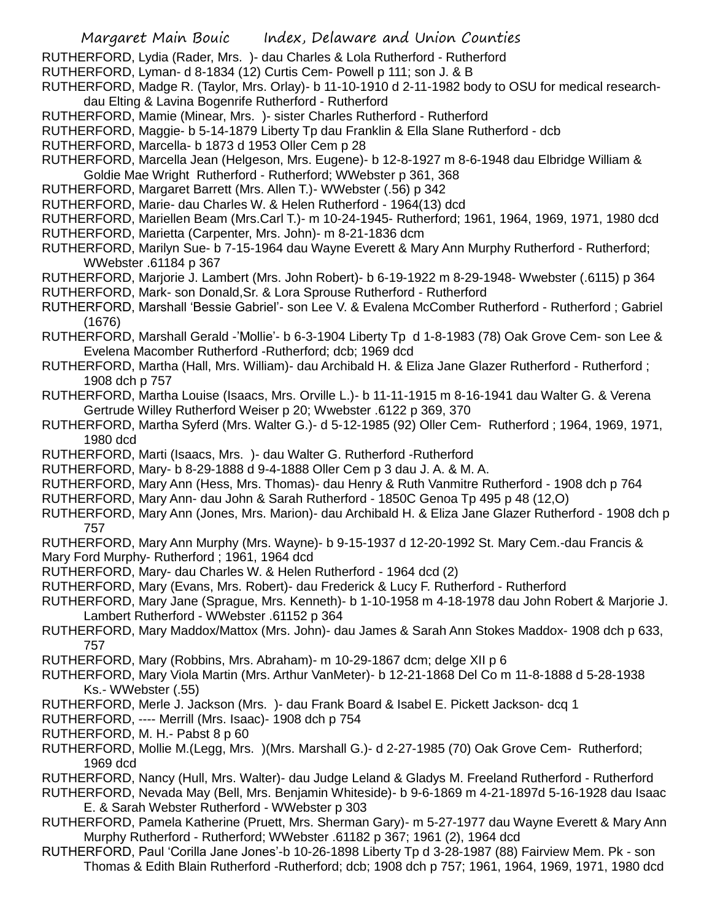- RUTHERFORD, Lydia (Rader, Mrs. )- dau Charles & Lola Rutherford Rutherford
- RUTHERFORD, Lyman- d 8-1834 (12) Curtis Cem- Powell p 111; son J. & B
- RUTHERFORD, Madge R. (Taylor, Mrs. Orlay)- b 11-10-1910 d 2-11-1982 body to OSU for medical researchdau Elting & Lavina Bogenrife Rutherford - Rutherford
- RUTHERFORD, Mamie (Minear, Mrs. )- sister Charles Rutherford Rutherford
- RUTHERFORD, Maggie- b 5-14-1879 Liberty Tp dau Franklin & Ella Slane Rutherford dcb
- RUTHERFORD, Marcella- b 1873 d 1953 Oller Cem p 28
- RUTHERFORD, Marcella Jean (Helgeson, Mrs. Eugene)- b 12-8-1927 m 8-6-1948 dau Elbridge William & Goldie Mae Wright Rutherford - Rutherford; WWebster p 361, 368
- RUTHERFORD, Margaret Barrett (Mrs. Allen T.)- WWebster (.56) p 342
- RUTHERFORD, Marie- dau Charles W. & Helen Rutherford 1964(13) dcd
- RUTHERFORD, Mariellen Beam (Mrs.Carl T.)- m 10-24-1945- Rutherford; 1961, 1964, 1969, 1971, 1980 dcd
- RUTHERFORD, Marietta (Carpenter, Mrs. John)- m 8-21-1836 dcm
- RUTHERFORD, Marilyn Sue- b 7-15-1964 dau Wayne Everett & Mary Ann Murphy Rutherford Rutherford; WWebster .61184 p 367
- RUTHERFORD, Marjorie J. Lambert (Mrs. John Robert)- b 6-19-1922 m 8-29-1948- Wwebster (.6115) p 364
- RUTHERFORD, Mark- son Donald,Sr. & Lora Sprouse Rutherford Rutherford
- RUTHERFORD, Marshall 'Bessie Gabriel'- son Lee V. & Evalena McComber Rutherford Rutherford ; Gabriel (1676)
- RUTHERFORD, Marshall Gerald -'Mollie'- b 6-3-1904 Liberty Tp d 1-8-1983 (78) Oak Grove Cem- son Lee & Evelena Macomber Rutherford -Rutherford; dcb; 1969 dcd
- RUTHERFORD, Martha (Hall, Mrs. William)- dau Archibald H. & Eliza Jane Glazer Rutherford Rutherford ; 1908 dch p 757
- RUTHERFORD, Martha Louise (Isaacs, Mrs. Orville L.)- b 11-11-1915 m 8-16-1941 dau Walter G. & Verena Gertrude Willey Rutherford Weiser p 20; Wwebster .6122 p 369, 370
- RUTHERFORD, Martha Syferd (Mrs. Walter G.)- d 5-12-1985 (92) Oller Cem- Rutherford ; 1964, 1969, 1971, 1980 dcd
- RUTHERFORD, Marti (Isaacs, Mrs. )- dau Walter G. Rutherford -Rutherford
- RUTHERFORD, Mary- b 8-29-1888 d 9-4-1888 Oller Cem p 3 dau J. A. & M. A.
- RUTHERFORD, Mary Ann (Hess, Mrs. Thomas)- dau Henry & Ruth Vanmitre Rutherford 1908 dch p 764
- RUTHERFORD, Mary Ann- dau John & Sarah Rutherford 1850C Genoa Tp 495 p 48 (12,O)
- RUTHERFORD, Mary Ann (Jones, Mrs. Marion)- dau Archibald H. & Eliza Jane Glazer Rutherford 1908 dch p 757

RUTHERFORD, Mary Ann Murphy (Mrs. Wayne)- b 9-15-1937 d 12-20-1992 St. Mary Cem.-dau Francis & Mary Ford Murphy- Rutherford ; 1961, 1964 dcd

- RUTHERFORD, Mary- dau Charles W. & Helen Rutherford 1964 dcd (2)
- RUTHERFORD, Mary (Evans, Mrs. Robert)- dau Frederick & Lucy F. Rutherford Rutherford
- RUTHERFORD, Mary Jane (Sprague, Mrs. Kenneth)- b 1-10-1958 m 4-18-1978 dau John Robert & Marjorie J. Lambert Rutherford - WWebster .61152 p 364
- RUTHERFORD, Mary Maddox/Mattox (Mrs. John)- dau James & Sarah Ann Stokes Maddox- 1908 dch p 633, 757
- RUTHERFORD, Mary (Robbins, Mrs. Abraham)- m 10-29-1867 dcm; delge XII p 6
- RUTHERFORD, Mary Viola Martin (Mrs. Arthur VanMeter)- b 12-21-1868 Del Co m 11-8-1888 d 5-28-1938 Ks.- WWebster (.55)
- RUTHERFORD, Merle J. Jackson (Mrs. )- dau Frank Board & Isabel E. Pickett Jackson- dcq 1
- RUTHERFORD, ---- Merrill (Mrs. Isaac)- 1908 dch p 754
- RUTHERFORD, M. H.- Pabst 8 p 60
- RUTHERFORD, Mollie M.(Legg, Mrs. )(Mrs. Marshall G.)- d 2-27-1985 (70) Oak Grove Cem- Rutherford; 1969 dcd
- RUTHERFORD, Nancy (Hull, Mrs. Walter)- dau Judge Leland & Gladys M. Freeland Rutherford Rutherford
- RUTHERFORD, Nevada May (Bell, Mrs. Benjamin Whiteside)- b 9-6-1869 m 4-21-1897d 5-16-1928 dau Isaac E. & Sarah Webster Rutherford - WWebster p 303
- RUTHERFORD, Pamela Katherine (Pruett, Mrs. Sherman Gary)- m 5-27-1977 dau Wayne Everett & Mary Ann Murphy Rutherford - Rutherford; WWebster .61182 p 367; 1961 (2), 1964 dcd
- RUTHERFORD, Paul 'Corilla Jane Jones'-b 10-26-1898 Liberty Tp d 3-28-1987 (88) Fairview Mem. Pk son Thomas & Edith Blain Rutherford -Rutherford; dcb; 1908 dch p 757; 1961, 1964, 1969, 1971, 1980 dcd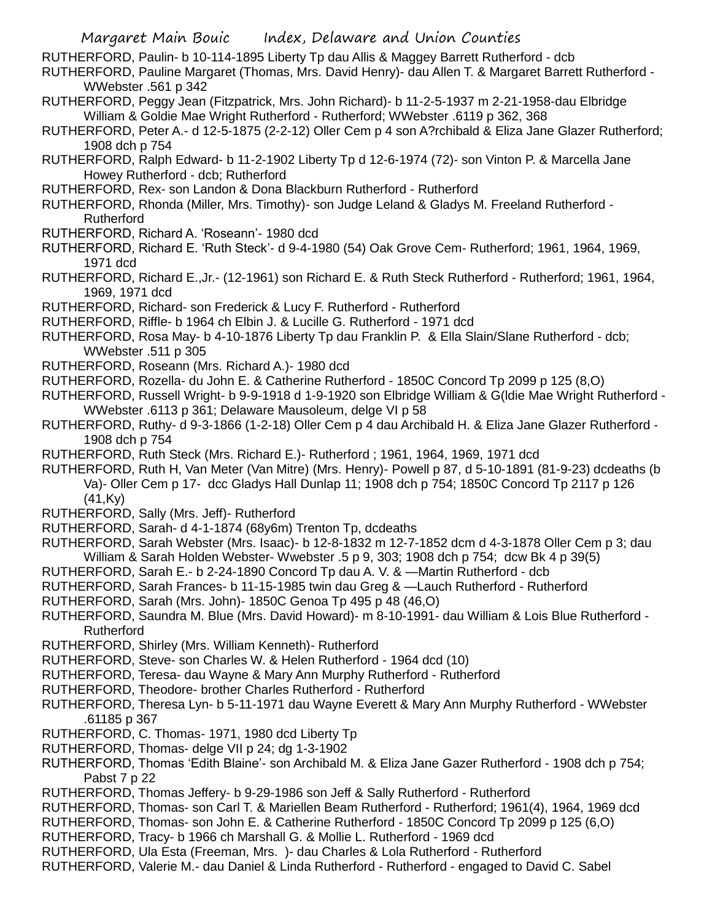RUTHERFORD, Paulin- b 10-114-1895 Liberty Tp dau Allis & Maggey Barrett Rutherford - dcb

RUTHERFORD, Pauline Margaret (Thomas, Mrs. David Henry)- dau Allen T. & Margaret Barrett Rutherford - WWebster .561 p 342

- RUTHERFORD, Peggy Jean (Fitzpatrick, Mrs. John Richard)- b 11-2-5-1937 m 2-21-1958-dau Elbridge William & Goldie Mae Wright Rutherford - Rutherford; WWebster .6119 p 362, 368
- RUTHERFORD, Peter A.- d 12-5-1875 (2-2-12) Oller Cem p 4 son A?rchibald & Eliza Jane Glazer Rutherford; 1908 dch p 754
- RUTHERFORD, Ralph Edward- b 11-2-1902 Liberty Tp d 12-6-1974 (72)- son Vinton P. & Marcella Jane Howey Rutherford - dcb; Rutherford
- RUTHERFORD, Rex- son Landon & Dona Blackburn Rutherford Rutherford
- RUTHERFORD, Rhonda (Miller, Mrs. Timothy)- son Judge Leland & Gladys M. Freeland Rutherford Rutherford
- RUTHERFORD, Richard A. 'Roseann'- 1980 dcd
- RUTHERFORD, Richard E. 'Ruth Steck'- d 9-4-1980 (54) Oak Grove Cem- Rutherford; 1961, 1964, 1969, 1971 dcd
- RUTHERFORD, Richard E.,Jr.- (12-1961) son Richard E. & Ruth Steck Rutherford Rutherford; 1961, 1964, 1969, 1971 dcd
- RUTHERFORD, Richard- son Frederick & Lucy F. Rutherford Rutherford
- RUTHERFORD, Riffle- b 1964 ch Elbin J. & Lucille G. Rutherford 1971 dcd
- RUTHERFORD, Rosa May- b 4-10-1876 Liberty Tp dau Franklin P. & Ella Slain/Slane Rutherford dcb; WWebster .511 p 305
- RUTHERFORD, Roseann (Mrs. Richard A.)- 1980 dcd
- RUTHERFORD, Rozella- du John E. & Catherine Rutherford 1850C Concord Tp 2099 p 125 (8,O)
- RUTHERFORD, Russell Wright- b 9-9-1918 d 1-9-1920 son Elbridge William & G(ldie Mae Wright Rutherford WWebster .6113 p 361; Delaware Mausoleum, delge VI p 58
- RUTHERFORD, Ruthy- d 9-3-1866 (1-2-18) Oller Cem p 4 dau Archibald H. & Eliza Jane Glazer Rutherford 1908 dch p 754
- RUTHERFORD, Ruth Steck (Mrs. Richard E.)- Rutherford ; 1961, 1964, 1969, 1971 dcd
- RUTHERFORD, Ruth H, Van Meter (Van Mitre) (Mrs. Henry)- Powell p 87, d 5-10-1891 (81-9-23) dcdeaths (b Va)- Oller Cem p 17- dcc Gladys Hall Dunlap 11; 1908 dch p 754; 1850C Concord Tp 2117 p 126 (41,Ky)
- RUTHERFORD, Sally (Mrs. Jeff)- Rutherford
- RUTHERFORD, Sarah- d 4-1-1874 (68y6m) Trenton Tp, dcdeaths
- RUTHERFORD, Sarah Webster (Mrs. Isaac)- b 12-8-1832 m 12-7-1852 dcm d 4-3-1878 Oller Cem p 3; dau William & Sarah Holden Webster- Wwebster .5 p 9, 303; 1908 dch p 754; dcw Bk 4 p 39(5)
- RUTHERFORD, Sarah E.- b 2-24-1890 Concord Tp dau A. V. & —Martin Rutherford dcb
- RUTHERFORD, Sarah Frances- b 11-15-1985 twin dau Greg & —Lauch Rutherford Rutherford
- RUTHERFORD, Sarah (Mrs. John)- 1850C Genoa Tp 495 p 48 (46,O)
- RUTHERFORD, Saundra M. Blue (Mrs. David Howard)- m 8-10-1991- dau William & Lois Blue Rutherford Rutherford
- RUTHERFORD, Shirley (Mrs. William Kenneth)- Rutherford
- RUTHERFORD, Steve- son Charles W. & Helen Rutherford 1964 dcd (10)
- RUTHERFORD, Teresa- dau Wayne & Mary Ann Murphy Rutherford Rutherford
- RUTHERFORD, Theodore- brother Charles Rutherford Rutherford
- RUTHERFORD, Theresa Lyn- b 5-11-1971 dau Wayne Everett & Mary Ann Murphy Rutherford WWebster .61185 p 367
- RUTHERFORD, C. Thomas- 1971, 1980 dcd Liberty Tp
- RUTHERFORD, Thomas- delge VII p 24; dg 1-3-1902
- RUTHERFORD, Thomas 'Edith Blaine'- son Archibald M. & Eliza Jane Gazer Rutherford 1908 dch p 754; Pabst 7 p 22
- RUTHERFORD, Thomas Jeffery- b 9-29-1986 son Jeff & Sally Rutherford Rutherford
- RUTHERFORD, Thomas- son Carl T. & Mariellen Beam Rutherford Rutherford; 1961(4), 1964, 1969 dcd
- RUTHERFORD, Thomas- son John E. & Catherine Rutherford 1850C Concord Tp 2099 p 125 (6,O)
- RUTHERFORD, Tracy- b 1966 ch Marshall G. & Mollie L. Rutherford 1969 dcd
- RUTHERFORD, Ula Esta (Freeman, Mrs. )- dau Charles & Lola Rutherford Rutherford
- RUTHERFORD, Valerie M.- dau Daniel & Linda Rutherford Rutherford engaged to David C. Sabel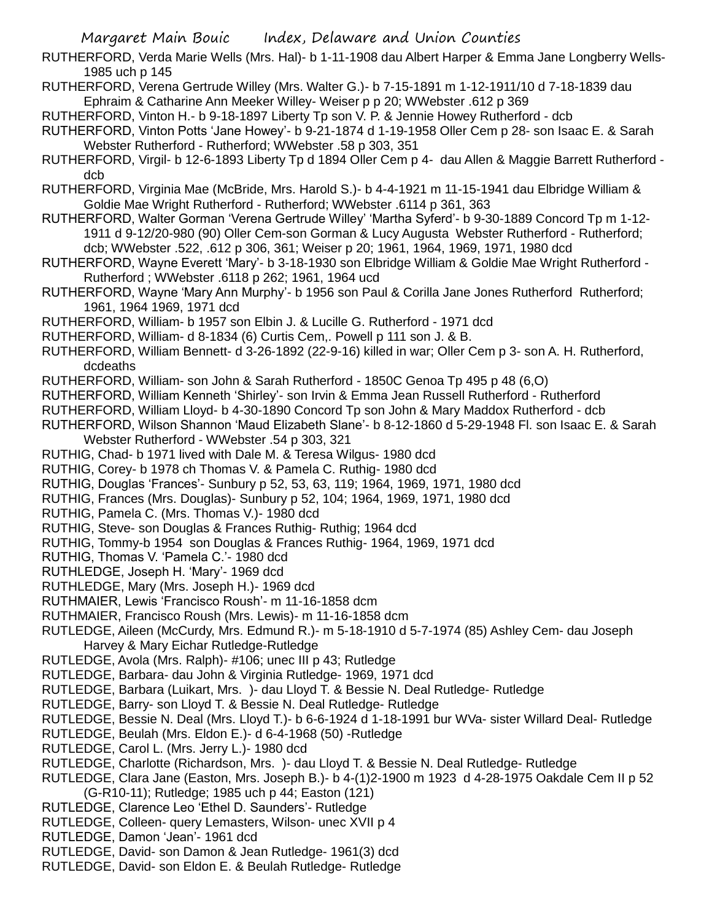RUTHERFORD, Verda Marie Wells (Mrs. Hal)- b 1-11-1908 dau Albert Harper & Emma Jane Longberry Wells-1985 uch p 145

RUTHERFORD, Verena Gertrude Willey (Mrs. Walter G.)- b 7-15-1891 m 1-12-1911/10 d 7-18-1839 dau Ephraim & Catharine Ann Meeker Willey- Weiser p p 20; WWebster .612 p 369

RUTHERFORD, Vinton H.- b 9-18-1897 Liberty Tp son V. P. & Jennie Howey Rutherford - dcb

RUTHERFORD, Vinton Potts 'Jane Howey'- b 9-21-1874 d 1-19-1958 Oller Cem p 28- son Isaac E. & Sarah Webster Rutherford - Rutherford; WWebster .58 p 303, 351

RUTHERFORD, Virgil- b 12-6-1893 Liberty Tp d 1894 Oller Cem p 4- dau Allen & Maggie Barrett Rutherford dcb

RUTHERFORD, Virginia Mae (McBride, Mrs. Harold S.)- b 4-4-1921 m 11-15-1941 dau Elbridge William & Goldie Mae Wright Rutherford - Rutherford; WWebster .6114 p 361, 363

RUTHERFORD, Walter Gorman 'Verena Gertrude Willey' 'Martha Syferd'- b 9-30-1889 Concord Tp m 1-12- 1911 d 9-12/20-980 (90) Oller Cem-son Gorman & Lucy Augusta Webster Rutherford - Rutherford; dcb; WWebster .522, .612 p 306, 361; Weiser p 20; 1961, 1964, 1969, 1971, 1980 dcd

RUTHERFORD, Wayne Everett 'Mary'- b 3-18-1930 son Elbridge William & Goldie Mae Wright Rutherford - Rutherford ; WWebster .6118 p 262; 1961, 1964 ucd

RUTHERFORD, Wayne 'Mary Ann Murphy'- b 1956 son Paul & Corilla Jane Jones Rutherford Rutherford; 1961, 1964 1969, 1971 dcd

RUTHERFORD, William- b 1957 son Elbin J. & Lucille G. Rutherford - 1971 dcd

RUTHERFORD, William- d 8-1834 (6) Curtis Cem,. Powell p 111 son J. & B.

RUTHERFORD, William Bennett- d 3-26-1892 (22-9-16) killed in war; Oller Cem p 3- son A. H. Rutherford, dcdeaths

RUTHERFORD, William- son John & Sarah Rutherford - 1850C Genoa Tp 495 p 48 (6,O)

RUTHERFORD, William Kenneth 'Shirley'- son Irvin & Emma Jean Russell Rutherford - Rutherford

RUTHERFORD, William Lloyd- b 4-30-1890 Concord Tp son John & Mary Maddox Rutherford - dcb

RUTHERFORD, Wilson Shannon 'Maud Elizabeth Slane'- b 8-12-1860 d 5-29-1948 Fl. son Isaac E. & Sarah Webster Rutherford - WWebster .54 p 303, 321

RUTHIG, Chad- b 1971 lived with Dale M. & Teresa Wilgus- 1980 dcd

RUTHIG, Corey- b 1978 ch Thomas V. & Pamela C. Ruthig- 1980 dcd

RUTHIG, Douglas 'Frances'- Sunbury p 52, 53, 63, 119; 1964, 1969, 1971, 1980 dcd

RUTHIG, Frances (Mrs. Douglas)- Sunbury p 52, 104; 1964, 1969, 1971, 1980 dcd

RUTHIG, Pamela C. (Mrs. Thomas V.)- 1980 dcd

RUTHIG, Steve- son Douglas & Frances Ruthig- Ruthig; 1964 dcd

RUTHIG, Tommy-b 1954 son Douglas & Frances Ruthig- 1964, 1969, 1971 dcd

RUTHIG, Thomas V. 'Pamela C.'- 1980 dcd

RUTHLEDGE, Joseph H. 'Mary'- 1969 dcd

RUTHLEDGE, Mary (Mrs. Joseph H.)- 1969 dcd

RUTHMAIER, Lewis 'Francisco Roush'- m 11-16-1858 dcm

RUTHMAIER, Francisco Roush (Mrs. Lewis)- m 11-16-1858 dcm

RUTLEDGE, Aileen (McCurdy, Mrs. Edmund R.)- m 5-18-1910 d 5-7-1974 (85) Ashley Cem- dau Joseph Harvey & Mary Eichar Rutledge-Rutledge

RUTLEDGE, Avola (Mrs. Ralph)- #106; unec III p 43; Rutledge

RUTLEDGE, Barbara- dau John & Virginia Rutledge- 1969, 1971 dcd

RUTLEDGE, Barbara (Luikart, Mrs. )- dau Lloyd T. & Bessie N. Deal Rutledge- Rutledge

RUTLEDGE, Barry- son Lloyd T. & Bessie N. Deal Rutledge- Rutledge

RUTLEDGE, Bessie N. Deal (Mrs. Lloyd T.)- b 6-6-1924 d 1-18-1991 bur WVa- sister Willard Deal- Rutledge

RUTLEDGE, Beulah (Mrs. Eldon E.)- d 6-4-1968 (50) -Rutledge

RUTLEDGE, Carol L. (Mrs. Jerry L.)- 1980 dcd

RUTLEDGE, Charlotte (Richardson, Mrs. )- dau Lloyd T. & Bessie N. Deal Rutledge- Rutledge

RUTLEDGE, Clara Jane (Easton, Mrs. Joseph B.)- b 4-(1)2-1900 m 1923 d 4-28-1975 Oakdale Cem II p 52 (G-R10-11); Rutledge; 1985 uch p 44; Easton (121)

RUTLEDGE, Clarence Leo 'Ethel D. Saunders'- Rutledge

RUTLEDGE, Colleen- query Lemasters, Wilson- unec XVII p 4

RUTLEDGE, Damon 'Jean'- 1961 dcd

RUTLEDGE, David- son Damon & Jean Rutledge- 1961(3) dcd

RUTLEDGE, David- son Eldon E. & Beulah Rutledge- Rutledge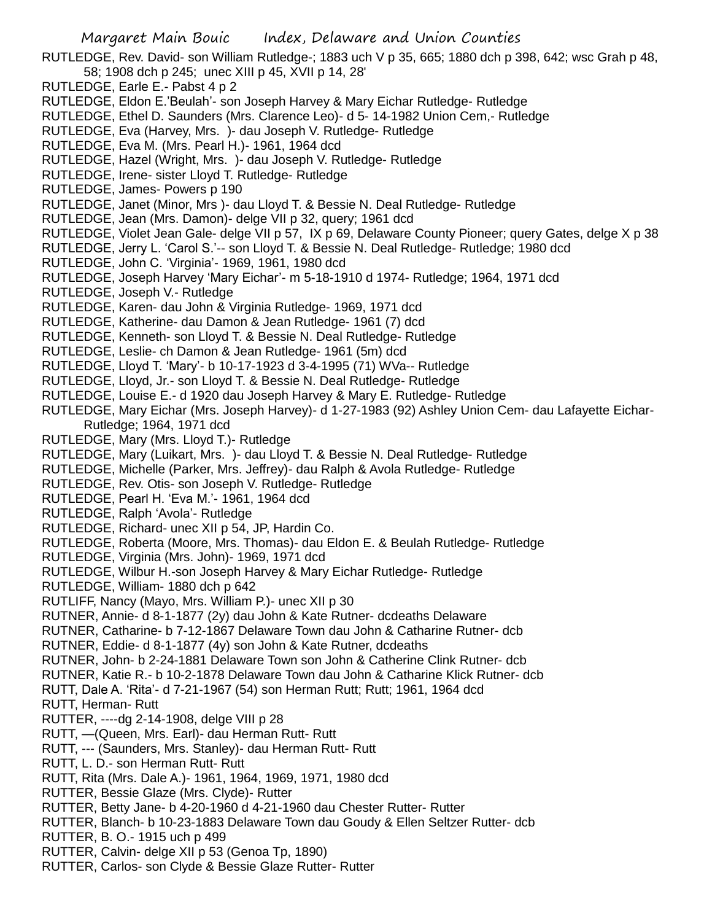RUTLEDGE, Rev. David- son William Rutledge-; 1883 uch V p 35, 665; 1880 dch p 398, 642; wsc Grah p 48, 58; 1908 dch p 245; unec XIII p 45, XVII p 14, 28'

- RUTLEDGE, Earle E.- Pabst 4 p 2
- RUTLEDGE, Eldon E.'Beulah'- son Joseph Harvey & Mary Eichar Rutledge- Rutledge
- RUTLEDGE, Ethel D. Saunders (Mrs. Clarence Leo)- d 5- 14-1982 Union Cem,- Rutledge
- RUTLEDGE, Eva (Harvey, Mrs. )- dau Joseph V. Rutledge- Rutledge
- RUTLEDGE, Eva M. (Mrs. Pearl H.)- 1961, 1964 dcd
- RUTLEDGE, Hazel (Wright, Mrs. )- dau Joseph V. Rutledge- Rutledge
- RUTLEDGE, Irene- sister Lloyd T. Rutledge- Rutledge
- RUTLEDGE, James- Powers p 190
- RUTLEDGE, Janet (Minor, Mrs )- dau Lloyd T. & Bessie N. Deal Rutledge- Rutledge
- RUTLEDGE, Jean (Mrs. Damon)- delge VII p 32, query; 1961 dcd
- RUTLEDGE, Violet Jean Gale- delge VII p 57, IX p 69, Delaware County Pioneer; query Gates, delge X p 38
- RUTLEDGE, Jerry L. 'Carol S.'-- son Lloyd T. & Bessie N. Deal Rutledge- Rutledge; 1980 dcd
- RUTLEDGE, John C. 'Virginia'- 1969, 1961, 1980 dcd
- RUTLEDGE, Joseph Harvey 'Mary Eichar'- m 5-18-1910 d 1974- Rutledge; 1964, 1971 dcd
- RUTLEDGE, Joseph V.- Rutledge
- RUTLEDGE, Karen- dau John & Virginia Rutledge- 1969, 1971 dcd
- RUTLEDGE, Katherine- dau Damon & Jean Rutledge- 1961 (7) dcd
- RUTLEDGE, Kenneth- son Lloyd T. & Bessie N. Deal Rutledge- Rutledge
- RUTLEDGE, Leslie- ch Damon & Jean Rutledge- 1961 (5m) dcd
- RUTLEDGE, Lloyd T. 'Mary'- b 10-17-1923 d 3-4-1995 (71) WVa-- Rutledge
- RUTLEDGE, Lloyd, Jr.- son Lloyd T. & Bessie N. Deal Rutledge- Rutledge
- RUTLEDGE, Louise E.- d 1920 dau Joseph Harvey & Mary E. Rutledge- Rutledge
- RUTLEDGE, Mary Eichar (Mrs. Joseph Harvey)- d 1-27-1983 (92) Ashley Union Cem- dau Lafayette Eichar-Rutledge; 1964, 1971 dcd
- RUTLEDGE, Mary (Mrs. Lloyd T.)- Rutledge
- RUTLEDGE, Mary (Luikart, Mrs. )- dau Lloyd T. & Bessie N. Deal Rutledge- Rutledge
- RUTLEDGE, Michelle (Parker, Mrs. Jeffrey)- dau Ralph & Avola Rutledge- Rutledge
- RUTLEDGE, Rev. Otis- son Joseph V. Rutledge- Rutledge
- RUTLEDGE, Pearl H. 'Eva M.'- 1961, 1964 dcd
- RUTLEDGE, Ralph 'Avola'- Rutledge
- RUTLEDGE, Richard- unec XII p 54, JP, Hardin Co.
- RUTLEDGE, Roberta (Moore, Mrs. Thomas)- dau Eldon E. & Beulah Rutledge- Rutledge
- RUTLEDGE, Virginia (Mrs. John)- 1969, 1971 dcd
- RUTLEDGE, Wilbur H.-son Joseph Harvey & Mary Eichar Rutledge- Rutledge
- RUTLEDGE, William- 1880 dch p 642
- RUTLIFF, Nancy (Mayo, Mrs. William P.)- unec XII p 30
- RUTNER, Annie- d 8-1-1877 (2y) dau John & Kate Rutner- dcdeaths Delaware
- RUTNER, Catharine- b 7-12-1867 Delaware Town dau John & Catharine Rutner- dcb
- RUTNER, Eddie- d 8-1-1877 (4y) son John & Kate Rutner, dcdeaths
- RUTNER, John- b 2-24-1881 Delaware Town son John & Catherine Clink Rutner- dcb
- RUTNER, Katie R.- b 10-2-1878 Delaware Town dau John & Catharine Klick Rutner- dcb
- RUTT, Dale A. 'Rita'- d 7-21-1967 (54) son Herman Rutt; Rutt; 1961, 1964 dcd
- RUTT, Herman- Rutt
- RUTTER, ----dg 2-14-1908, delge VIII p 28
- RUTT, —(Queen, Mrs. Earl)- dau Herman Rutt- Rutt
- RUTT, --- (Saunders, Mrs. Stanley)- dau Herman Rutt- Rutt
- RUTT, L. D.- son Herman Rutt- Rutt
- RUTT, Rita (Mrs. Dale A.)- 1961, 1964, 1969, 1971, 1980 dcd
- RUTTER, Bessie Glaze (Mrs. Clyde)- Rutter
- RUTTER, Betty Jane- b 4-20-1960 d 4-21-1960 dau Chester Rutter- Rutter
- RUTTER, Blanch- b 10-23-1883 Delaware Town dau Goudy & Ellen Seltzer Rutter- dcb
- RUTTER, B. O.- 1915 uch p 499
- RUTTER, Calvin- delge XII p 53 (Genoa Tp, 1890)
- RUTTER, Carlos- son Clyde & Bessie Glaze Rutter- Rutter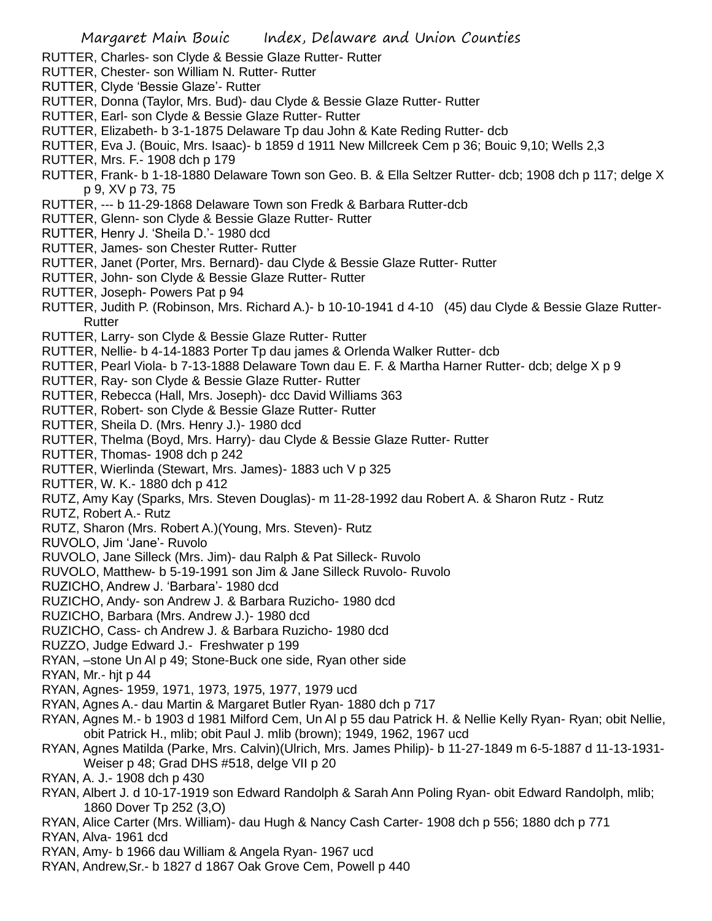- RUTTER, Charles- son Clyde & Bessie Glaze Rutter- Rutter
- RUTTER, Chester- son William N. Rutter- Rutter
- RUTTER, Clyde 'Bessie Glaze'- Rutter
- RUTTER, Donna (Taylor, Mrs. Bud)- dau Clyde & Bessie Glaze Rutter- Rutter
- RUTTER, Earl- son Clyde & Bessie Glaze Rutter- Rutter
- RUTTER, Elizabeth- b 3-1-1875 Delaware Tp dau John & Kate Reding Rutter- dcb
- RUTTER, Eva J. (Bouic, Mrs. Isaac)- b 1859 d 1911 New Millcreek Cem p 36; Bouic 9,10; Wells 2,3
- RUTTER, Mrs. F.- 1908 dch p 179
- RUTTER, Frank- b 1-18-1880 Delaware Town son Geo. B. & Ella Seltzer Rutter- dcb; 1908 dch p 117; delge X p 9, XV p 73, 75
- RUTTER, --- b 11-29-1868 Delaware Town son Fredk & Barbara Rutter-dcb
- RUTTER, Glenn- son Clyde & Bessie Glaze Rutter- Rutter
- RUTTER, Henry J. 'Sheila D.'- 1980 dcd
- RUTTER, James- son Chester Rutter- Rutter
- RUTTER, Janet (Porter, Mrs. Bernard)- dau Clyde & Bessie Glaze Rutter- Rutter
- RUTTER, John- son Clyde & Bessie Glaze Rutter- Rutter
- RUTTER, Joseph- Powers Pat p 94
- RUTTER, Judith P. (Robinson, Mrs. Richard A.)- b 10-10-1941 d 4-10 (45) dau Clyde & Bessie Glaze Rutter-**Rutter**
- RUTTER, Larry- son Clyde & Bessie Glaze Rutter- Rutter
- RUTTER, Nellie- b 4-14-1883 Porter Tp dau james & Orlenda Walker Rutter- dcb
- RUTTER, Pearl Viola- b 7-13-1888 Delaware Town dau E. F. & Martha Harner Rutter- dcb; delge X p 9
- RUTTER, Ray- son Clyde & Bessie Glaze Rutter- Rutter
- RUTTER, Rebecca (Hall, Mrs. Joseph)- dcc David Williams 363
- RUTTER, Robert- son Clyde & Bessie Glaze Rutter- Rutter
- RUTTER, Sheila D. (Mrs. Henry J.)- 1980 dcd
- RUTTER, Thelma (Boyd, Mrs. Harry)- dau Clyde & Bessie Glaze Rutter- Rutter
- RUTTER, Thomas- 1908 dch p 242
- RUTTER, Wierlinda (Stewart, Mrs. James)- 1883 uch V p 325
- RUTTER, W. K.- 1880 dch p 412
- RUTZ, Amy Kay (Sparks, Mrs. Steven Douglas)- m 11-28-1992 dau Robert A. & Sharon Rutz Rutz
- RUTZ, Robert A.- Rutz
- RUTZ, Sharon (Mrs. Robert A.)(Young, Mrs. Steven)- Rutz
- RUVOLO, Jim 'Jane'- Ruvolo
- RUVOLO, Jane Silleck (Mrs. Jim)- dau Ralph & Pat Silleck- Ruvolo
- RUVOLO, Matthew- b 5-19-1991 son Jim & Jane Silleck Ruvolo- Ruvolo
- RUZICHO, Andrew J. 'Barbara'- 1980 dcd
- RUZICHO, Andy- son Andrew J. & Barbara Ruzicho- 1980 dcd
- RUZICHO, Barbara (Mrs. Andrew J.)- 1980 dcd
- RUZICHO, Cass- ch Andrew J. & Barbara Ruzicho- 1980 dcd
- RUZZO, Judge Edward J.- Freshwater p 199
- RYAN, –stone Un Al p 49; Stone-Buck one side, Ryan other side
- RYAN, Mr.- hit p 44
- RYAN, Agnes- 1959, 1971, 1973, 1975, 1977, 1979 ucd
- RYAN, Agnes A.- dau Martin & Margaret Butler Ryan- 1880 dch p 717
- RYAN, Agnes M.- b 1903 d 1981 Milford Cem, Un Al p 55 dau Patrick H. & Nellie Kelly Ryan- Ryan; obit Nellie, obit Patrick H., mlib; obit Paul J. mlib (brown); 1949, 1962, 1967 ucd
- RYAN, Agnes Matilda (Parke, Mrs. Calvin)(Ulrich, Mrs. James Philip)- b 11-27-1849 m 6-5-1887 d 11-13-1931- Weiser p 48; Grad DHS #518, delge VII p 20
- RYAN, A. J.- 1908 dch p 430
- RYAN, Albert J. d 10-17-1919 son Edward Randolph & Sarah Ann Poling Ryan- obit Edward Randolph, mlib; 1860 Dover Tp 252 (3,O)
- RYAN, Alice Carter (Mrs. William)- dau Hugh & Nancy Cash Carter- 1908 dch p 556; 1880 dch p 771
- RYAN, Alva- 1961 dcd
- RYAN, Amy- b 1966 dau William & Angela Ryan- 1967 ucd
- RYAN, Andrew,Sr.- b 1827 d 1867 Oak Grove Cem, Powell p 440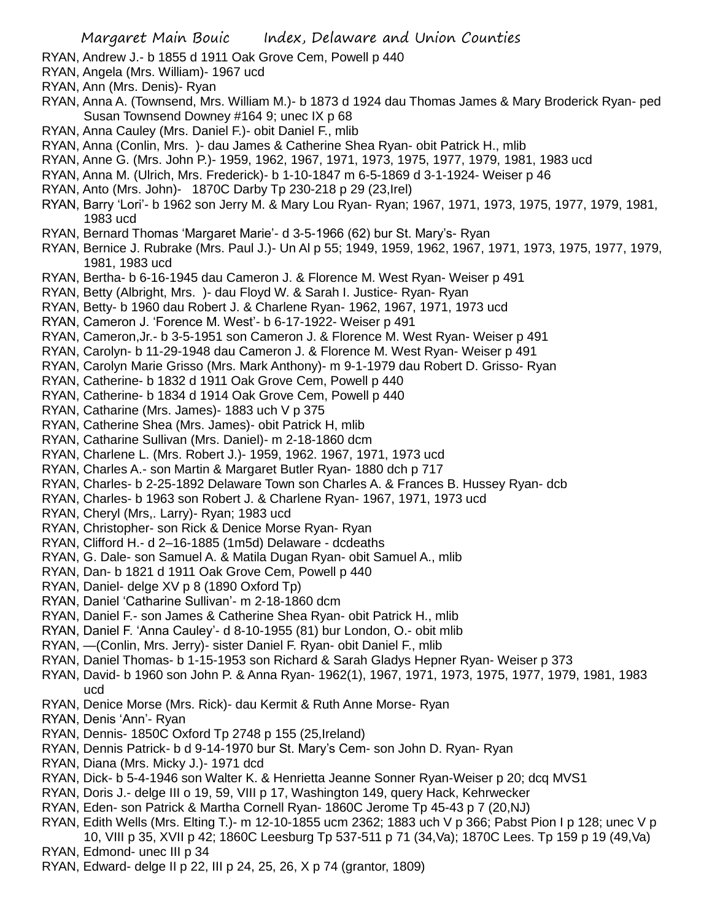- RYAN, Andrew J.- b 1855 d 1911 Oak Grove Cem, Powell p 440
- RYAN, Angela (Mrs. William)- 1967 ucd
- RYAN, Ann (Mrs. Denis)- Ryan
- RYAN, Anna A. (Townsend, Mrs. William M.)- b 1873 d 1924 dau Thomas James & Mary Broderick Ryan- ped Susan Townsend Downey #164 9; unec IX p 68
- RYAN, Anna Cauley (Mrs. Daniel F.)- obit Daniel F., mlib
- RYAN, Anna (Conlin, Mrs. )- dau James & Catherine Shea Ryan- obit Patrick H., mlib
- RYAN, Anne G. (Mrs. John P.)- 1959, 1962, 1967, 1971, 1973, 1975, 1977, 1979, 1981, 1983 ucd
- RYAN, Anna M. (Ulrich, Mrs. Frederick)- b 1-10-1847 m 6-5-1869 d 3-1-1924- Weiser p 46
- RYAN, Anto (Mrs. John)- 1870C Darby Tp 230-218 p 29 (23,Irel)
- RYAN, Barry 'Lori'- b 1962 son Jerry M. & Mary Lou Ryan- Ryan; 1967, 1971, 1973, 1975, 1977, 1979, 1981, 1983 ucd
- RYAN, Bernard Thomas 'Margaret Marie'- d 3-5-1966 (62) bur St. Mary's- Ryan
- RYAN, Bernice J. Rubrake (Mrs. Paul J.)- Un Al p 55; 1949, 1959, 1962, 1967, 1971, 1973, 1975, 1977, 1979, 1981, 1983 ucd
- RYAN, Bertha- b 6-16-1945 dau Cameron J. & Florence M. West Ryan- Weiser p 491
- RYAN, Betty (Albright, Mrs. )- dau Floyd W. & Sarah I. Justice- Ryan- Ryan
- RYAN, Betty- b 1960 dau Robert J. & Charlene Ryan- 1962, 1967, 1971, 1973 ucd
- RYAN, Cameron J. 'Forence M. West'- b 6-17-1922- Weiser p 491
- RYAN, Cameron,Jr.- b 3-5-1951 son Cameron J. & Florence M. West Ryan- Weiser p 491
- RYAN, Carolyn- b 11-29-1948 dau Cameron J. & Florence M. West Ryan- Weiser p 491
- RYAN, Carolyn Marie Grisso (Mrs. Mark Anthony)- m 9-1-1979 dau Robert D. Grisso- Ryan
- RYAN, Catherine- b 1832 d 1911 Oak Grove Cem, Powell p 440
- RYAN, Catherine- b 1834 d 1914 Oak Grove Cem, Powell p 440
- RYAN, Catharine (Mrs. James)- 1883 uch V p 375
- RYAN, Catherine Shea (Mrs. James)- obit Patrick H, mlib
- RYAN, Catharine Sullivan (Mrs. Daniel)- m 2-18-1860 dcm
- RYAN, Charlene L. (Mrs. Robert J.)- 1959, 1962. 1967, 1971, 1973 ucd
- RYAN, Charles A.- son Martin & Margaret Butler Ryan- 1880 dch p 717
- RYAN, Charles- b 2-25-1892 Delaware Town son Charles A. & Frances B. Hussey Ryan- dcb
- RYAN, Charles- b 1963 son Robert J. & Charlene Ryan- 1967, 1971, 1973 ucd
- RYAN, Cheryl (Mrs,. Larry)- Ryan; 1983 ucd
- RYAN, Christopher- son Rick & Denice Morse Ryan- Ryan
- RYAN, Clifford H.- d 2–16-1885 (1m5d) Delaware dcdeaths
- RYAN, G. Dale- son Samuel A. & Matila Dugan Ryan- obit Samuel A., mlib
- RYAN, Dan- b 1821 d 1911 Oak Grove Cem, Powell p 440
- RYAN, Daniel- delge XV p 8 (1890 Oxford Tp)
- RYAN, Daniel 'Catharine Sullivan'- m 2-18-1860 dcm
- RYAN, Daniel F.- son James & Catherine Shea Ryan- obit Patrick H., mlib
- RYAN, Daniel F. 'Anna Cauley'- d 8-10-1955 (81) bur London, O.- obit mlib
- RYAN, —(Conlin, Mrs. Jerry)- sister Daniel F. Ryan- obit Daniel F., mlib
- RYAN, Daniel Thomas- b 1-15-1953 son Richard & Sarah Gladys Hepner Ryan- Weiser p 373
- RYAN, David- b 1960 son John P. & Anna Ryan- 1962(1), 1967, 1971, 1973, 1975, 1977, 1979, 1981, 1983 ucd
- RYAN, Denice Morse (Mrs. Rick)- dau Kermit & Ruth Anne Morse- Ryan
- RYAN, Denis 'Ann'- Ryan
- RYAN, Dennis- 1850C Oxford Tp 2748 p 155 (25,Ireland)
- RYAN, Dennis Patrick- b d 9-14-1970 bur St. Mary's Cem- son John D. Ryan- Ryan
- RYAN, Diana (Mrs. Micky J.)- 1971 dcd
- RYAN, Dick- b 5-4-1946 son Walter K. & Henrietta Jeanne Sonner Ryan-Weiser p 20; dcq MVS1
- RYAN, Doris J.- delge III o 19, 59, VIII p 17, Washington 149, query Hack, Kehrwecker
- RYAN, Eden- son Patrick & Martha Cornell Ryan- 1860C Jerome Tp 45-43 p 7 (20,NJ)
- RYAN, Edith Wells (Mrs. Elting T.)- m 12-10-1855 ucm 2362; 1883 uch V p 366; Pabst Pion I p 128; unec V p 10, VIII p 35, XVII p 42; 1860C Leesburg Tp 537-511 p 71 (34,Va); 1870C Lees. Tp 159 p 19 (49,Va)
- RYAN, Edmond- unec III p 34
- RYAN, Edward- delge II p 22, III p 24, 25, 26, X p 74 (grantor, 1809)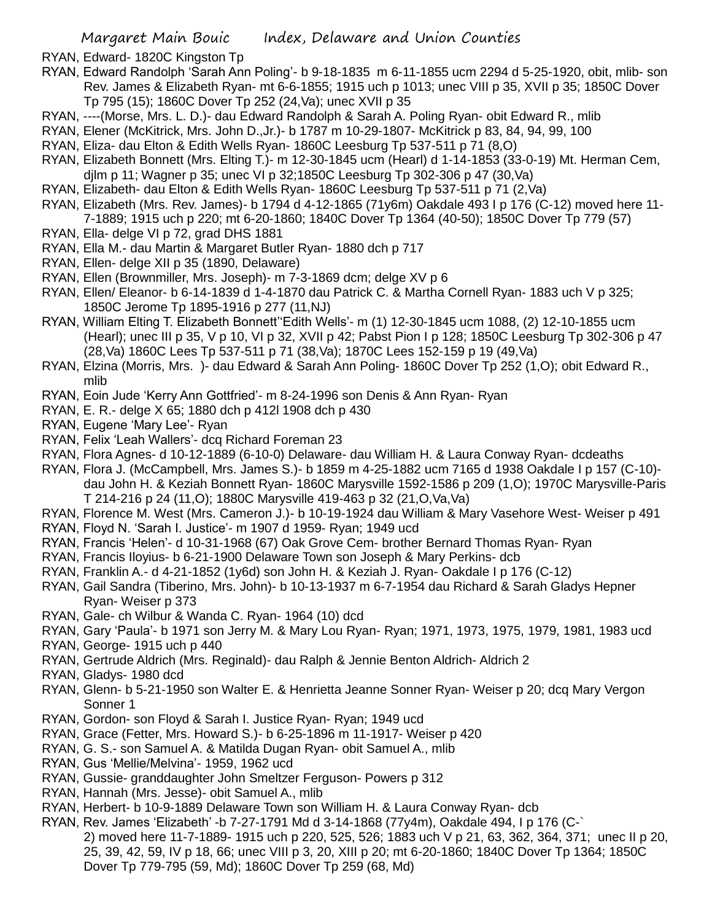RYAN, Edward- 1820C Kingston Tp

- RYAN, Edward Randolph 'Sarah Ann Poling'- b 9-18-1835 m 6-11-1855 ucm 2294 d 5-25-1920, obit, mlib- son Rev. James & Elizabeth Ryan- mt 6-6-1855; 1915 uch p 1013; unec VIII p 35, XVII p 35; 1850C Dover Tp 795 (15); 1860C Dover Tp 252 (24,Va); unec XVII p 35
- RYAN, ----(Morse, Mrs. L. D.)- dau Edward Randolph & Sarah A. Poling Ryan- obit Edward R., mlib
- RYAN, Elener (McKitrick, Mrs. John D.,Jr.)- b 1787 m 10-29-1807- McKitrick p 83, 84, 94, 99, 100
- RYAN, Eliza- dau Elton & Edith Wells Ryan- 1860C Leesburg Tp 537-511 p 71 (8,O)
- RYAN, Elizabeth Bonnett (Mrs. Elting T.)- m 12-30-1845 ucm (Hearl) d 1-14-1853 (33-0-19) Mt. Herman Cem, djlm p 11; Wagner p 35; unec VI p 32;1850C Leesburg Tp 302-306 p 47 (30,Va)
- RYAN, Elizabeth- dau Elton & Edith Wells Ryan- 1860C Leesburg Tp 537-511 p 71 (2,Va)
- RYAN, Elizabeth (Mrs. Rev. James)- b 1794 d 4-12-1865 (71y6m) Oakdale 493 I p 176 (C-12) moved here 11- 7-1889; 1915 uch p 220; mt 6-20-1860; 1840C Dover Tp 1364 (40-50); 1850C Dover Tp 779 (57)
- RYAN, Ella- delge VI p 72, grad DHS 1881
- RYAN, Ella M.- dau Martin & Margaret Butler Ryan- 1880 dch p 717
- RYAN, Ellen- delge XII p 35 (1890, Delaware)
- RYAN, Ellen (Brownmiller, Mrs. Joseph)- m 7-3-1869 dcm; delge XV p 6
- RYAN, Ellen/ Eleanor- b 6-14-1839 d 1-4-1870 dau Patrick C. & Martha Cornell Ryan- 1883 uch V p 325; 1850C Jerome Tp 1895-1916 p 277 (11,NJ)
- RYAN, William Elting T. Elizabeth Bonnett''Edith Wells'- m (1) 12-30-1845 ucm 1088, (2) 12-10-1855 ucm (Hearl); unec III p 35, V p 10, VI p 32, XVII p 42; Pabst Pion I p 128; 1850C Leesburg Tp 302-306 p 47 (28,Va) 1860C Lees Tp 537-511 p 71 (38,Va); 1870C Lees 152-159 p 19 (49,Va)
- RYAN, Elzina (Morris, Mrs. )- dau Edward & Sarah Ann Poling- 1860C Dover Tp 252 (1,O); obit Edward R., mlib
- RYAN, Eoin Jude 'Kerry Ann Gottfried'- m 8-24-1996 son Denis & Ann Ryan- Ryan
- RYAN, E. R.- delge X 65; 1880 dch p 412l 1908 dch p 430
- RYAN, Eugene 'Mary Lee'- Ryan
- RYAN, Felix 'Leah Wallers'- dcq Richard Foreman 23
- RYAN, Flora Agnes- d 10-12-1889 (6-10-0) Delaware- dau William H. & Laura Conway Ryan- dcdeaths
- RYAN, Flora J. (McCampbell, Mrs. James S.)- b 1859 m 4-25-1882 ucm 7165 d 1938 Oakdale I p 157 (C-10) dau John H. & Keziah Bonnett Ryan- 1860C Marysville 1592-1586 p 209 (1,O); 1970C Marysville-Paris T 214-216 p 24 (11,O); 1880C Marysville 419-463 p 32 (21,O,Va,Va)
- RYAN, Florence M. West (Mrs. Cameron J.)- b 10-19-1924 dau William & Mary Vasehore West- Weiser p 491
- RYAN, Floyd N. 'Sarah I. Justice'- m 1907 d 1959- Ryan; 1949 ucd
- RYAN, Francis 'Helen'- d 10-31-1968 (67) Oak Grove Cem- brother Bernard Thomas Ryan- Ryan
- RYAN, Francis Iloyius- b 6-21-1900 Delaware Town son Joseph & Mary Perkins- dcb
- RYAN, Franklin A.- d 4-21-1852 (1y6d) son John H. & Keziah J. Ryan- Oakdale I p 176 (C-12)
- RYAN, Gail Sandra (Tiberino, Mrs. John)- b 10-13-1937 m 6-7-1954 dau Richard & Sarah Gladys Hepner Ryan- Weiser p 373
- RYAN, Gale- ch Wilbur & Wanda C. Ryan- 1964 (10) dcd
- RYAN, Gary 'Paula'- b 1971 son Jerry M. & Mary Lou Ryan- Ryan; 1971, 1973, 1975, 1979, 1981, 1983 ucd
- RYAN, George- 1915 uch p 440
- RYAN, Gertrude Aldrich (Mrs. Reginald)- dau Ralph & Jennie Benton Aldrich- Aldrich 2
- RYAN, Gladys- 1980 dcd
- RYAN, Glenn- b 5-21-1950 son Walter E. & Henrietta Jeanne Sonner Ryan- Weiser p 20; dcq Mary Vergon Sonner 1
- RYAN, Gordon- son Floyd & Sarah I. Justice Ryan- Ryan; 1949 ucd
- RYAN, Grace (Fetter, Mrs. Howard S.)- b 6-25-1896 m 11-1917- Weiser p 420
- RYAN, G. S.- son Samuel A. & Matilda Dugan Ryan- obit Samuel A., mlib
- RYAN, Gus 'Mellie/Melvina'- 1959, 1962 ucd
- RYAN, Gussie- granddaughter John Smeltzer Ferguson- Powers p 312
- RYAN, Hannah (Mrs. Jesse)- obit Samuel A., mlib
- RYAN, Herbert- b 10-9-1889 Delaware Town son William H. & Laura Conway Ryan- dcb
- RYAN, Rev. James 'Elizabeth' -b 7-27-1791 Md d 3-14-1868 (77y4m), Oakdale 494, I p 176 (C-` 2) moved here 11-7-1889- 1915 uch p 220, 525, 526; 1883 uch V p 21, 63, 362, 364, 371; unec II p 20, 25, 39, 42, 59, IV p 18, 66; unec VIII p 3, 20, XIII p 20; mt 6-20-1860; 1840C Dover Tp 1364; 1850C Dover Tp 779-795 (59, Md); 1860C Dover Tp 259 (68, Md)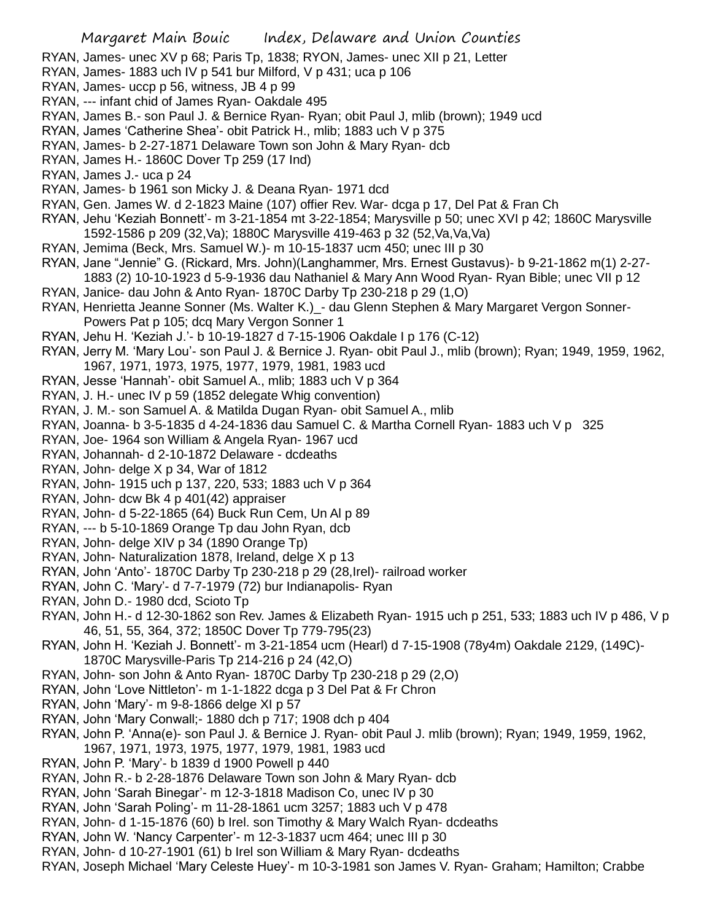RYAN, James- unec XV p 68; Paris Tp, 1838; RYON, James- unec XII p 21, Letter

- RYAN, James- 1883 uch IV p 541 bur Milford, V p 431; uca p 106
- RYAN, James- uccp p 56, witness, JB 4 p 99
- RYAN, --- infant chid of James Ryan- Oakdale 495
- RYAN, James B.- son Paul J. & Bernice Ryan- Ryan; obit Paul J, mlib (brown); 1949 ucd
- RYAN, James 'Catherine Shea'- obit Patrick H., mlib; 1883 uch V p 375
- RYAN, James- b 2-27-1871 Delaware Town son John & Mary Ryan- dcb
- RYAN, James H.- 1860C Dover Tp 259 (17 Ind)
- RYAN, James J.- uca p 24
- RYAN, James- b 1961 son Micky J. & Deana Ryan- 1971 dcd
- RYAN, Gen. James W. d 2-1823 Maine (107) offier Rev. War- dcga p 17, Del Pat & Fran Ch
- RYAN, Jehu 'Keziah Bonnett'- m 3-21-1854 mt 3-22-1854; Marysville p 50; unec XVI p 42; 1860C Marysville 1592-1586 p 209 (32,Va); 1880C Marysville 419-463 p 32 (52,Va,Va,Va)
- RYAN, Jemima (Beck, Mrs. Samuel W.)- m 10-15-1837 ucm 450; unec III p 30
- RYAN, Jane "Jennie" G. (Rickard, Mrs. John)(Langhammer, Mrs. Ernest Gustavus)- b 9-21-1862 m(1) 2-27- 1883 (2) 10-10-1923 d 5-9-1936 dau Nathaniel & Mary Ann Wood Ryan- Ryan Bible; unec VII p 12
- RYAN, Janice- dau John & Anto Ryan- 1870C Darby Tp 230-218 p 29 (1,O)
- RYAN, Henrietta Jeanne Sonner (Ms. Walter K.)\_- dau Glenn Stephen & Mary Margaret Vergon Sonner-Powers Pat p 105; dcq Mary Vergon Sonner 1
- RYAN, Jehu H. 'Keziah J.'- b 10-19-1827 d 7-15-1906 Oakdale I p 176 (C-12)
- RYAN, Jerry M. 'Mary Lou'- son Paul J. & Bernice J. Ryan- obit Paul J., mlib (brown); Ryan; 1949, 1959, 1962, 1967, 1971, 1973, 1975, 1977, 1979, 1981, 1983 ucd
- RYAN, Jesse 'Hannah'- obit Samuel A., mlib; 1883 uch V p 364
- RYAN, J. H.- unec IV p 59 (1852 delegate Whig convention)
- RYAN, J. M.- son Samuel A. & Matilda Dugan Ryan- obit Samuel A., mlib
- RYAN, Joanna- b 3-5-1835 d 4-24-1836 dau Samuel C. & Martha Cornell Ryan- 1883 uch V p 325
- RYAN, Joe- 1964 son William & Angela Ryan- 1967 ucd
- RYAN, Johannah- d 2-10-1872 Delaware dcdeaths
- RYAN, John- delge X p 34, War of 1812
- RYAN, John- 1915 uch p 137, 220, 533; 1883 uch V p 364
- RYAN, John- dcw Bk 4 p 401(42) appraiser
- RYAN, John- d 5-22-1865 (64) Buck Run Cem, Un Al p 89
- RYAN, --- b 5-10-1869 Orange Tp dau John Ryan, dcb
- RYAN, John- delge XIV p 34 (1890 Orange Tp)
- RYAN, John- Naturalization 1878, Ireland, delge X p 13
- RYAN, John 'Anto'- 1870C Darby Tp 230-218 p 29 (28,Irel)- railroad worker
- RYAN, John C. 'Mary'- d 7-7-1979 (72) bur Indianapolis- Ryan
- RYAN, John D.- 1980 dcd, Scioto Tp
- RYAN, John H.- d 12-30-1862 son Rev. James & Elizabeth Ryan- 1915 uch p 251, 533; 1883 uch IV p 486, V p 46, 51, 55, 364, 372; 1850C Dover Tp 779-795(23)
- RYAN, John H. 'Keziah J. Bonnett'- m 3-21-1854 ucm (Hearl) d 7-15-1908 (78y4m) Oakdale 2129, (149C)- 1870C Marysville-Paris Tp 214-216 p 24 (42,O)
- RYAN, John- son John & Anto Ryan- 1870C Darby Tp 230-218 p 29 (2,O)
- RYAN, John 'Love Nittleton'- m 1-1-1822 dcga p 3 Del Pat & Fr Chron
- RYAN, John 'Mary'- m 9-8-1866 delge XI p 57
- RYAN, John 'Mary Conwall;- 1880 dch p 717; 1908 dch p 404
- RYAN, John P. 'Anna(e)- son Paul J. & Bernice J. Ryan- obit Paul J. mlib (brown); Ryan; 1949, 1959, 1962, 1967, 1971, 1973, 1975, 1977, 1979, 1981, 1983 ucd
- RYAN, John P. 'Mary'- b 1839 d 1900 Powell p 440
- RYAN, John R.- b 2-28-1876 Delaware Town son John & Mary Ryan- dcb
- RYAN, John 'Sarah Binegar'- m 12-3-1818 Madison Co, unec IV p 30
- RYAN, John 'Sarah Poling'- m 11-28-1861 ucm 3257; 1883 uch V p 478
- RYAN, John- d 1-15-1876 (60) b Irel. son Timothy & Mary Walch Ryan- dcdeaths
- RYAN, John W. 'Nancy Carpenter'- m 12-3-1837 ucm 464; unec III p 30
- RYAN, John- d 10-27-1901 (61) b Irel son William & Mary Ryan- dcdeaths
- RYAN, Joseph Michael 'Mary Celeste Huey'- m 10-3-1981 son James V. Ryan- Graham; Hamilton; Crabbe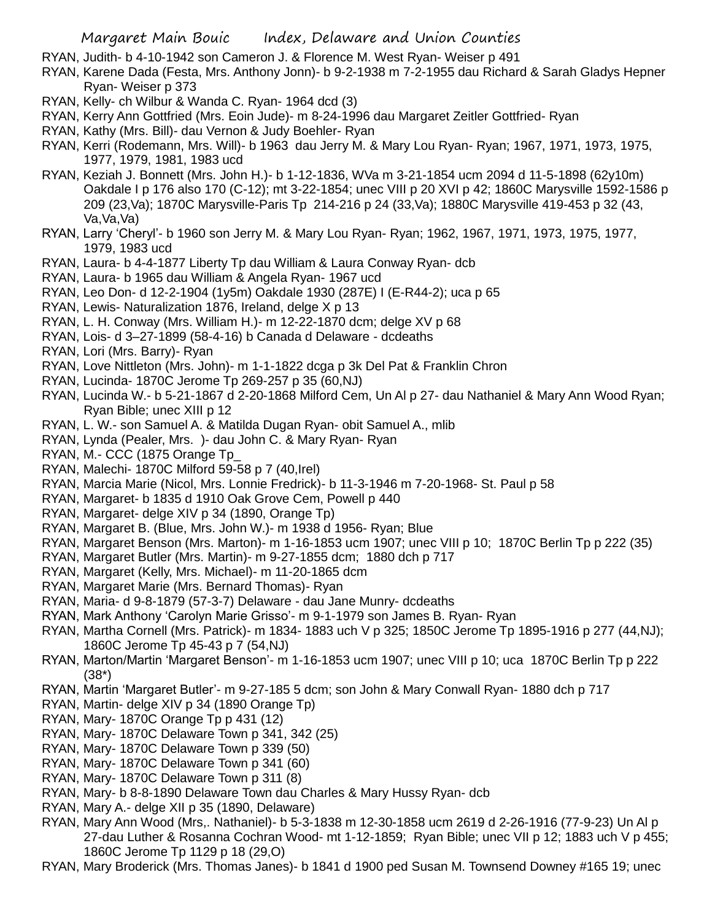RYAN, Judith- b 4-10-1942 son Cameron J. & Florence M. West Ryan- Weiser p 491

- RYAN, Karene Dada (Festa, Mrs. Anthony Jonn)- b 9-2-1938 m 7-2-1955 dau Richard & Sarah Gladys Hepner Ryan- Weiser p 373
- RYAN, Kelly- ch Wilbur & Wanda C. Ryan- 1964 dcd (3)
- RYAN, Kerry Ann Gottfried (Mrs. Eoin Jude)- m 8-24-1996 dau Margaret Zeitler Gottfried- Ryan
- RYAN, Kathy (Mrs. Bill)- dau Vernon & Judy Boehler- Ryan
- RYAN, Kerri (Rodemann, Mrs. Will)- b 1963 dau Jerry M. & Mary Lou Ryan- Ryan; 1967, 1971, 1973, 1975, 1977, 1979, 1981, 1983 ucd
- RYAN, Keziah J. Bonnett (Mrs. John H.)- b 1-12-1836, WVa m 3-21-1854 ucm 2094 d 11-5-1898 (62y10m) Oakdale I p 176 also 170 (C-12); mt 3-22-1854; unec VIII p 20 XVI p 42; 1860C Marysville 1592-1586 p 209 (23,Va); 1870C Marysville-Paris Tp 214-216 p 24 (33,Va); 1880C Marysville 419-453 p 32 (43, Va, Va, Va)
- RYAN, Larry 'Cheryl'- b 1960 son Jerry M. & Mary Lou Ryan- Ryan; 1962, 1967, 1971, 1973, 1975, 1977, 1979, 1983 ucd
- RYAN, Laura- b 4-4-1877 Liberty Tp dau William & Laura Conway Ryan- dcb
- RYAN, Laura- b 1965 dau William & Angela Ryan- 1967 ucd
- RYAN, Leo Don- d 12-2-1904 (1y5m) Oakdale 1930 (287E) I (E-R44-2); uca p 65
- RYAN, Lewis- Naturalization 1876, Ireland, delge X p 13
- RYAN, L. H. Conway (Mrs. William H.)- m 12-22-1870 dcm; delge XV p 68
- RYAN, Lois- d 3–27-1899 (58-4-16) b Canada d Delaware dcdeaths
- RYAN, Lori (Mrs. Barry)- Ryan
- RYAN, Love Nittleton (Mrs. John)- m 1-1-1822 dcga p 3k Del Pat & Franklin Chron
- RYAN, Lucinda- 1870C Jerome Tp 269-257 p 35 (60,NJ)
- RYAN, Lucinda W.- b 5-21-1867 d 2-20-1868 Milford Cem, Un Al p 27- dau Nathaniel & Mary Ann Wood Ryan; Ryan Bible; unec XIII p 12
- RYAN, L. W.- son Samuel A. & Matilda Dugan Ryan- obit Samuel A., mlib
- RYAN, Lynda (Pealer, Mrs. )- dau John C. & Mary Ryan- Ryan
- RYAN, M.- CCC (1875 Orange Tp\_
- RYAN, Malechi- 1870C Milford 59-58 p 7 (40,Irel)
- RYAN, Marcia Marie (Nicol, Mrs. Lonnie Fredrick)- b 11-3-1946 m 7-20-1968- St. Paul p 58
- RYAN, Margaret- b 1835 d 1910 Oak Grove Cem, Powell p 440
- RYAN, Margaret- delge XIV p 34 (1890, Orange Tp)
- RYAN, Margaret B. (Blue, Mrs. John W.)- m 1938 d 1956- Ryan; Blue
- RYAN, Margaret Benson (Mrs. Marton)- m 1-16-1853 ucm 1907; unec VIII p 10; 1870C Berlin Tp p 222 (35)
- RYAN, Margaret Butler (Mrs. Martin)- m 9-27-1855 dcm; 1880 dch p 717
- RYAN, Margaret (Kelly, Mrs. Michael)- m 11-20-1865 dcm
- RYAN, Margaret Marie (Mrs. Bernard Thomas)- Ryan
- RYAN, Maria- d 9-8-1879 (57-3-7) Delaware dau Jane Munry- dcdeaths
- RYAN, Mark Anthony 'Carolyn Marie Grisso'- m 9-1-1979 son James B. Ryan- Ryan
- RYAN, Martha Cornell (Mrs. Patrick)- m 1834- 1883 uch V p 325; 1850C Jerome Tp 1895-1916 p 277 (44,NJ); 1860C Jerome Tp 45-43 p 7 (54,NJ)
- RYAN, Marton/Martin 'Margaret Benson'- m 1-16-1853 ucm 1907; unec VIII p 10; uca 1870C Berlin Tp p 222 (38\*)
- RYAN, Martin 'Margaret Butler'- m 9-27-185 5 dcm; son John & Mary Conwall Ryan- 1880 dch p 717
- RYAN, Martin- delge XIV p 34 (1890 Orange Tp)
- RYAN, Mary- 1870C Orange Tp p 431 (12)
- RYAN, Mary- 1870C Delaware Town p 341, 342 (25)
- RYAN, Mary- 1870C Delaware Town p 339 (50)
- RYAN, Mary- 1870C Delaware Town p 341 (60)
- RYAN, Mary- 1870C Delaware Town p 311 (8)
- RYAN, Mary- b 8-8-1890 Delaware Town dau Charles & Mary Hussy Ryan- dcb
- RYAN, Mary A.- delge XII p 35 (1890, Delaware)
- RYAN, Mary Ann Wood (Mrs,. Nathaniel)- b 5-3-1838 m 12-30-1858 ucm 2619 d 2-26-1916 (77-9-23) Un Al p 27-dau Luther & Rosanna Cochran Wood- mt 1-12-1859; Ryan Bible; unec VII p 12; 1883 uch V p 455; 1860C Jerome Tp 1129 p 18 (29,O)
- RYAN, Mary Broderick (Mrs. Thomas Janes)- b 1841 d 1900 ped Susan M. Townsend Downey #165 19; unec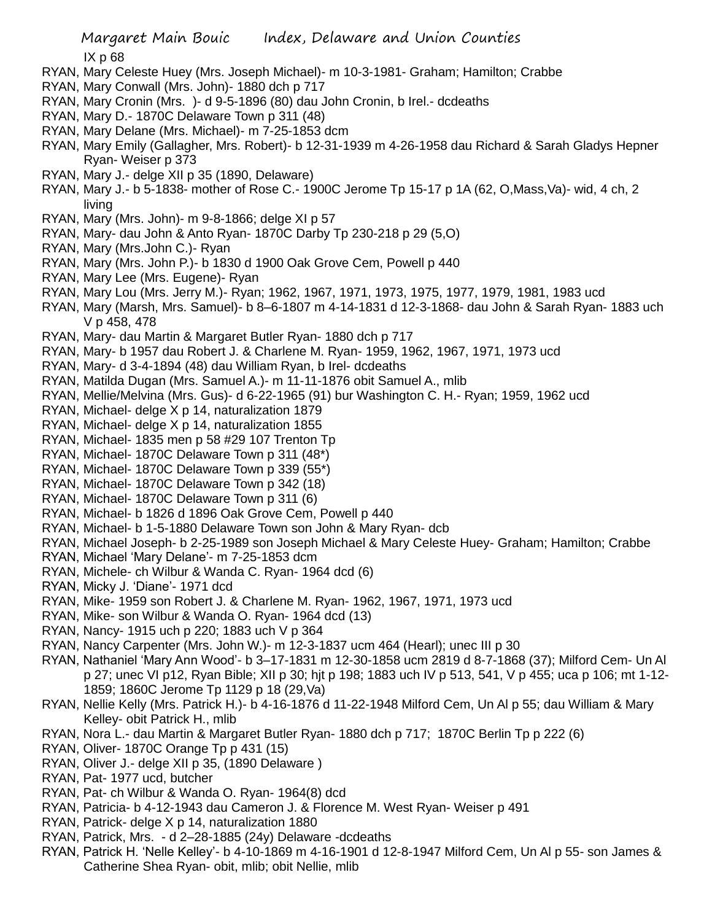- RYAN, Mary Celeste Huey (Mrs. Joseph Michael)- m 10-3-1981- Graham; Hamilton; Crabbe
- RYAN, Mary Conwall (Mrs. John)- 1880 dch p 717
- RYAN, Mary Cronin (Mrs. )- d 9-5-1896 (80) dau John Cronin, b Irel.- dcdeaths
- RYAN, Mary D.- 1870C Delaware Town p 311 (48)
- RYAN, Mary Delane (Mrs. Michael)- m 7-25-1853 dcm
- RYAN, Mary Emily (Gallagher, Mrs. Robert)- b 12-31-1939 m 4-26-1958 dau Richard & Sarah Gladys Hepner Ryan- Weiser p 373
- RYAN, Mary J.- delge XII p 35 (1890, Delaware)
- RYAN, Mary J.- b 5-1838- mother of Rose C.- 1900C Jerome Tp 15-17 p 1A (62, O,Mass,Va)- wid, 4 ch, 2 living
- RYAN, Mary (Mrs. John)- m 9-8-1866; delge XI p 57
- RYAN, Mary- dau John & Anto Ryan- 1870C Darby Tp 230-218 p 29 (5,O)
- RYAN, Mary (Mrs.John C.)- Ryan
- RYAN, Mary (Mrs. John P.)- b 1830 d 1900 Oak Grove Cem, Powell p 440
- RYAN, Mary Lee (Mrs. Eugene)- Ryan
- RYAN, Mary Lou (Mrs. Jerry M.)- Ryan; 1962, 1967, 1971, 1973, 1975, 1977, 1979, 1981, 1983 ucd
- RYAN, Mary (Marsh, Mrs. Samuel)- b 8–6-1807 m 4-14-1831 d 12-3-1868- dau John & Sarah Ryan- 1883 uch V p 458, 478
- RYAN, Mary- dau Martin & Margaret Butler Ryan- 1880 dch p 717
- RYAN, Mary- b 1957 dau Robert J. & Charlene M. Ryan- 1959, 1962, 1967, 1971, 1973 ucd
- RYAN, Mary- d 3-4-1894 (48) dau William Ryan, b Irel- dcdeaths
- RYAN, Matilda Dugan (Mrs. Samuel A.)- m 11-11-1876 obit Samuel A., mlib
- RYAN, Mellie/Melvina (Mrs. Gus)- d 6-22-1965 (91) bur Washington C. H.- Ryan; 1959, 1962 ucd
- RYAN, Michael- delge X p 14, naturalization 1879
- RYAN, Michael- delge X p 14, naturalization 1855
- RYAN, Michael- 1835 men p 58 #29 107 Trenton Tp
- RYAN, Michael- 1870C Delaware Town p 311 (48\*)
- RYAN, Michael- 1870C Delaware Town p 339 (55\*)
- RYAN, Michael- 1870C Delaware Town p 342 (18)
- RYAN, Michael- 1870C Delaware Town p 311 (6)
- RYAN, Michael- b 1826 d 1896 Oak Grove Cem, Powell p 440
- RYAN, Michael- b 1-5-1880 Delaware Town son John & Mary Ryan- dcb
- RYAN, Michael Joseph- b 2-25-1989 son Joseph Michael & Mary Celeste Huey- Graham; Hamilton; Crabbe
- RYAN, Michael 'Mary Delane'- m 7-25-1853 dcm
- RYAN, Michele- ch Wilbur & Wanda C. Ryan- 1964 dcd (6)
- RYAN, Micky J. 'Diane'- 1971 dcd
- RYAN, Mike- 1959 son Robert J. & Charlene M. Ryan- 1962, 1967, 1971, 1973 ucd
- RYAN, Mike- son Wilbur & Wanda O. Ryan- 1964 dcd (13)
- RYAN, Nancy- 1915 uch p 220; 1883 uch V p 364
- RYAN, Nancy Carpenter (Mrs. John W.)- m 12-3-1837 ucm 464 (Hearl); unec III p 30
- RYAN, Nathaniel 'Mary Ann Wood'- b 3–17-1831 m 12-30-1858 ucm 2819 d 8-7-1868 (37); Milford Cem- Un Al p 27; unec VI p12, Ryan Bible; XII p 30; hjt p 198; 1883 uch IV p 513, 541, V p 455; uca p 106; mt 1-12- 1859; 1860C Jerome Tp 1129 p 18 (29,Va)
- RYAN, Nellie Kelly (Mrs. Patrick H.)- b 4-16-1876 d 11-22-1948 Milford Cem, Un Al p 55; dau William & Mary Kelley- obit Patrick H., mlib
- RYAN, Nora L.- dau Martin & Margaret Butler Ryan- 1880 dch p 717; 1870C Berlin Tp p 222 (6)
- RYAN, Oliver- 1870C Orange Tp p 431 (15)
- RYAN, Oliver J.- delge XII p 35, (1890 Delaware )
- RYAN, Pat- 1977 ucd, butcher
- RYAN, Pat- ch Wilbur & Wanda O. Ryan- 1964(8) dcd
- RYAN, Patricia- b 4-12-1943 dau Cameron J. & Florence M. West Ryan- Weiser p 491
- RYAN, Patrick- delge X p 14, naturalization 1880
- RYAN, Patrick, Mrs. d 2–28-1885 (24y) Delaware -dcdeaths
- RYAN, Patrick H. 'Nelle Kelley'- b 4-10-1869 m 4-16-1901 d 12-8-1947 Milford Cem, Un Al p 55- son James & Catherine Shea Ryan- obit, mlib; obit Nellie, mlib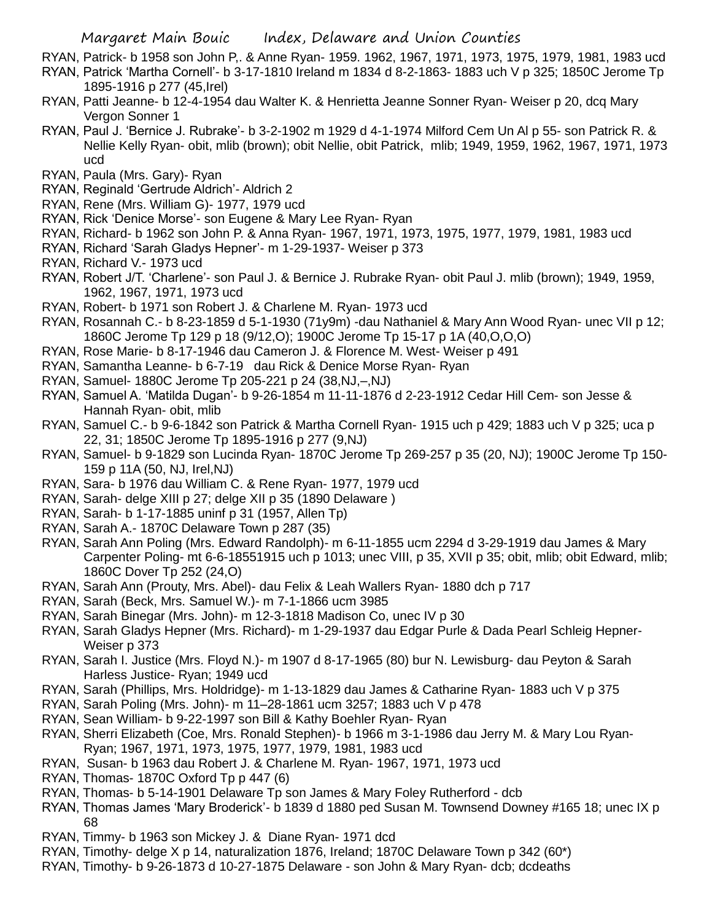RYAN, Patrick- b 1958 son John P,. & Anne Ryan- 1959. 1962, 1967, 1971, 1973, 1975, 1979, 1981, 1983 ucd

- RYAN, Patrick 'Martha Cornell'- b 3-17-1810 Ireland m 1834 d 8-2-1863- 1883 uch V p 325; 1850C Jerome Tp 1895-1916 p 277 (45,Irel)
- RYAN, Patti Jeanne- b 12-4-1954 dau Walter K. & Henrietta Jeanne Sonner Ryan- Weiser p 20, dcq Mary Vergon Sonner 1
- RYAN, Paul J. 'Bernice J. Rubrake'- b 3-2-1902 m 1929 d 4-1-1974 Milford Cem Un Al p 55- son Patrick R. & Nellie Kelly Ryan- obit, mlib (brown); obit Nellie, obit Patrick, mlib; 1949, 1959, 1962, 1967, 1971, 1973 ucd
- RYAN, Paula (Mrs. Gary)- Ryan
- RYAN, Reginald 'Gertrude Aldrich'- Aldrich 2
- RYAN, Rene (Mrs. William G)- 1977, 1979 ucd
- RYAN, Rick 'Denice Morse'- son Eugene & Mary Lee Ryan- Ryan
- RYAN, Richard- b 1962 son John P. & Anna Ryan- 1967, 1971, 1973, 1975, 1977, 1979, 1981, 1983 ucd
- RYAN, Richard 'Sarah Gladys Hepner'- m 1-29-1937- Weiser p 373
- RYAN, Richard V.- 1973 ucd
- RYAN, Robert J/T. 'Charlene'- son Paul J. & Bernice J. Rubrake Ryan- obit Paul J. mlib (brown); 1949, 1959, 1962, 1967, 1971, 1973 ucd
- RYAN, Robert- b 1971 son Robert J. & Charlene M. Ryan- 1973 ucd
- RYAN, Rosannah C.- b 8-23-1859 d 5-1-1930 (71y9m) -dau Nathaniel & Mary Ann Wood Ryan- unec VII p 12; 1860C Jerome Tp 129 p 18 (9/12,O); 1900C Jerome Tp 15-17 p 1A (40,O,O,O)
- RYAN, Rose Marie- b 8-17-1946 dau Cameron J. & Florence M. West- Weiser p 491
- RYAN, Samantha Leanne- b 6-7-19 dau Rick & Denice Morse Ryan- Ryan
- RYAN, Samuel- 1880C Jerome Tp 205-221 p 24 (38,NJ,–,NJ)
- RYAN, Samuel A. 'Matilda Dugan'- b 9-26-1854 m 11-11-1876 d 2-23-1912 Cedar Hill Cem- son Jesse & Hannah Ryan- obit, mlib
- RYAN, Samuel C.- b 9-6-1842 son Patrick & Martha Cornell Ryan- 1915 uch p 429; 1883 uch V p 325; uca p 22, 31; 1850C Jerome Tp 1895-1916 p 277 (9,NJ)
- RYAN, Samuel- b 9-1829 son Lucinda Ryan- 1870C Jerome Tp 269-257 p 35 (20, NJ); 1900C Jerome Tp 150- 159 p 11A (50, NJ, Irel,NJ)
- RYAN, Sara- b 1976 dau William C. & Rene Ryan- 1977, 1979 ucd
- RYAN, Sarah- delge XIII p 27; delge XII p 35 (1890 Delaware )
- RYAN, Sarah- b 1-17-1885 uninf p 31 (1957, Allen Tp)
- RYAN, Sarah A.- 1870C Delaware Town p 287 (35)
- RYAN, Sarah Ann Poling (Mrs. Edward Randolph)- m 6-11-1855 ucm 2294 d 3-29-1919 dau James & Mary Carpenter Poling- mt 6-6-18551915 uch p 1013; unec VIII, p 35, XVII p 35; obit, mlib; obit Edward, mlib; 1860C Dover Tp 252 (24,O)
- RYAN, Sarah Ann (Prouty, Mrs. Abel)- dau Felix & Leah Wallers Ryan- 1880 dch p 717
- RYAN, Sarah (Beck, Mrs. Samuel W.)- m 7-1-1866 ucm 3985
- RYAN, Sarah Binegar (Mrs. John)- m 12-3-1818 Madison Co, unec IV p 30
- RYAN, Sarah Gladys Hepner (Mrs. Richard)- m 1-29-1937 dau Edgar Purle & Dada Pearl Schleig Hepner-Weiser p 373
- RYAN, Sarah I. Justice (Mrs. Floyd N.)- m 1907 d 8-17-1965 (80) bur N. Lewisburg- dau Peyton & Sarah Harless Justice- Ryan; 1949 ucd
- RYAN, Sarah (Phillips, Mrs. Holdridge)- m 1-13-1829 dau James & Catharine Ryan- 1883 uch V p 375
- RYAN, Sarah Poling (Mrs. John)- m 11–28-1861 ucm 3257; 1883 uch V p 478
- RYAN, Sean William- b 9-22-1997 son Bill & Kathy Boehler Ryan- Ryan
- RYAN, Sherri Elizabeth (Coe, Mrs. Ronald Stephen)- b 1966 m 3-1-1986 dau Jerry M. & Mary Lou Ryan-Ryan; 1967, 1971, 1973, 1975, 1977, 1979, 1981, 1983 ucd
- RYAN, Susan- b 1963 dau Robert J. & Charlene M. Ryan- 1967, 1971, 1973 ucd
- RYAN, Thomas- 1870C Oxford Tp p 447 (6)
- RYAN, Thomas- b 5-14-1901 Delaware Tp son James & Mary Foley Rutherford dcb
- RYAN, Thomas James 'Mary Broderick'- b 1839 d 1880 ped Susan M. Townsend Downey #165 18; unec IX p 68
- RYAN, Timmy- b 1963 son Mickey J. & Diane Ryan- 1971 dcd
- RYAN, Timothy- delge X p 14, naturalization 1876, Ireland; 1870C Delaware Town p 342 (60\*)
- RYAN, Timothy- b 9-26-1873 d 10-27-1875 Delaware son John & Mary Ryan- dcb; dcdeaths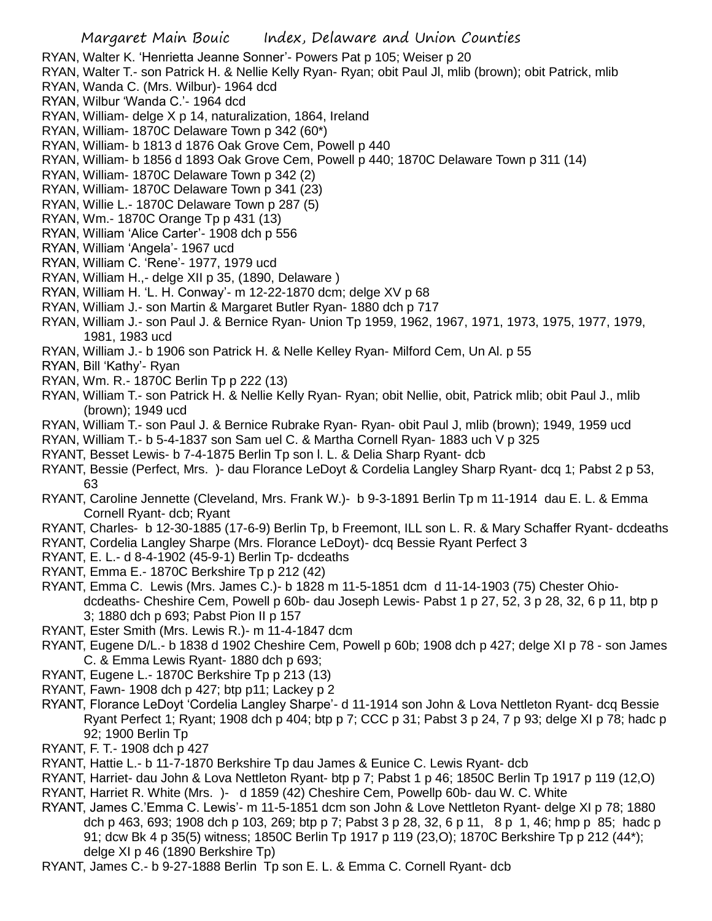- RYAN, Walter K. 'Henrietta Jeanne Sonner'- Powers Pat p 105; Weiser p 20
- RYAN, Walter T.- son Patrick H. & Nellie Kelly Ryan- Ryan; obit Paul Jl, mlib (brown); obit Patrick, mlib
- RYAN, Wanda C. (Mrs. Wilbur)- 1964 dcd
- RYAN, Wilbur 'Wanda C.'- 1964 dcd
- RYAN, William- delge X p 14, naturalization, 1864, Ireland
- RYAN, William- 1870C Delaware Town p 342 (60\*)
- RYAN, William- b 1813 d 1876 Oak Grove Cem, Powell p 440
- RYAN, William- b 1856 d 1893 Oak Grove Cem, Powell p 440; 1870C Delaware Town p 311 (14)
- RYAN, William- 1870C Delaware Town p 342 (2)
- RYAN, William- 1870C Delaware Town p 341 (23)
- RYAN, Willie L.- 1870C Delaware Town p 287 (5)
- RYAN, Wm.- 1870C Orange Tp p 431 (13)
- RYAN, William 'Alice Carter'- 1908 dch p 556
- RYAN, William 'Angela'- 1967 ucd
- RYAN, William C. 'Rene'- 1977, 1979 ucd
- RYAN, William H.,- delge XII p 35, (1890, Delaware )
- RYAN, William H. 'L. H. Conway'- m 12-22-1870 dcm; delge XV p 68
- RYAN, William J.- son Martin & Margaret Butler Ryan- 1880 dch p 717
- RYAN, William J.- son Paul J. & Bernice Ryan- Union Tp 1959, 1962, 1967, 1971, 1973, 1975, 1977, 1979, 1981, 1983 ucd
- RYAN, William J.- b 1906 son Patrick H. & Nelle Kelley Ryan- Milford Cem, Un Al. p 55
- RYAN, Bill 'Kathy'- Ryan
- RYAN, Wm. R.- 1870C Berlin Tp p 222 (13)
- RYAN, William T.- son Patrick H. & Nellie Kelly Ryan- Ryan; obit Nellie, obit, Patrick mlib; obit Paul J., mlib (brown); 1949 ucd
- RYAN, William T.- son Paul J. & Bernice Rubrake Ryan- Ryan- obit Paul J, mlib (brown); 1949, 1959 ucd
- RYAN, William T.- b 5-4-1837 son Sam uel C. & Martha Cornell Ryan- 1883 uch V p 325
- RYANT, Besset Lewis- b 7-4-1875 Berlin Tp son l. L. & Delia Sharp Ryant- dcb
- RYANT, Bessie (Perfect, Mrs. )- dau Florance LeDoyt & Cordelia Langley Sharp Ryant- dcq 1; Pabst 2 p 53, 63
- RYANT, Caroline Jennette (Cleveland, Mrs. Frank W.)- b 9-3-1891 Berlin Tp m 11-1914 dau E. L. & Emma Cornell Ryant- dcb; Ryant
- RYANT, Charles- b 12-30-1885 (17-6-9) Berlin Tp, b Freemont, ILL son L. R. & Mary Schaffer Ryant- dcdeaths
- RYANT, Cordelia Langley Sharpe (Mrs. Florance LeDoyt)- dcq Bessie Ryant Perfect 3
- RYANT, E. L.- d 8-4-1902 (45-9-1) Berlin Tp- dcdeaths
- RYANT, Emma E.- 1870C Berkshire Tp p 212 (42)
- RYANT, Emma C. Lewis (Mrs. James C.)- b 1828 m 11-5-1851 dcm d 11-14-1903 (75) Chester Ohiodcdeaths- Cheshire Cem, Powell p 60b- dau Joseph Lewis- Pabst 1 p 27, 52, 3 p 28, 32, 6 p 11, btp p 3; 1880 dch p 693; Pabst Pion II p 157
- RYANT, Ester Smith (Mrs. Lewis R.)- m 11-4-1847 dcm
- RYANT, Eugene D/L.- b 1838 d 1902 Cheshire Cem, Powell p 60b; 1908 dch p 427; delge XI p 78 son James C. & Emma Lewis Ryant- 1880 dch p 693;
- RYANT, Eugene L.- 1870C Berkshire Tp p 213 (13)
- RYANT, Fawn- 1908 dch p 427; btp p11; Lackey p 2
- RYANT, Florance LeDoyt 'Cordelia Langley Sharpe'- d 11-1914 son John & Lova Nettleton Ryant- dcq Bessie Ryant Perfect 1; Ryant; 1908 dch p 404; btp p 7; CCC p 31; Pabst 3 p 24, 7 p 93; delge XI p 78; hadc p 92; 1900 Berlin Tp
- RYANT, F. T.- 1908 dch p 427
- RYANT, Hattie L.- b 11-7-1870 Berkshire Tp dau James & Eunice C. Lewis Ryant- dcb
- RYANT, Harriet- dau John & Lova Nettleton Ryant- btp p 7; Pabst 1 p 46; 1850C Berlin Tp 1917 p 119 (12,O) RYANT, Harriet R. White (Mrs. )- d 1859 (42) Cheshire Cem, Powellp 60b- dau W. C. White
- RYANT, James C.'Emma C. Lewis'- m 11-5-1851 dcm son John & Love Nettleton Ryant- delge XI p 78; 1880 dch p 463, 693; 1908 dch p 103, 269; btp p 7; Pabst 3 p 28, 32, 6 p 11, 8 p 1, 46; hmp p 85; hadc p 91; dcw Bk 4 p 35(5) witness; 1850C Berlin Tp 1917 p 119 (23,O); 1870C Berkshire Tp p 212 (44\*); delge XI p 46 (1890 Berkshire Tp)
- RYANT, James C.- b 9-27-1888 Berlin Tp son E. L. & Emma C. Cornell Ryant- dcb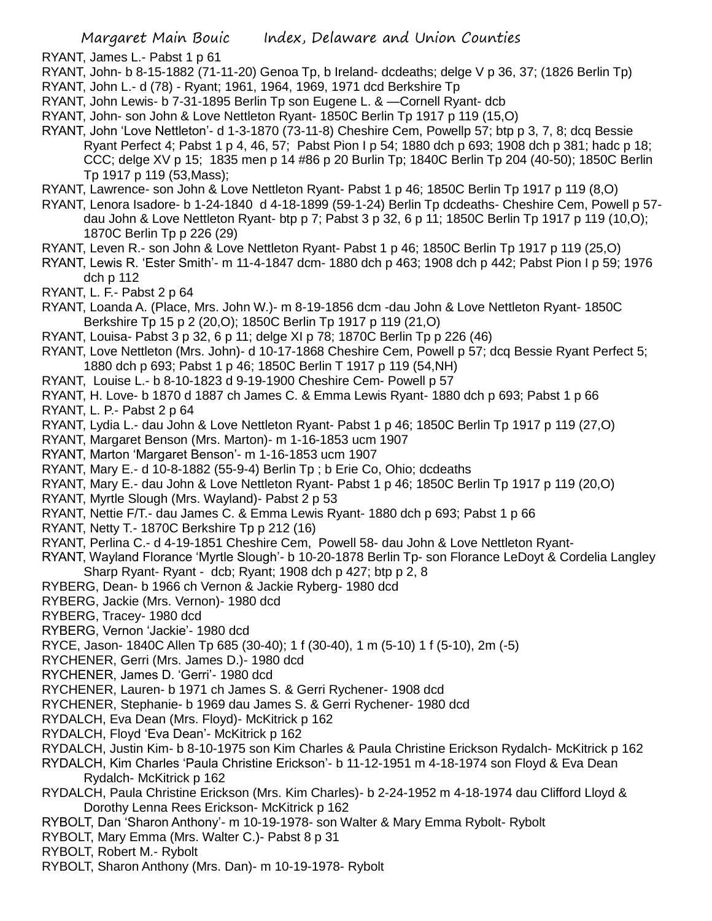RYANT, James L.- Pabst 1 p 61 RYANT, John- b 8-15-1882 (71-11-20) Genoa Tp, b Ireland- dcdeaths; delge V p 36, 37; (1826 Berlin Tp) RYANT, John L.- d (78) - Ryant; 1961, 1964, 1969, 1971 dcd Berkshire Tp RYANT, John Lewis- b 7-31-1895 Berlin Tp son Eugene L. & —Cornell Ryant- dcb RYANT, John- son John & Love Nettleton Ryant- 1850C Berlin Tp 1917 p 119 (15,O) RYANT, John 'Love Nettleton'- d 1-3-1870 (73-11-8) Cheshire Cem, Powellp 57; btp p 3, 7, 8; dcq Bessie Ryant Perfect 4; Pabst 1 p 4, 46, 57; Pabst Pion I p 54; 1880 dch p 693; 1908 dch p 381; hadc p 18; CCC; delge XV p 15; 1835 men p 14 #86 p 20 Burlin Tp; 1840C Berlin Tp 204 (40-50); 1850C Berlin Tp 1917 p 119 (53,Mass); RYANT, Lawrence- son John & Love Nettleton Ryant- Pabst 1 p 46; 1850C Berlin Tp 1917 p 119 (8,O) RYANT, Lenora Isadore- b 1-24-1840 d 4-18-1899 (59-1-24) Berlin Tp dcdeaths- Cheshire Cem, Powell p 57 dau John & Love Nettleton Ryant- btp p 7; Pabst 3 p 32, 6 p 11; 1850C Berlin Tp 1917 p 119 (10,O); 1870C Berlin Tp p 226 (29) RYANT, Leven R.- son John & Love Nettleton Ryant- Pabst 1 p 46; 1850C Berlin Tp 1917 p 119 (25,O) RYANT, Lewis R. 'Ester Smith'- m 11-4-1847 dcm- 1880 dch p 463; 1908 dch p 442; Pabst Pion I p 59; 1976 dch p 112 RYANT, L. F.- Pabst 2 p 64 RYANT, Loanda A. (Place, Mrs. John W.)- m 8-19-1856 dcm -dau John & Love Nettleton Ryant- 1850C Berkshire Tp 15 p 2 (20,O); 1850C Berlin Tp 1917 p 119 (21,O) RYANT, Louisa- Pabst 3 p 32, 6 p 11; delge XI p 78; 1870C Berlin Tp p 226 (46) RYANT, Love Nettleton (Mrs. John)- d 10-17-1868 Cheshire Cem, Powell p 57; dcq Bessie Ryant Perfect 5; 1880 dch p 693; Pabst 1 p 46; 1850C Berlin T 1917 p 119 (54,NH) RYANT, Louise L.- b 8-10-1823 d 9-19-1900 Cheshire Cem- Powell p 57 RYANT, H. Love- b 1870 d 1887 ch James C. & Emma Lewis Ryant- 1880 dch p 693; Pabst 1 p 66 RYANT, L. P.- Pabst 2 p 64 RYANT, Lydia L.- dau John & Love Nettleton Ryant- Pabst 1 p 46; 1850C Berlin Tp 1917 p 119 (27,O) RYANT, Margaret Benson (Mrs. Marton)- m 1-16-1853 ucm 1907 RYANT, Marton 'Margaret Benson'- m 1-16-1853 ucm 1907 RYANT, Mary E.- d 10-8-1882 (55-9-4) Berlin Tp ; b Erie Co, Ohio; dcdeaths RYANT, Mary E.- dau John & Love Nettleton Ryant- Pabst 1 p 46; 1850C Berlin Tp 1917 p 119 (20,O) RYANT, Myrtle Slough (Mrs. Wayland)- Pabst 2 p 53 RYANT, Nettie F/T.- dau James C. & Emma Lewis Ryant- 1880 dch p 693; Pabst 1 p 66 RYANT, Netty T.- 1870C Berkshire Tp p 212 (16) RYANT, Perlina C.- d 4-19-1851 Cheshire Cem, Powell 58- dau John & Love Nettleton Ryant-RYANT, Wayland Florance 'Myrtle Slough'- b 10-20-1878 Berlin Tp- son Florance LeDoyt & Cordelia Langley Sharp Ryant- Ryant - dcb; Ryant; 1908 dch p 427; btp p 2, 8 RYBERG, Dean- b 1966 ch Vernon & Jackie Ryberg- 1980 dcd

- RYBERG, Jackie (Mrs. Vernon)- 1980 dcd
- RYBERG, Tracey- 1980 dcd
- RYBERG, Vernon 'Jackie'- 1980 dcd
- RYCE, Jason- 1840C Allen Tp 685 (30-40); 1 f (30-40), 1 m (5-10) 1 f (5-10), 2m (-5)
- RYCHENER, Gerri (Mrs. James D.)- 1980 dcd
- RYCHENER, James D. 'Gerri'- 1980 dcd
- RYCHENER, Lauren- b 1971 ch James S. & Gerri Rychener- 1908 dcd
- RYCHENER, Stephanie- b 1969 dau James S. & Gerri Rychener- 1980 dcd
- RYDALCH, Eva Dean (Mrs. Floyd)- McKitrick p 162
- RYDALCH, Floyd 'Eva Dean'- McKitrick p 162
- RYDALCH, Justin Kim- b 8-10-1975 son Kim Charles & Paula Christine Erickson Rydalch- McKitrick p 162

RYDALCH, Kim Charles 'Paula Christine Erickson'- b 11-12-1951 m 4-18-1974 son Floyd & Eva Dean Rydalch- McKitrick p 162

- RYDALCH, Paula Christine Erickson (Mrs. Kim Charles)- b 2-24-1952 m 4-18-1974 dau Clifford Lloyd & Dorothy Lenna Rees Erickson- McKitrick p 162
- RYBOLT, Dan 'Sharon Anthony'- m 10-19-1978- son Walter & Mary Emma Rybolt- Rybolt
- RYBOLT, Mary Emma (Mrs. Walter C.)- Pabst 8 p 31

RYBOLT, Robert M.- Rybolt

RYBOLT, Sharon Anthony (Mrs. Dan)- m 10-19-1978- Rybolt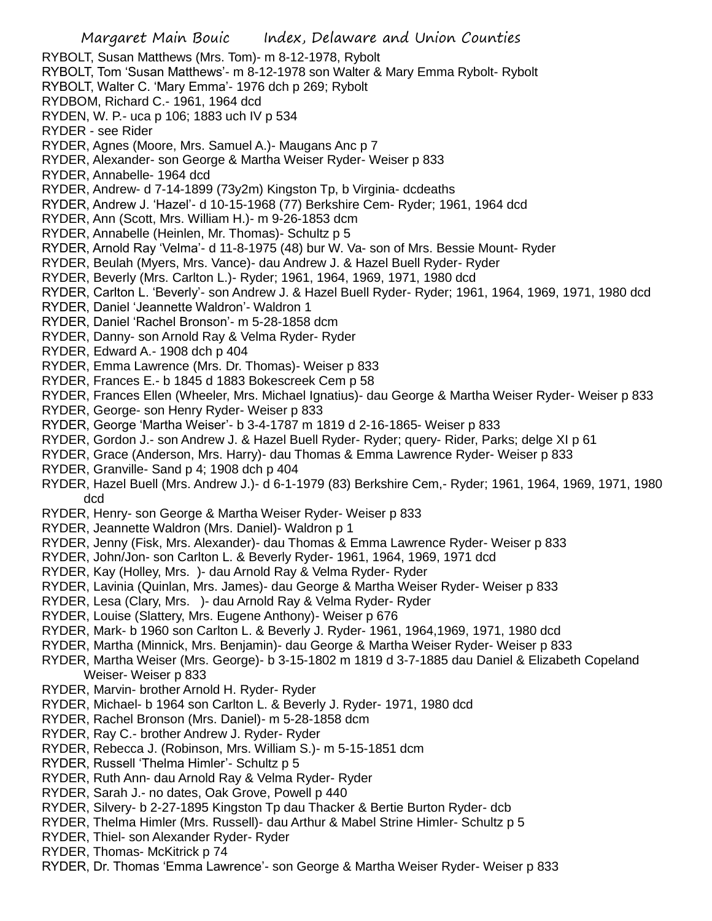- RYBOLT, Susan Matthews (Mrs. Tom)- m 8-12-1978, Rybolt
- RYBOLT, Tom 'Susan Matthews'- m 8-12-1978 son Walter & Mary Emma Rybolt- Rybolt
- RYBOLT, Walter C. 'Mary Emma'- 1976 dch p 269; Rybolt
- RYDBOM, Richard C.- 1961, 1964 dcd
- RYDEN, W. P.- uca p 106; 1883 uch IV p 534
- RYDER see Rider
- RYDER, Agnes (Moore, Mrs. Samuel A.)- Maugans Anc p 7
- RYDER, Alexander- son George & Martha Weiser Ryder- Weiser p 833
- RYDER, Annabelle- 1964 dcd
- RYDER, Andrew- d 7-14-1899 (73y2m) Kingston Tp, b Virginia- dcdeaths
- RYDER, Andrew J. 'Hazel'- d 10-15-1968 (77) Berkshire Cem- Ryder; 1961, 1964 dcd
- RYDER, Ann (Scott, Mrs. William H.)- m 9-26-1853 dcm
- RYDER, Annabelle (Heinlen, Mr. Thomas)- Schultz p 5
- RYDER, Arnold Ray 'Velma'- d 11-8-1975 (48) bur W. Va- son of Mrs. Bessie Mount- Ryder
- RYDER, Beulah (Myers, Mrs. Vance)- dau Andrew J. & Hazel Buell Ryder- Ryder
- RYDER, Beverly (Mrs. Carlton L.)- Ryder; 1961, 1964, 1969, 1971, 1980 dcd
- RYDER, Carlton L. 'Beverly'- son Andrew J. & Hazel Buell Ryder- Ryder; 1961, 1964, 1969, 1971, 1980 dcd
- RYDER, Daniel 'Jeannette Waldron'- Waldron 1
- RYDER, Daniel 'Rachel Bronson'- m 5-28-1858 dcm
- RYDER, Danny- son Arnold Ray & Velma Ryder- Ryder
- RYDER, Edward A.- 1908 dch p 404
- RYDER, Emma Lawrence (Mrs. Dr. Thomas)- Weiser p 833
- RYDER, Frances E.- b 1845 d 1883 Bokescreek Cem p 58
- RYDER, Frances Ellen (Wheeler, Mrs. Michael Ignatius)- dau George & Martha Weiser Ryder- Weiser p 833
- RYDER, George- son Henry Ryder- Weiser p 833
- RYDER, George 'Martha Weiser'- b 3-4-1787 m 1819 d 2-16-1865- Weiser p 833
- RYDER, Gordon J.- son Andrew J. & Hazel Buell Ryder- Ryder; query- Rider, Parks; delge XI p 61
- RYDER, Grace (Anderson, Mrs. Harry)- dau Thomas & Emma Lawrence Ryder- Weiser p 833
- RYDER, Granville- Sand p 4; 1908 dch p 404
- RYDER, Hazel Buell (Mrs. Andrew J.)- d 6-1-1979 (83) Berkshire Cem,- Ryder; 1961, 1964, 1969, 1971, 1980 dcd
- RYDER, Henry- son George & Martha Weiser Ryder- Weiser p 833
- RYDER, Jeannette Waldron (Mrs. Daniel)- Waldron p 1
- RYDER, Jenny (Fisk, Mrs. Alexander)- dau Thomas & Emma Lawrence Ryder- Weiser p 833
- RYDER, John/Jon- son Carlton L. & Beverly Ryder- 1961, 1964, 1969, 1971 dcd
- RYDER, Kay (Holley, Mrs. )- dau Arnold Ray & Velma Ryder- Ryder
- RYDER, Lavinia (Quinlan, Mrs. James)- dau George & Martha Weiser Ryder- Weiser p 833
- RYDER, Lesa (Clary, Mrs. )- dau Arnold Ray & Velma Ryder- Ryder
- RYDER, Louise (Slattery, Mrs. Eugene Anthony)- Weiser p 676
- RYDER, Mark- b 1960 son Carlton L. & Beverly J. Ryder- 1961, 1964,1969, 1971, 1980 dcd
- RYDER, Martha (Minnick, Mrs. Benjamin)- dau George & Martha Weiser Ryder- Weiser p 833
- RYDER, Martha Weiser (Mrs. George)- b 3-15-1802 m 1819 d 3-7-1885 dau Daniel & Elizabeth Copeland Weiser- Weiser p 833
- RYDER, Marvin- brother Arnold H. Ryder- Ryder
- RYDER, Michael- b 1964 son Carlton L. & Beverly J. Ryder- 1971, 1980 dcd
- RYDER, Rachel Bronson (Mrs. Daniel)- m 5-28-1858 dcm
- RYDER, Ray C.- brother Andrew J. Ryder- Ryder
- RYDER, Rebecca J. (Robinson, Mrs. William S.)- m 5-15-1851 dcm
- RYDER, Russell 'Thelma Himler'- Schultz p 5
- RYDER, Ruth Ann- dau Arnold Ray & Velma Ryder- Ryder
- RYDER, Sarah J.- no dates, Oak Grove, Powell p 440
- RYDER, Silvery- b 2-27-1895 Kingston Tp dau Thacker & Bertie Burton Ryder- dcb
- RYDER, Thelma Himler (Mrs. Russell)- dau Arthur & Mabel Strine Himler- Schultz p 5
- RYDER, Thiel- son Alexander Ryder- Ryder
- RYDER, Thomas- McKitrick p 74
- RYDER, Dr. Thomas 'Emma Lawrence'- son George & Martha Weiser Ryder- Weiser p 833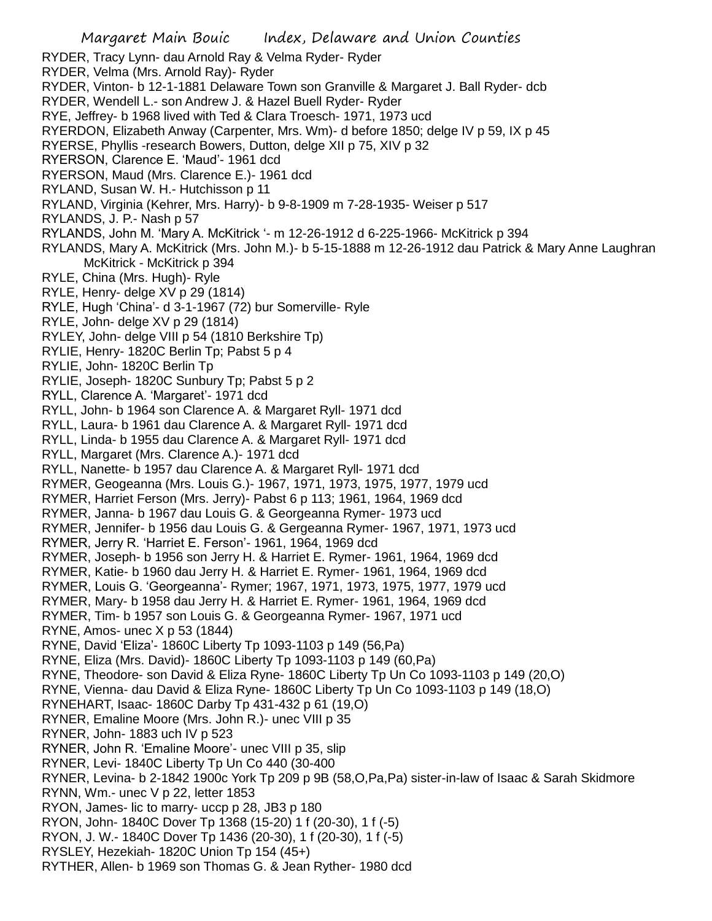- RYDER, Tracy Lynn- dau Arnold Ray & Velma Ryder- Ryder
- RYDER, Velma (Mrs. Arnold Ray)- Ryder
- RYDER, Vinton- b 12-1-1881 Delaware Town son Granville & Margaret J. Ball Ryder- dcb
- RYDER, Wendell L.- son Andrew J. & Hazel Buell Ryder- Ryder
- RYE, Jeffrey- b 1968 lived with Ted & Clara Troesch- 1971, 1973 ucd
- RYERDON, Elizabeth Anway (Carpenter, Mrs. Wm)- d before 1850; delge IV p 59, IX p 45
- RYERSE, Phyllis -research Bowers, Dutton, delge XII p 75, XIV p 32
- RYERSON, Clarence E. 'Maud'- 1961 dcd
- RYERSON, Maud (Mrs. Clarence E.)- 1961 dcd
- RYLAND, Susan W. H.- Hutchisson p 11
- RYLAND, Virginia (Kehrer, Mrs. Harry)- b 9-8-1909 m 7-28-1935- Weiser p 517
- RYLANDS, J. P.- Nash p 57
- RYLANDS, John M. 'Mary A. McKitrick '- m 12-26-1912 d 6-225-1966- McKitrick p 394
- RYLANDS, Mary A. McKitrick (Mrs. John M.)- b 5-15-1888 m 12-26-1912 dau Patrick & Mary Anne Laughran McKitrick - McKitrick p 394
- RYLE, China (Mrs. Hugh)- Ryle
- RYLE, Henry- delge XV p 29 (1814)
- RYLE, Hugh 'China'- d 3-1-1967 (72) bur Somerville- Ryle
- RYLE, John- delge XV p 29 (1814)
- RYLEY, John- delge VIII p 54 (1810 Berkshire Tp)
- RYLIE, Henry- 1820C Berlin Tp; Pabst 5 p 4
- RYLIE, John- 1820C Berlin Tp
- RYLIE, Joseph- 1820C Sunbury Tp; Pabst 5 p 2
- RYLL, Clarence A. 'Margaret'- 1971 dcd
- RYLL, John- b 1964 son Clarence A. & Margaret Ryll- 1971 dcd
- RYLL, Laura- b 1961 dau Clarence A. & Margaret Ryll- 1971 dcd
- RYLL, Linda- b 1955 dau Clarence A. & Margaret Ryll- 1971 dcd
- RYLL, Margaret (Mrs. Clarence A.)- 1971 dcd
- RYLL, Nanette- b 1957 dau Clarence A. & Margaret Ryll- 1971 dcd
- RYMER, Geogeanna (Mrs. Louis G.)- 1967, 1971, 1973, 1975, 1977, 1979 ucd
- RYMER, Harriet Ferson (Mrs. Jerry)- Pabst 6 p 113; 1961, 1964, 1969 dcd
- RYMER, Janna- b 1967 dau Louis G. & Georgeanna Rymer- 1973 ucd
- RYMER, Jennifer- b 1956 dau Louis G. & Gergeanna Rymer- 1967, 1971, 1973 ucd
- RYMER, Jerry R. 'Harriet E. Ferson'- 1961, 1964, 1969 dcd
- RYMER, Joseph- b 1956 son Jerry H. & Harriet E. Rymer- 1961, 1964, 1969 dcd
- RYMER, Katie- b 1960 dau Jerry H. & Harriet E. Rymer- 1961, 1964, 1969 dcd
- RYMER, Louis G. 'Georgeanna'- Rymer; 1967, 1971, 1973, 1975, 1977, 1979 ucd
- RYMER, Mary- b 1958 dau Jerry H. & Harriet E. Rymer- 1961, 1964, 1969 dcd
- RYMER, Tim- b 1957 son Louis G. & Georgeanna Rymer- 1967, 1971 ucd
- RYNE, Amos- unec X p 53 (1844)
- RYNE, David 'Eliza'- 1860C Liberty Tp 1093-1103 p 149 (56,Pa)
- RYNE, Eliza (Mrs. David)- 1860C Liberty Tp 1093-1103 p 149 (60,Pa)
- RYNE, Theodore- son David & Eliza Ryne- 1860C Liberty Tp Un Co 1093-1103 p 149 (20,O)
- RYNE, Vienna- dau David & Eliza Ryne- 1860C Liberty Tp Un Co 1093-1103 p 149 (18,O)
- RYNEHART, Isaac- 1860C Darby Tp 431-432 p 61 (19,O)
- RYNER, Emaline Moore (Mrs. John R.)- unec VIII p 35
- RYNER, John- 1883 uch IV p 523
- RYNER, John R. 'Emaline Moore'- unec VIII p 35, slip
- RYNER, Levi- 1840C Liberty Tp Un Co 440 (30-400
- RYNER, Levina- b 2-1842 1900c York Tp 209 p 9B (58,O,Pa,Pa) sister-in-law of Isaac & Sarah Skidmore RYNN, Wm.- unec V p 22, letter 1853
- RYON, James- lic to marry- uccp p 28, JB3 p 180
- RYON, John- 1840C Dover Tp 1368 (15-20) 1 f (20-30), 1 f (-5)
- RYON, J. W.- 1840C Dover Tp 1436 (20-30), 1 f (20-30), 1 f (-5)
- RYSLEY, Hezekiah- 1820C Union Tp 154 (45+)
- RYTHER, Allen- b 1969 son Thomas G. & Jean Ryther- 1980 dcd